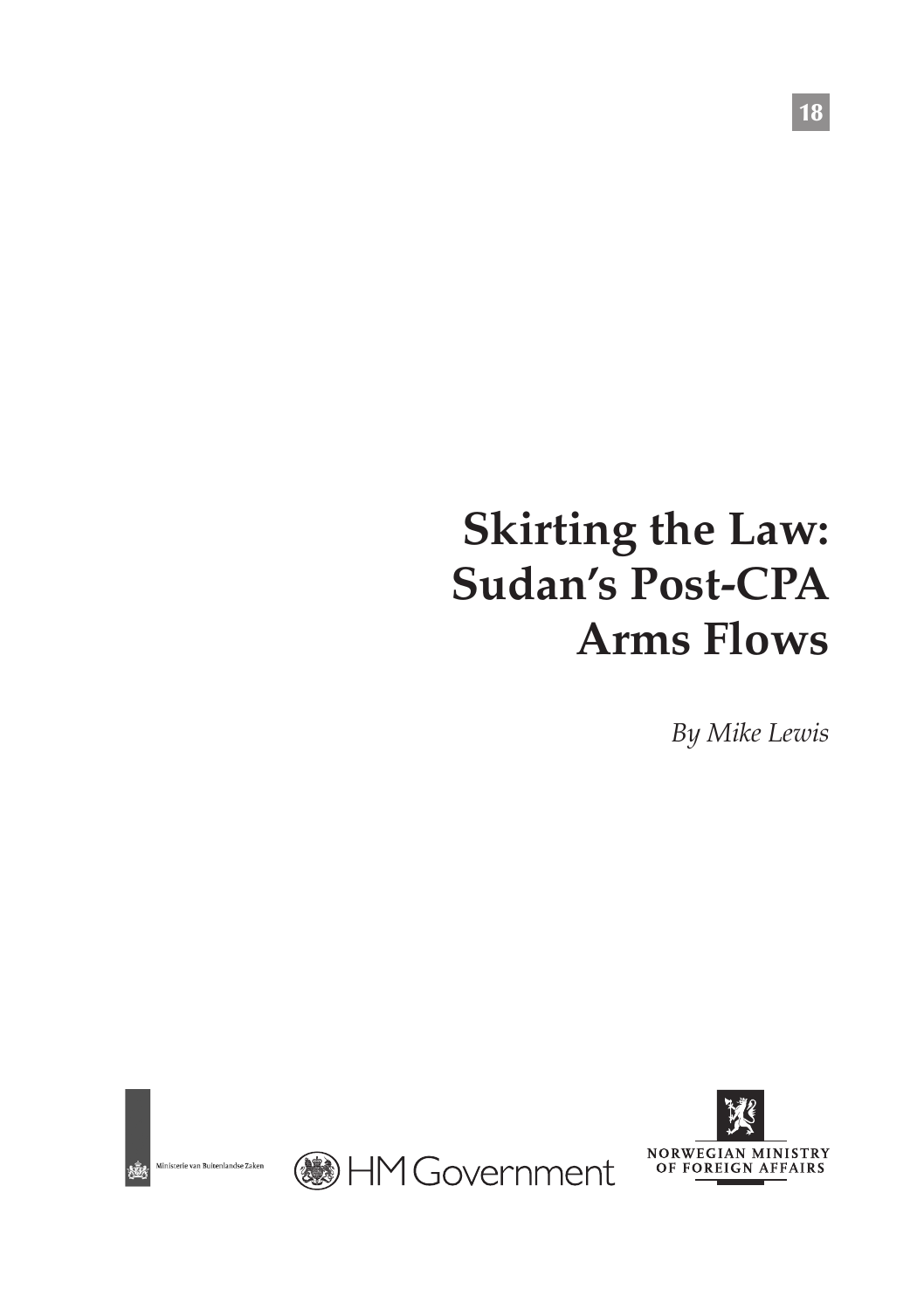# **Skirting the Law: Sudan's Post-CPA Arms Flows**

*By Mike Lewis*



.<br>Ministerie van Buitenlandse Zaken



**BHM Government** 

18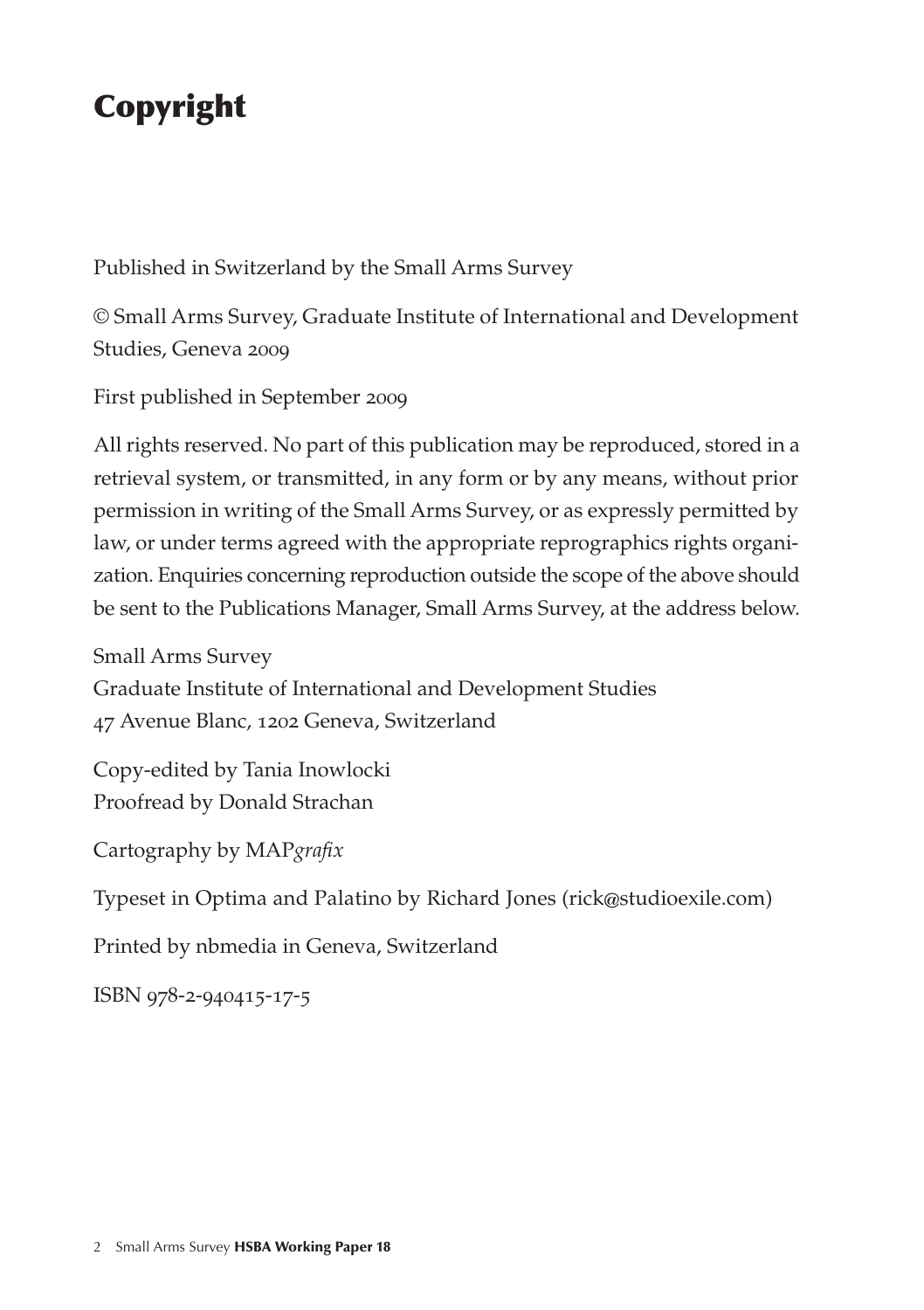## Copyright

Published in Switzerland by the Small Arms Survey

© Small Arms Survey, Graduate Institute of International and Development Studies, Geneva 2009

First published in September 2009

All rights reserved. No part of this publication may be reproduced, stored in a retrieval system, or transmitted, in any form or by any means, without prior permission in writing of the Small Arms Survey, or as expressly permitted by law, or under terms agreed with the appropriate reprographics rights organization. Enquiries concerning reproduction outside the scope of the above should be sent to the Publications Manager, Small Arms Survey, at the address below.

Small Arms Survey Graduate Institute of International and Development Studies 47 Avenue Blanc, 1202 Geneva, Switzerland

Copy-edited by Tania Inowlocki Proofread by Donald Strachan

Cartography by MAP*grafix*

Typeset in Optima and Palatino by Richard Jones (rick@studioexile.com)

Printed by nbmedia in Geneva, Switzerland

ISBN 978-2-940415-17-5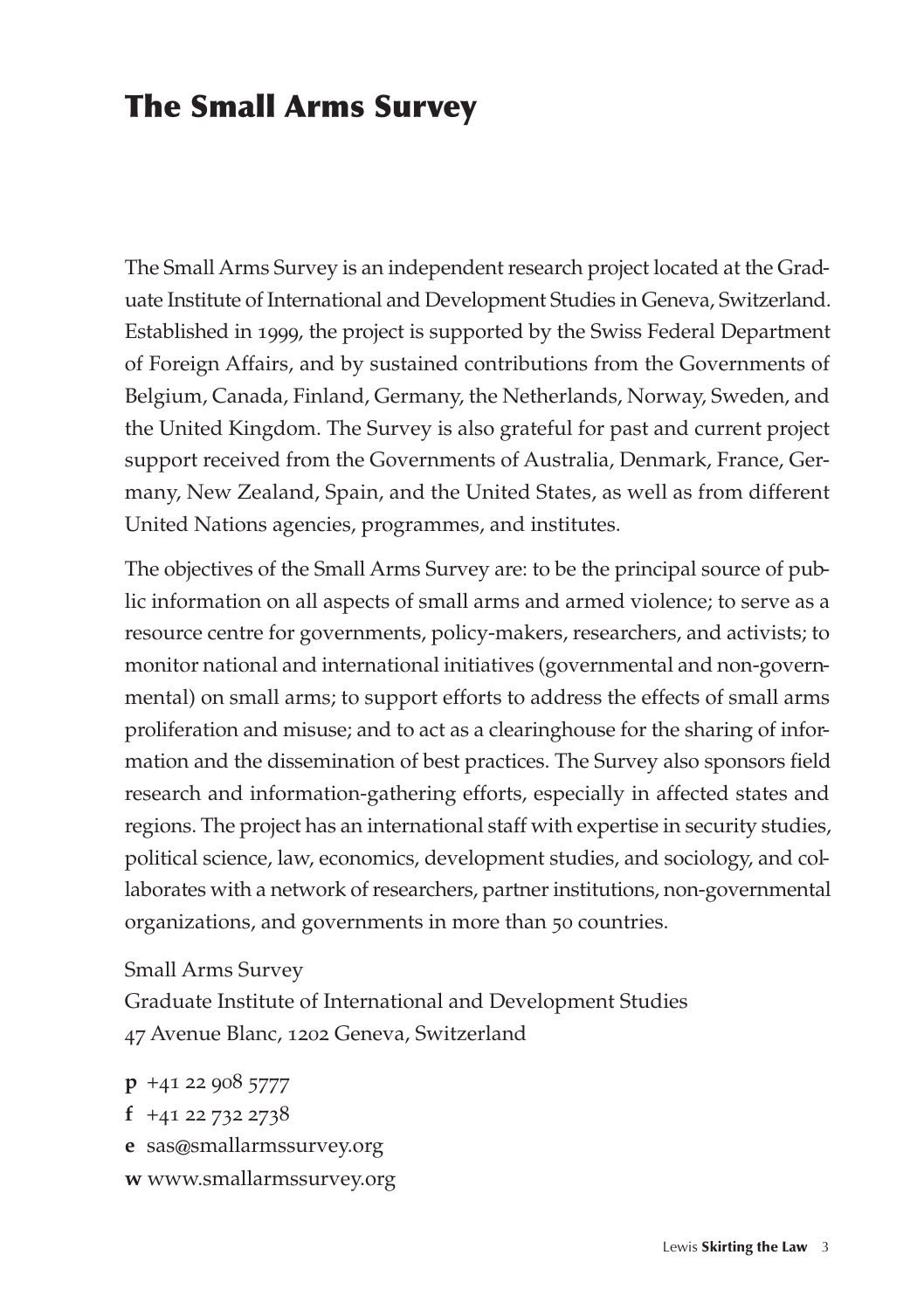### The Small Arms Survey

The Small Arms Survey is an independent research project located at the Graduate Institute of International and Development Studies in Geneva, Switzerland. Established in 1999, the project is supported by the Swiss Federal Department of Foreign Affairs, and by sustained contributions from the Governments of Belgium, Canada, Finland, Germany, the Netherlands, Norway, Sweden, and the United Kingdom. The Survey is also grateful for past and current project support received from the Governments of Australia, Denmark, France, Germany, New Zealand, Spain, and the United States, as well as from different United Nations agencies, programmes, and institutes.

The objectives of the Small Arms Survey are: to be the principal source of public information on all aspects of small arms and armed violence; to serve as a resource centre for governments, policy-makers, researchers, and activists; to monitor national and international initiatives (governmental and non-governmental) on small arms; to support efforts to address the effects of small arms proliferation and misuse; and to act as a clearinghouse for the sharing of information and the dissemination of best practices. The Survey also sponsors field research and information-gathering efforts, especially in affected states and regions. The project has an international staff with expertise in security studies, political science, law, economics, development studies, and sociology, and collaborates with a network of researchers, partner institutions, non-governmental organizations, and governments in more than 50 countries.

Small Arms Survey Graduate Institute of International and Development Studies 47 Avenue Blanc, 1202 Geneva, Switzerland

**p** +41 22 908 5777 **f** +41 22 732 2738 **e**sas@smallarmssurvey.org **w** www.smallarmssurvey.org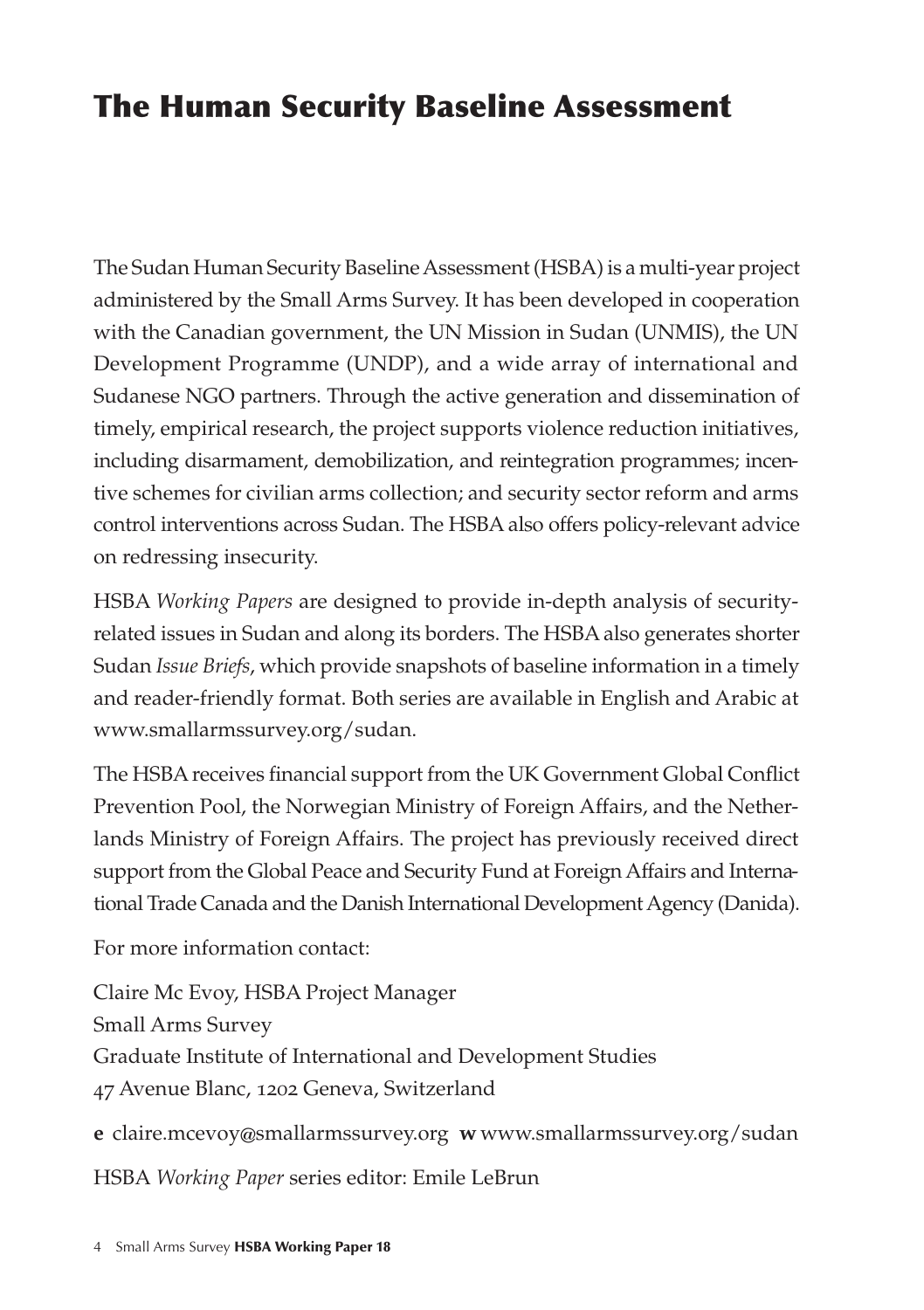### The Human Security Baseline Assessment

The Sudan Human Security Baseline Assessment (HSBA) is a multi-year project administered by the Small Arms Survey. It has been developed in cooperation with the Canadian government, the UN Mission in Sudan (UNMIS), the UN Development Programme (UNDP), and a wide array of international and Sudanese NGO partners. Through the active generation and dissemination of timely, empirical research, the project supports violence reduction initiatives, including disarmament, demobilization, and reintegration programmes; incentive schemes for civilian arms collection; and security sector reform and arms control interventions across Sudan. The HSBA also offers policy-relevant advice on redressing insecurity.

HSBA *Working Papers* are designed to provide in-depth analysis of securityrelated issues in Sudan and along its borders. The HSBA also generates shorter Sudan *Issue Briefs*, which provide snapshots of baseline information in a timely and reader-friendly format. Both series are available in English and Arabic at www.smallarmssurvey.org/sudan.

The HSBA receives financial support from the UK Government Global Conflict Prevention Pool, the Norwegian Ministry of Foreign Affairs, and the Netherlands Ministry of Foreign Affairs. The project has previously received direct support from the Global Peace and Security Fund at Foreign Affairs and International Trade Canada and the Danish International Development Agency (Danida).

For more information contact:

Claire Mc Evoy, HSBA Project Manager Small Arms Survey Graduate Institute of International and Development Studies 47 Avenue Blanc, 1202 Geneva, Switzerland

**e**claire.mcevoy@smallarmssurvey.org **w** www.smallarmssurvey.org/sudan

HSBA *Working Paper* series editor: Emile LeBrun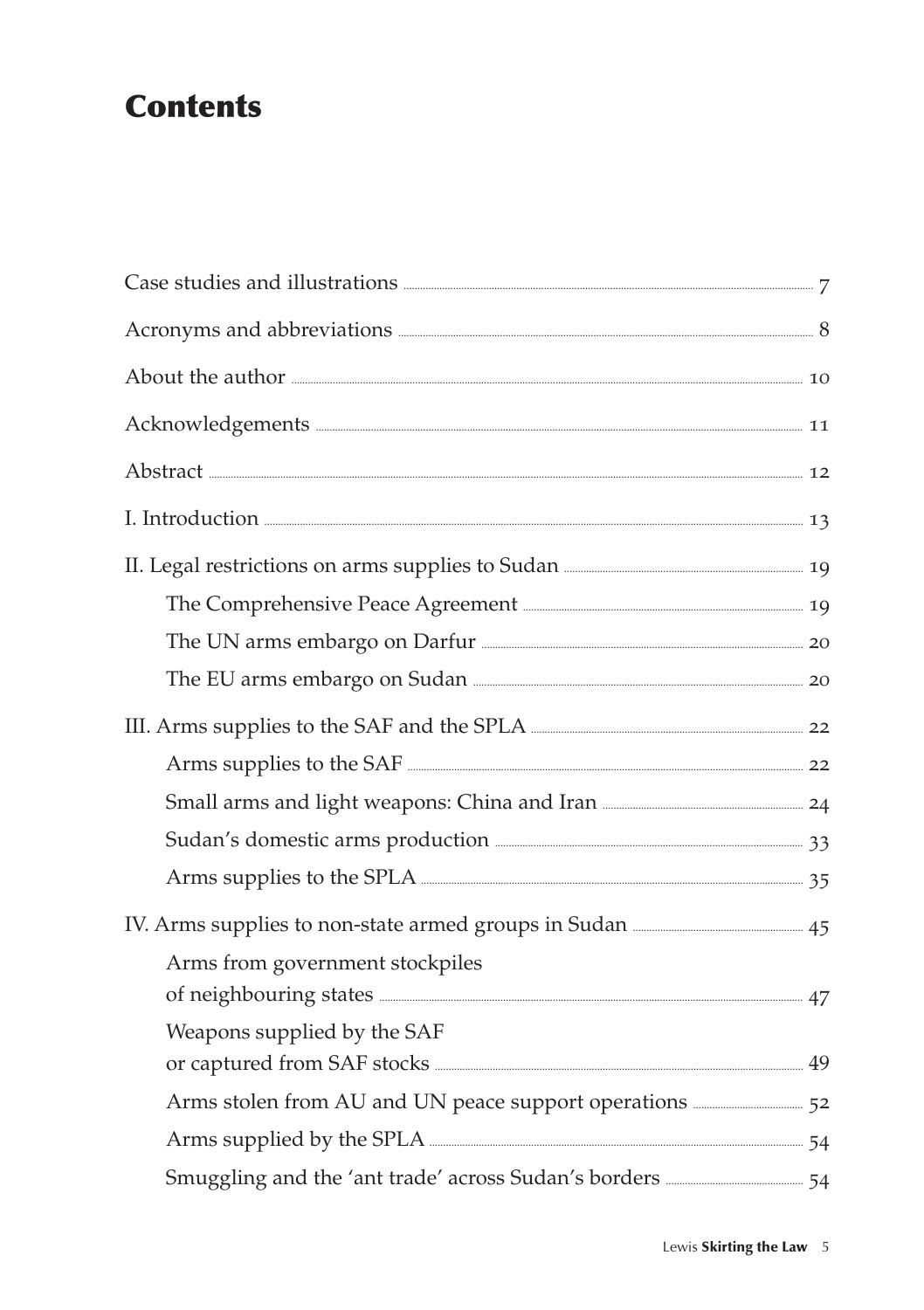### **Contents**

| Acronyms and abbreviations <b>Executions</b> 8                                                                                                                                                                                       |  |
|--------------------------------------------------------------------------------------------------------------------------------------------------------------------------------------------------------------------------------------|--|
|                                                                                                                                                                                                                                      |  |
| Acknowledgements <b>Exercise Constructs</b> 11                                                                                                                                                                                       |  |
|                                                                                                                                                                                                                                      |  |
| I. Introduction 23                                                                                                                                                                                                                   |  |
|                                                                                                                                                                                                                                      |  |
| The Comprehensive Peace Agreement <b>Election Company</b> 19                                                                                                                                                                         |  |
|                                                                                                                                                                                                                                      |  |
|                                                                                                                                                                                                                                      |  |
|                                                                                                                                                                                                                                      |  |
|                                                                                                                                                                                                                                      |  |
|                                                                                                                                                                                                                                      |  |
| Sudan's domestic arms production <b>manufacture</b> 33                                                                                                                                                                               |  |
| Arms supplies to the SPLA <b>CONSTRANS 2008</b> 35                                                                                                                                                                                   |  |
|                                                                                                                                                                                                                                      |  |
| Arms from government stockpiles                                                                                                                                                                                                      |  |
| of neighbouring states <b>contained a state of the state of the state of the state of the state of the state of the state of the state of the state of the state of the state of the state of the state of the state of the stat</b> |  |
| Weapons supplied by the SAF<br>or captured from SAF stocks <b>Manual According to the SAF</b> stocks <b>Manual According to the SAF</b>                                                                                              |  |
| Arms stolen from AU and UN peace support operations <b>ELACCE 123</b> 52                                                                                                                                                             |  |
| Arms supplied by the SPLA <b>CONSUMERS</b> 24                                                                                                                                                                                        |  |
| Smuggling and the 'ant trade' across Sudan's borders <b>Exercise 2016</b> 54                                                                                                                                                         |  |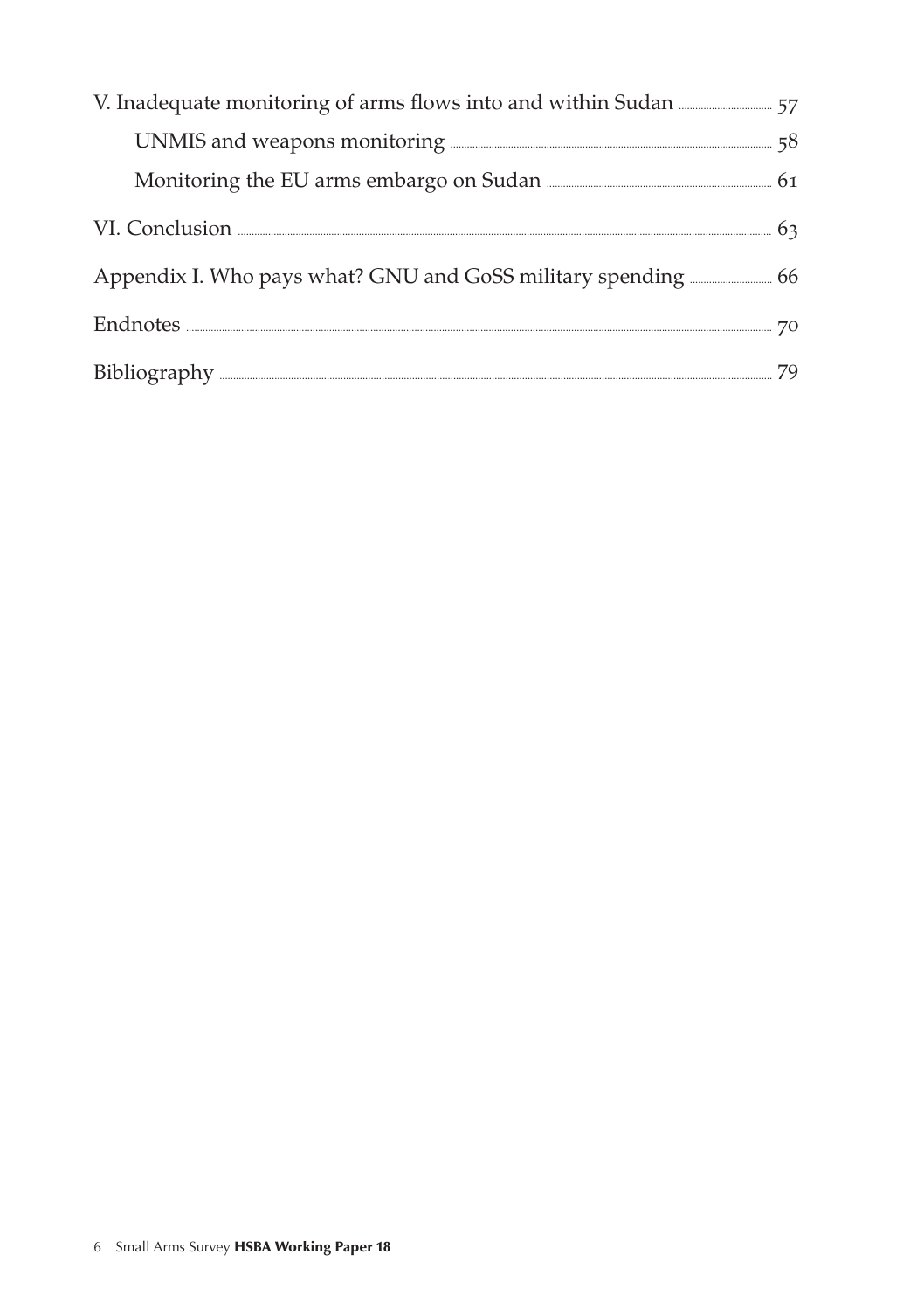| UNMIS and weapons monitoring <b>EXECUTE:</b> 58 |  |
|-------------------------------------------------|--|
|                                                 |  |
|                                                 |  |
|                                                 |  |
| $Endnotes. 270$                                 |  |
| Bibliography 29                                 |  |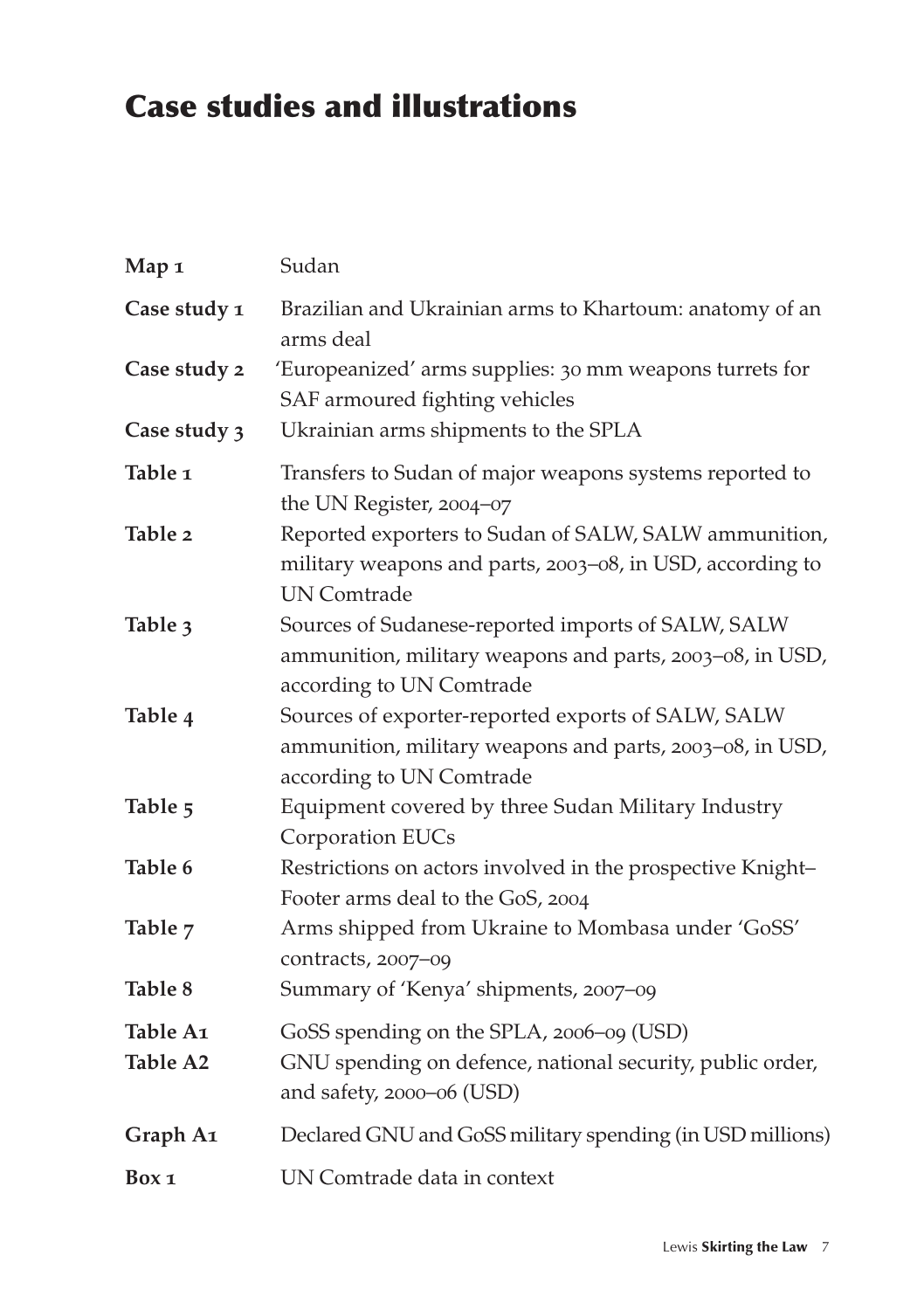## Case studies and illustrations

| Map 1                | Sudan                                                                                                                                      |
|----------------------|--------------------------------------------------------------------------------------------------------------------------------------------|
| Case study 1         | Brazilian and Ukrainian arms to Khartoum: anatomy of an<br>arms deal                                                                       |
| Case study 2         | 'Europeanized' arms supplies: 30 mm weapons turrets for<br>SAF armoured fighting vehicles                                                  |
| Case study 3         | Ukrainian arms shipments to the SPLA                                                                                                       |
| Table <sub>1</sub>   | Transfers to Sudan of major weapons systems reported to<br>the UN Register, 2004-07                                                        |
| Table 2              | Reported exporters to Sudan of SALW, SALW ammunition,<br>military weapons and parts, 2003-08, in USD, according to<br><b>UN Comtrade</b>   |
| Table 3              | Sources of Sudanese-reported imports of SALW, SALW<br>ammunition, military weapons and parts, 2003-08, in USD,<br>according to UN Comtrade |
| Table 4              | Sources of exporter-reported exports of SALW, SALW<br>ammunition, military weapons and parts, 2003-08, in USD,<br>according to UN Comtrade |
| Table 5              | Equipment covered by three Sudan Military Industry<br>Corporation EUCs                                                                     |
| Table 6              | Restrictions on actors involved in the prospective Knight-<br>Footer arms deal to the GoS, 2004                                            |
| Table 7              | Arms shipped from Ukraine to Mombasa under 'GoSS'<br>contracts, 2007-09                                                                    |
| Table 8              | Summary of 'Kenya' shipments, 2007-09                                                                                                      |
| Table A1<br>Table A2 | GoSS spending on the SPLA, 2006-09 (USD)<br>GNU spending on defence, national security, public order,<br>and safety, 2000-06 (USD)         |
| Graph A1             | Declared GNU and GoSS military spending (in USD millions)                                                                                  |
| Box 1                | UN Comtrade data in context                                                                                                                |
|                      |                                                                                                                                            |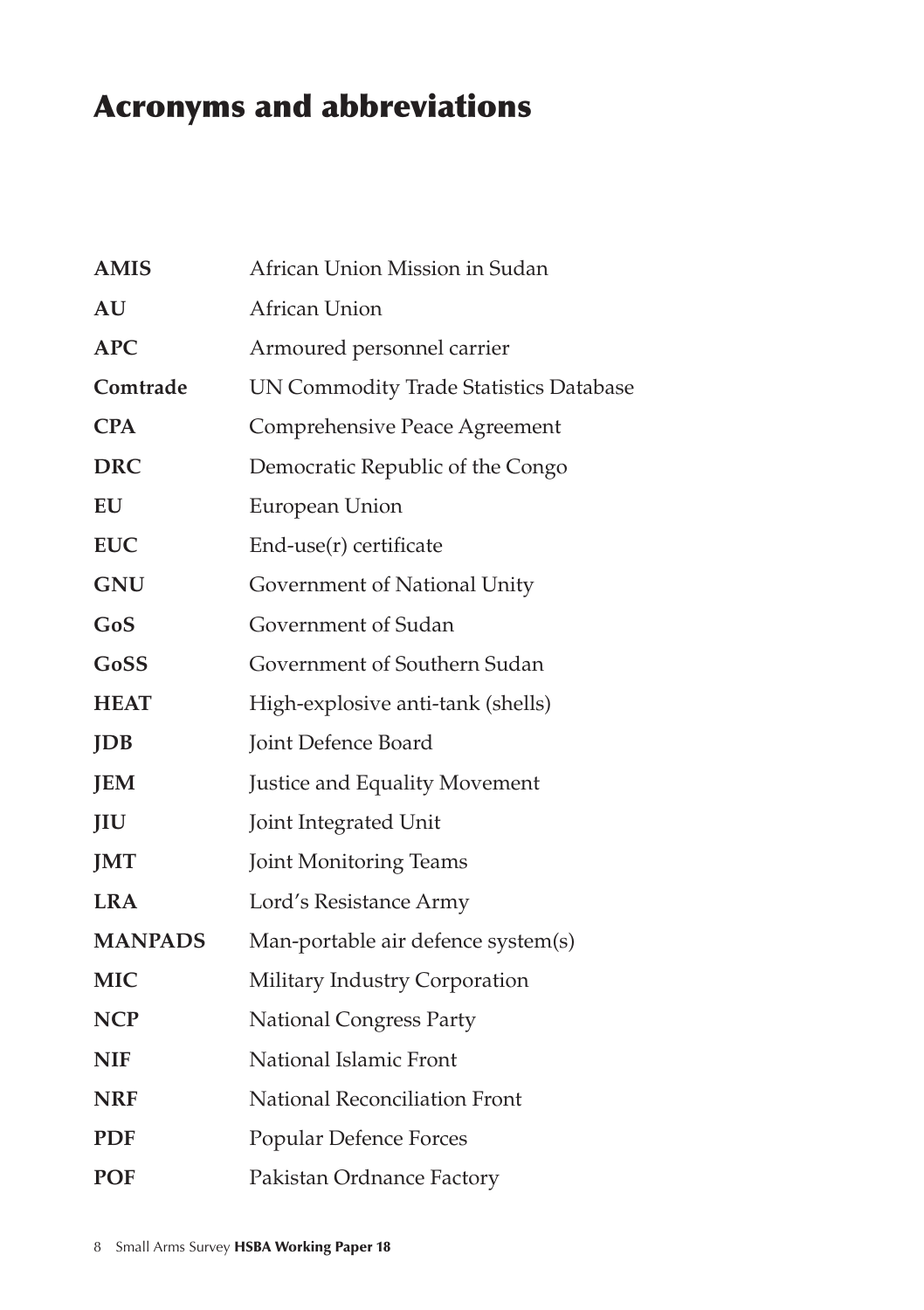## Acronyms and abbreviations

| <b>AMIS</b>    | African Union Mission in Sudan         |
|----------------|----------------------------------------|
| AU             | African Union                          |
| <b>APC</b>     | Armoured personnel carrier             |
| Comtrade       | UN Commodity Trade Statistics Database |
| <b>CPA</b>     | Comprehensive Peace Agreement          |
| <b>DRC</b>     | Democratic Republic of the Congo       |
| EU             | European Union                         |
| <b>EUC</b>     | End-use(r) certificate                 |
| <b>GNU</b>     | Government of National Unity           |
| GoS            | Government of Sudan                    |
| GoSS           | Government of Southern Sudan           |
| <b>HEAT</b>    | High-explosive anti-tank (shells)      |
| <b>JDB</b>     | Joint Defence Board                    |
| <b>JEM</b>     | Justice and Equality Movement          |
| JIU            | Joint Integrated Unit                  |
| <b>JMT</b>     | Joint Monitoring Teams                 |
| <b>LRA</b>     | Lord's Resistance Army                 |
| <b>MANPADS</b> | Man-portable air defence system(s)     |
| <b>MIC</b>     | Military Industry Corporation          |
| <b>NCP</b>     | <b>National Congress Party</b>         |
| <b>NIF</b>     | National Islamic Front                 |
| <b>NRF</b>     | National Reconciliation Front          |
| <b>PDF</b>     | Popular Defence Forces                 |
| <b>POF</b>     | Pakistan Ordnance Factory              |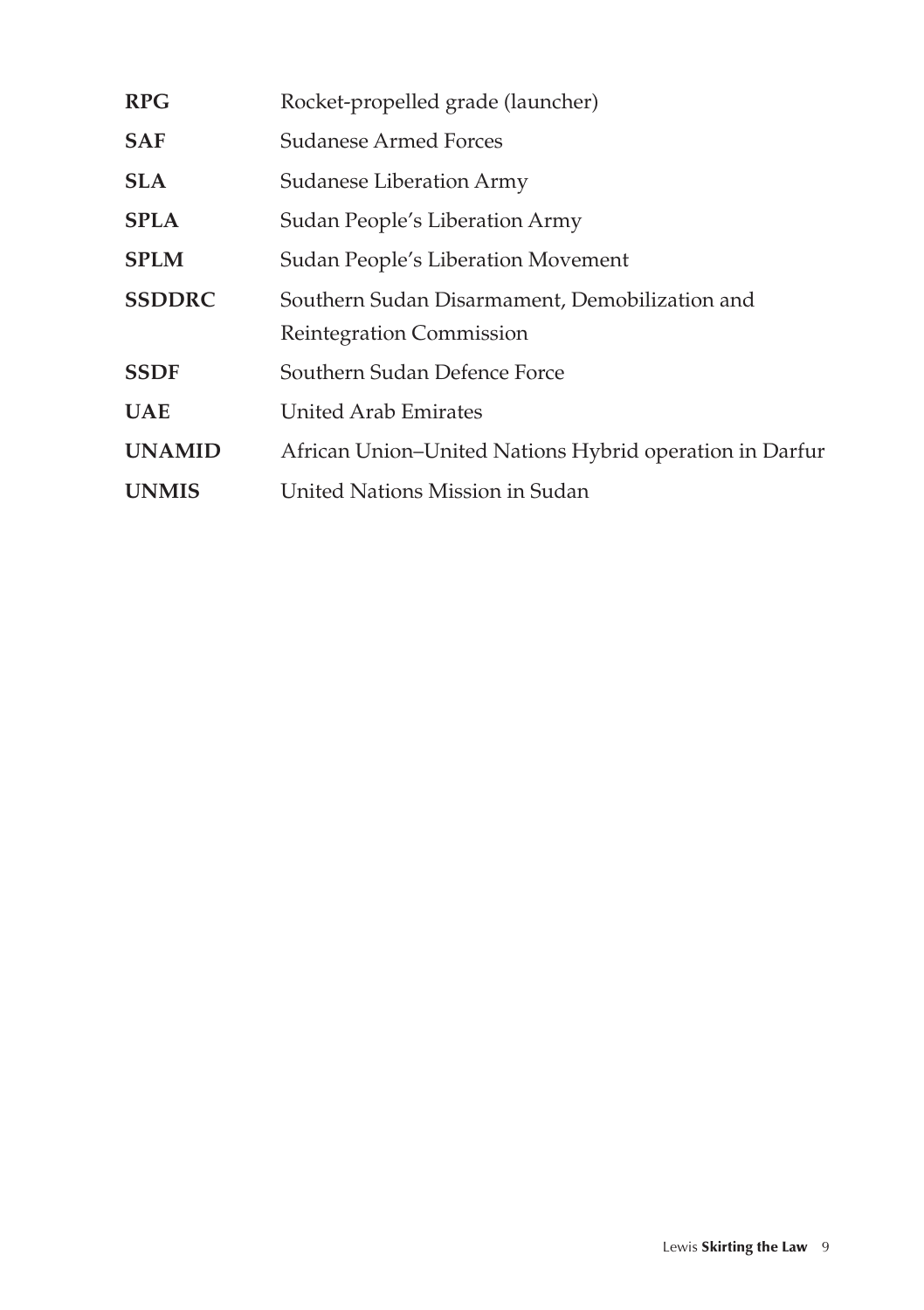| <b>RPG</b>    | Rocket-propelled grade (launcher)                       |
|---------------|---------------------------------------------------------|
| SAF           | Sudanese Armed Forces                                   |
| SLA.          | Sudanese Liberation Army                                |
| SPLA          | Sudan People's Liberation Army                          |
| SPLM          | Sudan People's Liberation Movement                      |
| <b>SSDDRC</b> | Southern Sudan Disarmament, Demobilization and          |
|               | Reintegration Commission                                |
| SSDF          | Southern Sudan Defence Force                            |
| <b>UAE</b>    | <b>United Arab Emirates</b>                             |
| <b>UNAMID</b> | African Union-United Nations Hybrid operation in Darfur |
| <b>UNMIS</b>  | United Nations Mission in Sudan                         |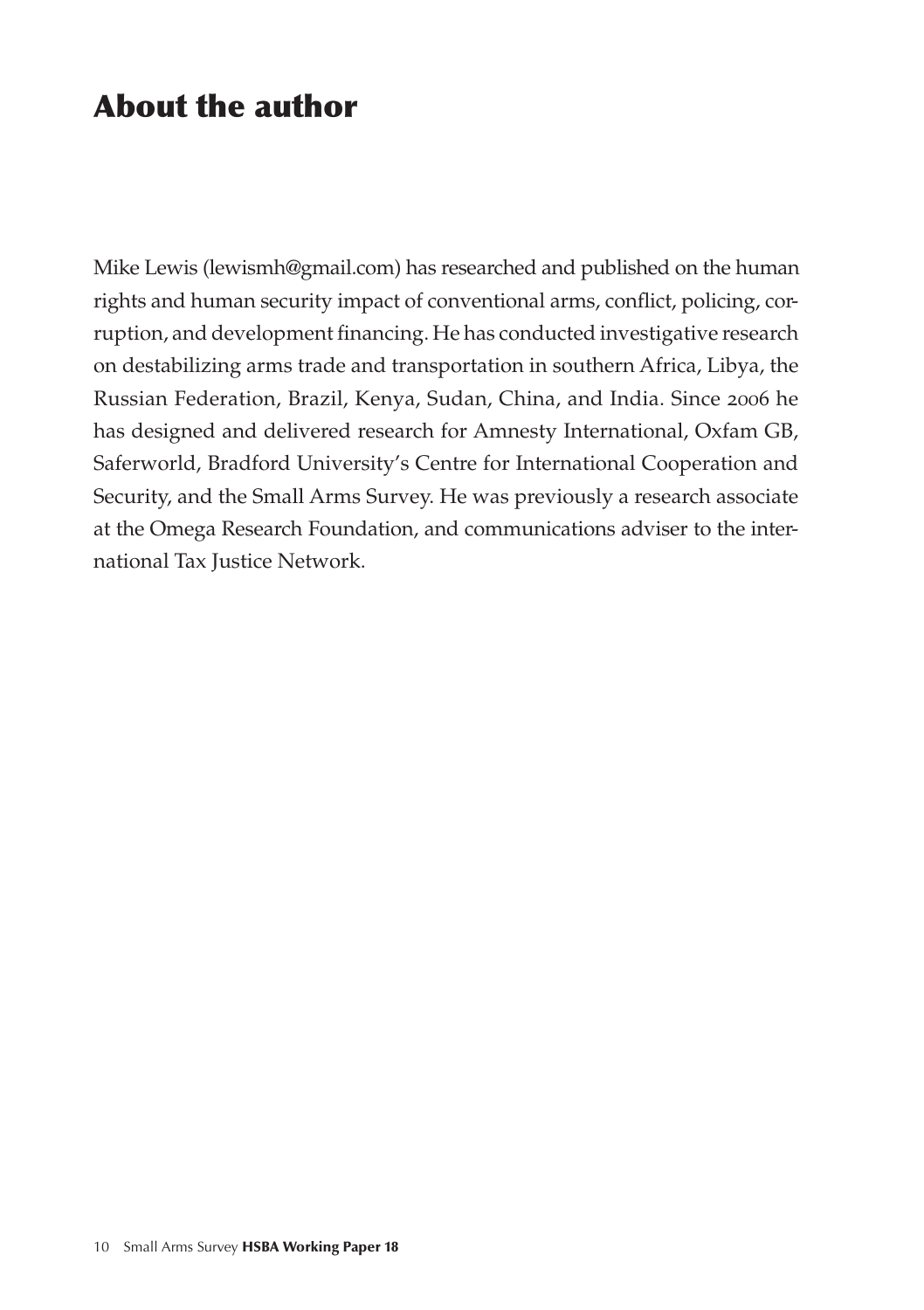### About the author

Mike Lewis (lewismh@gmail.com) has researched and published on the human rights and human security impact of conventional arms, conflict, policing, corruption, and development financing. He has conducted investigative research on destabilizing arms trade and transportation in southern Africa, Libya, the Russian Federation, Brazil, Kenya, Sudan, China, and India. Since 2006 he has designed and delivered research for Amnesty International, Oxfam GB, Saferworld, Bradford University's Centre for International Cooperation and Security, and the Small Arms Survey. He was previously a research associate at the Omega Research Foundation, and communications adviser to the international Tax Justice Network.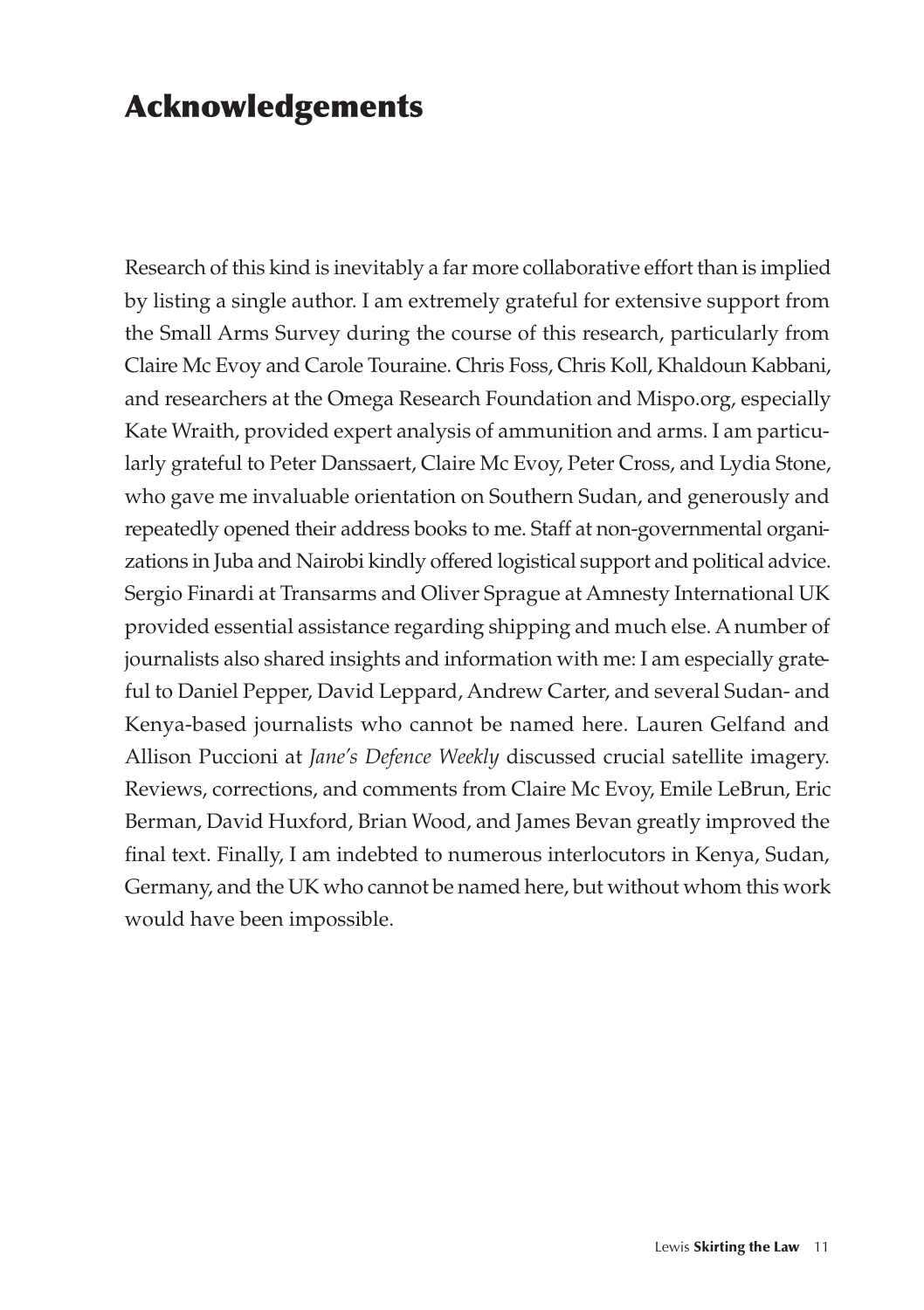### Acknowledgements

Research of this kind is inevitably a far more collaborative effort than is implied by listing a single author. I am extremely grateful for extensive support from the Small Arms Survey during the course of this research, particularly from Claire Mc Evoy and Carole Touraine. Chris Foss, Chris Koll, Khaldoun Kabbani, and researchers at the Omega Research Foundation and Mispo.org, especially Kate Wraith, provided expert analysis of ammunition and arms. I am particularly grateful to Peter Danssaert, Claire Mc Evoy, Peter Cross, and Lydia Stone, who gave me invaluable orientation on Southern Sudan, and generously and repeatedly opened their address books to me. Staff at non-governmental organizations in Juba and Nairobi kindly offered logistical support and political advice. Sergio Finardi at Transarms and Oliver Sprague at Amnesty International UK provided essential assistance regarding shipping and much else. A number of journalists also shared insights and information with me: I am especially grateful to Daniel Pepper, David Leppard, Andrew Carter, and several Sudan- and Kenya-based journalists who cannot be named here. Lauren Gelfand and Allison Puccioni at *Jane's Defence Weekly* discussed crucial satellite imagery. Reviews, corrections, and comments from Claire Mc Evoy, Emile LeBrun, Eric Berman, David Huxford, Brian Wood, and James Bevan greatly improved the final text. Finally, I am indebted to numerous interlocutors in Kenya, Sudan, Germany, and the UK who cannot be named here, but without whom this work would have been impossible.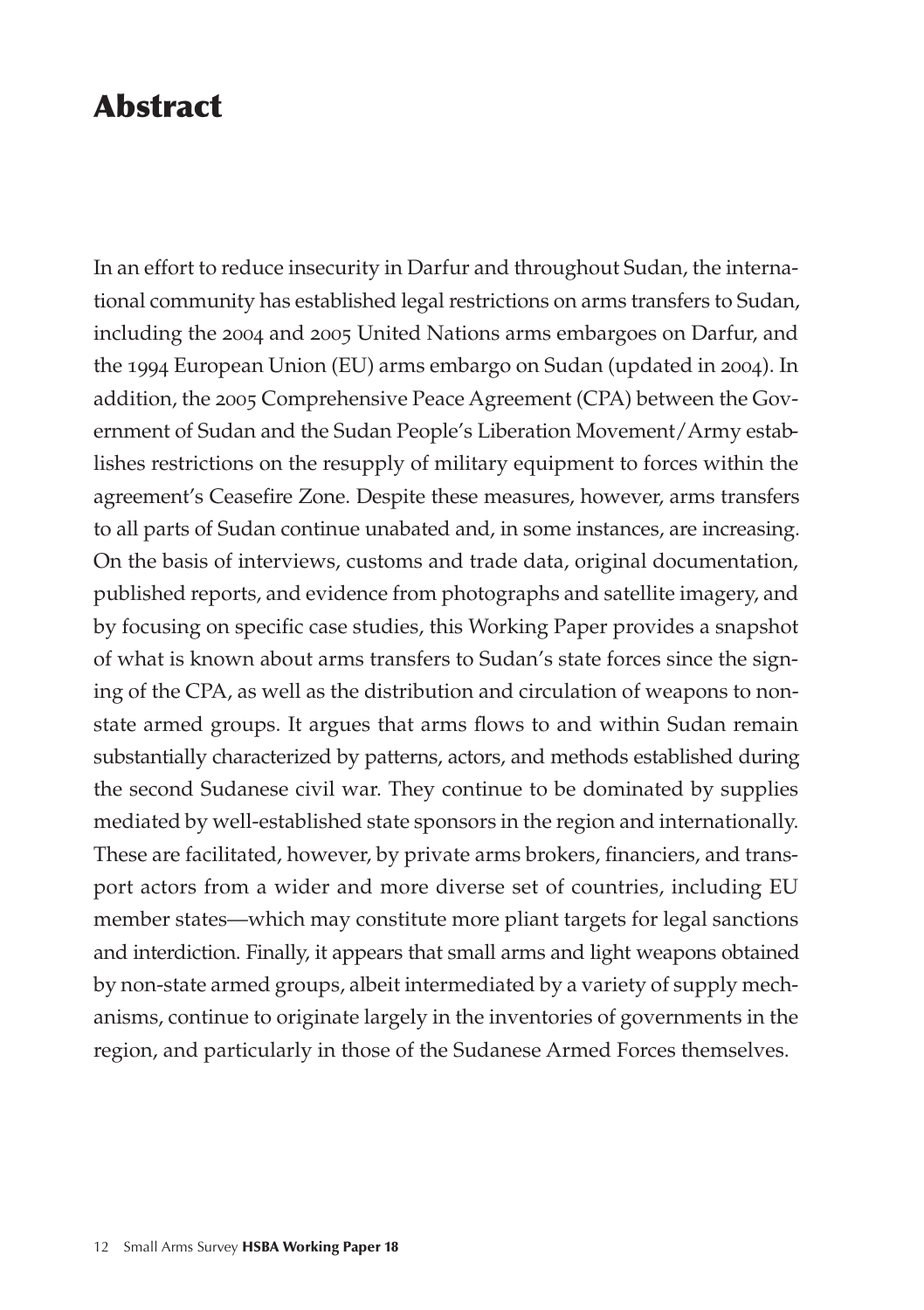### Abstract

In an effort to reduce insecurity in Darfur and throughout Sudan, the international community has established legal restrictions on arms transfers to Sudan, including the 2004 and 2005 United Nations arms embargoes on Darfur, and the 1994 European Union (EU) arms embargo on Sudan (updated in 2004). In addition, the 2005 Comprehensive Peace Agreement (CPA) between the Government of Sudan and the Sudan People's Liberation Movement/Army establishes restrictions on the resupply of military equipment to forces within the agreement's Ceasefire Zone. Despite these measures, however, arms transfers to all parts of Sudan continue unabated and, in some instances, are increasing. On the basis of interviews, customs and trade data, original documentation, published reports, and evidence from photographs and satellite imagery, and by focusing on specific case studies, this Working Paper provides a snapshot of what is known about arms transfers to Sudan's state forces since the signing of the CPA, as well as the distribution and circulation of weapons to nonstate armed groups. It argues that arms flows to and within Sudan remain substantially characterized by patterns, actors, and methods established during the second Sudanese civil war. They continue to be dominated by supplies mediated by well-established state sponsors in the region and internationally. These are facilitated, however, by private arms brokers, financiers, and transport actors from a wider and more diverse set of countries, including EU member states—which may constitute more pliant targets for legal sanctions and interdiction. Finally, it appears that small arms and light weapons obtained by non-state armed groups, albeit intermediated by a variety of supply mechanisms, continue to originate largely in the inventories of governments in the region, and particularly in those of the Sudanese Armed Forces themselves.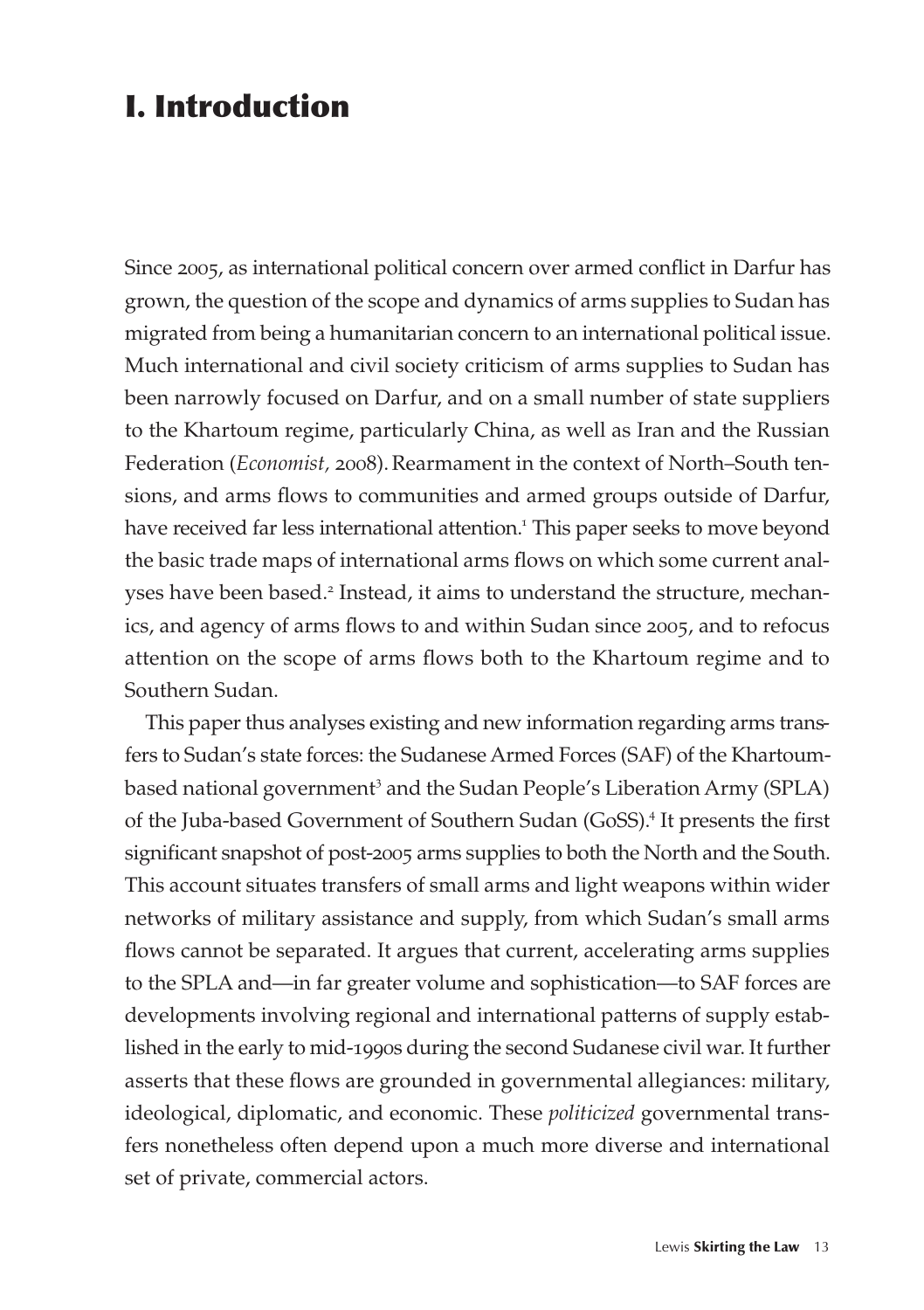### I. Introduction

Since 2005, as international political concern over armed conflict in Darfur has grown, the question of the scope and dynamics of arms supplies to Sudan has migrated from being a humanitarian concern to an international political issue. Much international and civil society criticism of arms supplies to Sudan has been narrowly focused on Darfur, and on a small number of state suppliers to the Khartoum regime, particularly China, as well as Iran and the Russian Federation (*Economist*, 2008). Rearmament in the context of North–South tensions, and arms flows to communities and armed groups outside of Darfur, have received far less international attention.<sup>1</sup> This paper seeks to move beyond the basic trade maps of international arms flows on which some current analyses have been based.<sup>2</sup> Instead, it aims to understand the structure, mechanics, and agency of arms flows to and within Sudan since 2005, and to refocus attention on the scope of arms flows both to the Khartoum regime and to Southern Sudan.

This paper thus analyses existing and new information regarding arms transfers to Sudan's state forces: the Sudanese Armed Forces (SAF) of the Khartoumbased national government<sup>3</sup> and the Sudan People's Liberation Army (SPLA) of the Juba-based Government of Southern Sudan (GoSS).<sup>4</sup> It presents the first significant snapshot of post-2005 arms supplies to both the North and the South. This account situates transfers of small arms and light weapons within wider networks of military assistance and supply, from which Sudan's small arms flows cannot be separated. It argues that current, accelerating arms supplies to the SPLA and—in far greater volume and sophistication—to SAF forces are developments involving regional and international patterns of supply established in the early to mid-1990s during the second Sudanese civil war. It further asserts that these flows are grounded in governmental allegiances: military, ideological, diplomatic, and economic. These *politicized* governmental transfers nonetheless often depend upon a much more diverse and international set of private, commercial actors.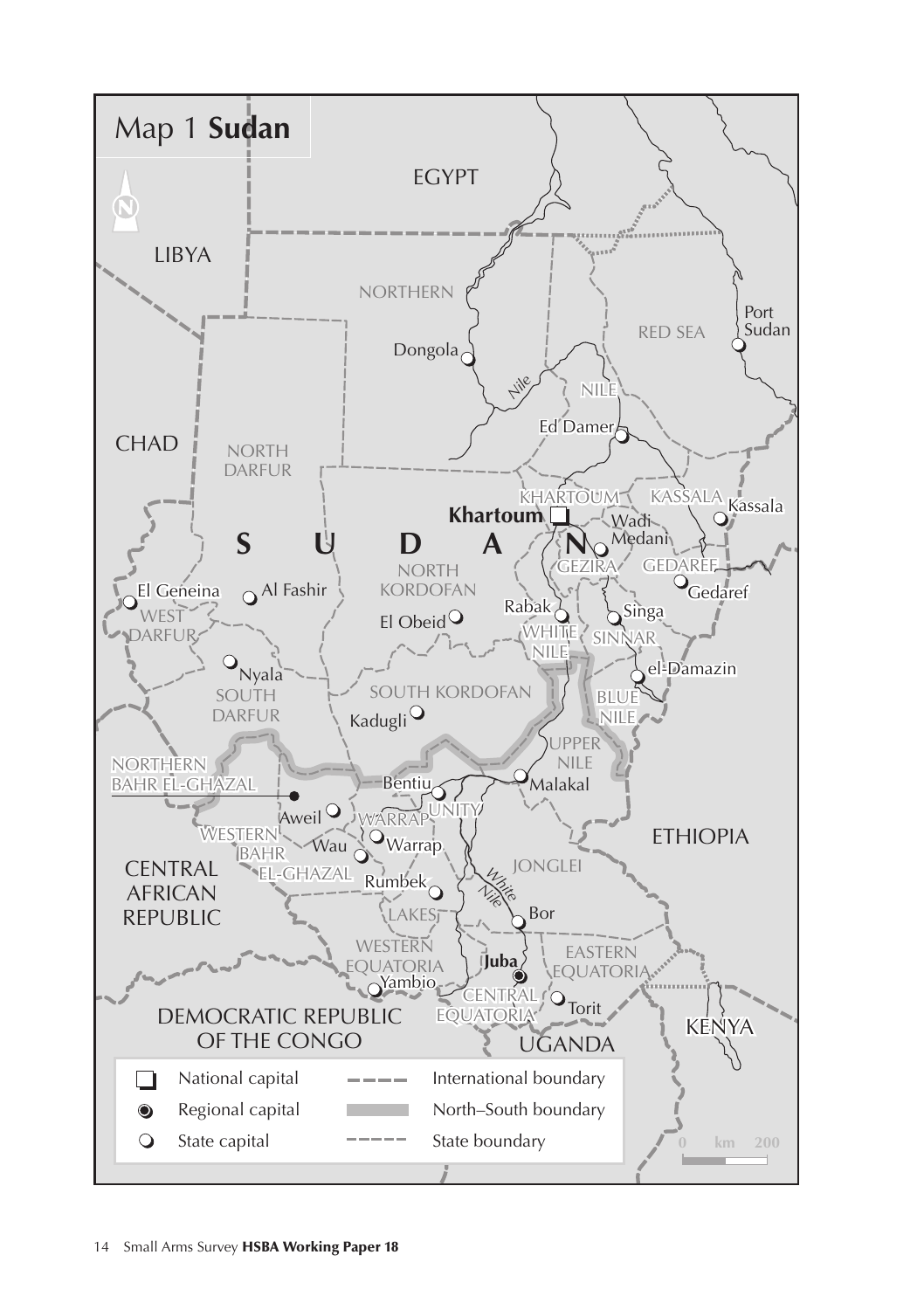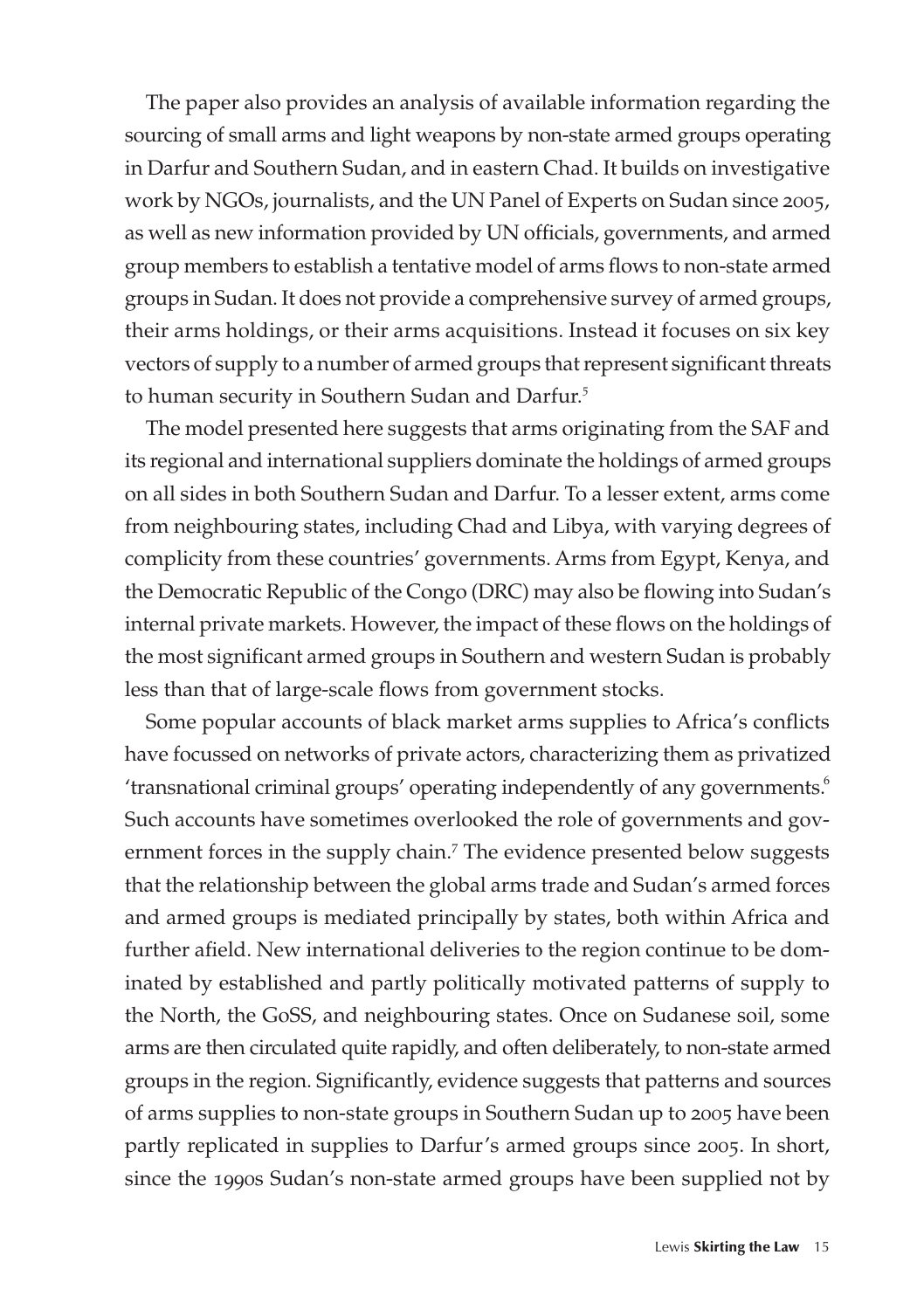The paper also provides an analysis of available information regarding the sourcing of small arms and light weapons by non-state armed groups operating in Darfur and Southern Sudan, and in eastern Chad. It builds on investigative work by NGOs, journalists, and the UN Panel of Experts on Sudan since 2005, as well as new information provided by UN officials, governments, and armed group members to establish a tentative model of arms flows to non-state armed groups in Sudan. It does not provide a comprehensive survey of armed groups, their arms holdings, or their arms acquisitions. Instead it focuses on six key vectors of supply to a number of armed groups that represent significant threats to human security in Southern Sudan and Darfur.<sup>5</sup>

The model presented here suggests that arms originating from the SAF and its regional and international suppliers dominate the holdings of armed groups on all sides in both Southern Sudan and Darfur. To a lesser extent, arms come from neighbouring states, including Chad and Libya, with varying degrees of complicity from these countries' governments. Arms from Egypt, Kenya, and the Democratic Republic of the Congo (DRC) may also be flowing into Sudan's internal private markets. However, the impact of these flows on the holdings of the most significant armed groups in Southern and western Sudan is probably less than that of large-scale flows from government stocks.

Some popular accounts of black market arms supplies to Africa's conflicts have focussed on networks of private actors, characterizing them as privatized 'transnational criminal groups' operating independently of any governments.<sup>6</sup> Such accounts have sometimes overlooked the role of governments and government forces in the supply chain.<sup>7</sup> The evidence presented below suggests that the relationship between the global arms trade and Sudan's armed forces and armed groups is mediated principally by states, both within Africa and further afield. New international deliveries to the region continue to be dominated by established and partly politically motivated patterns of supply to the North, the GoSS, and neighbouring states. Once on Sudanese soil, some arms are then circulated quite rapidly, and often deliberately, to non-state armed groups in the region. Significantly, evidence suggests that patterns and sources of arms supplies to non-state groups in Southern Sudan up to 2005 have been partly replicated in supplies to Darfur's armed groups since 2005. In short, since the 1990s Sudan's non-state armed groups have been supplied not by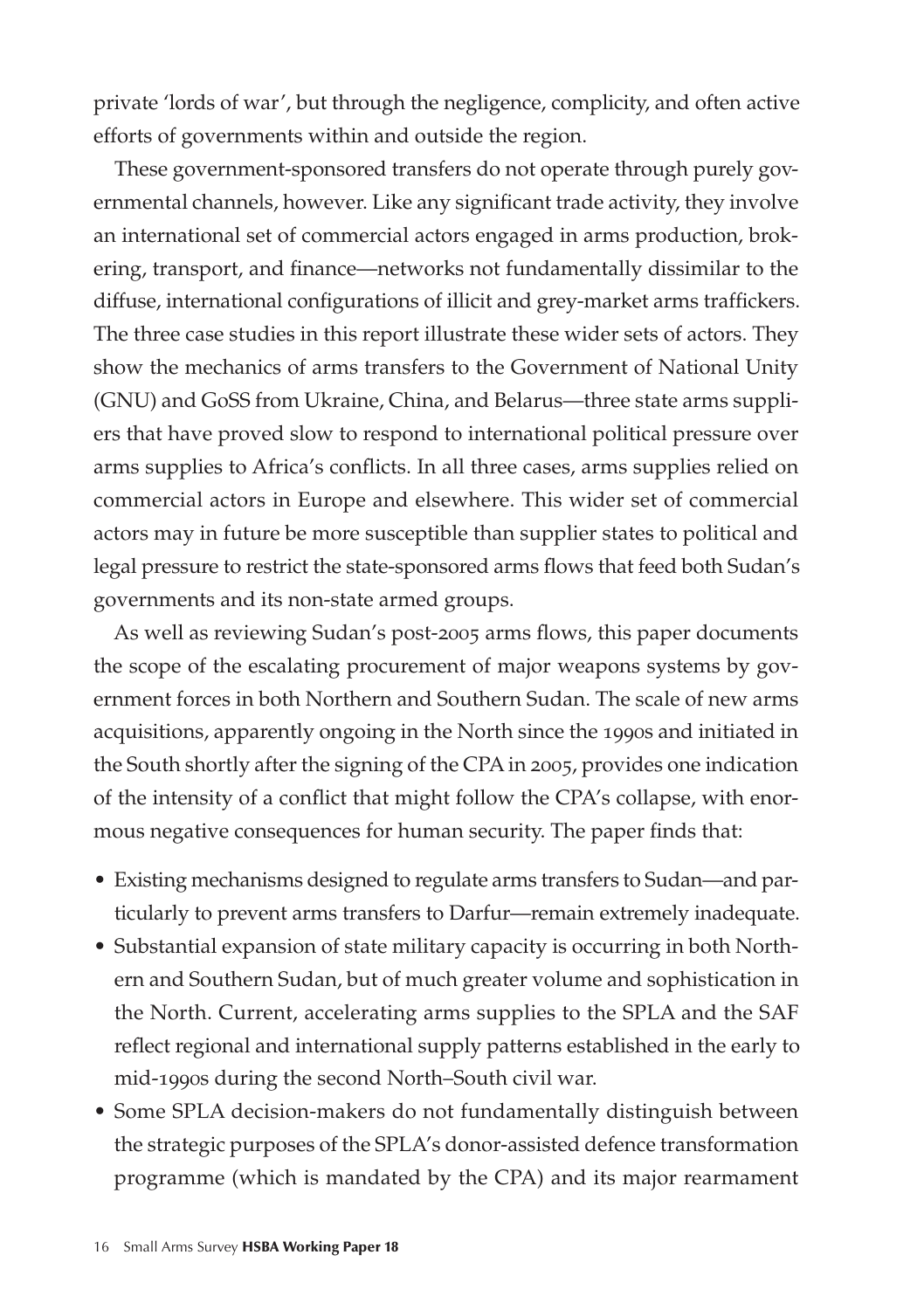private 'lords of war', but through the negligence, complicity, and often active efforts of governments within and outside the region.

These government-sponsored transfers do not operate through purely governmental channels, however. Like any significant trade activity, they involve an international set of commercial actors engaged in arms production, brokering, transport, and finance—networks not fundamentally dissimilar to the diffuse, international configurations of illicit and grey-market arms traffickers. The three case studies in this report illustrate these wider sets of actors. They show the mechanics of arms transfers to the Government of National Unity (GNU) and GoSS from Ukraine, China, and Belarus—three state arms suppliers that have proved slow to respond to international political pressure over arms supplies to Africa's conflicts. In all three cases, arms supplies relied on commercial actors in Europe and elsewhere. This wider set of commercial actors may in future be more susceptible than supplier states to political and legal pressure to restrict the state-sponsored arms flows that feed both Sudan's governments and its non-state armed groups.

As well as reviewing Sudan's post-2005 arms flows, this paper documents the scope of the escalating procurement of major weapons systems by government forces in both Northern and Southern Sudan. The scale of new arms acquisitions, apparently ongoing in the North since the 1990s and initiated in the South shortly after the signing of the CPA in 2005, provides one indication of the intensity of a conflict that might follow the CPA's collapse, with enormous negative consequences for human security. The paper finds that:

- Existing mechanisms designed to regulate arms transfers to Sudan—and particularly to prevent arms transfers to Darfur—remain extremely inadequate.
- Substantial expansion of state military capacity is occurring in both Northern and Southern Sudan, but of much greater volume and sophistication in the North. Current, accelerating arms supplies to the SPLA and the SAF reflect regional and international supply patterns established in the early to mid-1990s during the second North–South civil war.
- Some SPLA decision-makers do not fundamentally distinguish between the strategic purposes of the SPLA's donor-assisted defence transformation programme (which is mandated by the CPA) and its major rearmament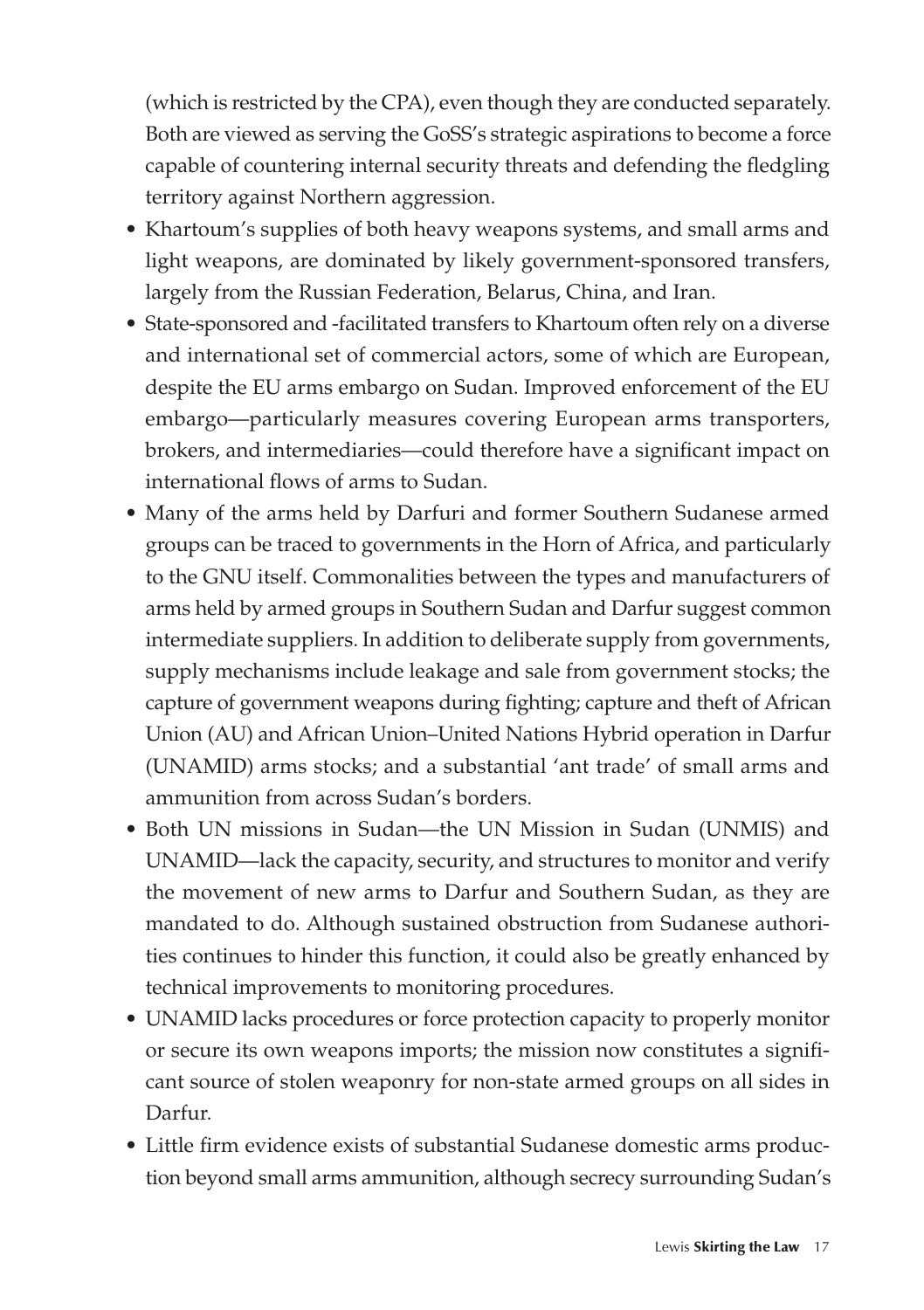(which is restricted by the CPA), even though they are conducted separately. Both are viewed as serving the GoSS's strategic aspirations to become a force capable of countering internal security threats and defending the fledgling territory against Northern aggression.

- Khartoum's supplies of both heavy weapons systems, and small arms and light weapons, are dominated by likely government-sponsored transfers, largely from the Russian Federation, Belarus, China, and Iran.
- State-sponsored and -facilitated transfers to Khartoum often rely on a diverse and international set of commercial actors, some of which are European, despite the EU arms embargo on Sudan. Improved enforcement of the EU embargo—particularly measures covering European arms transporters, brokers, and intermediaries—could therefore have a significant impact on international flows of arms to Sudan.
- Many of the arms held by Darfuri and former Southern Sudanese armed groups can be traced to governments in the Horn of Africa, and particularly to the GNU itself. Commonalities between the types and manufacturers of arms held by armed groups in Southern Sudan and Darfur suggest common intermediate suppliers. In addition to deliberate supply from governments, supply mechanisms include leakage and sale from government stocks; the capture of government weapons during fighting; capture and theft of African Union (AU) and African Union–United Nations Hybrid operation in Darfur (UNAMID) arms stocks; and a substantial 'ant trade' of small arms and ammunition from across Sudan's borders.
- Both UN missions in Sudan-the UN Mission in Sudan (UNMIS) and UNAMID—lack the capacity, security, and structures to monitor and verify the movement of new arms to Darfur and Southern Sudan, as they are mandated to do. Although sustained obstruction from Sudanese authorities continues to hinder this function, it could also be greatly enhanced by technical improvements to monitoring procedures.
- UNAMID lacks procedures or force protection capacity to properly monitor or secure its own weapons imports; the mission now constitutes a significant source of stolen weaponry for non-state armed groups on all sides in Darfur.
- Little firm evidence exists of substantial Sudanese domestic arms production beyond small arms ammunition, although secrecy surrounding Sudan's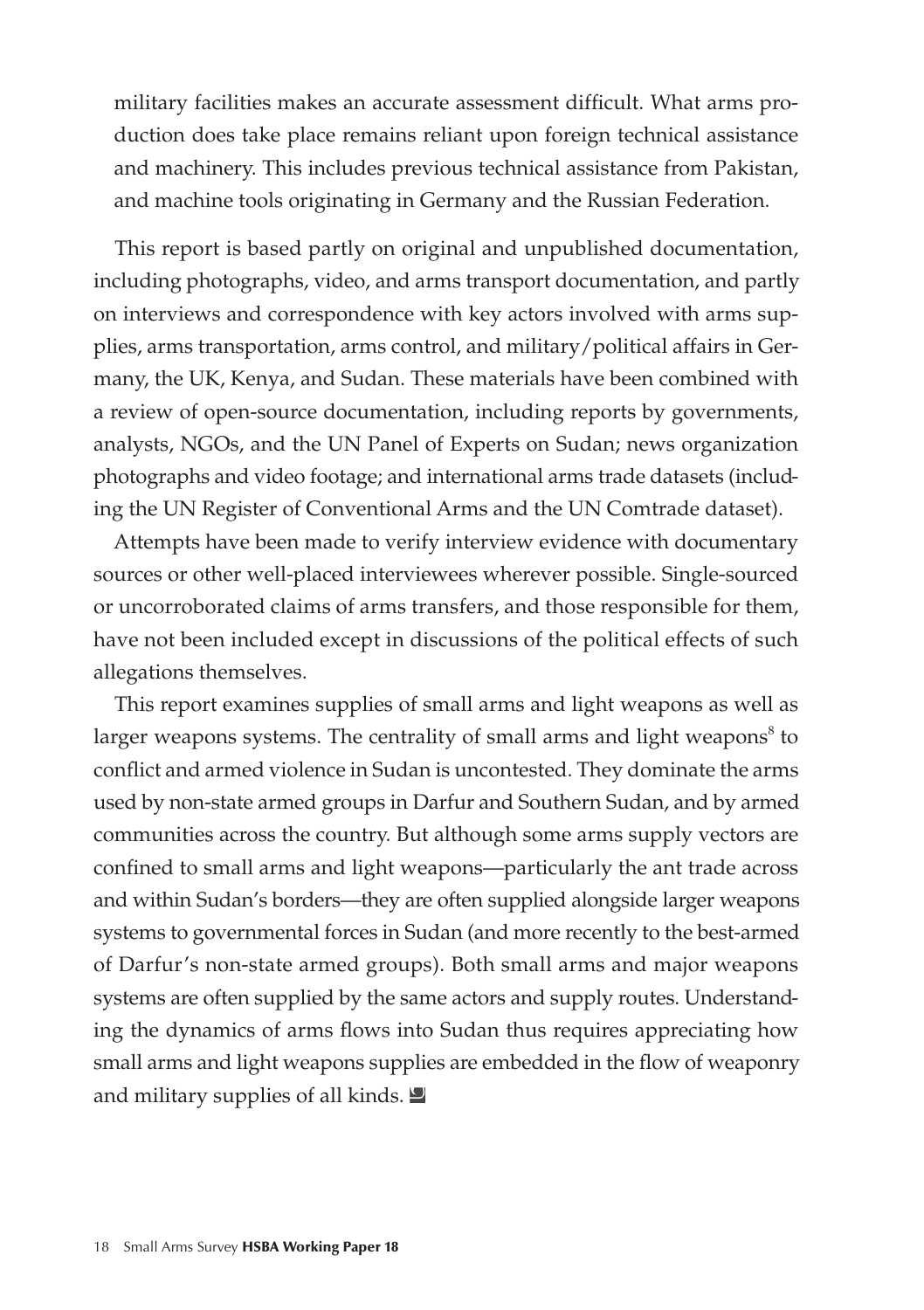military facilities makes an accurate assessment difficult. What arms production does take place remains reliant upon foreign technical assistance and machinery. This includes previous technical assistance from Pakistan, and machine tools originating in Germany and the Russian Federation.

This report is based partly on original and unpublished documentation, including photographs, video, and arms transport documentation, and partly on interviews and correspondence with key actors involved with arms supplies, arms transportation, arms control, and military/political affairs in Germany, the UK, Kenya, and Sudan. These materials have been combined with a review of open-source documentation, including reports by governments, analysts, NGOs, and the UN Panel of Experts on Sudan; news organization photographs and video footage; and international arms trade datasets (including the UN Register of Conventional Arms and the UN Comtrade dataset).

Attempts have been made to verify interview evidence with documentary sources or other well-placed interviewees wherever possible. Single-sourced or uncorroborated claims of arms transfers, and those responsible for them, have not been included except in discussions of the political effects of such allegations themselves.

This report examines supplies of small arms and light weapons as well as larger weapons systems. The centrality of small arms and light weapons<sup>8</sup> to conflict and armed violence in Sudan is uncontested. They dominate the arms used by non-state armed groups in Darfur and Southern Sudan, and by armed communities across the country. But although some arms supply vectors are confined to small arms and light weapons—particularly the ant trade across and within Sudan's borders—they are often supplied alongside larger weapons systems to governmental forces in Sudan (and more recently to the best-armed of Darfur's non-state armed groups). Both small arms and major weapons systems are often supplied by the same actors and supply routes. Understanding the dynamics of arms flows into Sudan thus requires appreciating how small arms and light weapons supplies are embedded in the flow of weaponry and military supplies of all kinds.  $\Box$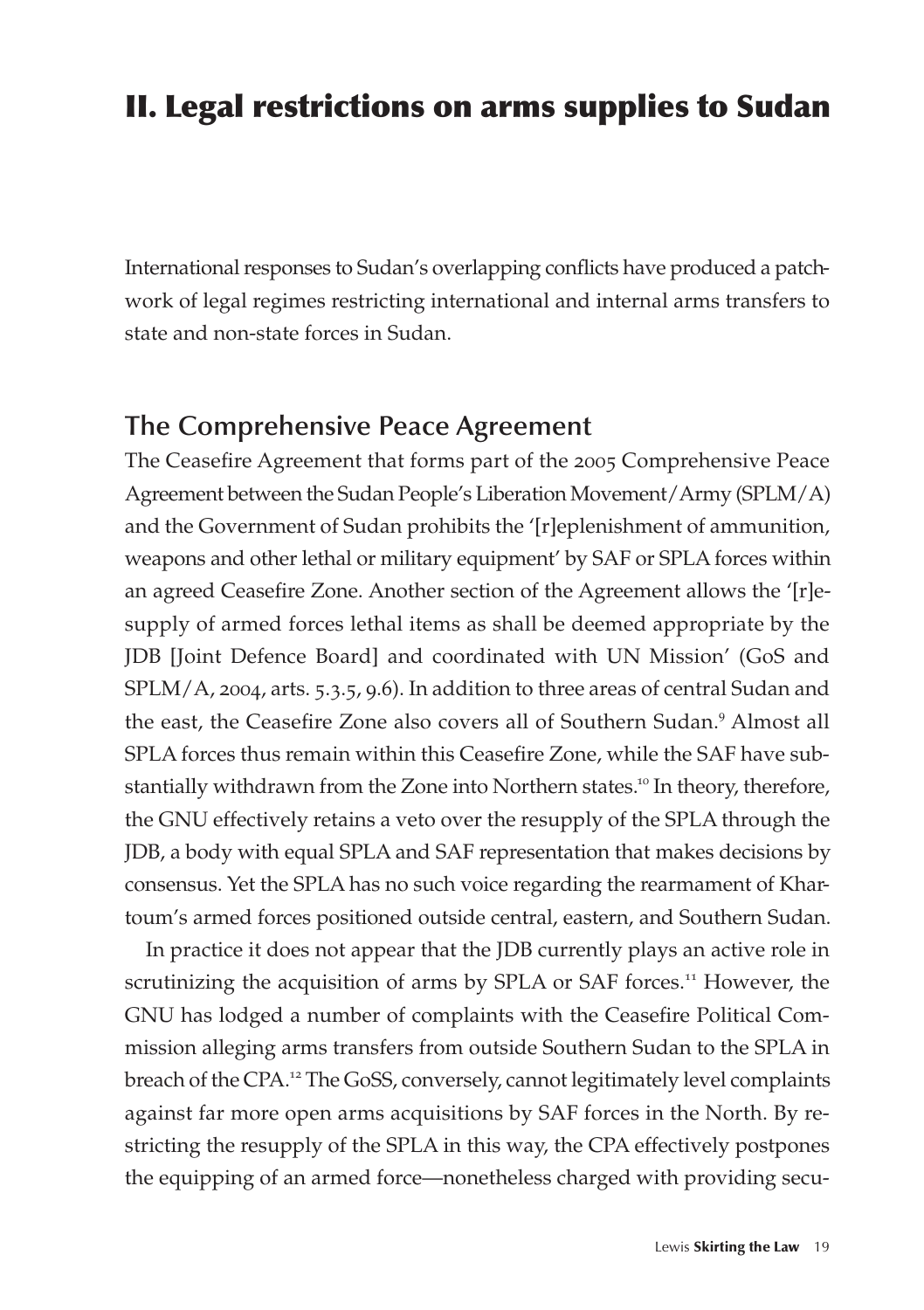### II. Legal restrictions on arms supplies to Sudan

International responses to Sudan's overlapping conflicts have produced a patchwork of legal regimes restricting international and internal arms transfers to state and non-state forces in Sudan.

#### **The Comprehensive Peace Agreement**

The Ceasefire Agreement that forms part of the 2005 Comprehensive Peace Agreement between the Sudan People's Liberation Movement/Army (SPLM/A) and the Government of Sudan prohibits the '[r]eplenishment of ammunition, weapons and other lethal or military equipment' by SAF or SPLA forces within an agreed Ceasefire Zone. Another section of the Agreement allows the '[r]esupply of armed forces lethal items as shall be deemed appropriate by the JDB [Joint Defence Board] and coordinated with UN Mission' (GoS and SPLM/A, 2004, arts. 5.3.5, 9.6). In addition to three areas of central Sudan and the east, the Ceasefire Zone also covers all of Southern Sudan.<sup>9</sup> Almost all SPLA forces thus remain within this Ceasefire Zone, while the SAF have substantially withdrawn from the Zone into Northern states.<sup>10</sup> In theory, therefore, the GNU effectively retains a veto over the resupply of the SPLA through the JDB, a body with equal SPLA and SAF representation that makes decisions by consensus. Yet the SPLA has no such voice regarding the rearmament of Khartoum's armed forces positioned outside central, eastern, and Southern Sudan.

In practice it does not appear that the JDB currently plays an active role in scrutinizing the acquisition of arms by SPLA or SAF forces.<sup>11</sup> However, the GNU has lodged a number of complaints with the Ceasefire Political Commission alleging arms transfers from outside Southern Sudan to the SPLA in breach of the CPA.<sup>12</sup> The GoSS, conversely, cannot legitimately level complaints against far more open arms acquisitions by SAF forces in the North. By restricting the resupply of the SPLA in this way, the CPA effectively postpones the equipping of an armed force—nonetheless charged with providing secu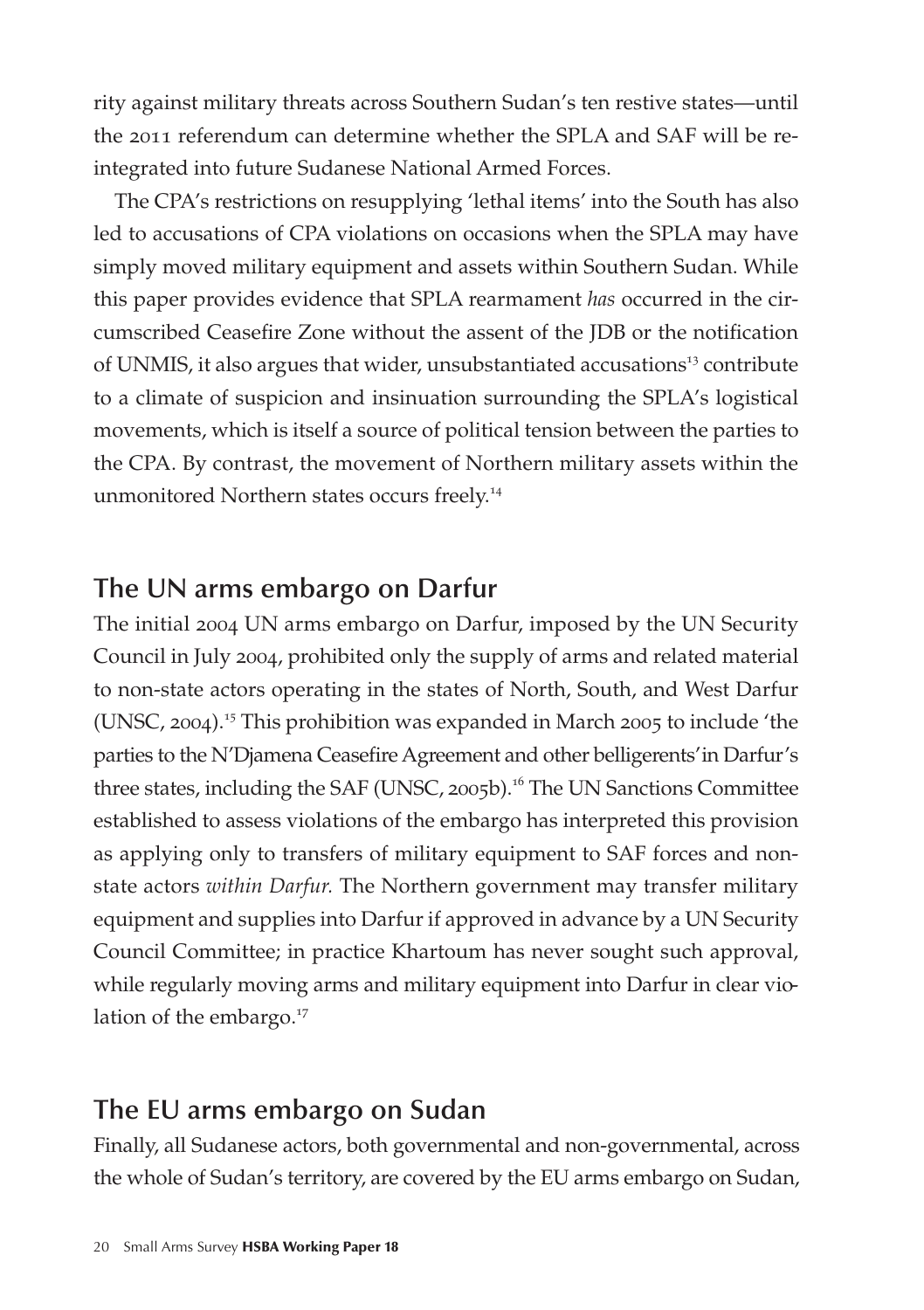rity against military threats across Southern Sudan's ten restive states—until the 2011 referendum can determine whether the SPLA and SAF will be reintegrated into future Sudanese National Armed Forces.

The CPA's restrictions on resupplying 'lethal items' into the South has also led to accusations of CPA violations on occasions when the SPLA may have simply moved military equipment and assets within Southern Sudan. While this paper provides evidence that SPLA rearmament *has* occurred in the circumscribed Ceasefire Zone without the assent of the JDB or the notification of UNMIS, it also argues that wider, unsubstantiated accusations<sup>13</sup> contribute to a climate of suspicion and insinuation surrounding the SPLA's logistical movements, which is itself a source of political tension between the parties to the CPA. By contrast, the movement of Northern military assets within the unmonitored Northern states occurs freely.<sup>14</sup>

#### **The UN arms embargo on Darfur**

The initial 2004 UN arms embargo on Darfur, imposed by the UN Security Council in July 2004, prohibited only the supply of arms and related material to non-state actors operating in the states of North, South, and West Darfur (UNSC, 2004).<sup>15</sup> This prohibition was expanded in March 2005 to include 'the parties to the N'Djamena Ceasefire Agreement and other belligerents'in Darfur's three states, including the SAF (UNSC, 2005b).<sup>16</sup> The UN Sanctions Committee established to assess violations of the embargo has interpreted this provision as applying only to transfers of military equipment to SAF forces and nonstate actors *within Darfur.* The Northern government may transfer military equipment and supplies into Darfur if approved in advance by a UN Security Council Committee; in practice Khartoum has never sought such approval, while regularly moving arms and military equipment into Darfur in clear violation of the embargo.<sup>17</sup>

### **The EU arms embargo on Sudan**

Finally, all Sudanese actors, both governmental and non-governmental, across the whole of Sudan's territory, are covered by the EU arms embargo on Sudan,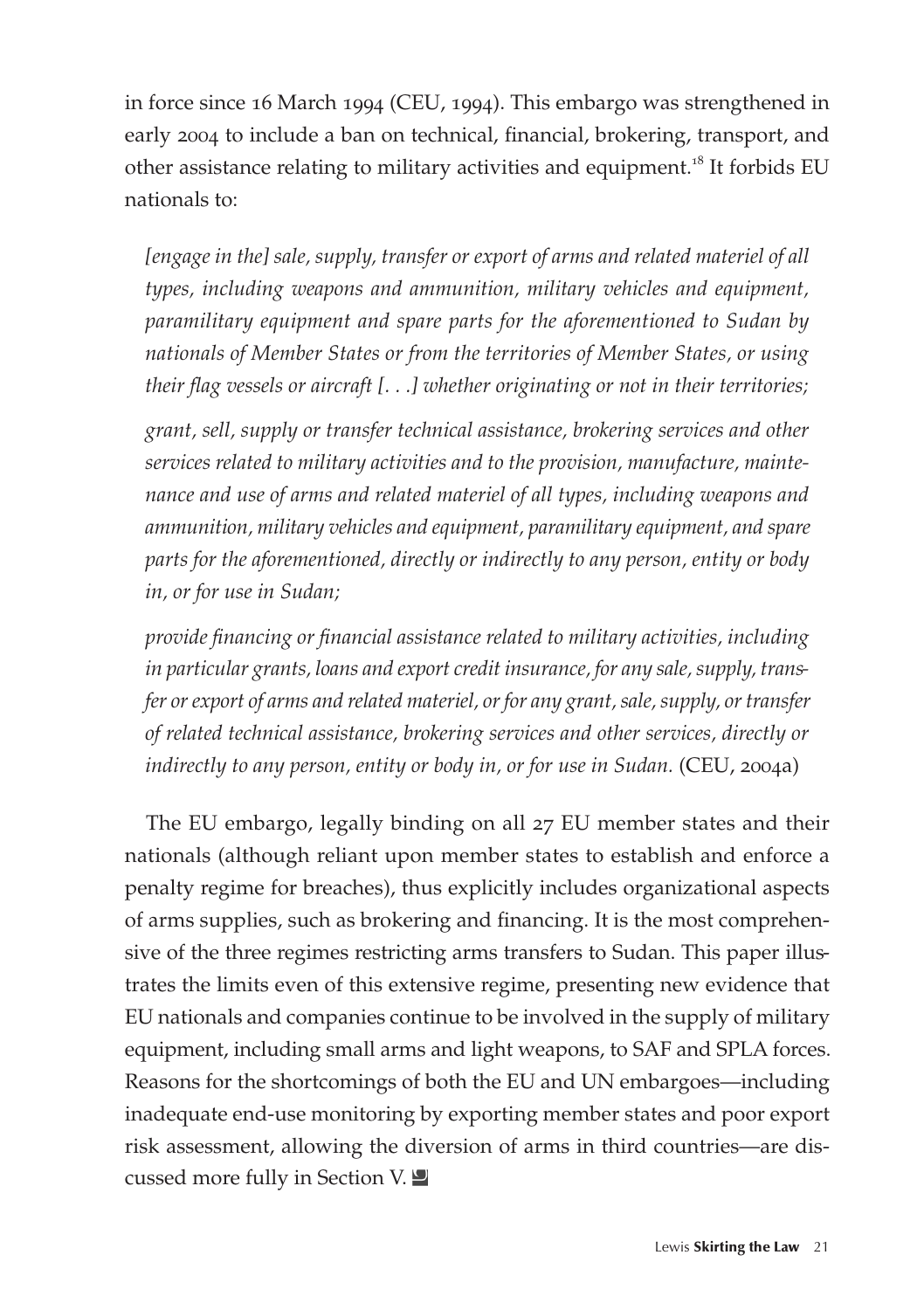in force since 16 March 1994 (CEU, 1994). This embargo was strengthened in early 2004 to include a ban on technical, financial, brokering, transport, and other assistance relating to military activities and equipment.<sup>18</sup> It forbids EU nationals to:

*[engage in the] sale, supply, transfer or export of arms and related materiel of all types, including weapons and ammunition, military vehicles and equipment, paramilitary equipment and spare parts for the aforementioned to Sudan by nationals of Member States or from the territories of Member States, or using their flag vessels or aircraft [. . .] whether originating or not in their territories;* 

*grant, sell, supply or transfer technical assistance, brokering services and other services related to military activities and to the provision, manufacture, maintenance and use of arms and related materiel of all types, including weapons and ammunition, military vehicles and equipment, paramilitary equipment, and spare parts for the aforementioned, directly or indirectly to any person, entity or body in, or for use in Sudan;*

*provide financing or financial assistance related to military activities, including in particular grants, loans and export credit insurance, for any sale, supply, transfer or export of arms and related materiel, or for any grant, sale, supply, or transfer of related technical assistance, brokering services and other services, directly or indirectly to any person, entity or body in, or for use in Sudan.* (CEU, 2004a)

The EU embargo, legally binding on all 27 EU member states and their nationals (although reliant upon member states to establish and enforce a penalty regime for breaches), thus explicitly includes organizational aspects of arms supplies, such as brokering and financing. It is the most comprehensive of the three regimes restricting arms transfers to Sudan. This paper illustrates the limits even of this extensive regime, presenting new evidence that EU nationals and companies continue to be involved in the supply of military equipment, including small arms and light weapons, to SAF and SPLA forces. Reasons for the shortcomings of both the EU and UN embargoes—including inadequate end-use monitoring by exporting member states and poor export risk assessment, allowing the diversion of arms in third countries—are discussed more fully in Section V.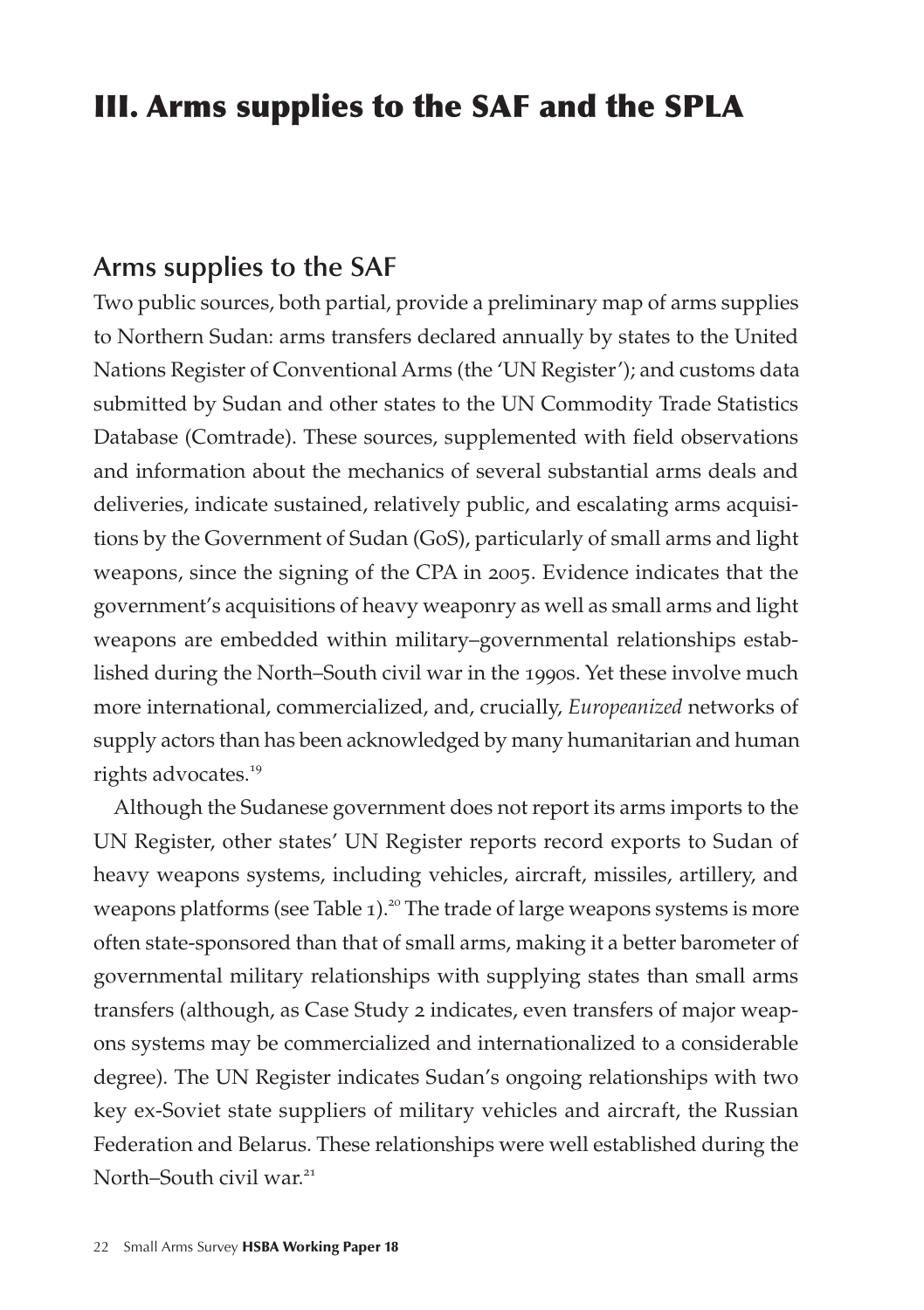### III. Arms supplies to the SAF and the SPLA

#### **Arms supplies to the SAF**

Two public sources, both partial, provide a preliminary map of arms supplies to Northern Sudan: arms transfers declared annually by states to the United Nations Register of Conventional Arms (the 'UN Register'); and customs data submitted by Sudan and other states to the UN Commodity Trade Statistics Database (Comtrade). These sources, supplemented with field observations and information about the mechanics of several substantial arms deals and deliveries, indicate sustained, relatively public, and escalating arms acquisitions by the Government of Sudan (GoS), particularly of small arms and light weapons, since the signing of the CPA in 2005. Evidence indicates that the government's acquisitions of heavy weaponry as well as small arms and light weapons are embedded within military–governmental relationships established during the North–South civil war in the 1990s. Yet these involve much more international, commercialized, and, crucially, *Europeanized* networks of supply actors than has been acknowledged by many humanitarian and human rights advocates.<sup>19</sup>

Although the Sudanese government does not report its arms imports to the UN Register, other states' UN Register reports record exports to Sudan of heavy weapons systems, including vehicles, aircraft, missiles, artillery, and weapons platforms (see Table 1).<sup>20</sup> The trade of large weapons systems is more often state-sponsored than that of small arms, making it a better barometer of governmental military relationships with supplying states than small arms transfers (although, as Case Study 2 indicates, even transfers of major weapons systems may be commercialized and internationalized to a considerable degree). The UN Register indicates Sudan's ongoing relationships with two key ex-Soviet state suppliers of military vehicles and aircraft, the Russian Federation and Belarus. These relationships were well established during the North–South civil war $^{21}$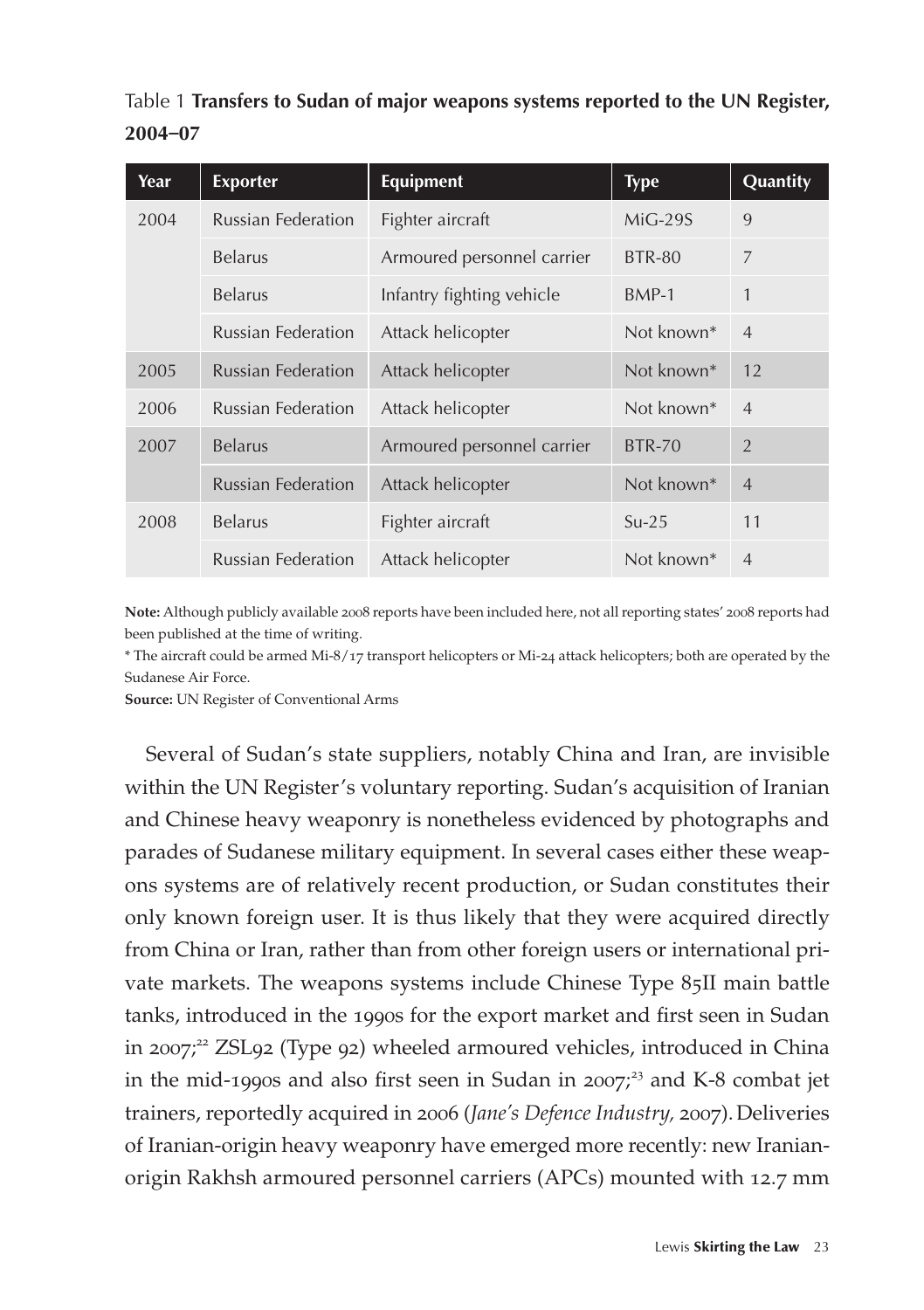| Year | <b>Exporter</b>           | <b>Equipment</b>           | <b>Type</b>            | Quantity       |
|------|---------------------------|----------------------------|------------------------|----------------|
| 2004 | <b>Russian Federation</b> | Fighter aircraft           | $MiG-29S$              | 9              |
|      | <b>Belarus</b>            | Armoured personnel carrier | <b>BTR-80</b>          | $\overline{7}$ |
|      | <b>Belarus</b>            | Infantry fighting vehicle  | $BMP-1$                | 1              |
|      | <b>Russian Federation</b> | Attack helicopter          | Not known*             | $\overline{4}$ |
| 2005 | <b>Russian Federation</b> | Attack helicopter          | Not known <sup>*</sup> | 12             |
| 2006 | <b>Russian Federation</b> | Attack helicopter          | Not known*             | $\overline{4}$ |
| 2007 | <b>Belarus</b>            | Armoured personnel carrier | <b>BTR-70</b>          | $\overline{2}$ |
|      | <b>Russian Federation</b> | Attack helicopter          | Not known*             | $\overline{4}$ |
| 2008 | <b>Belarus</b>            | Fighter aircraft           | $Su-25$                | 11             |
|      | <b>Russian Federation</b> | Attack helicopter          | Not known*             | $\overline{4}$ |

Table 1 **Transfers to Sudan of major weapons systems reported to the UN Register, 2004–07**

**Note:** Although publicly available 2008 reports have been included here, not all reporting states' 2008 reports had been published at the time of writing.

\* The aircraft could be armed Mi-8/17 transport helicopters or Mi-24 attack helicopters; both are operated by the Sudanese Air Force.

**Source:** UN Register of Conventional Arms

Several of Sudan's state suppliers, notably China and Iran, are invisible within the UN Register's voluntary reporting. Sudan's acquisition of Iranian and Chinese heavy weaponry is nonetheless evidenced by photographs and parades of Sudanese military equipment. In several cases either these weapons systems are of relatively recent production, or Sudan constitutes their only known foreign user. It is thus likely that they were acquired directly from China or Iran, rather than from other foreign users or international private markets. The weapons systems include Chinese Type 85II main battle tanks, introduced in the 1990s for the export market and first seen in Sudan in 2007; <sup>22</sup> ZSL92 (Type 92) wheeled armoured vehicles, introduced in China in the mid-1990s and also first seen in Sudan in  $2007<sup>23</sup>$  and K-8 combat jet trainers, reportedly acquired in 2006 (*Jane's Defence Industry,* 2007).Deliveries of Iranian-origin heavy weaponry have emerged more recently: new Iranianorigin Rakhsh armoured personnel carriers (APCs) mounted with 12.7 mm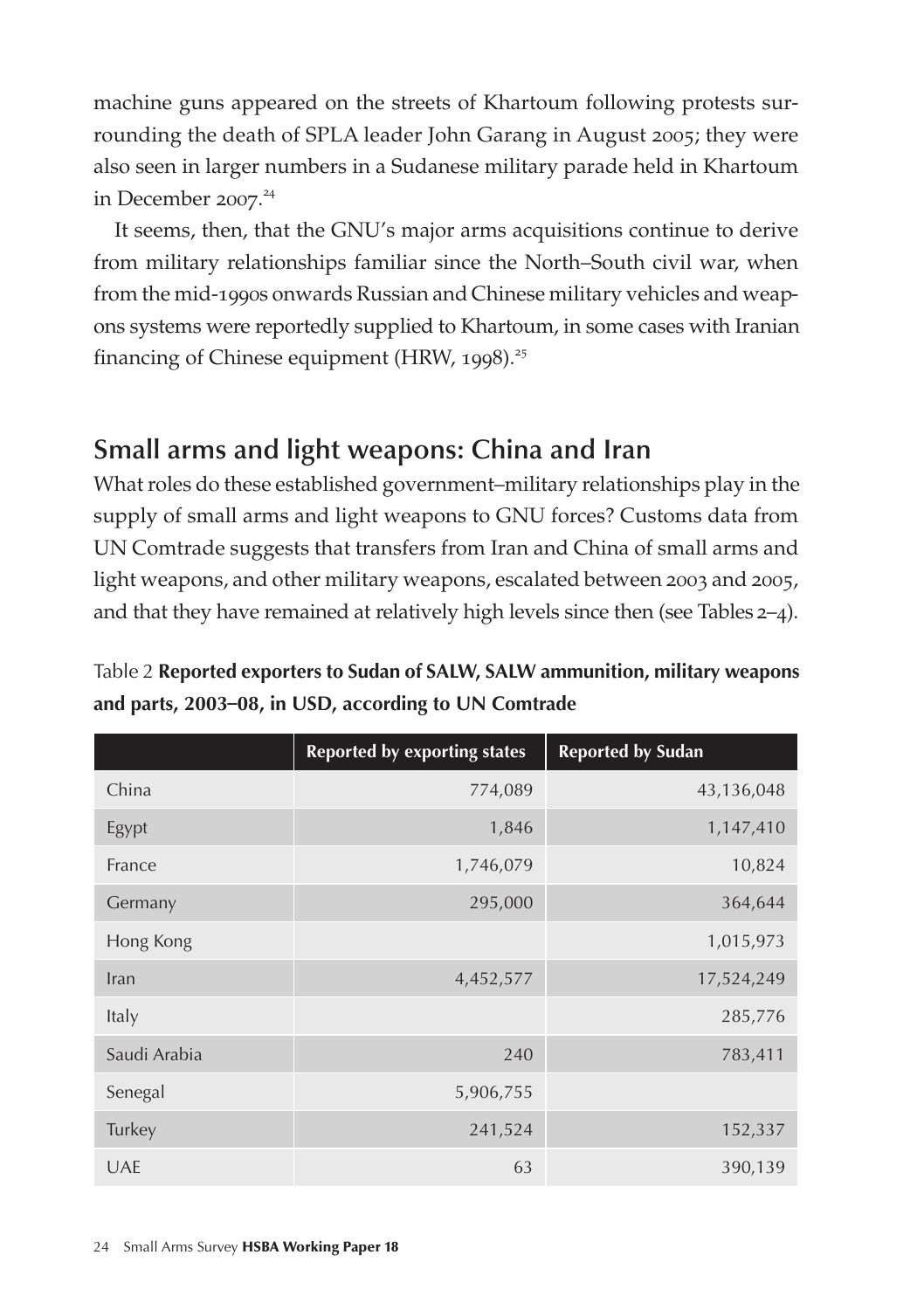machine guns appeared on the streets of Khartoum following protests surrounding the death of SPLA leader John Garang in August 2005; they were also seen in larger numbers in a Sudanese military parade held in Khartoum in December 2007. 24

It seems, then, that the GNU's major arms acquisitions continue to derive from military relationships familiar since the North–South civil war, when from the mid-1990s onwards Russian and Chinese military vehicles and weapons systems were reportedly supplied to Khartoum, in some cases with Iranian financing of Chinese equipment (HRW, 1998).<sup>25</sup>

### **Small arms and light weapons: China and Iran**

What roles do these established government–military relationships play in the supply of small arms and light weapons to GNU forces? Customs data from UN Comtrade suggests that transfers from Iran and China of small arms and light weapons, and other military weapons, escalated between 2003 and 2005, and that they have remained at relatively high levels since then (see Tables 2–4).

Table 2 **Reported exporters to Sudan of SALW, SALW ammunition, military weapons and parts, 2003–08, in USD, according to UN Comtrade**

|              | <b>Reported by exporting states</b> | <b>Reported by Sudan</b> |
|--------------|-------------------------------------|--------------------------|
| China        | 774,089                             | 43,136,048               |
| Egypt        | 1,846                               | 1,147,410                |
| France       | 1,746,079                           | 10,824                   |
| Germany      | 295,000                             | 364,644                  |
| Hong Kong    |                                     | 1,015,973                |
| Iran         | 4,452,577                           | 17,524,249               |
| Italy        |                                     | 285,776                  |
| Saudi Arabia | 240                                 | 783,411                  |
| Senegal      | 5,906,755                           |                          |
| Turkey       | 241,524                             | 152,337                  |
| <b>UAE</b>   | 63                                  | 390,139                  |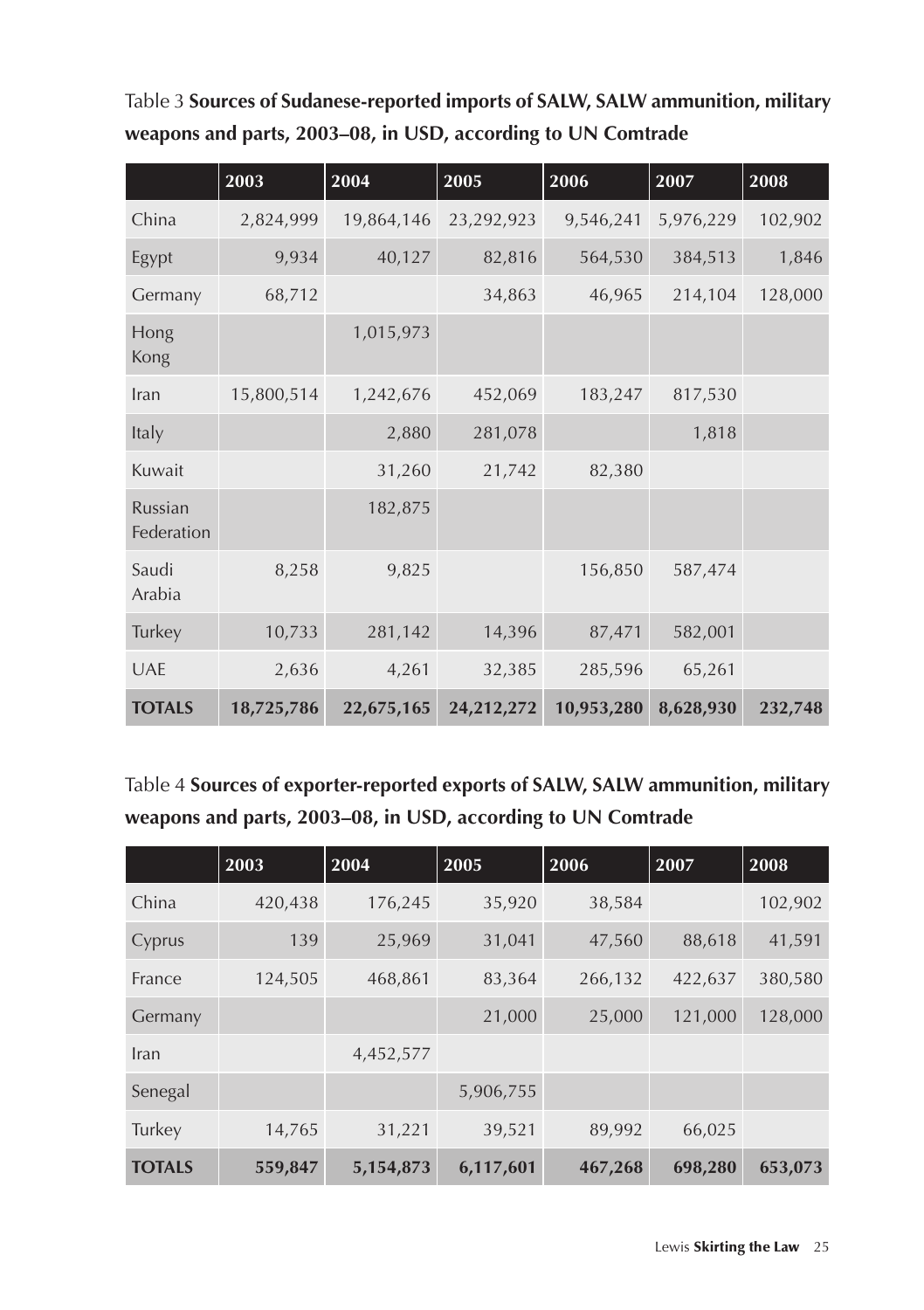| Table 3 Sources of Sudanese-reported imports of SALW, SALW ammunition, military |
|---------------------------------------------------------------------------------|
| weapons and parts, 2003–08, in USD, according to UN Comtrade                    |

|                       | 2003       | 2004       | 2005       | 2006       | 2007      | 2008    |
|-----------------------|------------|------------|------------|------------|-----------|---------|
| China                 | 2,824,999  | 19,864,146 | 23,292,923 | 9,546,241  | 5,976,229 | 102,902 |
| Egypt                 | 9,934      | 40,127     | 82,816     | 564,530    | 384,513   | 1,846   |
| Germany               | 68,712     |            | 34,863     | 46,965     | 214,104   | 128,000 |
| Hong<br>Kong          |            | 1,015,973  |            |            |           |         |
| Iran                  | 15,800,514 | 1,242,676  | 452,069    | 183,247    | 817,530   |         |
| Italy                 |            | 2,880      | 281,078    |            | 1,818     |         |
| Kuwait                |            | 31,260     | 21,742     | 82,380     |           |         |
| Russian<br>Federation |            | 182,875    |            |            |           |         |
| Saudi<br>Arabia       | 8,258      | 9,825      |            | 156,850    | 587,474   |         |
| Turkey                | 10,733     | 281,142    | 14,396     | 87,471     | 582,001   |         |
| <b>UAE</b>            | 2,636      | 4,261      | 32,385     | 285,596    | 65,261    |         |
| <b>TOTALS</b>         | 18,725,786 | 22,675,165 | 24,212,272 | 10,953,280 | 8,628,930 | 232,748 |

Table 4 **Sources of exporter-reported exports of SALW, SALW ammunition, military weapons and parts, 2003–08, in USD, according to UN Comtrade**

|               | 2003    | 2004      | 2005      | 2006    | 2007    | 2008    |
|---------------|---------|-----------|-----------|---------|---------|---------|
| China         | 420,438 | 176,245   | 35,920    | 38,584  |         | 102,902 |
| Cyprus        | 139     | 25,969    | 31,041    | 47,560  | 88,618  | 41,591  |
| France        | 124,505 | 468,861   | 83,364    | 266,132 | 422,637 | 380,580 |
| Germany       |         |           | 21,000    | 25,000  | 121,000 | 128,000 |
| Iran          |         | 4,452,577 |           |         |         |         |
| Senegal       |         |           | 5,906,755 |         |         |         |
| Turkey        | 14,765  | 31,221    | 39,521    | 89,992  | 66,025  |         |
| <b>TOTALS</b> | 559,847 | 5,154,873 | 6,117,601 | 467,268 | 698,280 | 653,073 |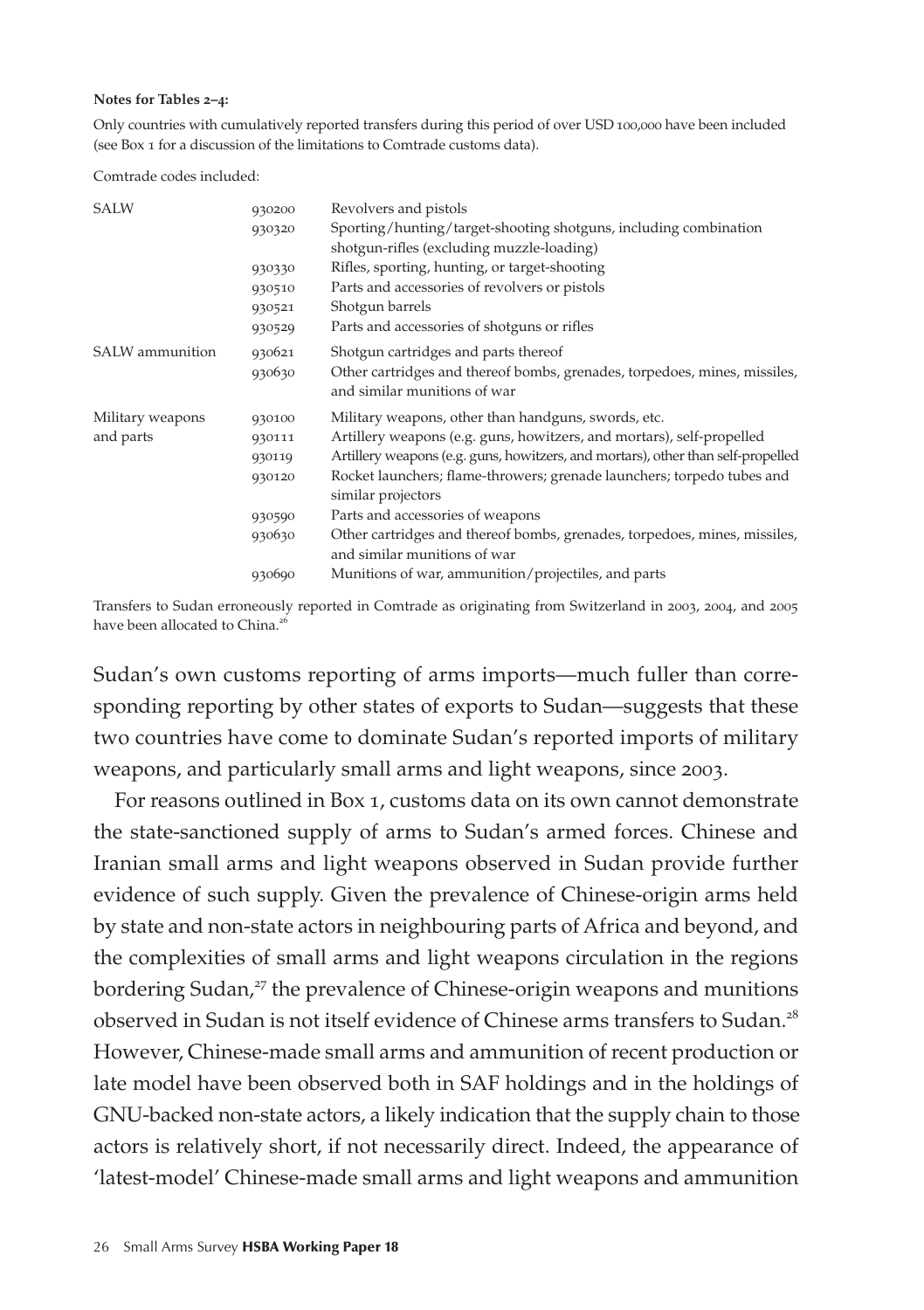#### **Notes for Tables 2–4:**

Only countries with cumulatively reported transfers during this period of over USD 100,000 have been included (see Box 1 for a discussion of the limitations to Comtrade customs data).

Comtrade codes included:

| SALW             | 930200 | Revolvers and pistols                                                                        |
|------------------|--------|----------------------------------------------------------------------------------------------|
|                  | 930320 | Sporting/hunting/target-shooting shotguns, including combination                             |
|                  |        | shotgun-rifles (excluding muzzle-loading)                                                    |
|                  | 930330 | Rifles, sporting, hunting, or target-shooting                                                |
|                  | 930510 | Parts and accessories of revolvers or pistols                                                |
|                  | 930521 | Shotgun barrels                                                                              |
|                  | 930529 | Parts and accessories of shotguns or rifles                                                  |
| SALW ammunition  | 930621 | Shotgun cartridges and parts thereof                                                         |
|                  | 930630 | Other cartridges and thereof bombs, grenades, torpedoes, mines, missiles,                    |
|                  |        | and similar munitions of war                                                                 |
| Military weapons | 930100 | Military weapons, other than handguns, swords, etc.                                          |
| and parts        | 930111 | Artillery weapons (e.g. guns, howitzers, and mortars), self-propelled                        |
|                  | 930119 | Artillery weapons (e.g. guns, howitzers, and mortars), other than self-propelled             |
|                  | 930120 | Rocket launchers; flame-throwers; grenade launchers; torpedo tubes and<br>similar projectors |
|                  | 930590 | Parts and accessories of weapons                                                             |
|                  | 930630 | Other cartridges and thereof bombs, grenades, torpedoes, mines, missiles,                    |
|                  |        | and similar munitions of war                                                                 |
|                  | 930690 | Munitions of war, ammunition/projectiles, and parts                                          |

Transfers to Sudan erroneously reported in Comtrade as originating from Switzerland in 2003, 2004, and 2005 have been allocated to China.<sup>26</sup>

Sudan's own customs reporting of arms imports—much fuller than corresponding reporting by other states of exports to Sudan—suggests that these two countries have come to dominate Sudan's reported imports of military weapons, and particularly small arms and light weapons, since 2003.

For reasons outlined in Box 1, customs data on its own cannot demonstrate the state-sanctioned supply of arms to Sudan's armed forces. Chinese and Iranian small arms and light weapons observed in Sudan provide further evidence of such supply. Given the prevalence of Chinese-origin arms held by state and non-state actors in neighbouring parts of Africa and beyond, and the complexities of small arms and light weapons circulation in the regions bordering Sudan,<sup>27</sup> the prevalence of Chinese-origin weapons and munitions observed in Sudan is not itself evidence of Chinese arms transfers to Sudan.<sup>28</sup> However, Chinese-made small arms and ammunition of recent production or late model have been observed both in SAF holdings and in the holdings of GNU-backed non-state actors, a likely indication that the supply chain to those actors is relatively short, if not necessarily direct. Indeed, the appearance of 'latest-model' Chinese-made small arms and light weapons and ammunition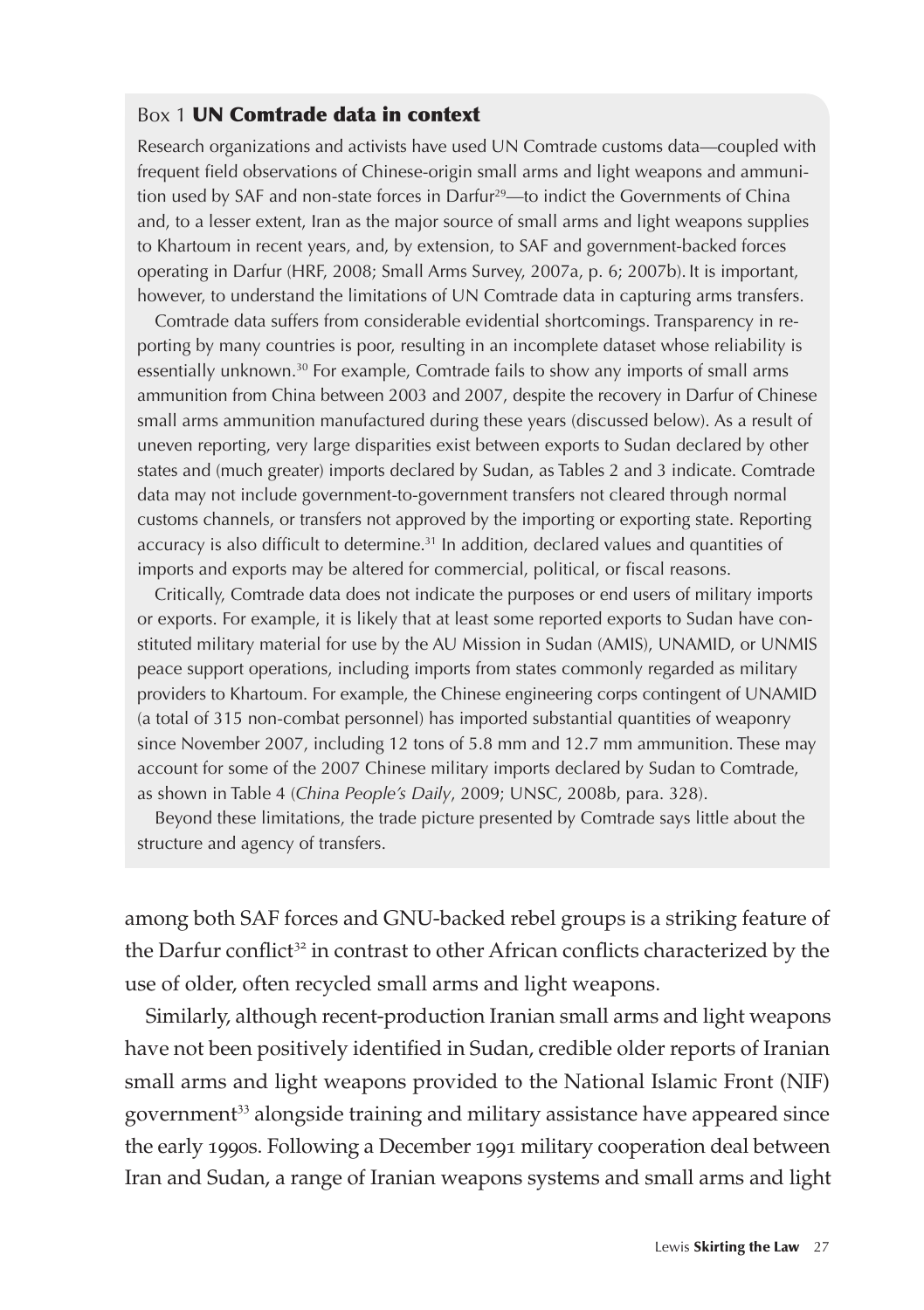#### Box 1 UN Comtrade data in context

Research organizations and activists have used UN Comtrade customs data—coupled with frequent field observations of Chinese-origin small arms and light weapons and ammunition used by SAF and non-state forces in Darfur<sup>29</sup>—to indict the Governments of China and, to a lesser extent, Iran as the major source of small arms and light weapons supplies to Khartoum in recent years, and, by extension, to SAF and government-backed forces operating in Darfur (HRF, 2008; Small Arms Survey, 2007a, p. 6; 2007b). It is important, however, to understand the limitations of UN Comtrade data in capturing arms transfers.

Comtrade data suffers from considerable evidential shortcomings. Transparency in reporting by many countries is poor, resulting in an incomplete dataset whose reliability is essentially unknown.30 For example, Comtrade fails to show any imports of small arms ammunition from China between 2003 and 2007, despite the recovery in Darfur of Chinese small arms ammunition manufactured during these years (discussed below). As a result of uneven reporting, very large disparities exist between exports to Sudan declared by other states and (much greater) imports declared by Sudan, as Tables 2 and 3 indicate. Comtrade data may not include government-to-government transfers not cleared through normal customs channels, or transfers not approved by the importing or exporting state. Reporting accuracy is also difficult to determine.<sup>31</sup> In addition, declared values and quantities of imports and exports may be altered for commercial, political, or fiscal reasons.

Critically, Comtrade data does not indicate the purposes or end users of military imports or exports. For example, it is likely that at least some reported exports to Sudan have constituted military material for use by the AU Mission in Sudan (AMIS), UNAMID, or UNMIS peace support operations, including imports from states commonly regarded as military providers to Khartoum. For example, the Chinese engineering corps contingent of UNAMID (a total of 315 non-combat personnel) has imported substantial quantities of weaponry since November 2007, including 12 tons of 5.8 mm and 12.7 mm ammunition. These may account for some of the 2007 Chinese military imports declared by Sudan to Comtrade, as shown in Table 4 (*China People's Daily*, 2009; UNSC, 2008b, para. 328).

Beyond these limitations, the trade picture presented by Comtrade says little about the structure and agency of transfers.

among both SAF forces and GNU-backed rebel groups is a striking feature of the Darfur conflict<sup>32</sup> in contrast to other African conflicts characterized by the use of older, often recycled small arms and light weapons.

Similarly, although recent-production Iranian small arms and light weapons have not been positively identified in Sudan, credible older reports of Iranian small arms and light weapons provided to the National Islamic Front (NIF) government<sup>33</sup> alongside training and military assistance have appeared since the early 1990s. Following a December 1991 military cooperation deal between Iran and Sudan, a range of Iranian weapons systems and small arms and light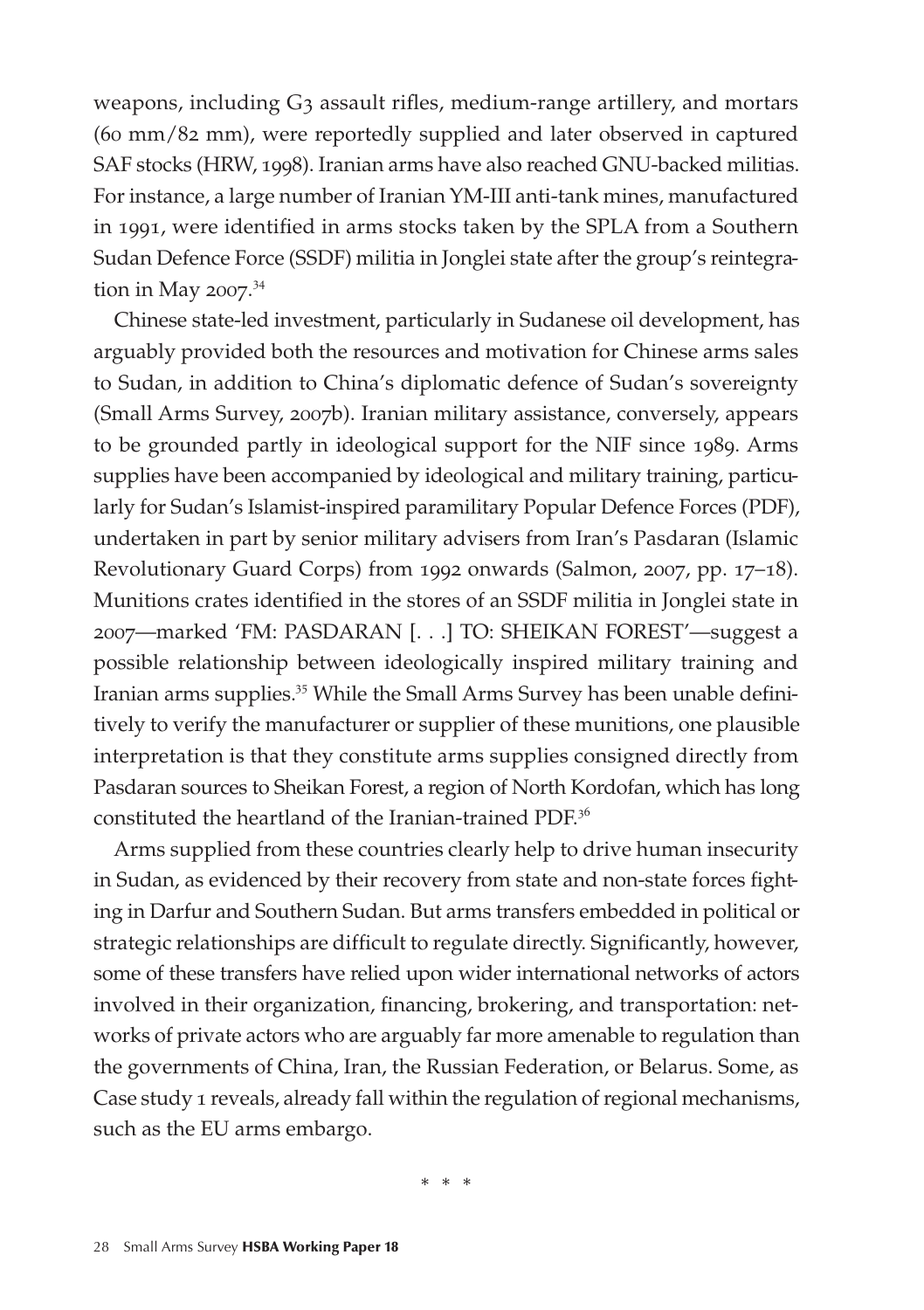weapons, including G3 assault rifles, medium-range artillery, and mortars (60 mm/82 mm), were reportedly supplied and later observed in captured SAF stocks (HRW, 1998). Iranian arms have also reached GNU-backed militias. For instance, a large number of Iranian YM-III anti-tank mines, manufactured in 1991, were identified in arms stocks taken by the SPLA from a Southern Sudan Defence Force (SSDF) militia in Jonglei state after the group's reintegration in May 2007. 34

Chinese state-led investment, particularly in Sudanese oil development, has arguably provided both the resources and motivation for Chinese arms sales to Sudan, in addition to China's diplomatic defence of Sudan's sovereignty (Small Arms Survey, 2007b). Iranian military assistance, conversely, appears to be grounded partly in ideological support for the NIF since 1989. Arms supplies have been accompanied by ideological and military training, particularly for Sudan's Islamist-inspired paramilitary Popular Defence Forces (PDF), undertaken in part by senior military advisers from Iran's Pasdaran (Islamic Revolutionary Guard Corps) from 1992 onwards (Salmon, 2007, pp. 17–18). Munitions crates identified in the stores of an SSDF militia in Jonglei state in 2007—marked 'FM: PASDARAN [. . .] TO: SHEIKAN FOREST'—suggest a possible relationship between ideologically inspired military training and Iranian arms supplies.<sup>35</sup> While the Small Arms Survey has been unable definitively to verify the manufacturer or supplier of these munitions, one plausible interpretation is that they constitute arms supplies consigned directly from Pasdaran sources to Sheikan Forest, a region of North Kordofan, which has long constituted the heartland of the Iranian-trained PDF.<sup>36</sup>

Arms supplied from these countries clearly help to drive human insecurity in Sudan, as evidenced by their recovery from state and non-state forces fighting in Darfur and Southern Sudan. But arms transfers embedded in political or strategic relationships are difficult to regulate directly. Significantly, however, some of these transfers have relied upon wider international networks of actors involved in their organization, financing, brokering, and transportation: networks of private actors who are arguably far more amenable to regulation than the governments of China, Iran, the Russian Federation, or Belarus. Some, as Case study 1 reveals, already fall within the regulation of regional mechanisms, such as the EU arms embargo.

\* \* \*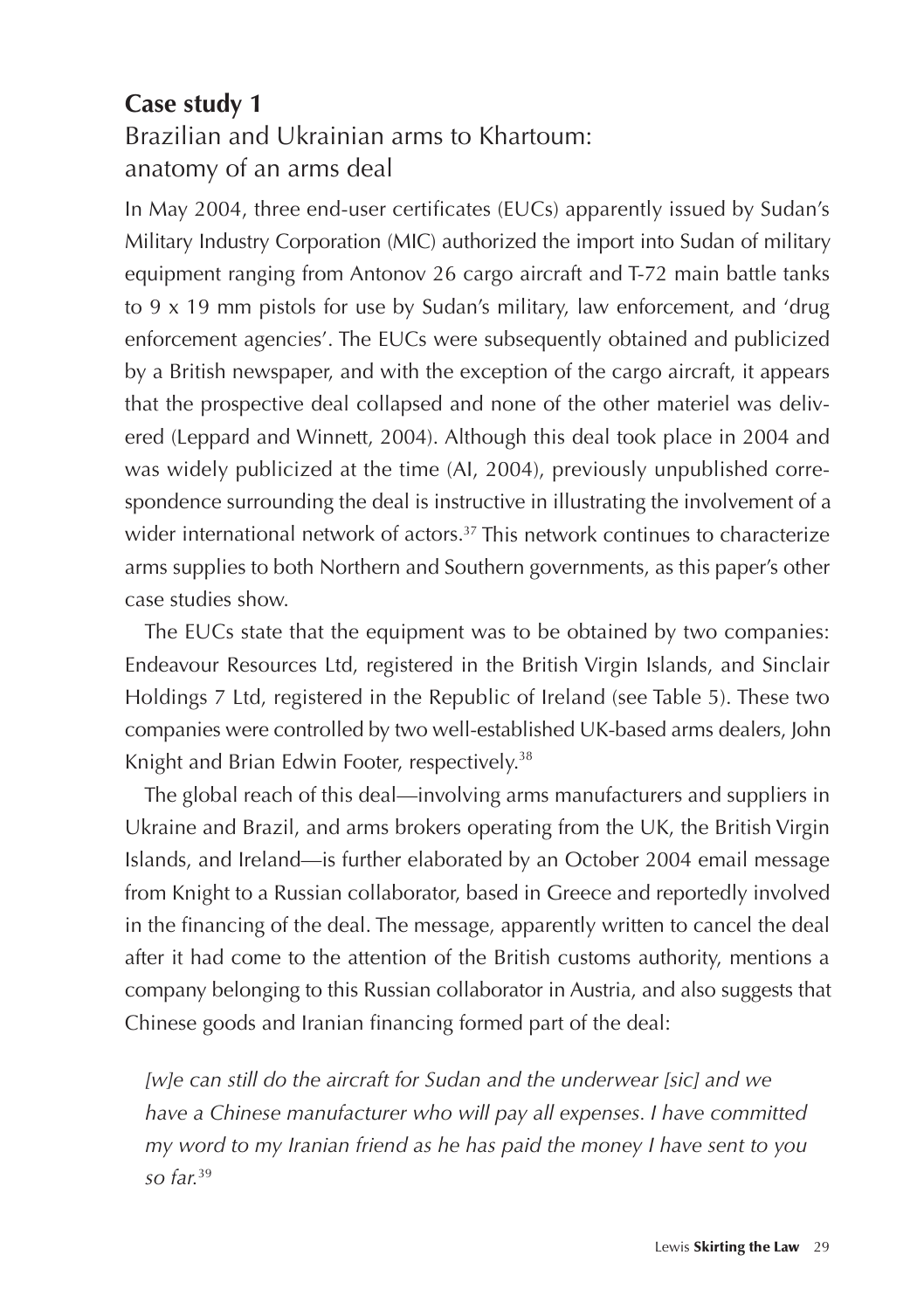### **Case study 1**  Brazilian and Ukrainian arms to Khartoum: anatomy of an arms deal

In May 2004, three end-user certificates (EUCs) apparently issued by Sudan's Military Industry Corporation (MIC) authorized the import into Sudan of military equipment ranging from Antonov 26 cargo aircraft and T-72 main battle tanks to 9 x 19 mm pistols for use by Sudan's military, law enforcement, and 'drug enforcement agencies'. The EUCs were subsequently obtained and publicized by a British newspaper, and with the exception of the cargo aircraft, it appears that the prospective deal collapsed and none of the other materiel was delivered (Leppard and Winnett, 2004). Although this deal took place in 2004 and was widely publicized at the time (AI, 2004), previously unpublished correspondence surrounding the deal is instructive in illustrating the involvement of a wider international network of actors.<sup>37</sup> This network continues to characterize arms supplies to both Northern and Southern governments, as this paper's other case studies show.

The EUCs state that the equipment was to be obtained by two companies: Endeavour Resources Ltd, registered in the British Virgin Islands, and Sinclair Holdings 7 Ltd, registered in the Republic of Ireland (see Table 5). These two companies were controlled by two well-established UK-based arms dealers, John Knight and Brian Edwin Footer, respectively.<sup>38</sup>

The global reach of this deal—involving arms manufacturers and suppliers in Ukraine and Brazil, and arms brokers operating from the UK, the British Virgin Islands, and Ireland—is further elaborated by an October 2004 email message from Knight to a Russian collaborator, based in Greece and reportedly involved in the financing of the deal. The message, apparently written to cancel the deal after it had come to the attention of the British customs authority, mentions a company belonging to this Russian collaborator in Austria, and also suggests that Chinese goods and Iranian financing formed part of the deal:

*[w]e can still do the aircraft for Sudan and the underwear [sic] and we have a Chinese manufacturer who will pay all expenses. I have committed my word to my Iranian friend as he has paid the money I have sent to you so far.*39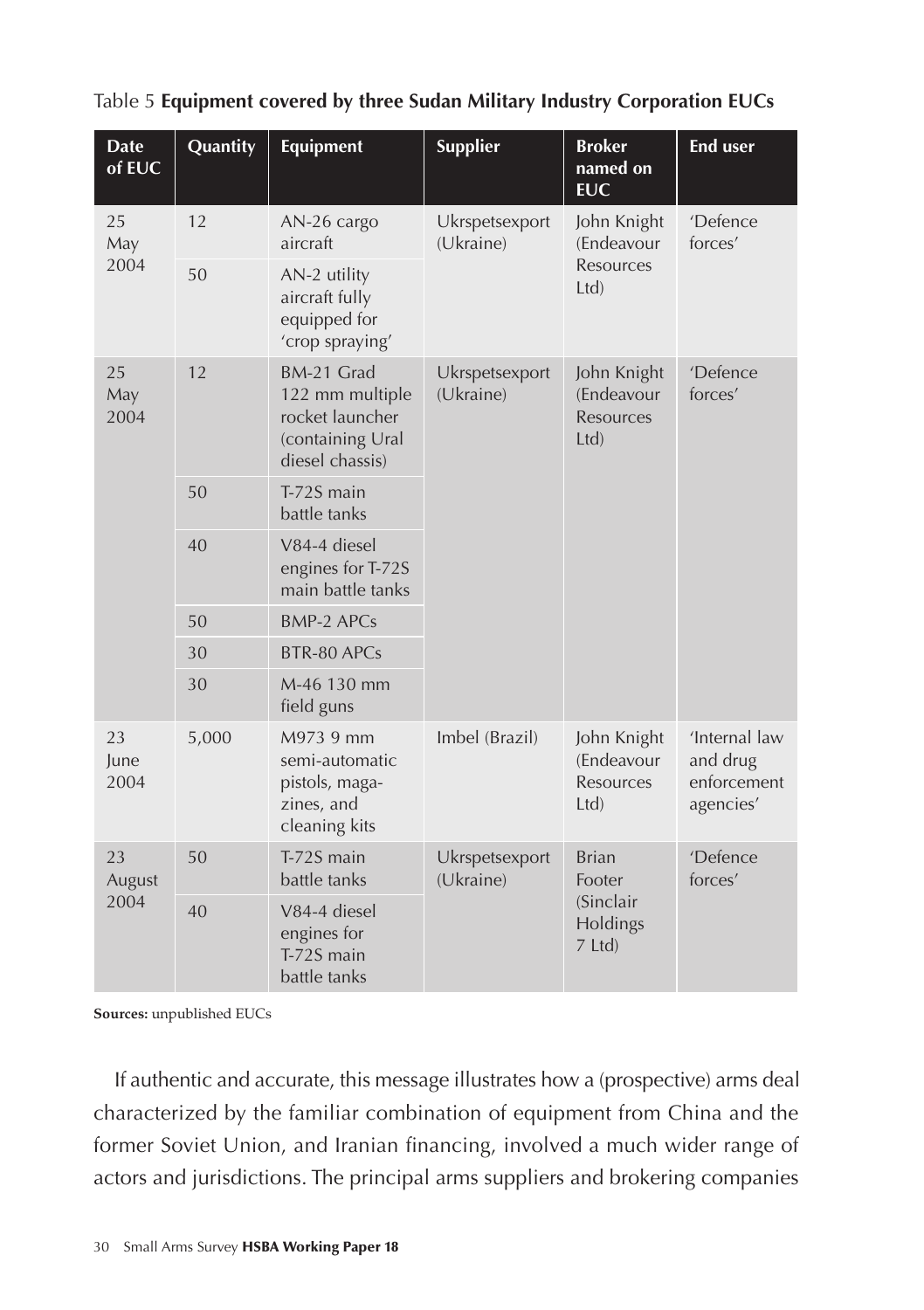| <b>Date</b><br>of EUC               | Quantity | <b>Equipment</b>                                                                        | <b>Supplier</b>             | <b>Broker</b><br>named on<br><b>EUC</b>       | <b>End user</b>                                       |
|-------------------------------------|----------|-----------------------------------------------------------------------------------------|-----------------------------|-----------------------------------------------|-------------------------------------------------------|
| 25<br>May                           | 12       | AN-26 cargo<br>aircraft                                                                 | Ukrspetsexport<br>(Ukraine) | John Knight<br>(Endeavour                     | 'Defence<br>forces'                                   |
| 2004                                | 50       | AN-2 utility<br>aircraft fully<br>equipped for<br>'crop spraying'                       |                             | Resources<br>Ltd                              |                                                       |
| 12<br>25<br>May<br>2004<br>50<br>40 |          | BM-21 Grad<br>122 mm multiple<br>rocket launcher<br>(containing Ural<br>diesel chassis) | Ukrspetsexport<br>(Ukraine) | John Knight<br>(Endeavour<br>Resources<br>Ltd | 'Defence<br>forces'                                   |
|                                     |          | T-72S main<br>battle tanks                                                              |                             |                                               |                                                       |
|                                     |          | V84-4 diesel<br>engines for T-72S<br>main battle tanks                                  |                             |                                               |                                                       |
|                                     | 50       | <b>BMP-2 APCs</b>                                                                       |                             |                                               |                                                       |
|                                     | 30       | BTR-80 APCs                                                                             |                             |                                               |                                                       |
|                                     | 30       | M-46 130 mm<br>field guns                                                               |                             |                                               |                                                       |
| 23<br>June<br>2004                  | 5,000    | M973 9 mm<br>semi-automatic<br>pistols, maga-<br>zines, and<br>cleaning kits            | Imbel (Brazil)              | John Knight<br>(Endeavour<br>Resources<br>Ltd | 'Internal law<br>and drug<br>enforcement<br>agencies' |
| 23<br>August<br>2004                | 50       | T-72S main<br>battle tanks                                                              | Ukrspetsexport<br>(Ukraine) | <b>Brian</b><br>Footer                        | 'Defence<br>forces'                                   |
|                                     | 40       | V84-4 diesel<br>engines for<br>T-72S main<br>battle tanks                               |                             | (Sinclair)<br>Holdings<br>7 Ltd)              |                                                       |

Table 5 **Equipment covered by three Sudan Military Industry Corporation EUCs**

**Sources:** unpublished EUCs

If authentic and accurate, this message illustrates how a (prospective) arms deal characterized by the familiar combination of equipment from China and the former Soviet Union, and Iranian financing, involved a much wider range of actors and jurisdictions. The principal arms suppliers and brokering companies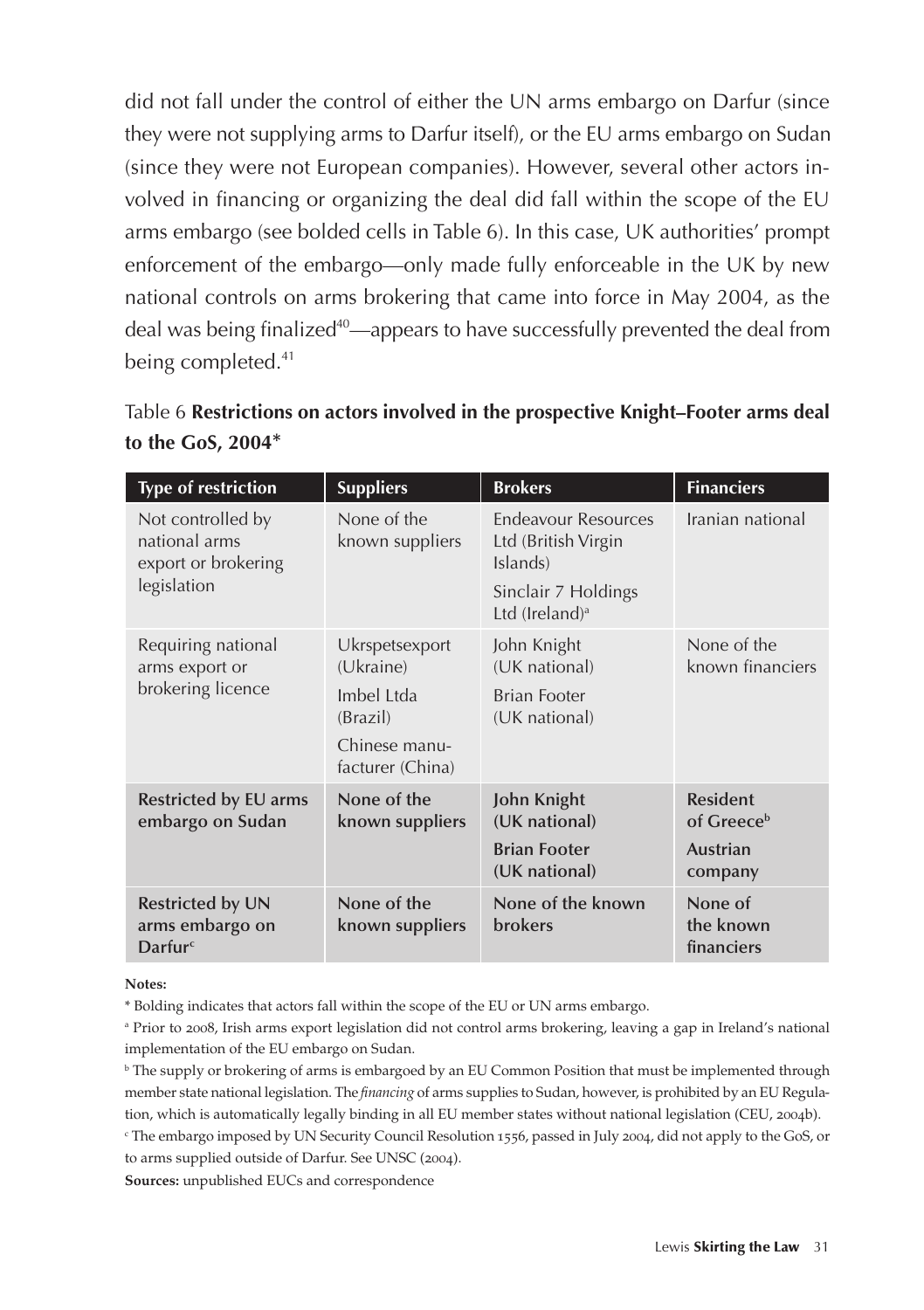did not fall under the control of either the UN arms embargo on Darfur (since they were not supplying arms to Darfur itself), or the EU arms embargo on Sudan (since they were not European companies). However, several other actors involved in financing or organizing the deal did fall within the scope of the EU arms embargo (see bolded cells in Table 6). In this case, UK authorities' prompt enforcement of the embargo—only made fully enforceable in the UK by new national controls on arms brokering that came into force in May 2004, as the deal was being finalized<sup>40</sup>—appears to have successfully prevented the deal from being completed.<sup>41</sup>

|                          | Table 6 Restrictions on actors involved in the prospective Knight–Footer arms deal |
|--------------------------|------------------------------------------------------------------------------------|
| to the GoS, 2004 $^\ast$ |                                                                                    |

| <b>Type of restriction</b>                                               | <b>Suppliers</b>                                                                           | <b>Brokers</b>                                                                                                     | <b>Financiers</b>                                                       |
|--------------------------------------------------------------------------|--------------------------------------------------------------------------------------------|--------------------------------------------------------------------------------------------------------------------|-------------------------------------------------------------------------|
| Not controlled by<br>national arms<br>export or brokering<br>legislation | None of the<br>known suppliers                                                             | <b>Endeavour Resources</b><br>Ltd (British Virgin<br>Islands)<br>Sinclair 7 Holdings<br>Ltd (Ireland) <sup>a</sup> | Iranian national                                                        |
| Requiring national<br>arms export or<br>brokering licence                | Ukrspetsexport<br>(Ukraine)<br>Imbel Ltda<br>(Brazil)<br>Chinese manu-<br>facturer (China) | John Knight<br>(UK national)<br><b>Brian Footer</b><br>(UK national)                                               | None of the<br>known financiers                                         |
| Restricted by EU arms<br>embargo on Sudan                                | None of the<br>known suppliers                                                             | John Knight<br>(UK national)<br><b>Brian Footer</b><br>(UK national)                                               | <b>Resident</b><br>of Greece <sup>b</sup><br><b>Austrian</b><br>company |
| <b>Restricted by UN</b><br>arms embargo on<br>Darfur <sup>c</sup>        | None of the<br>known suppliers                                                             | None of the known<br><b>brokers</b>                                                                                | None of<br>the known<br>financiers                                      |

#### **Notes:**

\* Bolding indicates that actors fall within the scope of the EU or UN arms embargo.

a Prior to 2008, Irish arms export legislation did not control arms brokering, leaving a gap in Ireland's national implementation of the EU embargo on Sudan.

b The supply or brokering of arms is embargoed by an EU Common Position that must be implemented through member state national legislation. The *financing* of arms supplies to Sudan, however, is prohibited by an EU Regulation, which is automatically legally binding in all EU member states without national legislation (CEU, 2004b).

c The embargo imposed by UN Security Council Resolution 1556, passed in July 2004, did not apply to the GoS, or to arms supplied outside of Darfur. See UNSC (2004).

**Sources:** unpublished EUCs and correspondence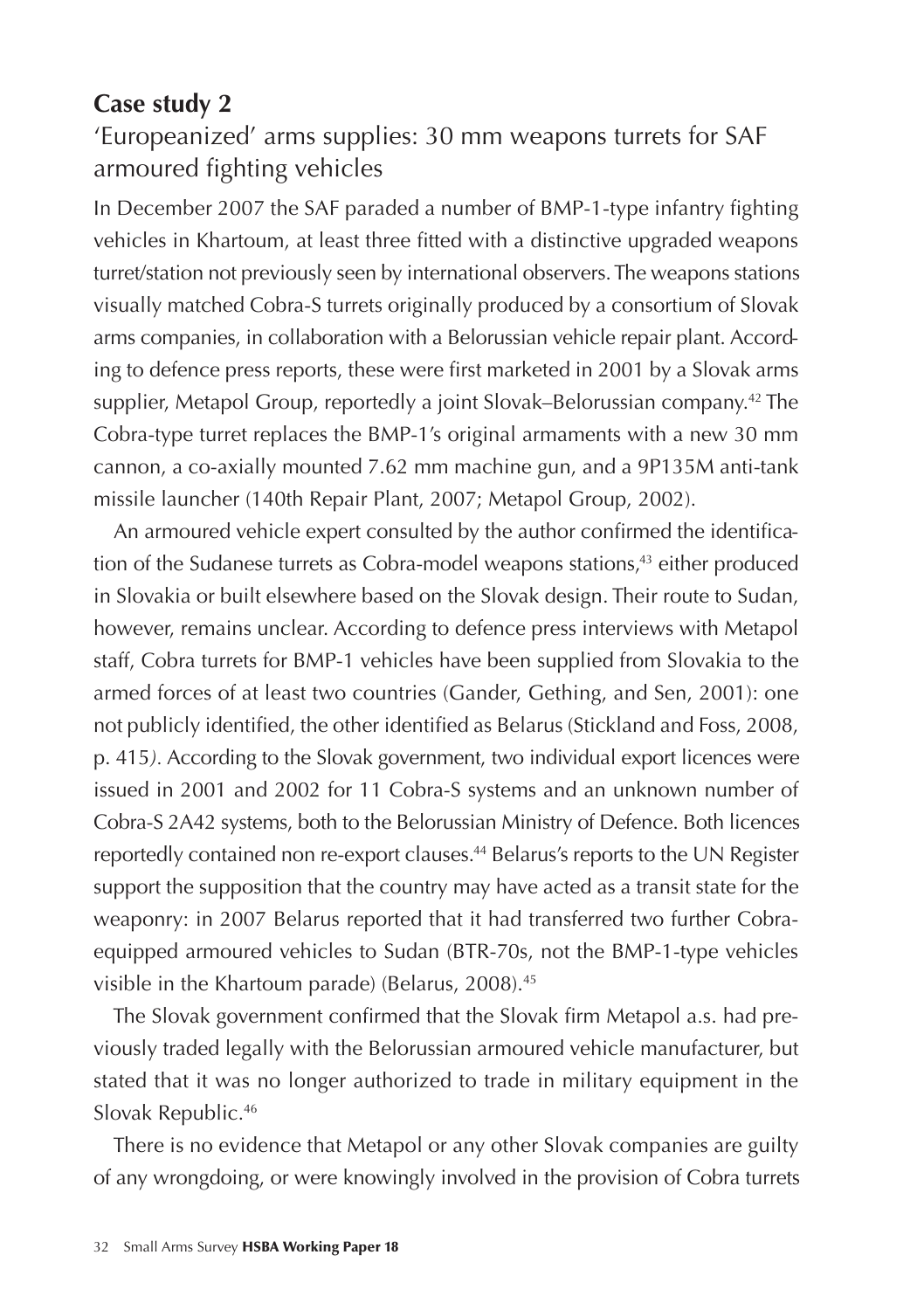### **Case study 2**

'Europeanized' arms supplies: 30 mm weapons turrets for SAF armoured fighting vehicles

In December 2007 the SAF paraded a number of BMP-1-type infantry fighting vehicles in Khartoum, at least three fitted with a distinctive upgraded weapons turret/station not previously seen by international observers. The weapons stations visually matched Cobra-S turrets originally produced by a consortium of Slovak arms companies, in collaboration with a Belorussian vehicle repair plant. According to defence press reports, these were first marketed in 2001 by a Slovak arms supplier, Metapol Group, reportedly a joint Slovak–Belorussian company.<sup>42</sup> The Cobra-type turret replaces the BMP-1's original armaments with a new 30 mm cannon, a co-axially mounted 7.62 mm machine gun, and a 9P135M anti-tank missile launcher (140th Repair Plant, 2007; Metapol Group, 2002).

An armoured vehicle expert consulted by the author confirmed the identification of the Sudanese turrets as Cobra-model weapons stations,<sup>43</sup> either produced in Slovakia or built elsewhere based on the Slovak design. Their route to Sudan, however, remains unclear. According to defence press interviews with Metapol staff, Cobra turrets for BMP-1 vehicles have been supplied from Slovakia to the armed forces of at least two countries (Gander, Gething, and Sen, 2001): one not publicly identified, the other identified as Belarus (Stickland and Foss, 2008, p. 415*).* According to the Slovak government, two individual export licences were issued in 2001 and 2002 for 11 Cobra-S systems and an unknown number of Cobra-S 2A42 systems, both to the Belorussian Ministry of Defence. Both licences reportedly contained non re-export clauses.<sup>44</sup> Belarus's reports to the UN Register support the supposition that the country may have acted as a transit state for the weaponry: in 2007 Belarus reported that it had transferred two further Cobraequipped armoured vehicles to Sudan (BTR-70s, not the BMP-1-type vehicles visible in the Khartoum parade) (Belarus, 2008).<sup>45</sup>

The Slovak government confirmed that the Slovak firm Metapol a.s. had previously traded legally with the Belorussian armoured vehicle manufacturer, but stated that it was no longer authorized to trade in military equipment in the Slovak Republic.46

There is no evidence that Metapol or any other Slovak companies are guilty of any wrongdoing, or were knowingly involved in the provision of Cobra turrets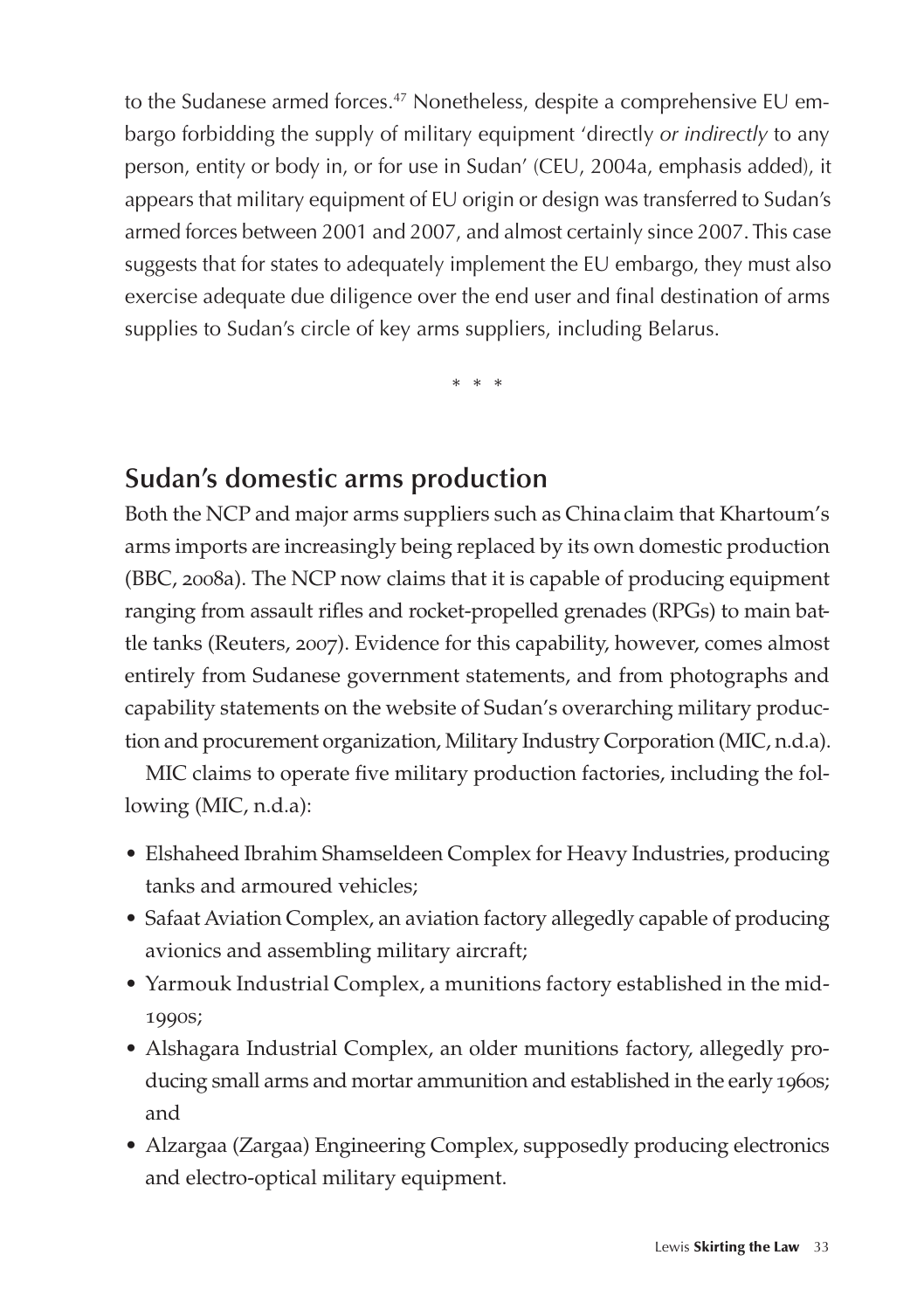to the Sudanese armed forces.<sup>47</sup> Nonetheless, despite a comprehensive EU embargo forbidding the supply of military equipment 'directly *or indirectly* to any person, entity or body in, or for use in Sudan' (CEU, 2004a, emphasis added), it appears that military equipment of EU origin or design was transferred to Sudan's armed forces between 2001 and 2007, and almost certainly since 2007. This case suggests that for states to adequately implement the EU embargo, they must also exercise adequate due diligence over the end user and final destination of arms supplies to Sudan's circle of key arms suppliers, including Belarus.

\* \* \*

#### **Sudan's domestic arms production**

Both the NCP and major arms suppliers such as Chinaclaim that Khartoum's arms imports are increasingly being replaced by its own domestic production (BBC, 2008a). The NCP now claims that it is capable of producing equipment ranging from assault rifles and rocket-propelled grenades (RPGs) to main battle tanks (Reuters, 2007). Evidence for this capability, however, comes almost entirely from Sudanese government statements, and from photographs and capability statements on the website of Sudan's overarching military production and procurement organization, Military Industry Corporation (MIC, n.d.a).

MIC claims to operate five military production factories, including the following (MIC, n.d.a):

- Elshaheed Ibrahim Shamseldeen Complex for Heavy Industries, producing tanks and armoured vehicles;
- Safaat Aviation Complex, an aviation factory allegedly capable of producing avionics and assembling military aircraft;
- Yarmouk Industrial Complex, a munitions factory established in the mid-1990s;
- Alshagara Industrial Complex, an older munitions factory, allegedly producing small arms and mortar ammunition and established in the early 1960s; and
- Alzargaa (Zargaa) Engineering Complex, supposedly producing electronics and electro-optical military equipment.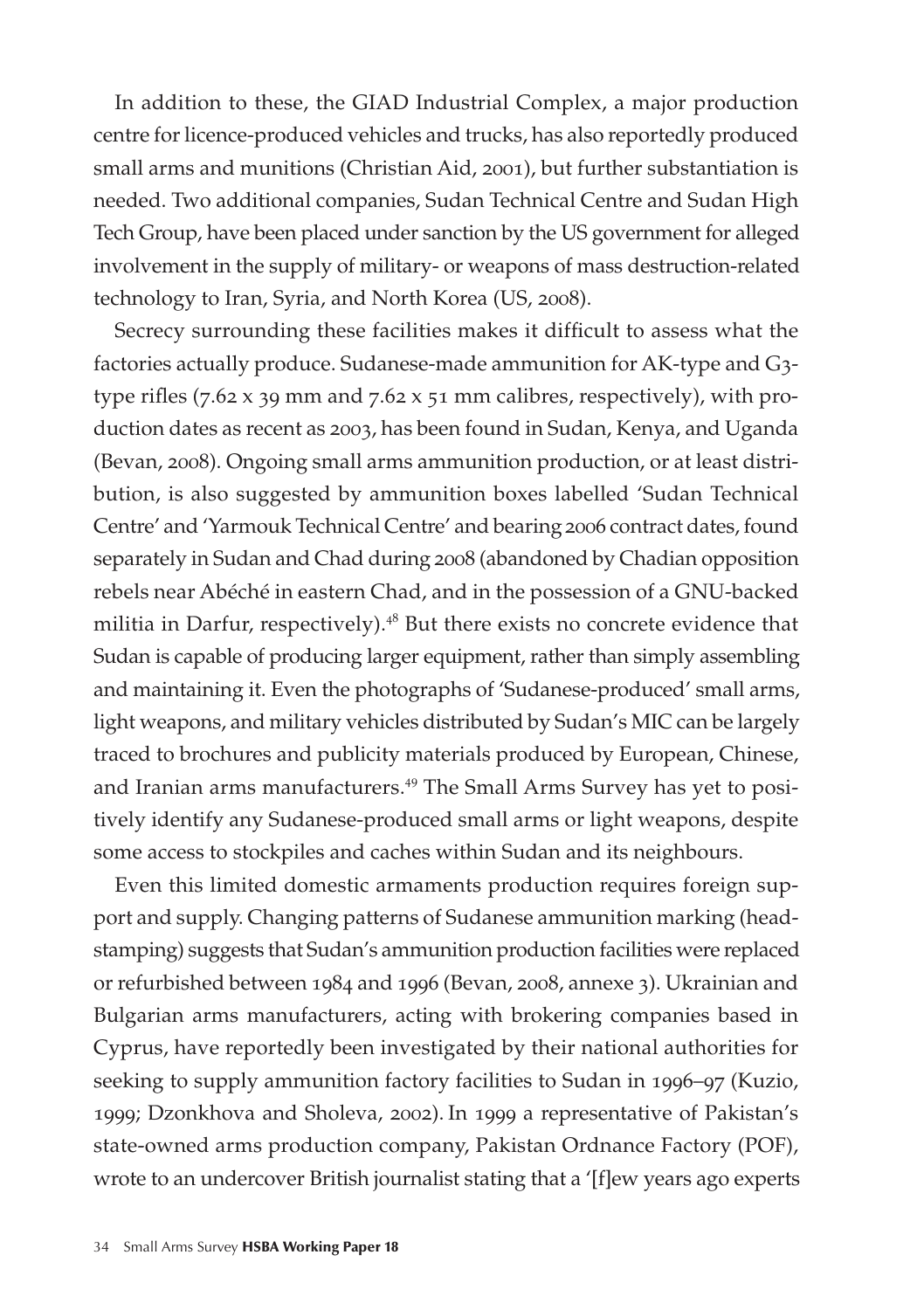In addition to these, the GIAD Industrial Complex, a major production centre for licence-produced vehicles and trucks, has also reportedly produced small arms and munitions (Christian Aid, 2001), but further substantiation is needed. Two additional companies, Sudan Technical Centre and Sudan High Tech Group, have been placed under sanction by the US government for alleged involvement in the supply of military- or weapons of mass destruction-related technology to Iran, Syria, and North Korea (US, 2008).

Secrecy surrounding these facilities makes it difficult to assess what the factories actually produce. Sudanese-made ammunition for AK-type and G3 type rifles (7.62 x 39 mm and 7.62 x 51 mm calibres, respectively), with production dates as recent as 2003, has been found in Sudan, Kenya, and Uganda (Bevan, 2008). Ongoing small arms ammunition production, or at least distribution, is also suggested by ammunition boxes labelled 'Sudan Technical Centre' and 'Yarmouk Technical Centre' and bearing 2006 contract dates, found separately in Sudan and Chad during 2008 (abandoned by Chadian opposition rebels near Abéché in eastern Chad, and in the possession of a GNU-backed militia in Darfur, respectively).<sup>48</sup> But there exists no concrete evidence that Sudan is capable of producing larger equipment, rather than simply assembling and maintaining it. Even the photographs of 'Sudanese-produced' small arms, light weapons, and military vehicles distributed by Sudan's MIC can be largely traced to brochures and publicity materials produced by European, Chinese, and Iranian arms manufacturers.<sup>49</sup> The Small Arms Survey has yet to positively identify any Sudanese-produced small arms or light weapons, despite some access to stockpiles and caches within Sudan and its neighbours.

Even this limited domestic armaments production requires foreign support and supply. Changing patterns of Sudanese ammunition marking (headstamping) suggests that Sudan's ammunition production facilities were replaced or refurbished between 1984 and 1996 (Bevan, 2008, annexe 3). Ukrainian and Bulgarian arms manufacturers, acting with brokering companies based in Cyprus, have reportedly been investigated by their national authorities for seeking to supply ammunition factory facilities to Sudan in 1996–97 (Kuzio, 1999; Dzonkhova and Sholeva, 2002). In 1999 a representative of Pakistan's state-owned arms production company, Pakistan Ordnance Factory (POF), wrote to an undercover British journalist stating that a '[f]ew years ago experts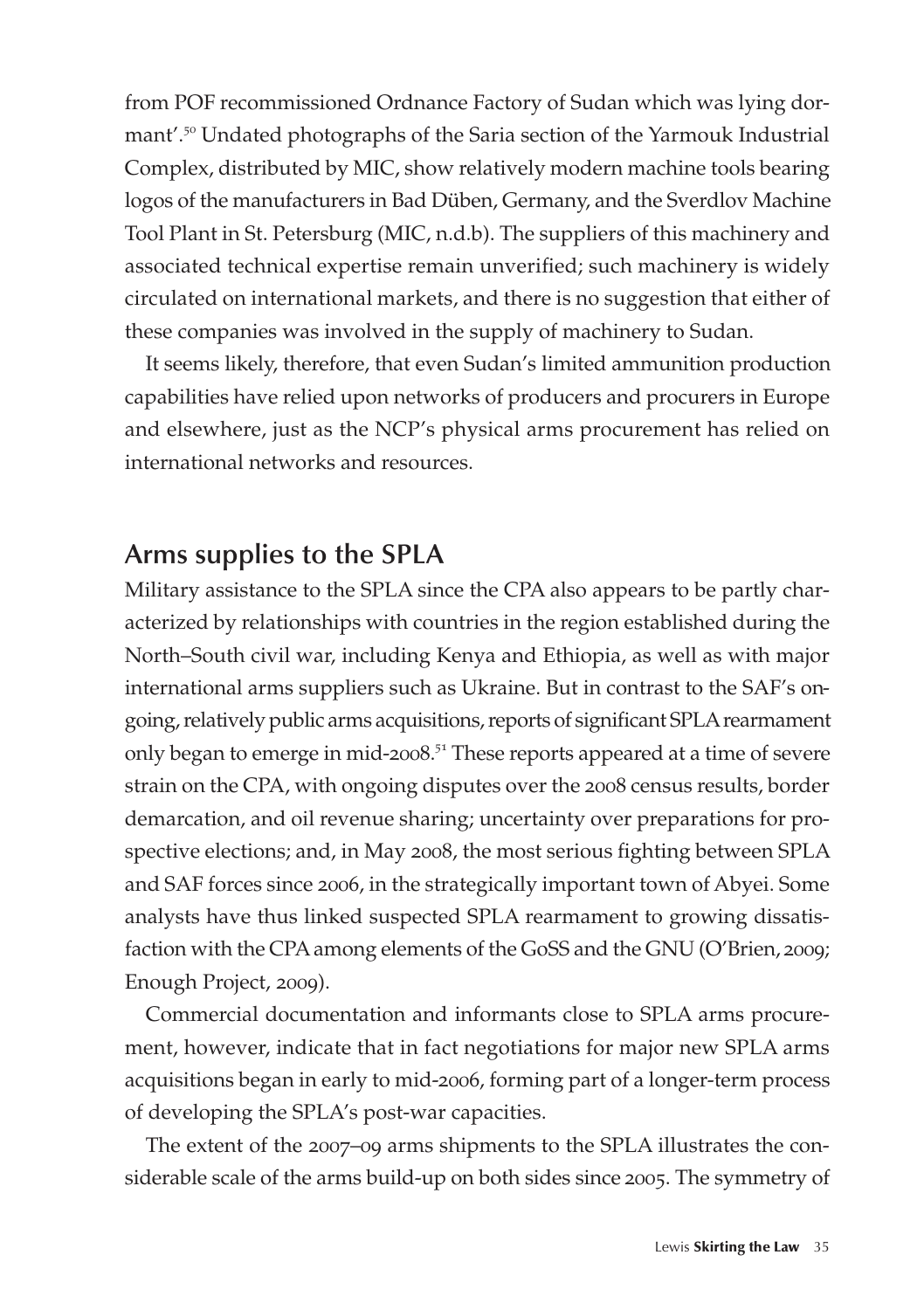from POF recommissioned Ordnance Factory of Sudan which was lying dormant'.<sup>50</sup> Undated photographs of the Saria section of the Yarmouk Industrial Complex, distributed by MIC, show relatively modern machine tools bearing logos of the manufacturers in Bad Düben, Germany, and the Sverdlov Machine Tool Plant in St. Petersburg (MIC, n.d.b). The suppliers of this machinery and associated technical expertise remain unverified; such machinery is widely circulated on international markets, and there is no suggestion that either of these companies was involved in the supply of machinery to Sudan.

It seems likely, therefore, that even Sudan's limited ammunition production capabilities have relied upon networks of producers and procurers in Europe and elsewhere, just as the NCP's physical arms procurement has relied on international networks and resources.

#### **Arms supplies to the SPLA**

Military assistance to the SPLA since the CPA also appears to be partly characterized by relationships with countries in the region established during the North–South civil war, including Kenya and Ethiopia, as well as with major international arms suppliers such as Ukraine. But in contrast to the SAF's ongoing, relatively public arms acquisitions, reports of significant SPLA rearmament only began to emerge in mid-2008.<sup>51</sup> These reports appeared at a time of severe strain on the CPA, with ongoing disputes over the 2008 census results, border demarcation, and oil revenue sharing; uncertainty over preparations for prospective elections; and, in May 2008, the most serious fighting between SPLA and SAF forces since 2006, in the strategically important town of Abyei. Some analysts have thus linked suspected SPLA rearmament to growing dissatisfaction with the CPA among elements of the GoSS and the GNU (O'Brien, 2009; Enough Project, 2009).

Commercial documentation and informants close to SPLA arms procurement, however, indicate that in fact negotiations for major new SPLA arms acquisitions began in early to mid-2006, forming part of a longer-term process of developing the SPLA's post-war capacities.

The extent of the 2007–09 arms shipments to the SPLA illustrates the considerable scale of the arms build-up on both sides since 2005. The symmetry of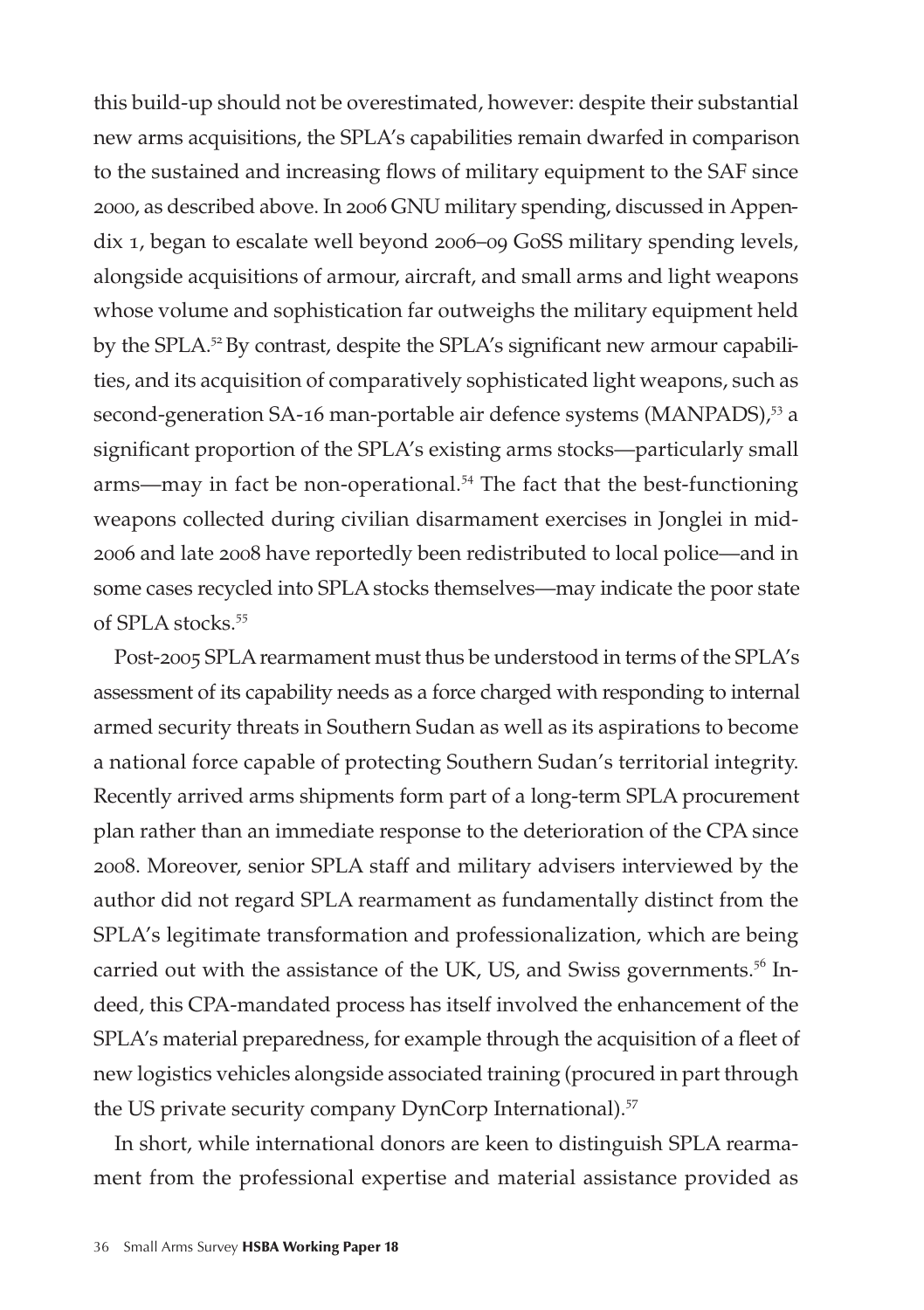this build-up should not be overestimated, however: despite their substantial new arms acquisitions, the SPLA's capabilities remain dwarfed in comparison to the sustained and increasing flows of military equipment to the SAF since 2000, as described above. In 2006 GNU military spending, discussed in Appendix 1, began to escalate well beyond 2006–09 GoSS military spending levels, alongside acquisitions of armour, aircraft, and small arms and light weapons whose volume and sophistication far outweighs the military equipment held by the SPLA.<sup>52</sup>By contrast, despite the SPLA's significant new armour capabilities, and its acquisition of comparatively sophisticated light weapons, such as second-generation SA-16 man-portable air defence systems (MANPADS),<sup>53</sup> a significant proportion of the SPLA's existing arms stocks—particularly small arms—may in fact be non-operational.<sup>54</sup> The fact that the best-functioning weapons collected during civilian disarmament exercises in Jonglei in mid-2006 and late 2008 have reportedly been redistributed to local police—and in some cases recycled into SPLA stocks themselves—may indicate the poor state of SPLA stocks.<sup>55</sup>

Post-2005 SPLA rearmament must thus be understood in terms of the SPLA's assessment of its capability needs as a force charged with responding to internal armed security threats in Southern Sudan as well as its aspirations to become a national force capable of protecting Southern Sudan's territorial integrity. Recently arrived arms shipments form part of a long-term SPLA procurement plan rather than an immediate response to the deterioration of the CPA since 2008. Moreover, senior SPLA staff and military advisers interviewed by the author did not regard SPLA rearmament as fundamentally distinct from the SPLA's legitimate transformation and professionalization, which are being carried out with the assistance of the UK, US, and Swiss governments.<sup>56</sup> Indeed, this CPA-mandated process has itself involved the enhancement of the SPLA's material preparedness, for example through the acquisition of a fleet of new logistics vehicles alongside associated training (procured in part through the US private security company DynCorp International).<sup>57</sup>

In short, while international donors are keen to distinguish SPLA rearmament from the professional expertise and material assistance provided as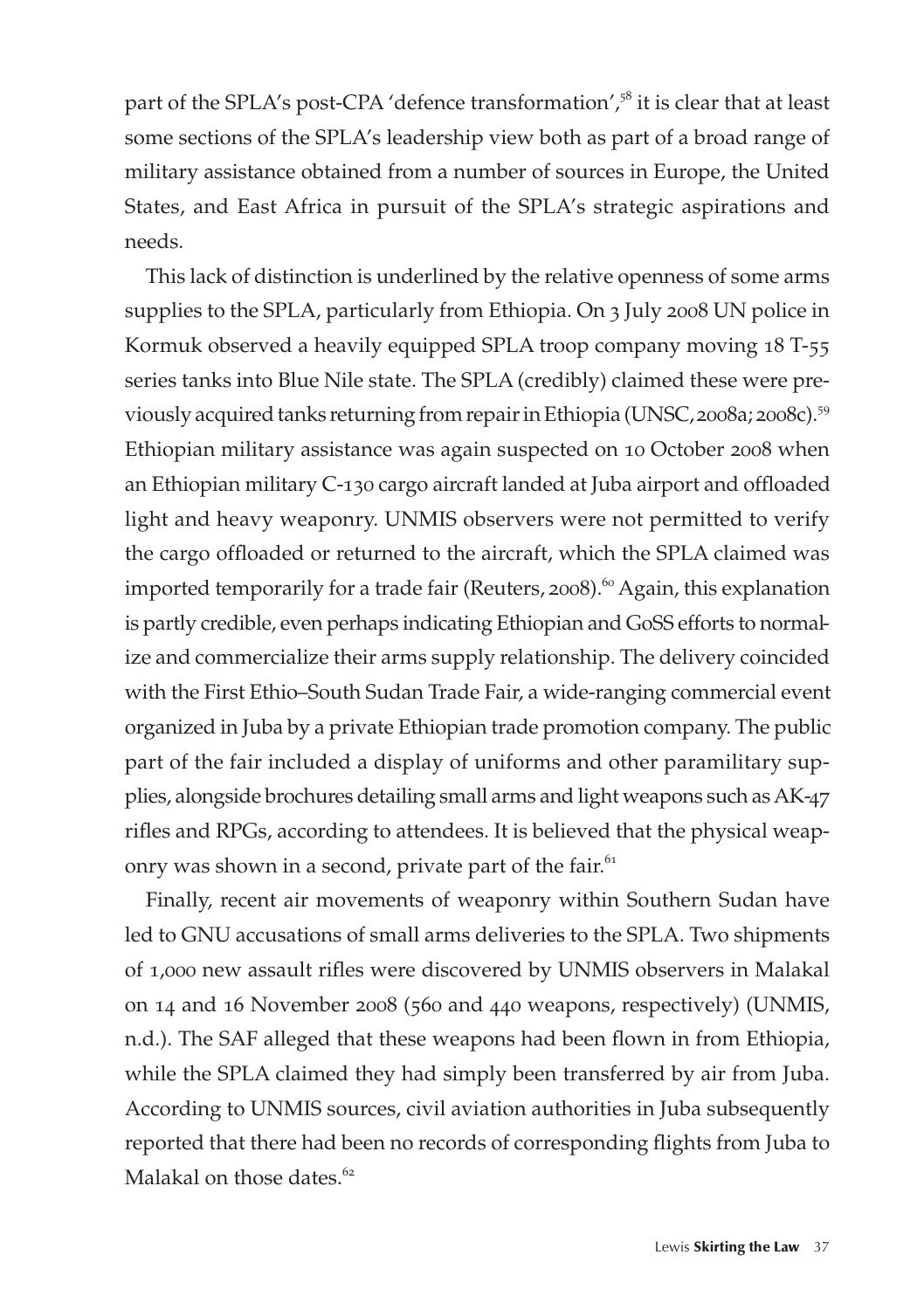part of the SPLA's post-CPA 'defence transformation',<sup>58</sup> it is clear that at least some sections of the SPLA's leadership view both as part of a broad range of military assistance obtained from a number of sources in Europe, the United States, and East Africa in pursuit of the SPLA's strategic aspirations and needs.

This lack of distinction is underlined by the relative openness of some arms supplies to the SPLA, particularly from Ethiopia. On 3 July 2008 UN police in Kormuk observed a heavily equipped SPLA troop company moving 18 T-55 series tanks into Blue Nile state. The SPLA (credibly) claimed these were previously acquired tanks returning from repair in Ethiopia (UNSC, 2008a; 2008c).<sup>59</sup> Ethiopian military assistance was again suspected on 10 October 2008 when an Ethiopian military C-130 cargo aircraft landed at Juba airport and offloaded light and heavy weaponry. UNMIS observers were not permitted to verify the cargo offloaded or returned to the aircraft, which the SPLA claimed was imported temporarily for a trade fair (Reuters, 2008).<sup>60</sup> Again, this explanation is partly credible, even perhaps indicating Ethiopian and GoSS efforts to normalize and commercialize their arms supply relationship. The delivery coincided with the First Ethio–South Sudan Trade Fair, a wide-ranging commercial event organized in Juba by a private Ethiopian trade promotion company. The public part of the fair included a display of uniforms and other paramilitary supplies, alongside brochures detailing small arms and light weapons such as AK-47 rifles and RPGs, according to attendees. It is believed that the physical weaponry was shown in a second, private part of the fair.<sup>61</sup>

Finally, recent air movements of weaponry within Southern Sudan have led to GNU accusations of small arms deliveries to the SPLA. Two shipments of 1,000 new assault rifles were discovered by UNMIS observers in Malakal on 14 and 16 November 2008 (560 and 440 weapons, respectively) (UNMIS, n.d.). The SAF alleged that these weapons had been flown in from Ethiopia, while the SPLA claimed they had simply been transferred by air from Juba. According to UNMIS sources, civil aviation authorities in Juba subsequently reported that there had been no records of corresponding flights from Juba to Malakal on those dates.<sup>62</sup>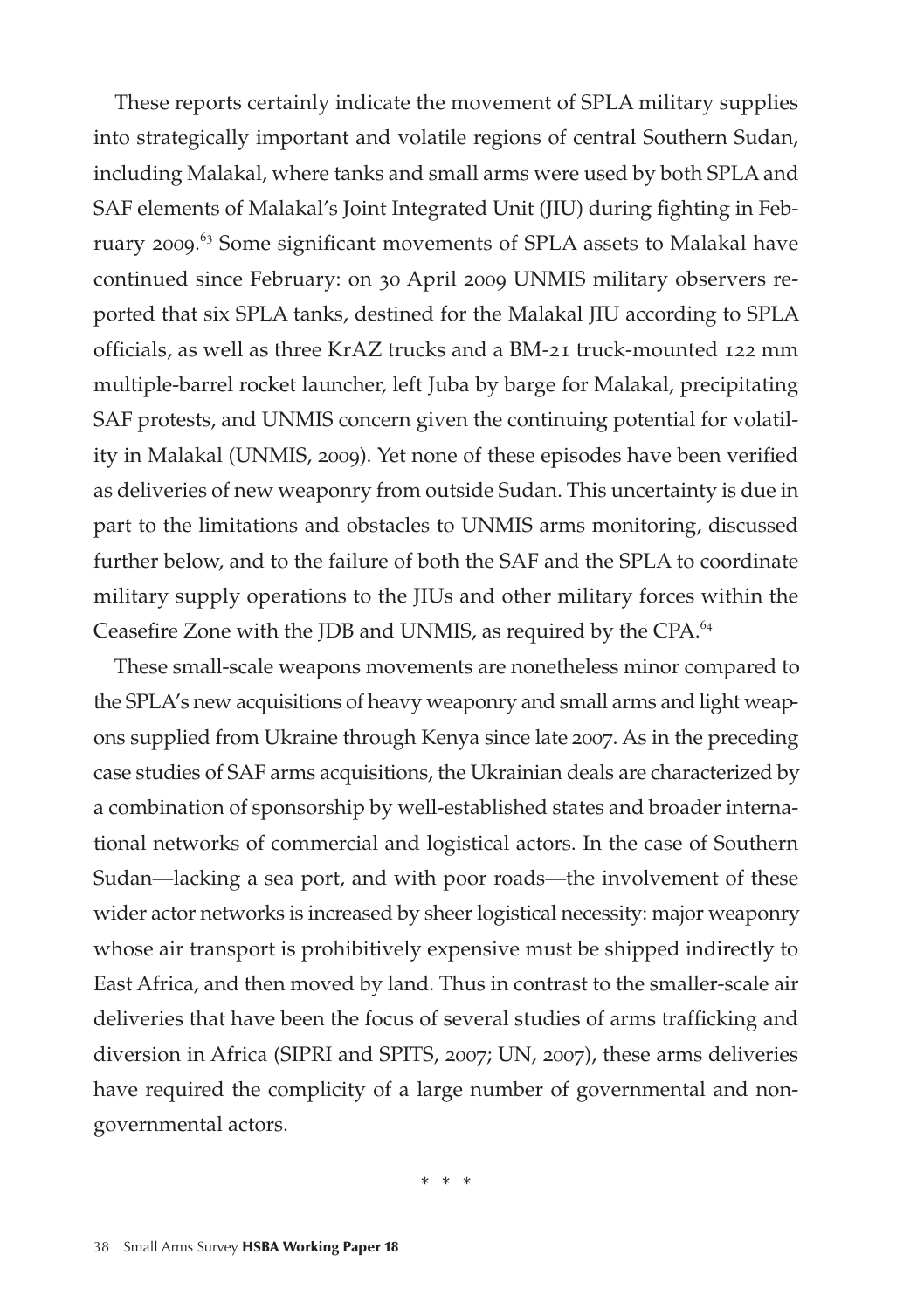These reports certainly indicate the movement of SPLA military supplies into strategically important and volatile regions of central Southern Sudan, including Malakal, where tanks and small arms were used by both SPLA and SAF elements of Malakal's Joint Integrated Unit (JIU) during fighting in February 2009. <sup>63</sup> Some significant movements of SPLA assets to Malakal have continued since February: on 30 April 2009 UNMIS military observers reported that six SPLA tanks, destined for the Malakal JIU according to SPLA officials, as well as three KrAZ trucks and a BM-21 truck-mounted 122 mm multiple-barrel rocket launcher, left Juba by barge for Malakal, precipitating SAF protests, and UNMIS concern given the continuing potential for volatility in Malakal (UNMIS, 2009). Yet none of these episodes have been verified as deliveries of new weaponry from outside Sudan. This uncertainty is due in part to the limitations and obstacles to UNMIS arms monitoring, discussed further below, and to the failure of both the SAF and the SPLA to coordinate military supply operations to the JIUs and other military forces within the Ceasefire Zone with the JDB and UNMIS, as required by the CPA.<sup>64</sup>

These small-scale weapons movements are nonetheless minor compared to the SPLA's new acquisitions of heavy weaponry and small arms and light weapons supplied from Ukraine through Kenya since late 2007. As in the preceding case studies of SAF arms acquisitions, the Ukrainian deals are characterized by a combination of sponsorship by well-established states and broader international networks of commercial and logistical actors. In the case of Southern Sudan—lacking a sea port, and with poor roads—the involvement of these wider actor networks is increased by sheer logistical necessity: major weaponry whose air transport is prohibitively expensive must be shipped indirectly to East Africa, and then moved by land. Thus in contrast to the smaller-scale air deliveries that have been the focus of several studies of arms trafficking and diversion in Africa (SIPRI and SPITS, 2007; UN, 2007), these arms deliveries have required the complicity of a large number of governmental and nongovernmental actors.

\* \* \*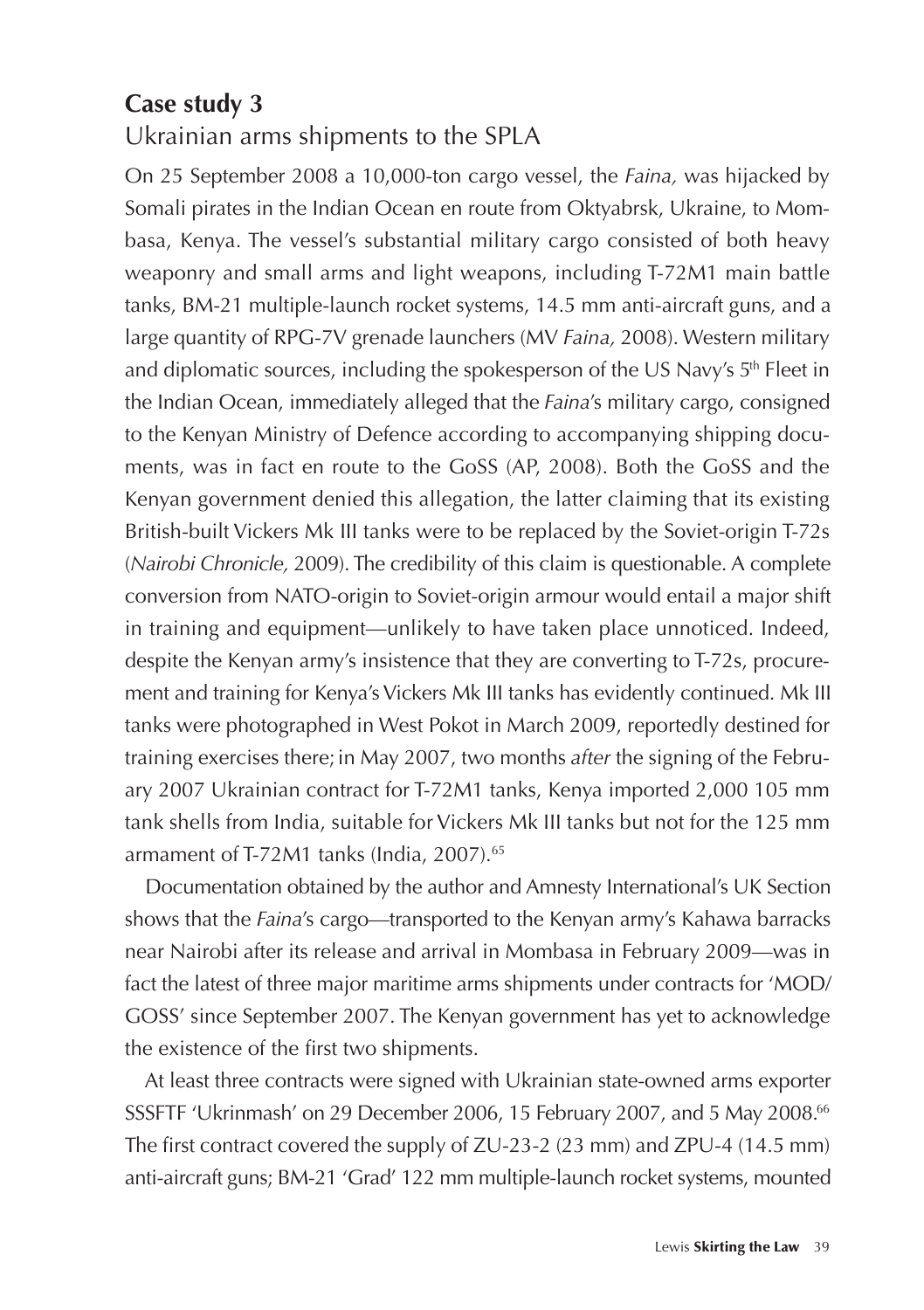#### **Case study 3**

Ukrainian arms shipments to the SPLA

On 25 September 2008 a 10,000-ton cargo vessel, the *Faina,* was hijacked by Somali pirates in the Indian Ocean en route from Oktyabrsk, Ukraine, to Mombasa, Kenya. The vessel's substantial military cargo consisted of both heavy weaponry and small arms and light weapons, including T-72M1 main battle tanks, BM-21 multiple-launch rocket systems, 14.5 mm anti-aircraft guns, and a large quantity of RPG-7V grenade launchers (MV *Faina,* 2008). Western military and diplomatic sources, including the spokesperson of the US Navy's 5<sup>th</sup> Fleet in the Indian Ocean, immediately alleged that the *Faina*'s military cargo, consigned to the Kenyan Ministry of Defence according to accompanying shipping documents, was in fact en route to the GoSS (AP, 2008). Both the GoSS and the Kenyan government denied this allegation, the latter claiming that its existing British-built Vickers Mk III tanks were to be replaced by the Soviet-origin T-72s (*Nairobi Chronicle,* 2009). The credibility of this claim is questionable. A complete conversion from NATO-origin to Soviet-origin armour would entail a major shift in training and equipment—unlikely to have taken place unnoticed. Indeed, despite the Kenyan army's insistence that they are converting to T-72s, procurement and training for Kenya's Vickers Mk III tanks has evidently continued. Mk III tanks were photographed in West Pokot in March 2009, reportedly destined for training exercises there;in May 2007, two months *after* the signing of the February 2007 Ukrainian contract for T-72M1 tanks, Kenya imported 2,000 105 mm tank shells from India, suitable for Vickers Mk III tanks but not for the 125 mm armament of T-72M1 tanks (India, 2007).<sup>65</sup>

Documentation obtained by the author and Amnesty International's UK Section shows that the *Faina*'s cargo—transported to the Kenyan army's Kahawa barracks near Nairobi after its release and arrival in Mombasa in February 2009—was in fact the latest of three major maritime arms shipments under contracts for 'MOD/ GOSS' since September 2007. The Kenyan government has yet to acknowledge the existence of the first two shipments.

At least three contracts were signed with Ukrainian state-owned arms exporter SSSFTF 'Ukrinmash' on 29 December 2006, 15 February 2007, and 5 May 2008.66 The first contract covered the supply of ZU-23-2 (23 mm) and ZPU-4 (14.5 mm) anti-aircraft guns; BM-21 'Grad' 122 mm multiple-launch rocket systems, mounted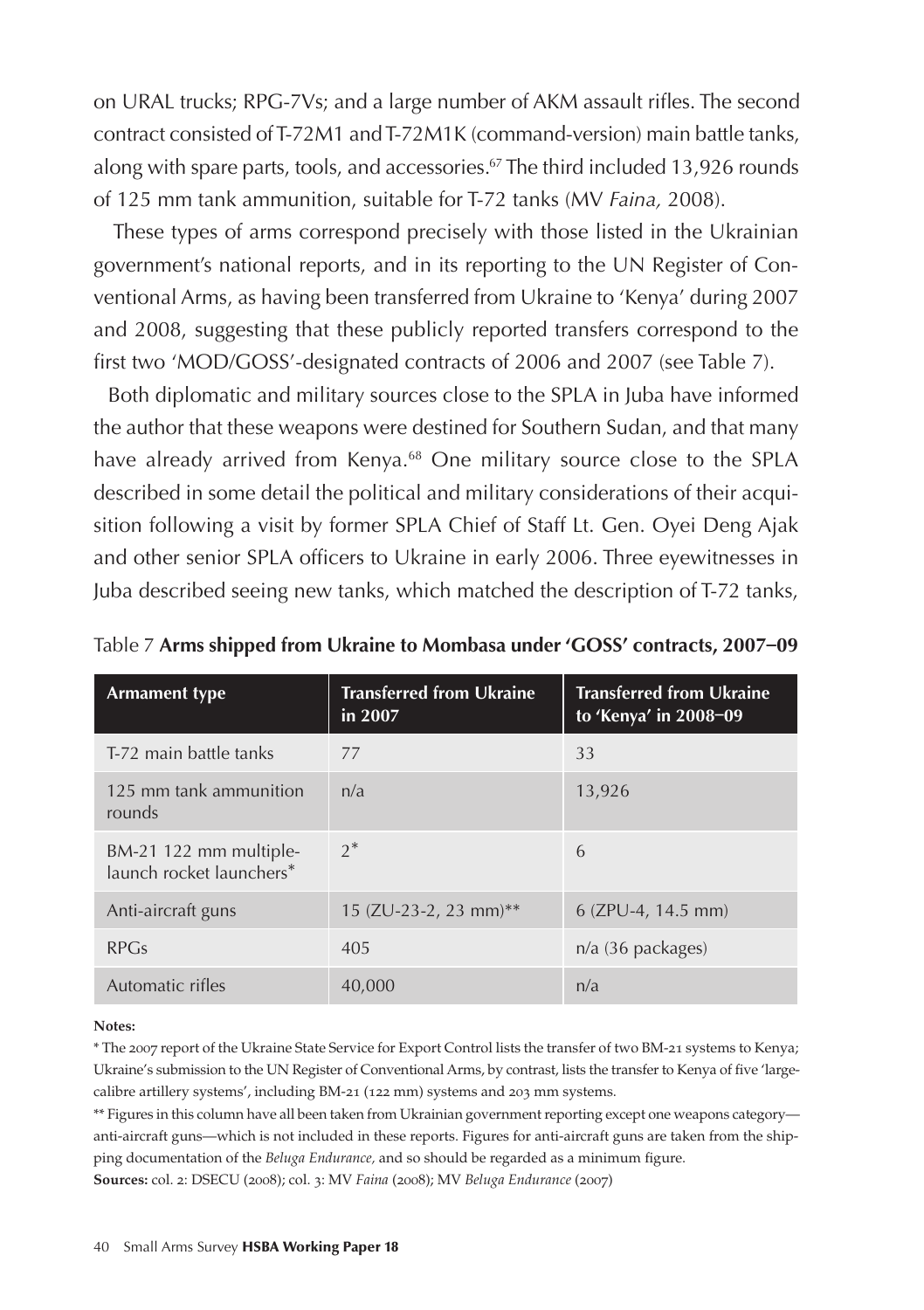on URAL trucks; RPG-7Vs; and a large number of AKM assault rifles. The second contract consisted of T-72M1 and T-72M1K (command-version) main battle tanks, along with spare parts, tools, and accessories.<sup>67</sup> The third included 13,926 rounds of 125 mm tank ammunition, suitable for T-72 tanks (MV *Faina,* 2008).

These types of arms correspond precisely with those listed in the Ukrainian government's national reports, and in its reporting to the UN Register of Conventional Arms, as having been transferred from Ukraine to 'Kenya' during 2007 and 2008, suggesting that these publicly reported transfers correspond to the first two 'MOD/GOSS'-designated contracts of 2006 and 2007 (see Table 7).

Both diplomatic and military sources close to the SPLA in Juba have informed the author that these weapons were destined for Southern Sudan, and that many have already arrived from Kenya.<sup>68</sup> One military source close to the SPLA described in some detail the political and military considerations of their acquisition following a visit by former SPLA Chief of Staff Lt. Gen. Oyei Deng Ajak and other senior SPLA officers to Ukraine in early 2006. Three eyewitnesses in Juba described seeing new tanks, which matched the description of T-72 tanks,

| <b>Armament type</b>                               | <b>Transferred from Ukraine</b><br>in 2007 | <b>Transferred from Ukraine</b><br>to 'Kenya' in 2008-09 |
|----------------------------------------------------|--------------------------------------------|----------------------------------------------------------|
| T-72 main battle tanks                             | 77                                         | 33                                                       |
| 125 mm tank ammunition<br>rounds                   | n/a                                        | 13,926                                                   |
| BM-21 122 mm multiple-<br>launch rocket launchers* | $2^*$                                      | 6                                                        |
| Anti-aircraft guns                                 | 15 (ZU-23-2, 23 mm)**                      | $6$ (ZPU-4, 14.5 mm)                                     |
| RPGs                                               | 405                                        | $n/a$ (36 packages)                                      |
| Automatic rifles                                   | 40,000                                     | n/a                                                      |

Table 7 **Arms shipped from Ukraine to Mombasa under 'GOSS' contracts, 2007–09**

#### **Notes:**

\* The 2007 report of the Ukraine State Service for Export Control lists the transfer of two BM-21 systems to Kenya; Ukraine's submission to the UN Register of Conventional Arms, by contrast, lists the transfer to Kenya of five 'largecalibre artillery systems', including BM-21 (122 mm) systems and 203 mm systems.

\*\* Figures in this column have all been taken from Ukrainian government reporting except one weapons category anti-aircraft guns—which is not included in these reports. Figures for anti-aircraft guns are taken from the shipping documentation of the *Beluga Endurance,* and so should be regarded as a minimum figure. **Sources:** col. 2: DSECU (2008); col. 3: MV *Faina* (2008); MV *Beluga Endurance* (2007)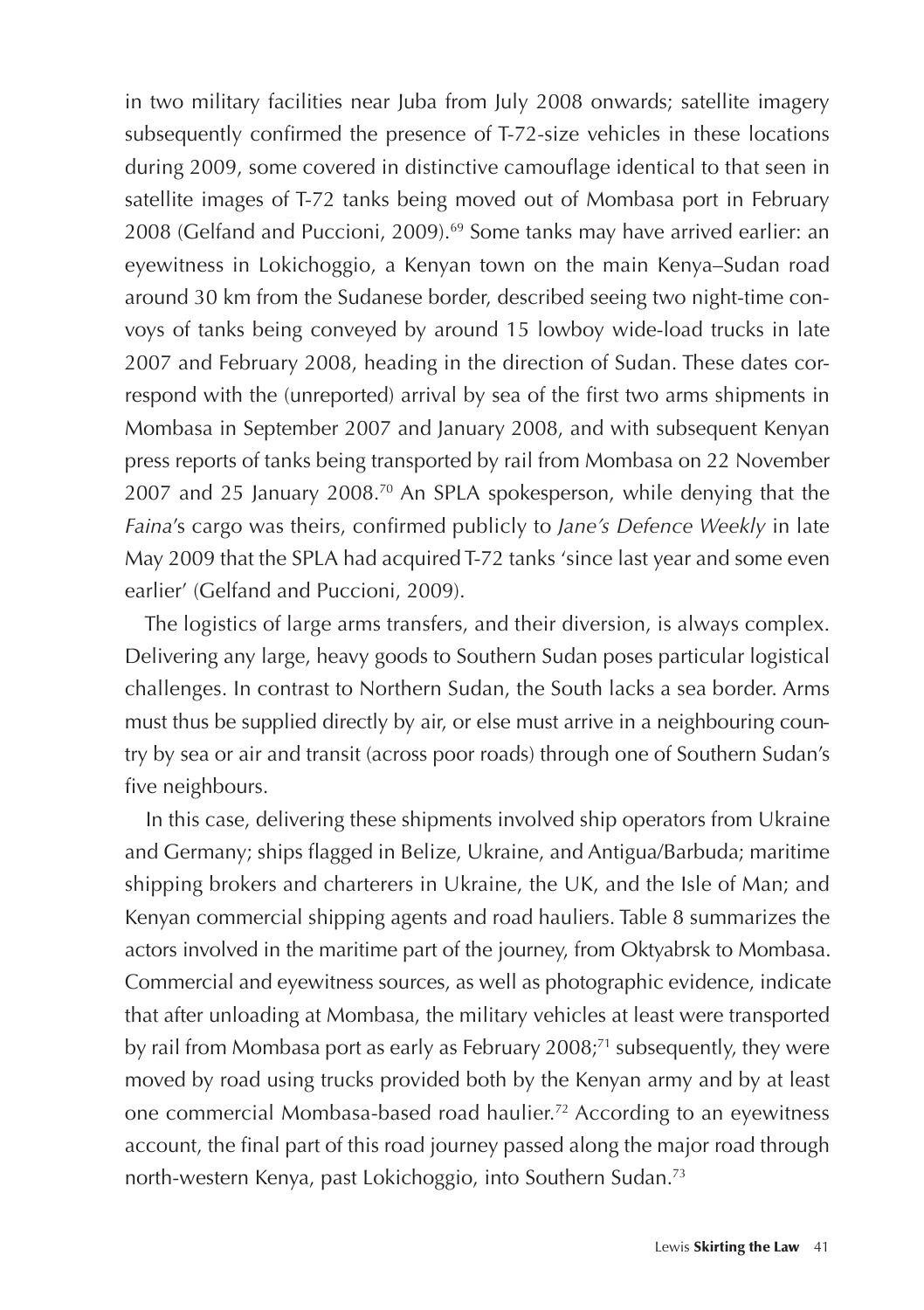in two military facilities near Juba from July 2008 onwards; satellite imagery subsequently confirmed the presence of T-72-size vehicles in these locations during 2009, some covered in distinctive camouflage identical to that seen in satellite images of T-72 tanks being moved out of Mombasa port in February 2008 (Gelfand and Puccioni, 2009).69 Some tanks may have arrived earlier: an eyewitness in Lokichoggio, a Kenyan town on the main Kenya–Sudan road around 30 km from the Sudanese border, described seeing two night-time convoys of tanks being conveyed by around 15 lowboy wide-load trucks in late 2007 and February 2008, heading in the direction of Sudan. These dates correspond with the (unreported) arrival by sea of the first two arms shipments in Mombasa in September 2007 and January 2008, and with subsequent Kenyan press reports of tanks being transported by rail from Mombasa on 22 November 2007 and 25 January 2008.70 An SPLA spokesperson, while denying that the *Faina*'s cargo was theirs, confirmed publicly to *Jane's Defence Weekly* in late May 2009 that the SPLA had acquired T-72 tanks 'since last year and some even earlier' (Gelfand and Puccioni, 2009).

The logistics of large arms transfers, and their diversion, is always complex. Delivering any large, heavy goods to Southern Sudan poses particular logistical challenges. In contrast to Northern Sudan, the South lacks a sea border. Arms must thus be supplied directly by air, or else must arrive in a neighbouring country by sea or air and transit (across poor roads) through one of Southern Sudan's five neighbours.

In this case, delivering these shipments involved ship operators from Ukraine and Germany; ships flagged in Belize, Ukraine, and Antigua/Barbuda; maritime shipping brokers and charterers in Ukraine, the UK, and the Isle of Man; and Kenyan commercial shipping agents and road hauliers. Table 8 summarizes the actors involved in the maritime part of the journey, from Oktyabrsk to Mombasa. Commercial and eyewitness sources, as well as photographic evidence, indicate that after unloading at Mombasa, the military vehicles at least were transported by rail from Mombasa port as early as February 2008;<sup>71</sup> subsequently, they were moved by road using trucks provided both by the Kenyan army and by at least one commercial Mombasa-based road haulier.72 According to an eyewitness account, the final part of this road journey passed along the major road through north-western Kenya, past Lokichoggio, into Southern Sudan.73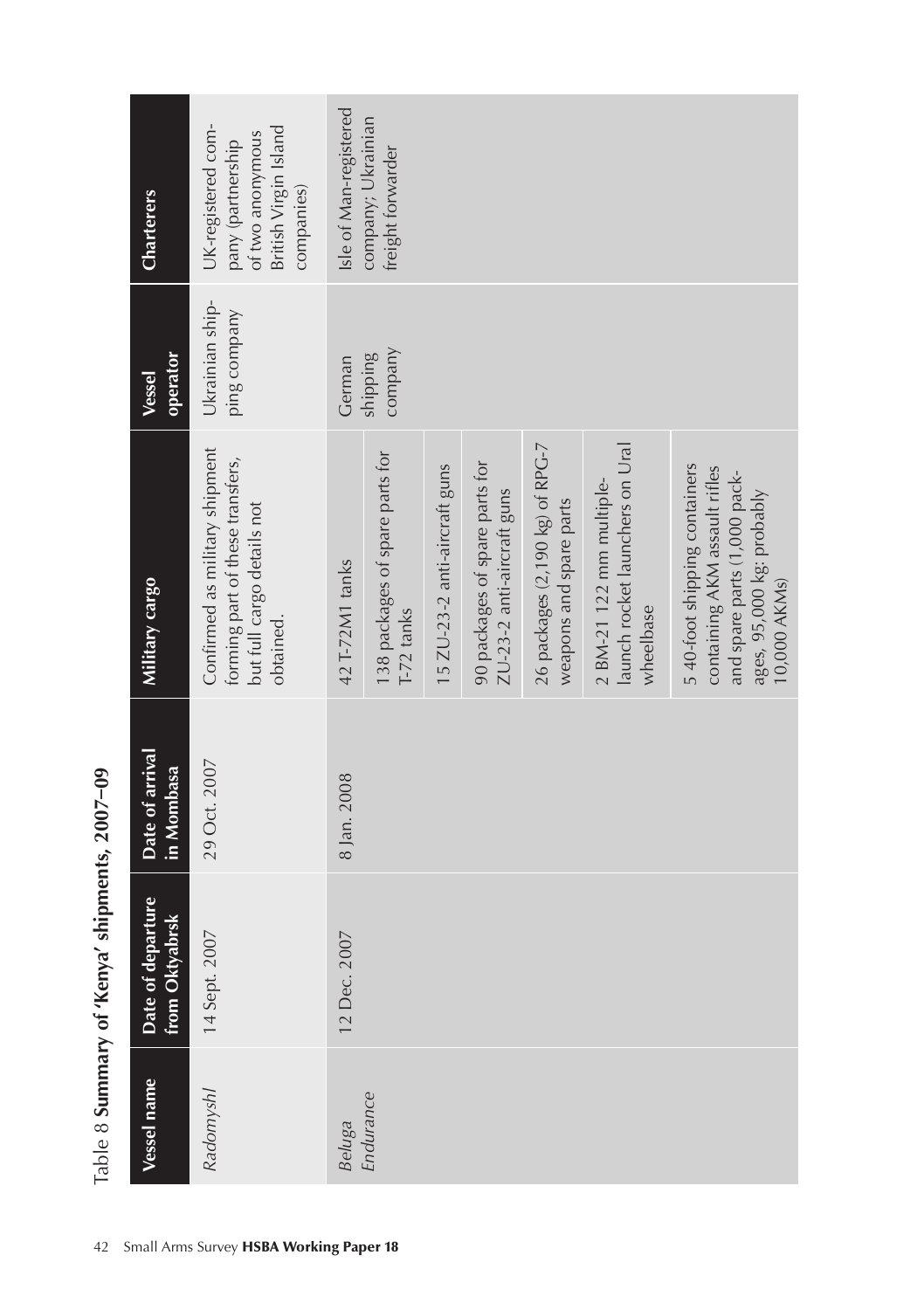| Charterers                          | UK-registered com-<br>of two anonymous<br>British Virgin Island<br>pany (partnership<br>companies)            | Isle of Man-registered | company; Ukrainian<br>freight forwarder         |                               |                                                              |                                                            |                                                                            |                                                                                                                                             |
|-------------------------------------|---------------------------------------------------------------------------------------------------------------|------------------------|-------------------------------------------------|-------------------------------|--------------------------------------------------------------|------------------------------------------------------------|----------------------------------------------------------------------------|---------------------------------------------------------------------------------------------------------------------------------------------|
| operator<br>Vessel                  | Ukrainian ship-<br>ping company                                                                               | German                 | company<br><b>Shipping</b>                      |                               |                                                              |                                                            |                                                                            |                                                                                                                                             |
| Military cargo                      | Confirmed as military shipment<br>forming part of these transfers,<br>but full cargo details not<br>obtained. | 42 T-72M1 tanks        | 138 packages of spare parts for<br>$T-72$ tanks | 15 ZU-23-2 anti-aircraft guns | 90 packages of spare parts for<br>ZU-23-2 anti-aircraft guns | 26 packages (2,190 kg) of RPG-7<br>weapons and spare parts | launch rocket launchers on Ural<br>$2$ BM-21 122 mm multiple-<br>wheelbase | 5 40-foot shipping containers<br>containing AKM assault rifles<br>and spare parts (1,000 pack-<br>ages, 95,000 kg: probably<br>10,000 AKMs) |
| Date of arrival<br>in Mombasa       | 29 Oct. 2007                                                                                                  | 8 Jan. 2008            |                                                 |                               |                                                              |                                                            |                                                                            |                                                                                                                                             |
| Date of departure<br>from Oktyabrsk | 14 Sept. 2007                                                                                                 | 12 Dec. 2007           |                                                 |                               |                                                              |                                                            |                                                                            |                                                                                                                                             |
| Vessel name                         | Radomyshl                                                                                                     | Beluga<br>Endurance    |                                                 |                               |                                                              |                                                            |                                                                            |                                                                                                                                             |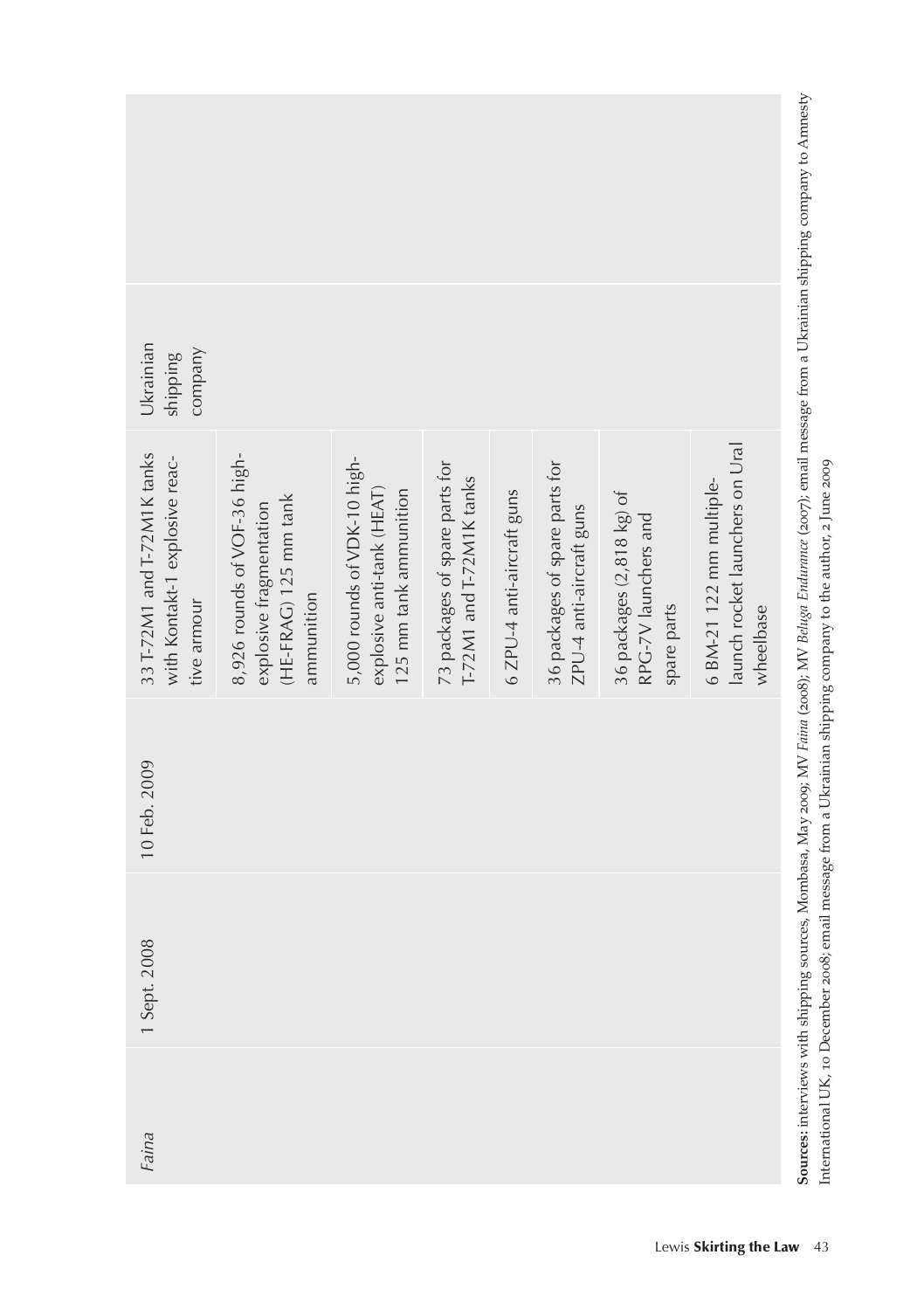|  | Ukrainian<br>company<br>shipping                                             |                                                                                                |                                                                                      |                                                            |                            |                                                            |                                                                  |                                                                            |                                                                                                                                                                                                                                                                                         |
|--|------------------------------------------------------------------------------|------------------------------------------------------------------------------------------------|--------------------------------------------------------------------------------------|------------------------------------------------------------|----------------------------|------------------------------------------------------------|------------------------------------------------------------------|----------------------------------------------------------------------------|-----------------------------------------------------------------------------------------------------------------------------------------------------------------------------------------------------------------------------------------------------------------------------------------|
|  | 33 T-72M1 and T-72M1K tanks<br>with Kontakt-1 explosive reac-<br>tive armour | 8,926 rounds of VOF-36 high-<br>(HE-FRAG) 125 mm tank<br>explosive fragmentation<br>ammunition | 5,000 rounds of VDK-10 high-<br>explosive anti-tank (HEAT)<br>125 mm tank ammunition | 73 packages of spare parts for<br>T-72M1 and T-72M1K tanks | 6 ZPU-4 anti-aircraft guns | 36 packages of spare parts for<br>ZPU-4 anti-aircraft guns | 36 packages (2,818 kg) of<br>RPG-7V launchers and<br>spare parts | launch rocket launchers on Ural<br>$6$ BM-21 122 mm multiple-<br>wheelbase | Sources: interviews with shipping sources, Mombasa, May 2009; MV Faina (2008); MV Beluga Endurance (2007); email message from a Ukrainian shipping company to Amnesty<br>International UK, 10 December 2008; email message from a Ukrainian shipping company to the author, 2 June 2009 |
|  | 10 Feb. 2009                                                                 |                                                                                                |                                                                                      |                                                            |                            |                                                            |                                                                  |                                                                            |                                                                                                                                                                                                                                                                                         |
|  | 1 Sept. 2008                                                                 |                                                                                                |                                                                                      |                                                            |                            |                                                            |                                                                  |                                                                            |                                                                                                                                                                                                                                                                                         |
|  | Faina                                                                        |                                                                                                |                                                                                      |                                                            |                            |                                                            |                                                                  |                                                                            |                                                                                                                                                                                                                                                                                         |
|  |                                                                              |                                                                                                |                                                                                      |                                                            |                            |                                                            |                                                                  | Lewis Skirting the Law 43                                                  |                                                                                                                                                                                                                                                                                         |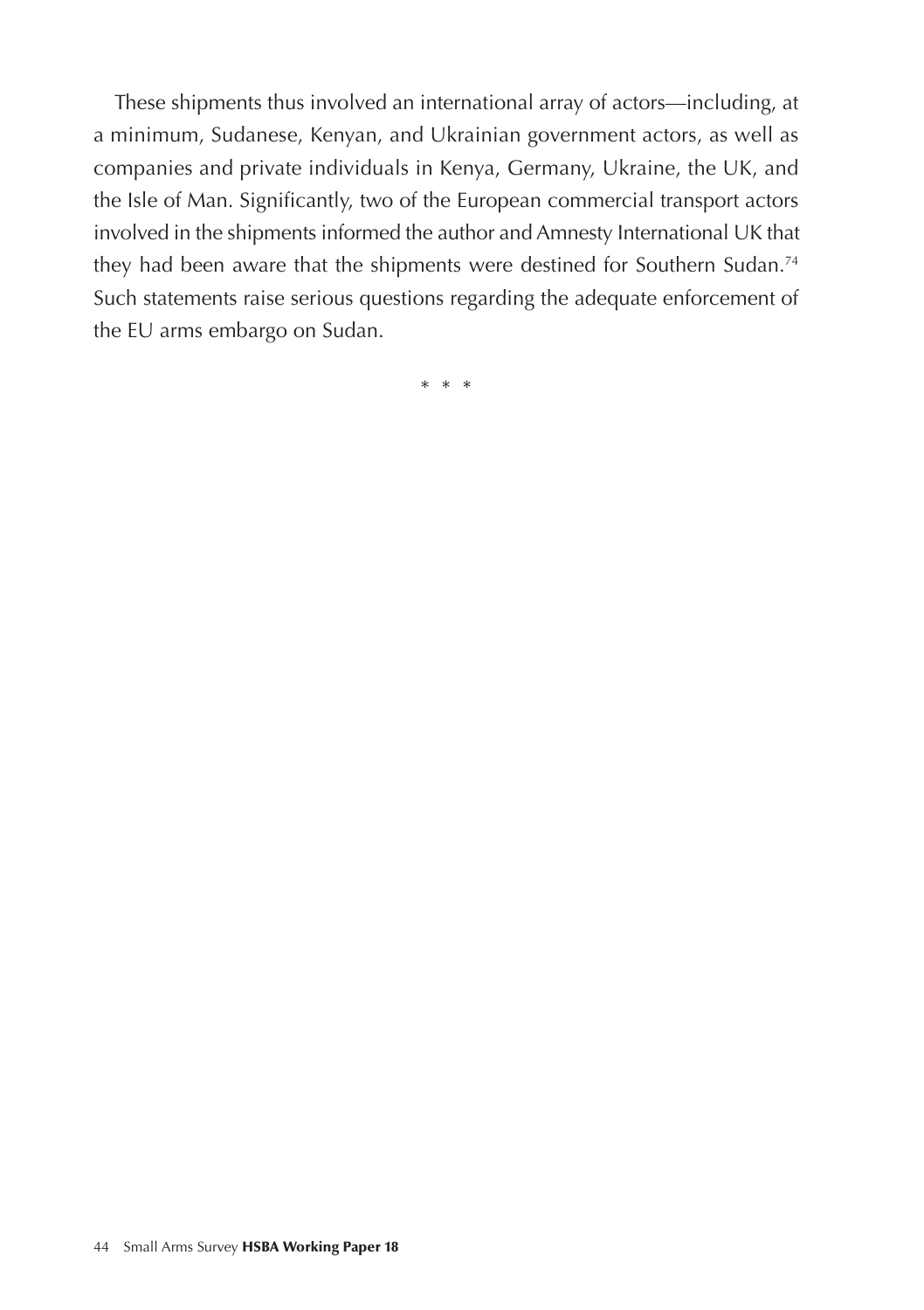These shipments thus involved an international array of actors—including, at a minimum, Sudanese, Kenyan, and Ukrainian government actors, as well as companies and private individuals in Kenya, Germany, Ukraine, the UK, and the Isle of Man. Significantly, two of the European commercial transport actors involved in the shipments informed the author and Amnesty International UK that they had been aware that the shipments were destined for Southern Sudan.<sup>74</sup> Such statements raise serious questions regarding the adequate enforcement of the EU arms embargo on Sudan.

\* \* \*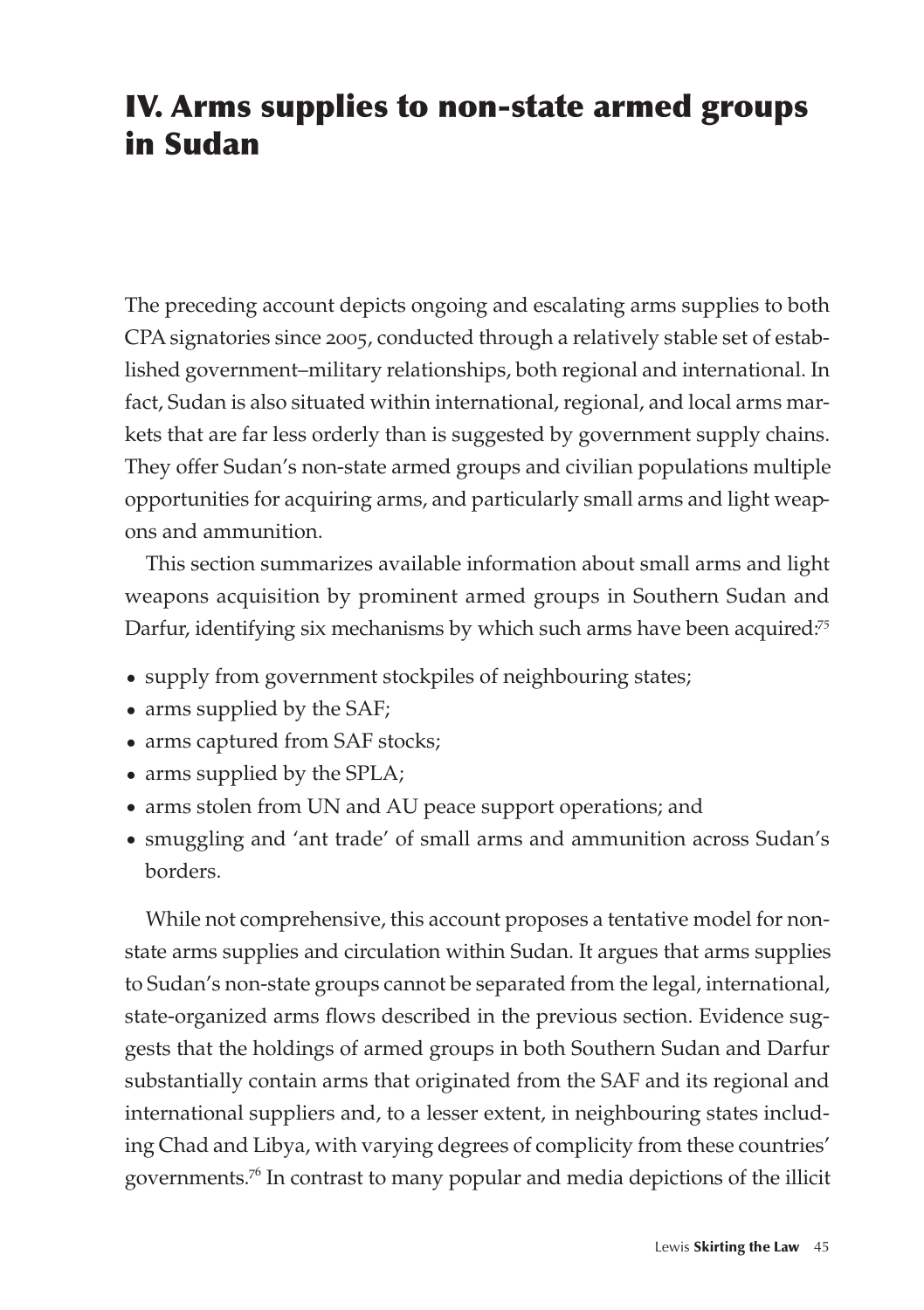# IV. Arms supplies to non-state armed groups in Sudan

The preceding account depicts ongoing and escalating arms supplies to both CPA signatories since 2005, conducted through a relatively stable set of established government–military relationships, both regional and international. In fact, Sudan is also situated within international, regional, and local arms markets that are far less orderly than is suggested by government supply chains. They offer Sudan's non-state armed groups and civilian populations multiple opportunities for acquiring arms, and particularly small arms and light weapons and ammunition.

This section summarizes available information about small arms and light weapons acquisition by prominent armed groups in Southern Sudan and Darfur, identifying six mechanisms by which such arms have been acquired.<sup>75</sup>

- supply from government stockpiles of neighbouring states;
- arms supplied by the SAF;
- arms captured from SAF stocks;
- arms supplied by the SPLA;
- arms stolen from UN and AU peace support operations; and
- s smuggling and 'ant trade' of small arms and ammunition across Sudan's borders.

While not comprehensive, this account proposes a tentative model for nonstate arms supplies and circulation within Sudan. It argues that arms supplies to Sudan's non-state groups cannot be separated from the legal, international, state-organized arms flows described in the previous section. Evidence suggests that the holdings of armed groups in both Southern Sudan and Darfur substantially contain arms that originated from the SAF and its regional and international suppliers and, to a lesser extent, in neighbouring states including Chad and Libya, with varying degrees of complicity from these countries' governments.<sup>76</sup> In contrast to many popular and media depictions of the illicit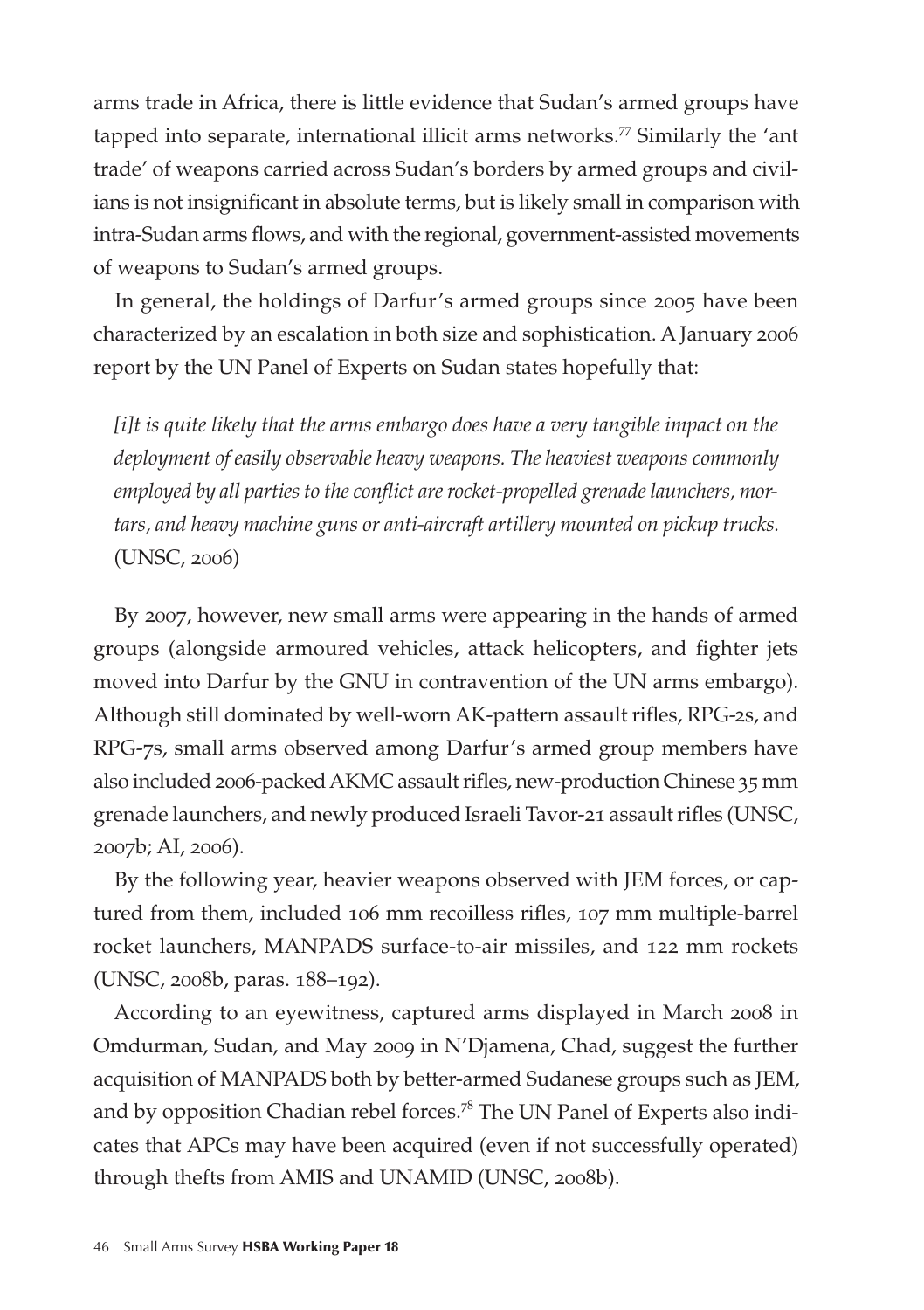arms trade in Africa, there is little evidence that Sudan's armed groups have tapped into separate, international illicit arms networks.<sup>77</sup> Similarly the 'ant trade' of weapons carried across Sudan's borders by armed groups and civilians is not insignificant in absolute terms, but is likely small in comparison with intra-Sudan arms flows, and with the regional, government-assisted movements of weapons to Sudan's armed groups.

In general, the holdings of Darfur's armed groups since 2005 have been characterized by an escalation in both size and sophistication. A January 2006 report by the UN Panel of Experts on Sudan states hopefully that:

*[i]t is quite likely that the arms embargo does have a very tangible impact on the deployment of easily observable heavy weapons. The heaviest weapons commonly employed by all parties to the conflict are rocket-propelled grenade launchers, mortars, and heavy machine guns or anti-aircraft artillery mounted on pickup trucks.*  (UNSC, 2006)

By 2007, however, new small arms were appearing in the hands of armed groups (alongside armoured vehicles, attack helicopters, and fighter jets moved into Darfur by the GNU in contravention of the UN arms embargo). Although still dominated by well-worn AK-pattern assault rifles, RPG-2s, and RPG-7s, small arms observed among Darfur's armed group members have also included 2006-packed AKMC assault rifles, new-production Chinese 35 mm grenade launchers, and newly produced Israeli Tavor-21 assault rifles (UNSC, 2007b; AI, 2006).

By the following year, heavier weapons observed with JEM forces, or captured from them, included 106 mm recoilless rifles, 107 mm multiple-barrel rocket launchers, MANPADS surface-to-air missiles, and 122 mm rockets (UNSC, 2008b, paras. 188–192).

According to an eyewitness, captured arms displayed in March 2008 in Omdurman, Sudan, and May 2009 in N'Djamena, Chad, suggest the further acquisition of MANPADS both by better-armed Sudanese groups such as JEM, and by opposition Chadian rebel forces.<sup>78</sup> The UN Panel of Experts also indicates that APCs may have been acquired (even if not successfully operated) through thefts from AMIS and UNAMID (UNSC, 2008b).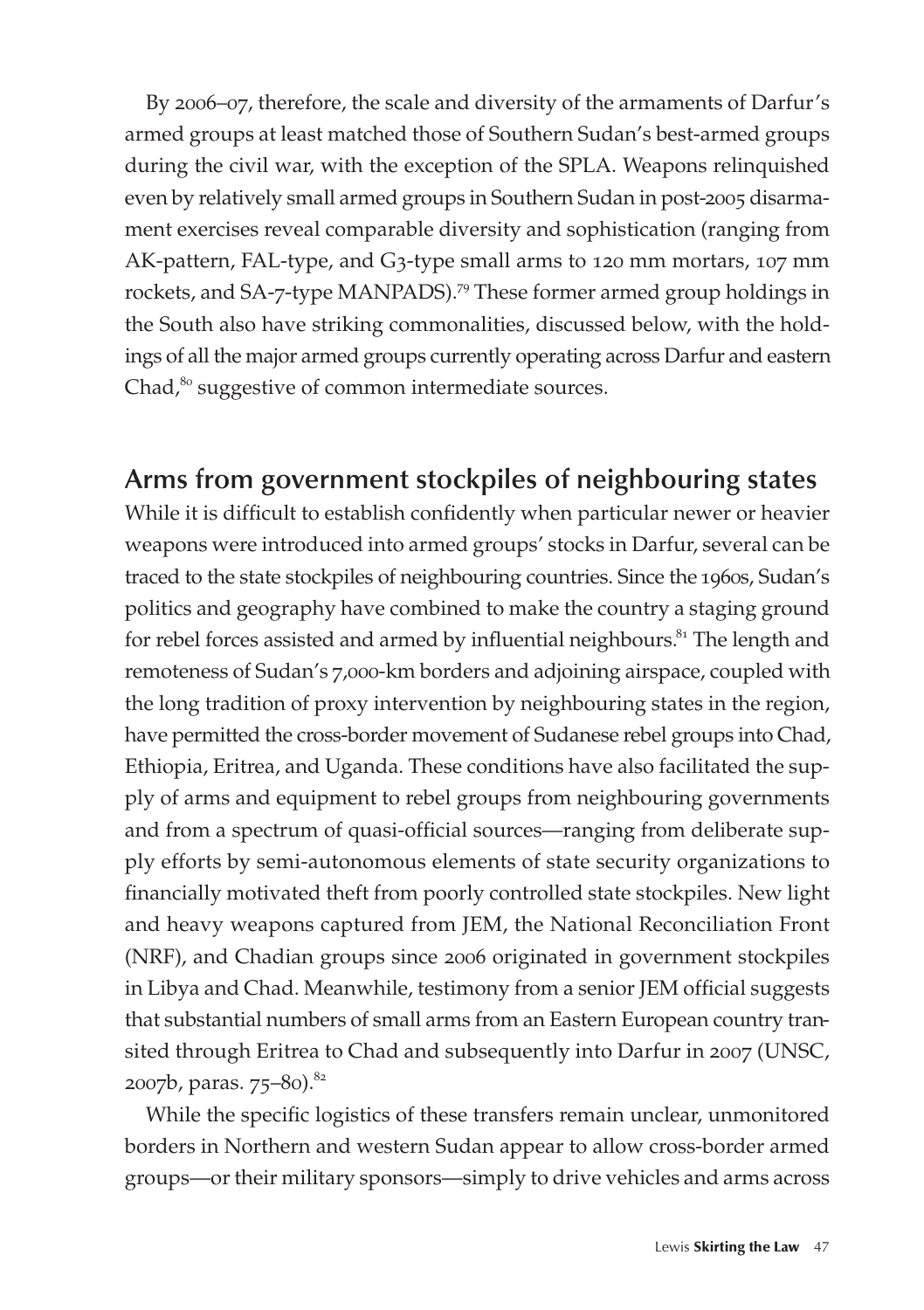By 2006–07, therefore, the scale and diversity of the armaments of Darfur's armed groups at least matched those of Southern Sudan's best-armed groups during the civil war, with the exception of the SPLA. Weapons relinquished even by relatively small armed groups in Southern Sudan in post-2005 disarmament exercises reveal comparable diversity and sophistication (ranging from AK-pattern, FAL-type, and G3-type small arms to 120 mm mortars, 107 mm rockets, and SA-7-type MANPADS).<sup>79</sup> These former armed group holdings in the South also have striking commonalities, discussed below, with the holdings of all the major armed groups currently operating across Darfur and eastern Chad, $80$  suggestive of common intermediate sources.

### **Arms from government stockpiles of neighbouring states**

While it is difficult to establish confidently when particular newer or heavier weapons were introduced into armed groups' stocks in Darfur, several can be traced to the state stockpiles of neighbouring countries. Since the 1960s, Sudan's politics and geography have combined to make the country a staging ground for rebel forces assisted and armed by influential neighbours.<sup>81</sup> The length and remoteness of Sudan's 7,000-km borders and adjoining airspace, coupled with the long tradition of proxy intervention by neighbouring states in the region, have permitted the cross-border movement of Sudanese rebel groups into Chad, Ethiopia, Eritrea, and Uganda. These conditions have also facilitated the supply of arms and equipment to rebel groups from neighbouring governments and from a spectrum of quasi-official sources—ranging from deliberate supply efforts by semi-autonomous elements of state security organizations to financially motivated theft from poorly controlled state stockpiles. New light and heavy weapons captured from JEM, the National Reconciliation Front (NRF), and Chadian groups since 2006 originated in government stockpiles in Libya and Chad. Meanwhile, testimony from a senior JEM official suggests that substantial numbers of small arms from an Eastern European country transited through Eritrea to Chad and subsequently into Darfur in 2007 (UNSC, 2007b, paras. 75–80).<sup>82</sup>

While the specific logistics of these transfers remain unclear, unmonitored borders in Northern and western Sudan appear to allow cross-border armed groups—or their military sponsors—simply to drive vehicles and arms across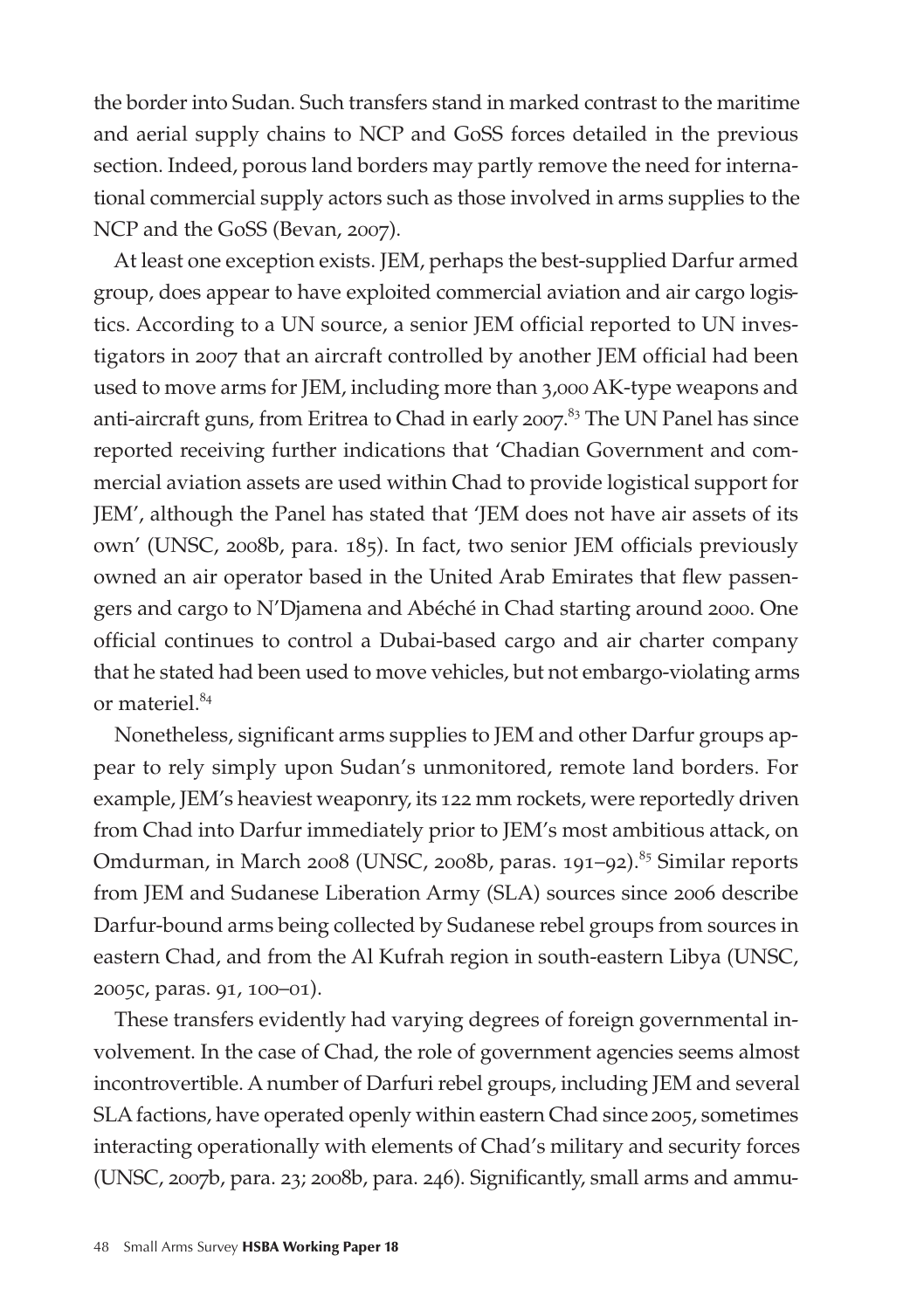the border into Sudan. Such transfers stand in marked contrast to the maritime and aerial supply chains to NCP and GoSS forces detailed in the previous section. Indeed, porous land borders may partly remove the need for international commercial supply actors such as those involved in arms supplies to the NCP and the GoSS (Bevan, 2007).

At least one exception exists. JEM, perhaps the best-supplied Darfur armed group, does appear to have exploited commercial aviation and air cargo logistics. According to a UN source, a senior JEM official reported to UN investigators in 2007 that an aircraft controlled by another JEM official had been used to move arms for JEM, including more than 3,000 AK-type weapons and anti-aircraft guns, from Eritrea to Chad in early 2007. <sup>83</sup> The UN Panel has since reported receiving further indications that 'Chadian Government and commercial aviation assets are used within Chad to provide logistical support for JEM', although the Panel has stated that 'JEM does not have air assets of its own' (UNSC, 2008b, para. 185). In fact, two senior JEM officials previously owned an air operator based in the United Arab Emirates that flew passengers and cargo to N'Djamena and Abéché in Chad starting around 2000. One official continues to control a Dubai-based cargo and air charter company that he stated had been used to move vehicles, but not embargo-violating arms or materiel.<sup>84</sup>

Nonetheless, significant arms supplies to JEM and other Darfur groups appear to rely simply upon Sudan's unmonitored, remote land borders. For example, JEM's heaviest weaponry, its 122 mm rockets, were reportedly driven from Chad into Darfur immediately prior to JEM's most ambitious attack, on Omdurman, in March 2008 (UNSC, 2008b, paras. 191-92).<sup>85</sup> Similar reports from JEM and Sudanese Liberation Army (SLA) sources since 2006 describe Darfur-bound arms being collected by Sudanese rebel groups from sources in eastern Chad, and from the Al Kufrah region in south-eastern Libya (UNSC, 2005c, paras. 91, 100–01).

These transfers evidently had varying degrees of foreign governmental involvement. In the case of Chad, the role of government agencies seems almost incontrovertible. A number of Darfuri rebel groups, including JEM and several SLA factions, have operated openly within eastern Chad since 2005, sometimes interacting operationally with elements of Chad's military and security forces (UNSC, 2007b, para. 23; 2008b, para. 246). Significantly, small arms and ammu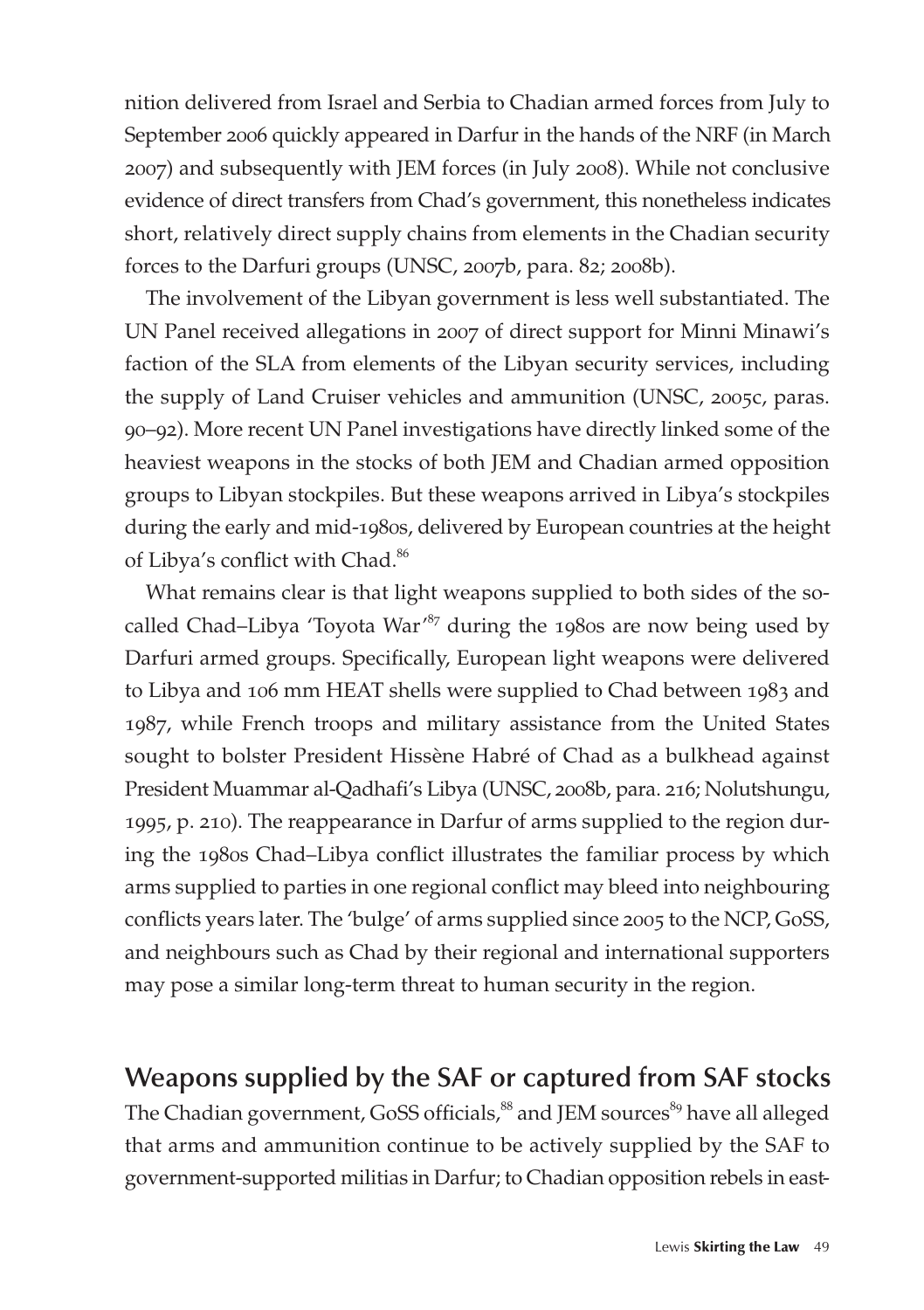nition delivered from Israel and Serbia to Chadian armed forces from July to September 2006 quickly appeared in Darfur in the hands of the NRF (in March 2007) and subsequently with JEM forces (in July 2008). While not conclusive evidence of direct transfers from Chad's government, this nonetheless indicates short, relatively direct supply chains from elements in the Chadian security forces to the Darfuri groups (UNSC, 2007b, para. 82; 2008b).

The involvement of the Libyan government is less well substantiated. The UN Panel received allegations in 2007 of direct support for Minni Minawi's faction of the SLA from elements of the Libyan security services, including the supply of Land Cruiser vehicles and ammunition (UNSC, 2005c, paras. 90–92). More recent UN Panel investigations have directly linked some of the heaviest weapons in the stocks of both JEM and Chadian armed opposition groups to Libyan stockpiles. But these weapons arrived in Libya's stockpiles during the early and mid-1980s, delivered by European countries at the height of Libya's conflict with Chad.<sup>86</sup>

What remains clear is that light weapons supplied to both sides of the socalled Chad–Libya 'Toyota War<sup>,87</sup> during the 1980s are now being used by Darfuri armed groups. Specifically, European light weapons were delivered to Libya and 106 mm HEAT shells were supplied to Chad between 1983 and 1987, while French troops and military assistance from the United States sought to bolster President Hissène Habré of Chad as a bulkhead against President Muammar al-Qadhafi's Libya (UNSC, 2008b, para. 216; Nolutshungu, 1995, p. 210). The reappearance in Darfur of arms supplied to the region during the 1980s Chad–Libya conflict illustrates the familiar process by which arms supplied to parties in one regional conflict may bleed into neighbouring conflicts years later. The 'bulge' of arms supplied since 2005 to the NCP, GoSS, and neighbours such as Chad by their regional and international supporters may pose a similar long-term threat to human security in the region.

#### **Weapons supplied by the SAF or captured from SAF stocks**

The Chadian government, GoSS officials,<sup>88</sup> and JEM sources<sup>89</sup> have all alleged that arms and ammunition continue to be actively supplied by the SAF to government-supported militias in Darfur; to Chadian opposition rebels in east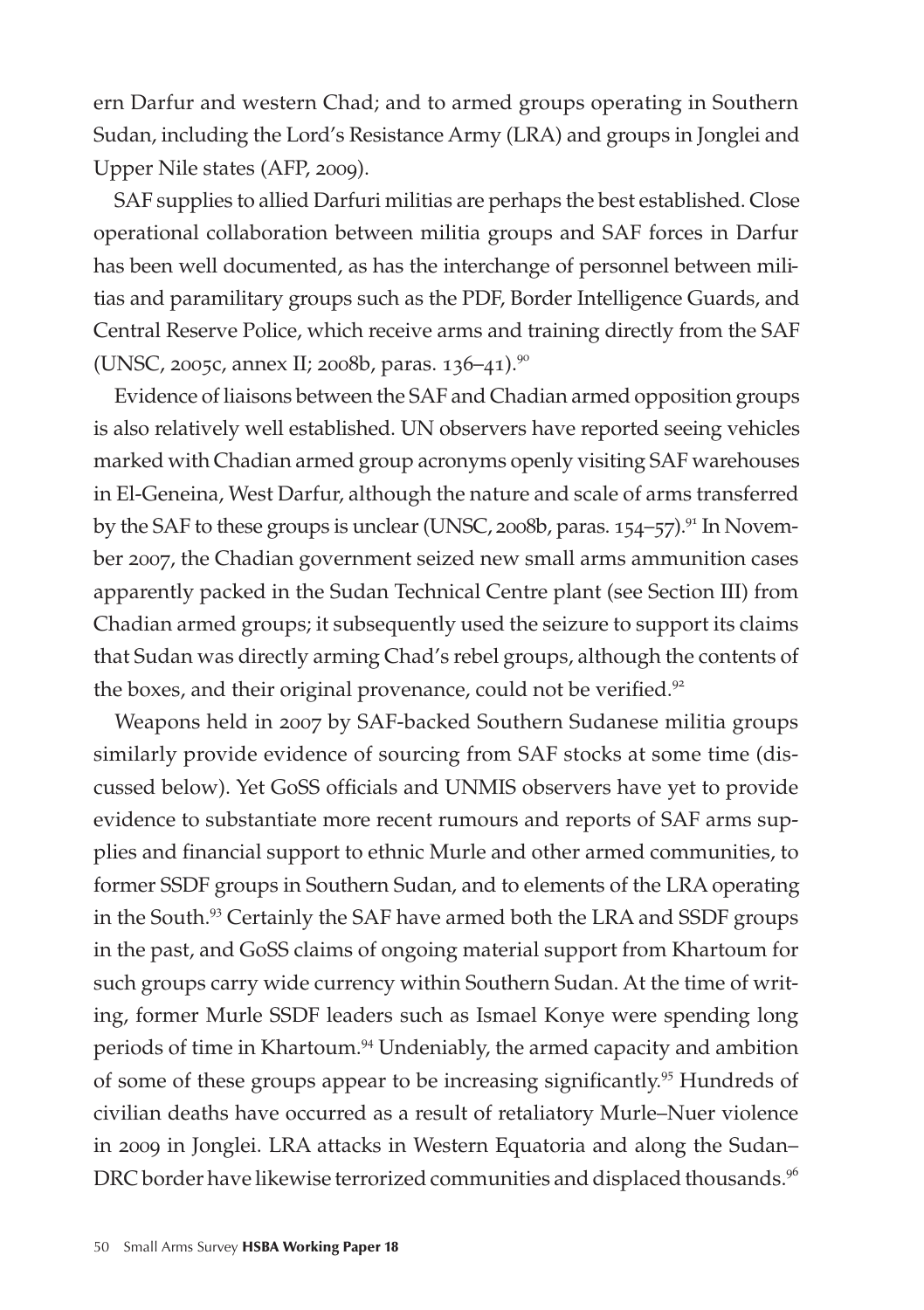ern Darfur and western Chad; and to armed groups operating in Southern Sudan, including the Lord's Resistance Army (LRA) and groups in Jonglei and Upper Nile states (AFP, 2009).

SAF supplies to allied Darfuri militias are perhaps the best established. Close operational collaboration between militia groups and SAF forces in Darfur has been well documented, as has the interchange of personnel between militias and paramilitary groups such as the PDF, Border Intelligence Guards, and Central Reserve Police, which receive arms and training directly from the SAF (UNSC, 2005c, annex II; 2008b, paras. 136–41).<sup>90</sup>

Evidence of liaisons between the SAF and Chadian armed opposition groups is also relatively well established. UN observers have reported seeing vehicles marked with Chadian armed group acronyms openly visiting SAF warehouses in El-Geneina, West Darfur, although the nature and scale of arms transferred by the SAF to these groups is unclear (UNSC, 2008b, paras. 154–57).<sup>91</sup> In November 2007, the Chadian government seized new small arms ammunition cases apparently packed in the Sudan Technical Centre plant (see Section III) from Chadian armed groups; it subsequently used the seizure to support its claims that Sudan was directly arming Chad's rebel groups, although the contents of the boxes, and their original provenance, could not be verified.<sup>92</sup>

Weapons held in 2007 by SAF-backed Southern Sudanese militia groups similarly provide evidence of sourcing from SAF stocks at some time (discussed below). Yet GoSS officials and UNMIS observers have yet to provide evidence to substantiate more recent rumours and reports of SAF arms supplies and financial support to ethnic Murle and other armed communities, to former SSDF groups in Southern Sudan, and to elements of the LRA operating in the South.<sup>93</sup> Certainly the SAF have armed both the LRA and SSDF groups in the past, and GoSS claims of ongoing material support from Khartoum for such groups carry wide currency within Southern Sudan. At the time of writing, former Murle SSDF leaders such as Ismael Konye were spending long periods of time in Khartoum.<sup>94</sup> Undeniably, the armed capacity and ambition of some of these groups appear to be increasing significantly.<sup>95</sup> Hundreds of civilian deaths have occurred as a result of retaliatory Murle–Nuer violence in 2009 in Jonglei. LRA attacks in Western Equatoria and along the Sudan– DRC border have likewise terrorized communities and displaced thousands.<sup>96</sup>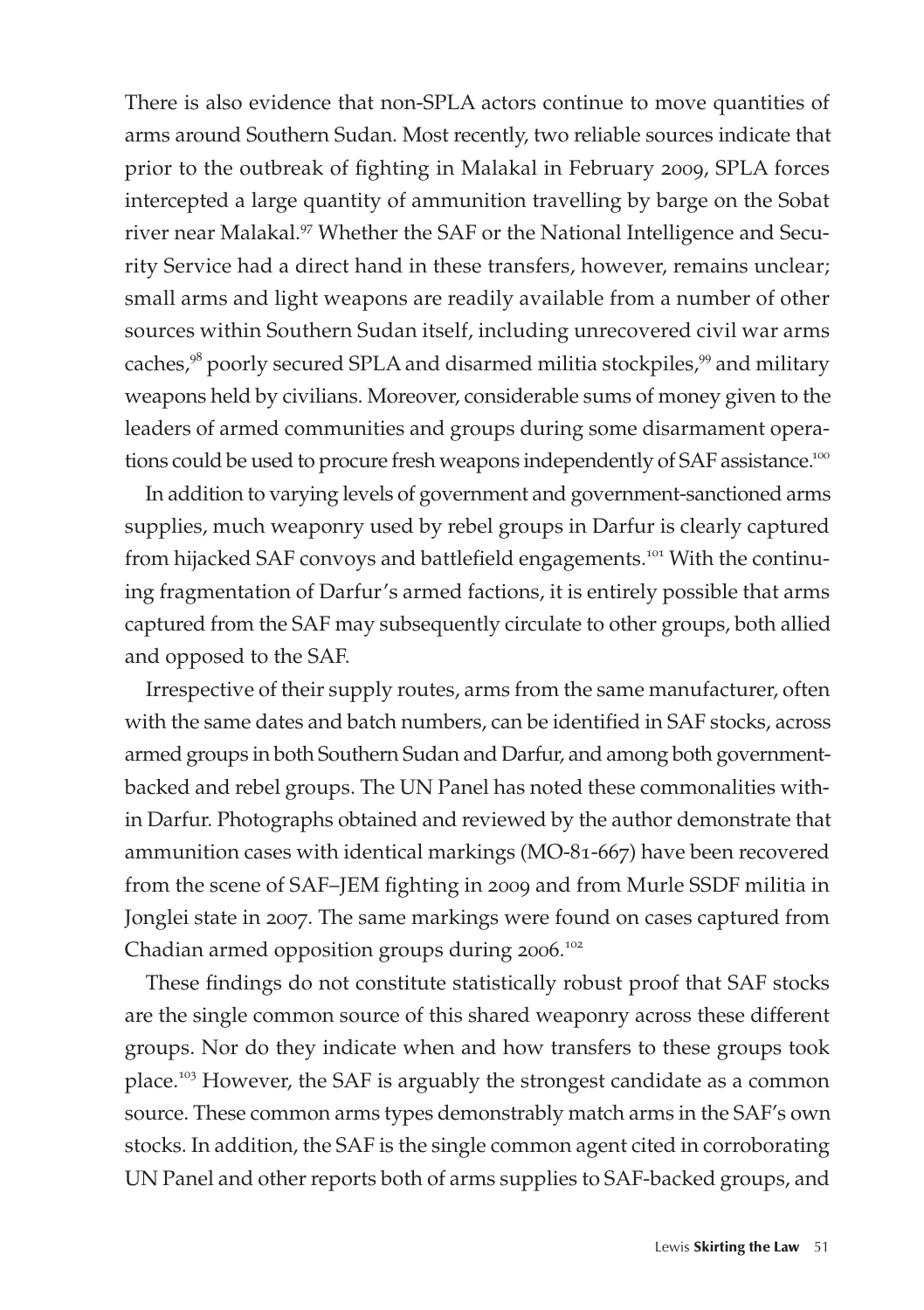There is also evidence that non-SPLA actors continue to move quantities of arms around Southern Sudan. Most recently, two reliable sources indicate that prior to the outbreak of fighting in Malakal in February 2009, SPLA forces intercepted a large quantity of ammunition travelling by barge on the Sobat river near Malakal.<sup>97</sup> Whether the SAF or the National Intelligence and Security Service had a direct hand in these transfers, however, remains unclear; small arms and light weapons are readily available from a number of other sources within Southern Sudan itself, including unrecovered civil war arms caches,<sup>98</sup> poorly secured SPLA and disarmed militia stockpiles,<sup>99</sup> and military weapons held by civilians. Moreover, considerable sums of money given to the leaders of armed communities and groups during some disarmament operations could be used to procure fresh weapons independently of SAF assistance.<sup>100</sup>

In addition to varying levels of government and government-sanctioned arms supplies, much weaponry used by rebel groups in Darfur is clearly captured from hijacked SAF convoys and battlefield engagements.<sup>101</sup> With the continuing fragmentation of Darfur's armed factions, it is entirely possible that arms captured from the SAF may subsequently circulate to other groups, both allied and opposed to the SAF.

Irrespective of their supply routes, arms from the same manufacturer, often with the same dates and batch numbers, can be identified in SAF stocks, across armed groups in both Southern Sudan and Darfur, and among both governmentbacked and rebel groups. The UN Panel has noted these commonalities within Darfur. Photographs obtained and reviewed by the author demonstrate that ammunition cases with identical markings (MO-81-667) have been recovered from the scene of SAF–JEM fighting in 2009 and from Murle SSDF militia in Jonglei state in 2007. The same markings were found on cases captured from Chadian armed opposition groups during 2006.<sup>102</sup>

These findings do not constitute statistically robust proof that SAF stocks are the single common source of this shared weaponry across these different groups. Nor do they indicate when and how transfers to these groups took place.<sup>103</sup> However, the SAF is arguably the strongest candidate as a common source. These common arms types demonstrably match arms in the SAF's own stocks. In addition, the SAF is the single common agent cited in corroborating UN Panel and other reports both of arms supplies to SAF-backed groups, and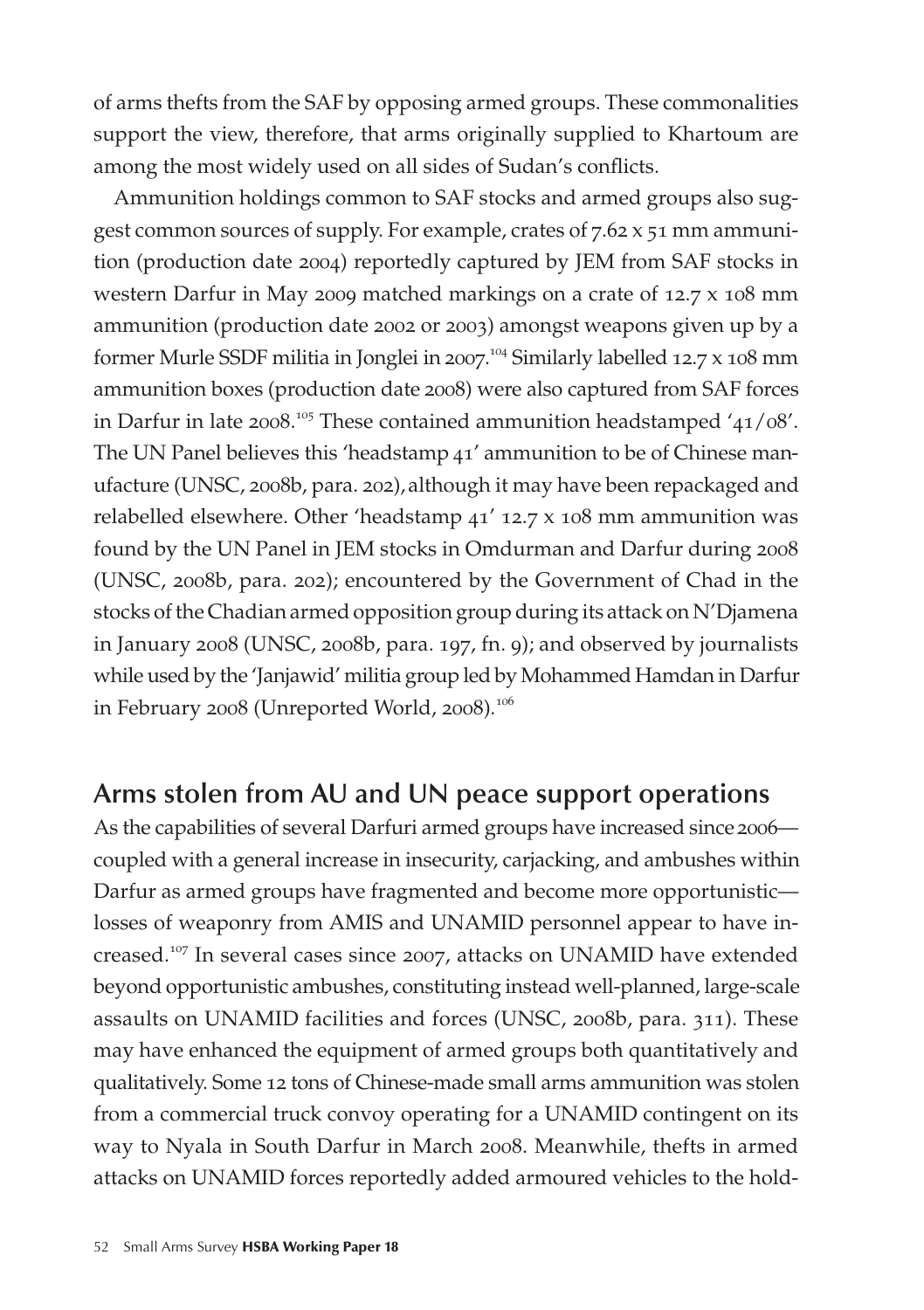of arms thefts from the SAF by opposing armed groups. These commonalities support the view, therefore, that arms originally supplied to Khartoum are among the most widely used on all sides of Sudan's conflicts.

Ammunition holdings common to SAF stocks and armed groups also suggest common sources of supply. For example, crates of 7.62 x 51 mm ammunition (production date 2004) reportedly captured by JEM from SAF stocks in western Darfur in May 2009 matched markings on a crate of 12.7 x 108 mm ammunition (production date 2002 or 2003) amongst weapons given up by a former Murle SSDF militia in Jonglei in 2007. <sup>104</sup> Similarly labelled 12.7 x 108 mm ammunition boxes (production date 2008) were also captured from SAF forces in Darfur in late 2008.<sup>105</sup> These contained ammunition headstamped '41/08'. The UN Panel believes this 'headstamp 41' ammunition to be of Chinese manufacture (UNSC, 2008b, para. 202), although it may have been repackaged and relabelled elsewhere. Other 'headstamp 41' 12.7 x 108 mm ammunition was found by the UN Panel in JEM stocks in Omdurman and Darfur during 2008 (UNSC, 2008b, para. 202); encountered by the Government of Chad in the stocks of the Chadian armed opposition group during its attack on N'Djamena in January 2008 (UNSC, 2008b, para. 197, fn. 9); and observed by journalists while used by the 'Janjawid' militia group led by Mohammed Hamdan in Darfur in February 2008 (Unreported World, 2008)*.* 106

### **Arms stolen from AU and UN peace support operations**

As the capabilities of several Darfuri armed groups have increased since 2006 coupled with a general increase in insecurity, carjacking, and ambushes within Darfur as armed groups have fragmented and become more opportunistic losses of weaponry from AMIS and UNAMID personnel appear to have increased.<sup>107</sup> In several cases since 2007, attacks on UNAMID have extended beyond opportunistic ambushes, constituting instead well-planned, large-scale assaults on UNAMID facilities and forces (UNSC, 2008b, para. 311). These may have enhanced the equipment of armed groups both quantitatively and qualitatively. Some 12 tons of Chinese-made small arms ammunition was stolen from a commercial truck convoy operating for a UNAMID contingent on its way to Nyala in South Darfur in March 2008. Meanwhile, thefts in armed attacks on UNAMID forces reportedly added armoured vehicles to the hold-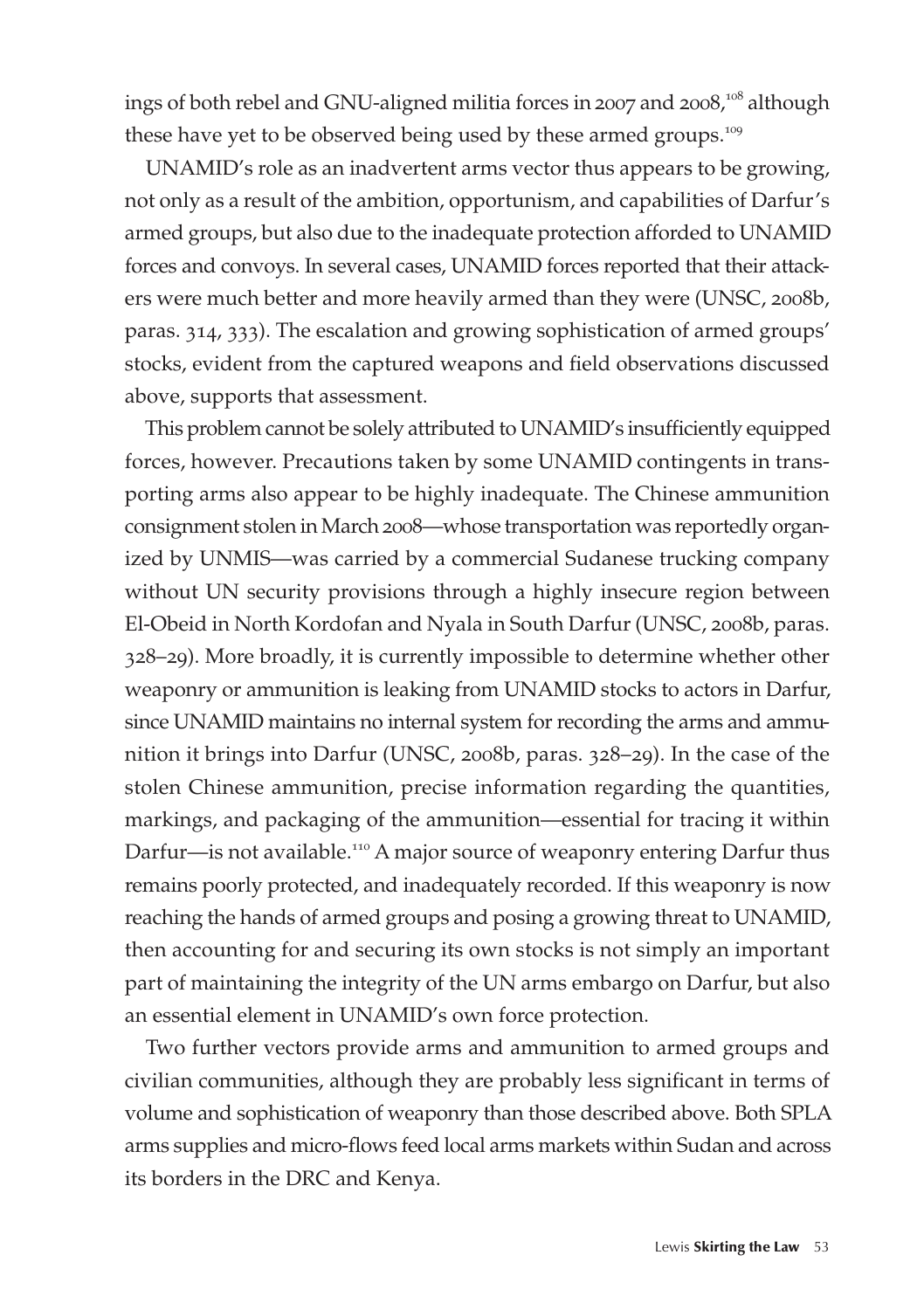ings of both rebel and GNU-aligned militia forces in 2007 and 2008, $^{108}$  although these have yet to be observed being used by these armed groups.<sup>109</sup>

UNAMID's role as an inadvertent arms vector thus appears to be growing, not only as a result of the ambition, opportunism, and capabilities of Darfur's armed groups, but also due to the inadequate protection afforded to UNAMID forces and convoys. In several cases, UNAMID forces reported that their attackers were much better and more heavily armed than they were (UNSC, 2008b, paras. 314, 333). The escalation and growing sophistication of armed groups' stocks, evident from the captured weapons and field observations discussed above, supports that assessment.

This problem cannot be solely attributed to UNAMID's insufficiently equipped forces, however. Precautions taken by some UNAMID contingents in transporting arms also appear to be highly inadequate. The Chinese ammunition consignment stolen in March 2008—whose transportation was reportedly organized by UNMIS—was carried by a commercial Sudanese trucking company without UN security provisions through a highly insecure region between El-Obeid in North Kordofan and Nyala in South Darfur (UNSC, 2008b, paras. 328–29). More broadly, it is currently impossible to determine whether other weaponry or ammunition is leaking from UNAMID stocks to actors in Darfur, since UNAMID maintains no internal system for recording the arms and ammunition it brings into Darfur (UNSC, 2008b, paras. 328–29). In the case of the stolen Chinese ammunition, precise information regarding the quantities, markings, and packaging of the ammunition—essential for tracing it within Darfur—is not available.<sup>110</sup> A major source of weaponry entering Darfur thus remains poorly protected, and inadequately recorded. If this weaponry is now reaching the hands of armed groups and posing a growing threat to UNAMID, then accounting for and securing its own stocks is not simply an important part of maintaining the integrity of the UN arms embargo on Darfur, but also an essential element in UNAMID's own force protection.

Two further vectors provide arms and ammunition to armed groups and civilian communities, although they are probably less significant in terms of volume and sophistication of weaponry than those described above. Both SPLA arms supplies and micro-flows feed local arms markets within Sudan and across its borders in the DRC and Kenya.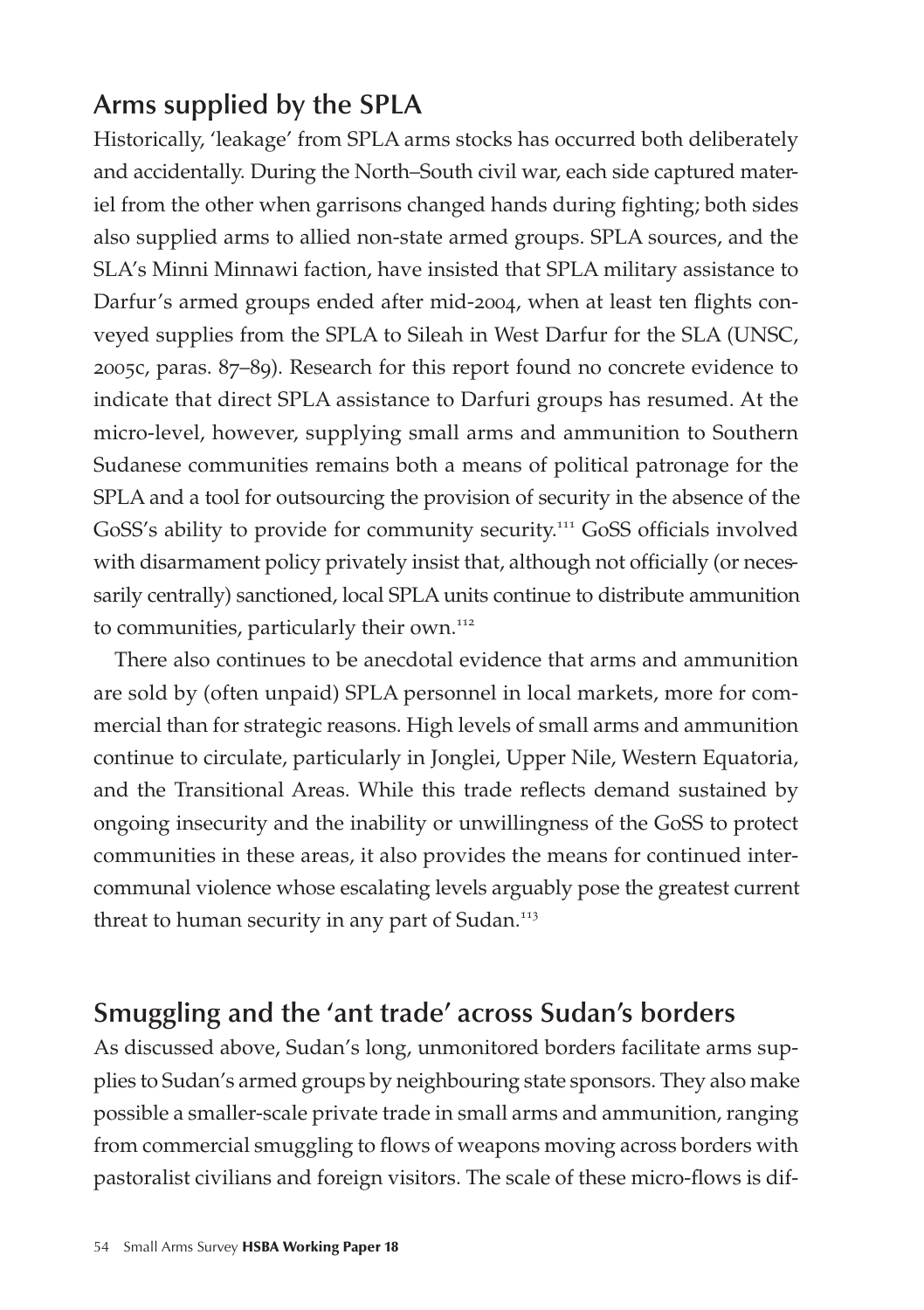### **Arms supplied by the SPLA**

Historically, 'leakage' from SPLA arms stocks has occurred both deliberately and accidentally. During the North–South civil war, each side captured materiel from the other when garrisons changed hands during fighting; both sides also supplied arms to allied non-state armed groups. SPLA sources, and the SLA's Minni Minnawi faction, have insisted that SPLA military assistance to Darfur's armed groups ended after mid-2004, when at least ten flights conveyed supplies from the SPLA to Sileah in West Darfur for the SLA (UNSC, 2005c, paras. 87–89). Research for this report found no concrete evidence to indicate that direct SPLA assistance to Darfuri groups has resumed. At the micro-level, however, supplying small arms and ammunition to Southern Sudanese communities remains both a means of political patronage for the SPLA and a tool for outsourcing the provision of security in the absence of the GoSS's ability to provide for community security.<sup>111</sup> GoSS officials involved with disarmament policy privately insist that, although not officially (or necessarily centrally) sanctioned, local SPLA units continue to distribute ammunition to communities, particularly their own.<sup>112</sup>

There also continues to be anecdotal evidence that arms and ammunition are sold by (often unpaid) SPLA personnel in local markets, more for commercial than for strategic reasons. High levels of small arms and ammunition continue to circulate, particularly in Jonglei, Upper Nile, Western Equatoria, and the Transitional Areas. While this trade reflects demand sustained by ongoing insecurity and the inability or unwillingness of the GoSS to protect communities in these areas, it also provides the means for continued intercommunal violence whose escalating levels arguably pose the greatest current threat to human security in any part of Sudan.<sup>113</sup>

### **Smuggling and the 'ant trade' across Sudan's borders**

As discussed above, Sudan's long, unmonitored borders facilitate arms supplies to Sudan's armed groups by neighbouring state sponsors. They also make possible a smaller-scale private trade in small arms and ammunition, ranging from commercial smuggling to flows of weapons moving across borders with pastoralist civilians and foreign visitors. The scale of these micro-flows is dif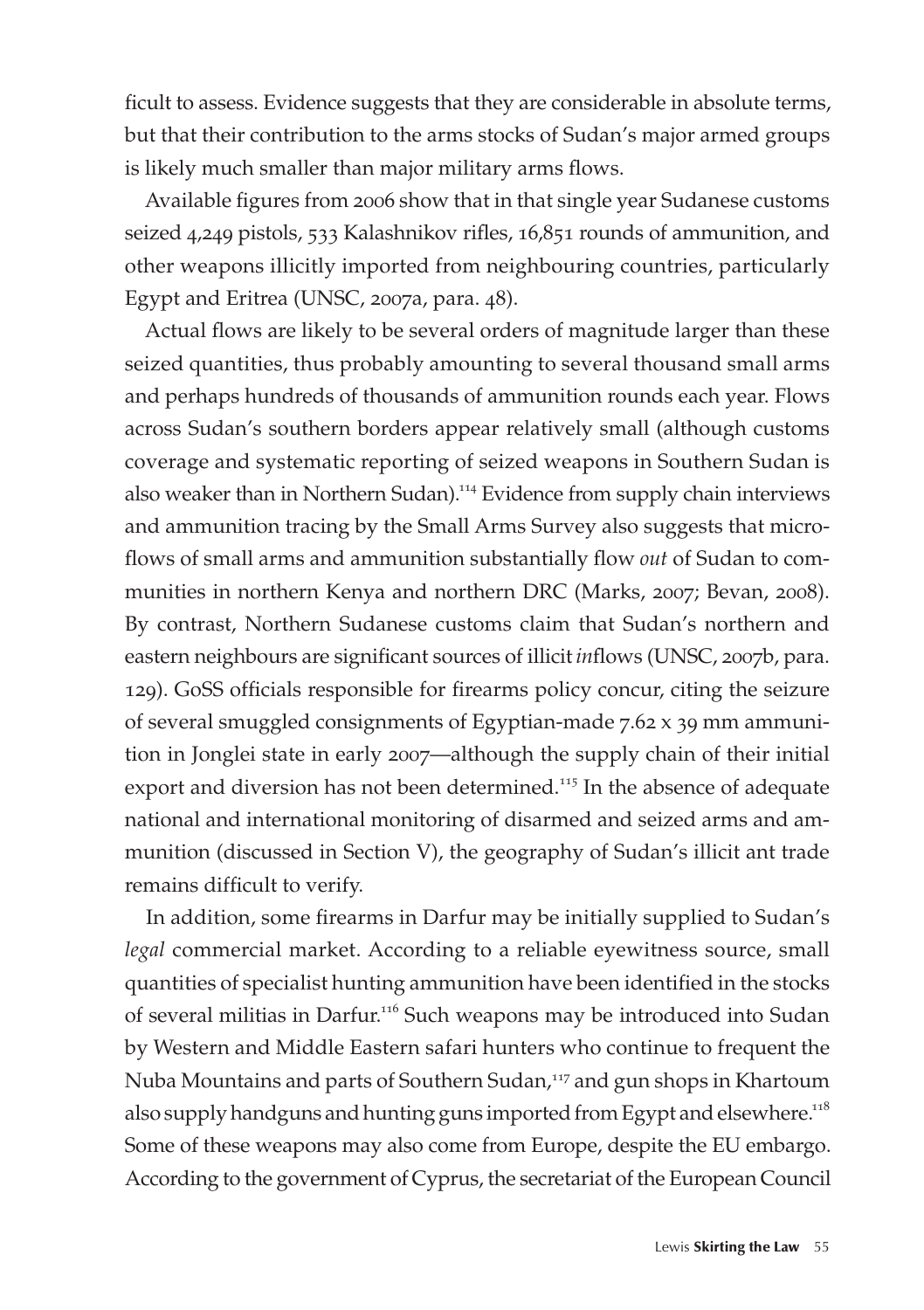ficult to assess. Evidence suggests that they are considerable in absolute terms, but that their contribution to the arms stocks of Sudan's major armed groups is likely much smaller than major military arms flows.

Available figures from 2006 show that in that single year Sudanese customs seized 4,249 pistols, 533 Kalashnikov rifles, 16,851 rounds of ammunition, and other weapons illicitly imported from neighbouring countries, particularly Egypt and Eritrea (UNSC, 2007a, para. 48).

Actual flows are likely to be several orders of magnitude larger than these seized quantities, thus probably amounting to several thousand small arms and perhaps hundreds of thousands of ammunition rounds each year. Flows across Sudan's southern borders appear relatively small (although customs coverage and systematic reporting of seized weapons in Southern Sudan is also weaker than in Northern Sudan).<sup>114</sup> Evidence from supply chain interviews and ammunition tracing by the Small Arms Survey also suggests that microflows of small arms and ammunition substantially flow *out* of Sudan to communities in northern Kenya and northern DRC (Marks, 2007; Bevan, 2008). By contrast, Northern Sudanese customs claim that Sudan's northern and eastern neighbours are significant sources of illicit *in*flows (UNSC, 2007b, para. 129). GoSS officials responsible for firearms policy concur, citing the seizure of several smuggled consignments of Egyptian-made 7.62 x 39 mm ammunition in Jonglei state in early 2007—although the supply chain of their initial export and diversion has not been determined.<sup>115</sup> In the absence of adequate national and international monitoring of disarmed and seized arms and ammunition (discussed in Section V), the geography of Sudan's illicit ant trade remains difficult to verify.

In addition, some firearms in Darfur may be initially supplied to Sudan's *legal* commercial market. According to a reliable eyewitness source, small quantities of specialist hunting ammunition have been identified in the stocks of several militias in Darfur.<sup>116</sup> Such weapons may be introduced into Sudan by Western and Middle Eastern safari hunters who continue to frequent the Nuba Mountains and parts of Southern Sudan,<sup>117</sup> and gun shops in Khartoum also supply handguns and hunting guns imported from Egypt and elsewhere.<sup>118</sup> Some of these weapons may also come from Europe, despite the EU embargo. According to the government of Cyprus, the secretariat of the European Council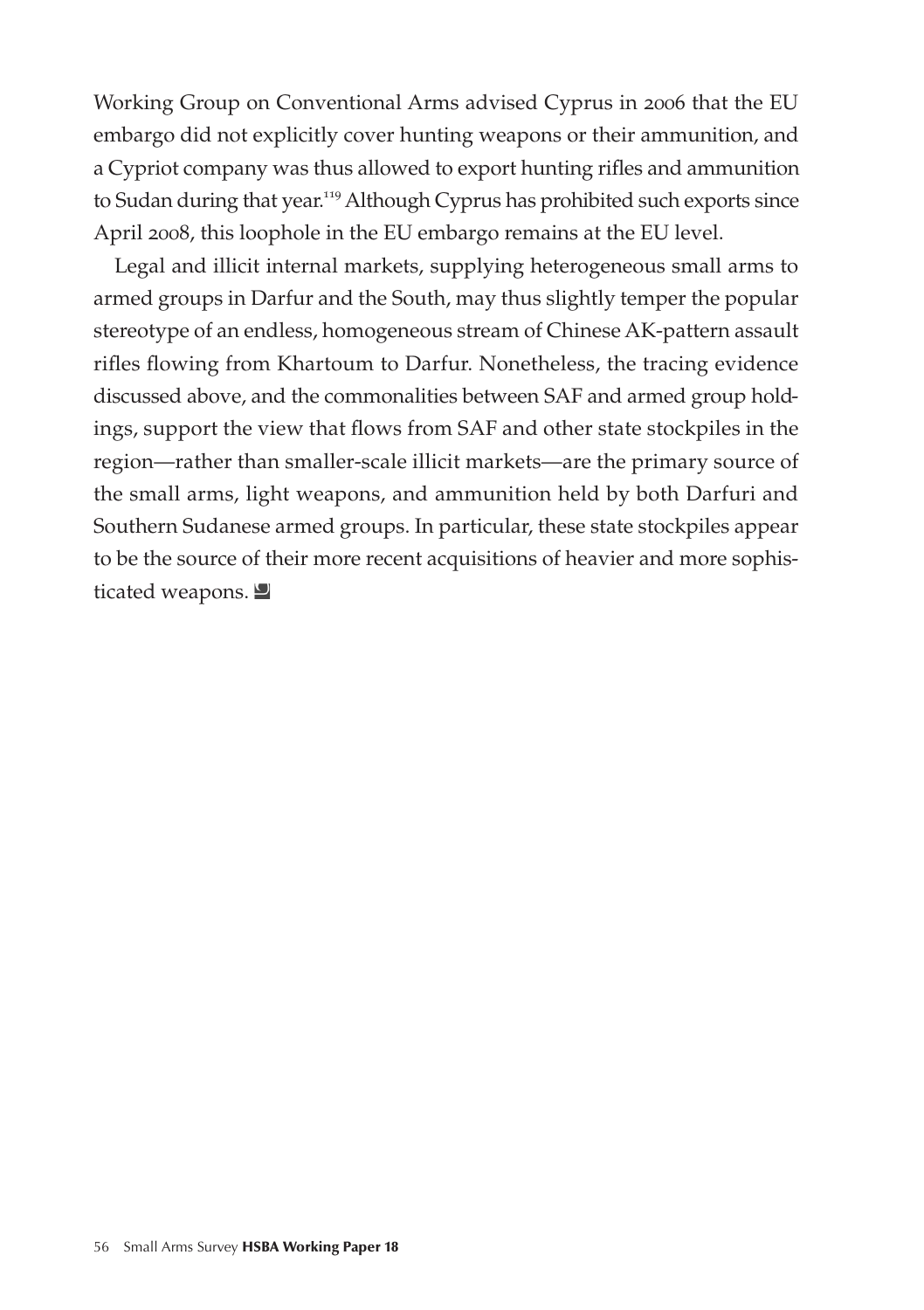Working Group on Conventional Arms advised Cyprus in 2006 that the EU embargo did not explicitly cover hunting weapons or their ammunition, and a Cypriot company was thus allowed to export hunting rifles and ammunition to Sudan during that year.<sup>119</sup> Although Cyprus has prohibited such exports since April 2008, this loophole in the EU embargo remains at the EU level.

Legal and illicit internal markets, supplying heterogeneous small arms to armed groups in Darfur and the South, may thus slightly temper the popular stereotype of an endless, homogeneous stream of Chinese AK-pattern assault rifles flowing from Khartoum to Darfur. Nonetheless, the tracing evidence discussed above, and the commonalities between SAF and armed group holdings, support the view that flows from SAF and other state stockpiles in the region—rather than smaller-scale illicit markets—are the primary source of the small arms, light weapons, and ammunition held by both Darfuri and Southern Sudanese armed groups. In particular, these state stockpiles appear to be the source of their more recent acquisitions of heavier and more sophisticated weapons.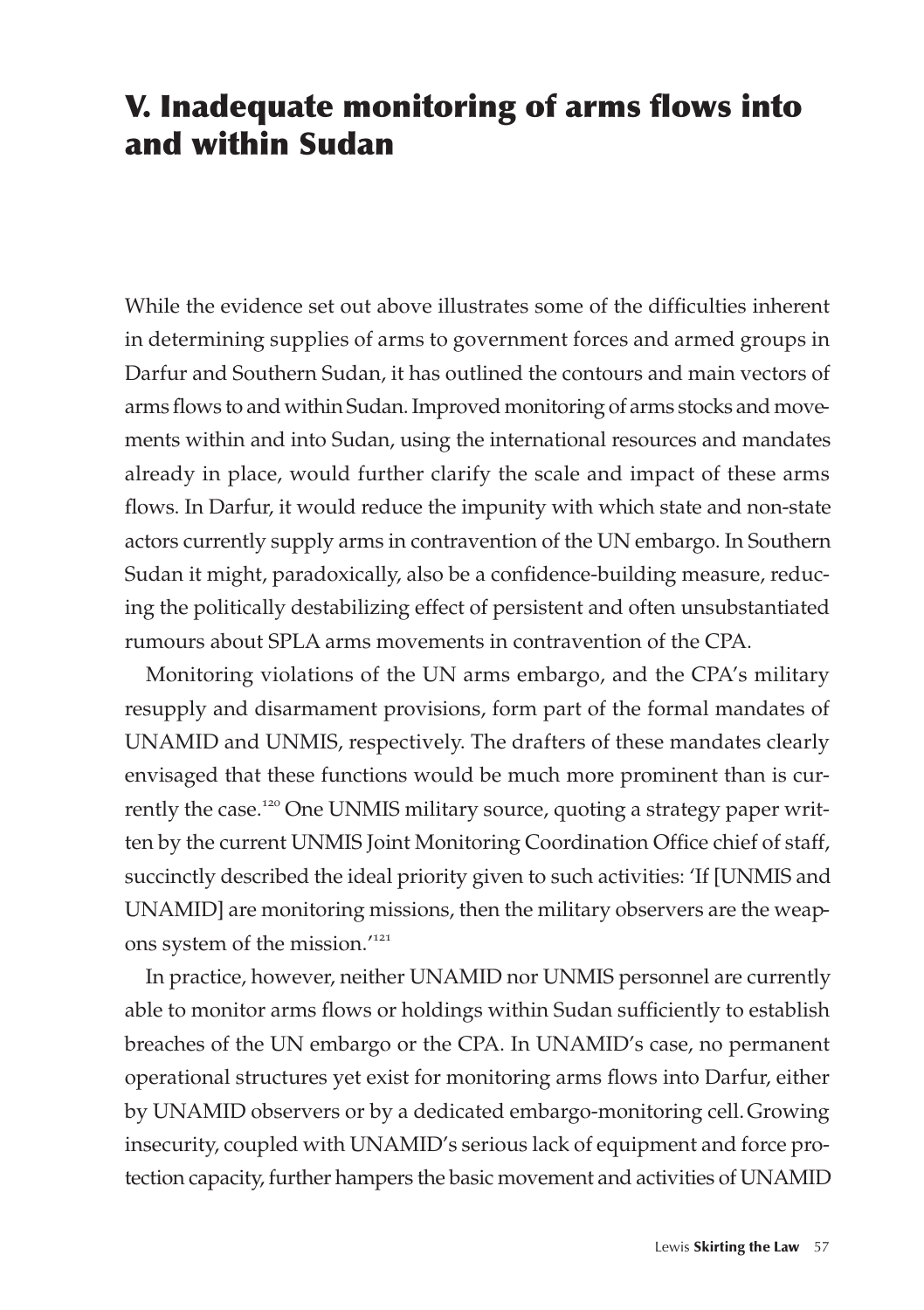# V. Inadequate monitoring of arms flows into and within Sudan

While the evidence set out above illustrates some of the difficulties inherent in determining supplies of arms to government forces and armed groups in Darfur and Southern Sudan, it has outlined the contours and main vectors of arms flows to and within Sudan. Improved monitoring of arms stocks and movements within and into Sudan, using the international resources and mandates already in place, would further clarify the scale and impact of these arms flows. In Darfur, it would reduce the impunity with which state and non-state actors currently supply arms in contravention of the UN embargo. In Southern Sudan it might, paradoxically, also be a confidence-building measure, reducing the politically destabilizing effect of persistent and often unsubstantiated rumours about SPLA arms movements in contravention of the CPA.

Monitoring violations of the UN arms embargo, and the CPA's military resupply and disarmament provisions, form part of the formal mandates of UNAMID and UNMIS, respectively. The drafters of these mandates clearly envisaged that these functions would be much more prominent than is currently the case.<sup>120</sup> One UNMIS military source, quoting a strategy paper written by the current UNMIS Joint Monitoring Coordination Office chief of staff, succinctly described the ideal priority given to such activities: 'If [UNMIS and UNAMID] are monitoring missions, then the military observers are the weapons system of the mission.'<sup>121</sup>

In practice, however, neither UNAMID nor UNMIS personnel are currently able to monitor arms flows or holdings within Sudan sufficiently to establish breaches of the UN embargo or the CPA. In UNAMID's case, no permanent operational structures yet exist for monitoring arms flows into Darfur, either by UNAMID observers or by a dedicated embargo-monitoring cell.Growing insecurity, coupled with UNAMID's serious lack of equipment and force protection capacity, further hampers the basic movement and activities of UNAMID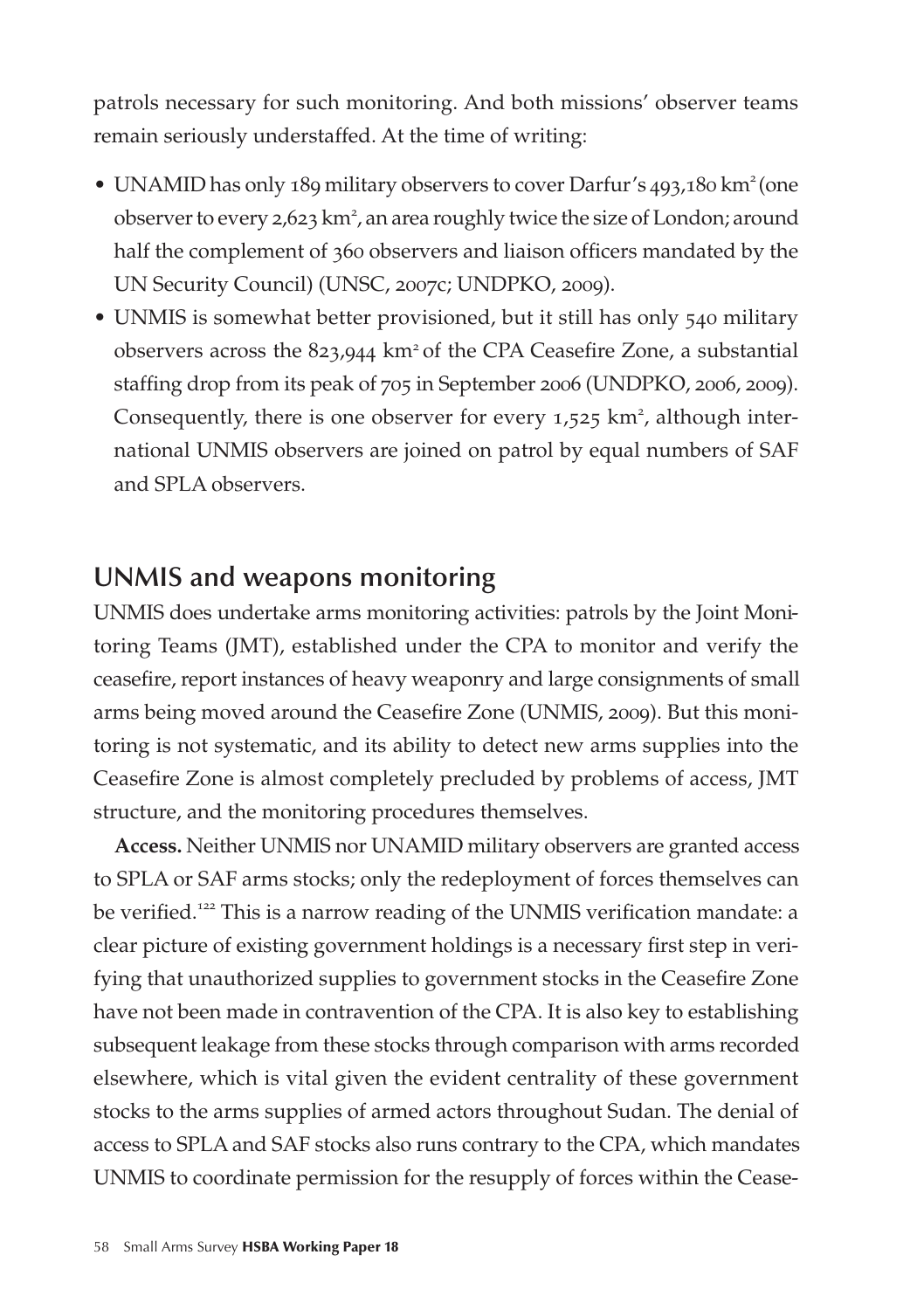patrols necessary for such monitoring. And both missions' observer teams remain seriously understaffed. At the time of writing:

- UNAMID has only 189 military observers to cover Darfur's 493,180 km<sup>2</sup> (one observer to every 2,623 km<sup>2</sup>, an area roughly twice the size of London; around half the complement of 360 observers and liaison officers mandated by the UN Security Council) (UNSC, 2007c; UNDPKO, 2009).
- UNMIS is somewhat better provisioned, but it still has only 540 military observers across the 823,944 km<sup>2</sup> of the CPA Ceasefire Zone, a substantial staffing drop from its peak of 705 in September 2006 (UNDPKO, 2006, 2009). Consequently, there is one observer for every  $1,525$  km<sup>2</sup>, although international UNMIS observers are joined on patrol by equal numbers of SAF and SPLA observers.

#### **UNMIS and weapons monitoring**

UNMIS does undertake arms monitoring activities: patrols by the Joint Monitoring Teams (JMT), established under the CPA to monitor and verify the ceasefire, report instances of heavy weaponry and large consignments of small arms being moved around the Ceasefire Zone (UNMIS, 2009). But this monitoring is not systematic, and its ability to detect new arms supplies into the Ceasefire Zone is almost completely precluded by problems of access, JMT structure, and the monitoring procedures themselves.

**Access.** Neither UNMIS nor UNAMID military observers are granted access to SPLA or SAF arms stocks; only the redeployment of forces themselves can be verified.<sup>122</sup> This is a narrow reading of the UNMIS verification mandate: a clear picture of existing government holdings is a necessary first step in verifying that unauthorized supplies to government stocks in the Ceasefire Zone have not been made in contravention of the CPA. It is also key to establishing subsequent leakage from these stocks through comparison with arms recorded elsewhere, which is vital given the evident centrality of these government stocks to the arms supplies of armed actors throughout Sudan. The denial of access to SPLA and SAF stocks also runs contrary to the CPA, which mandates UNMIS to coordinate permission for the resupply of forces within the Cease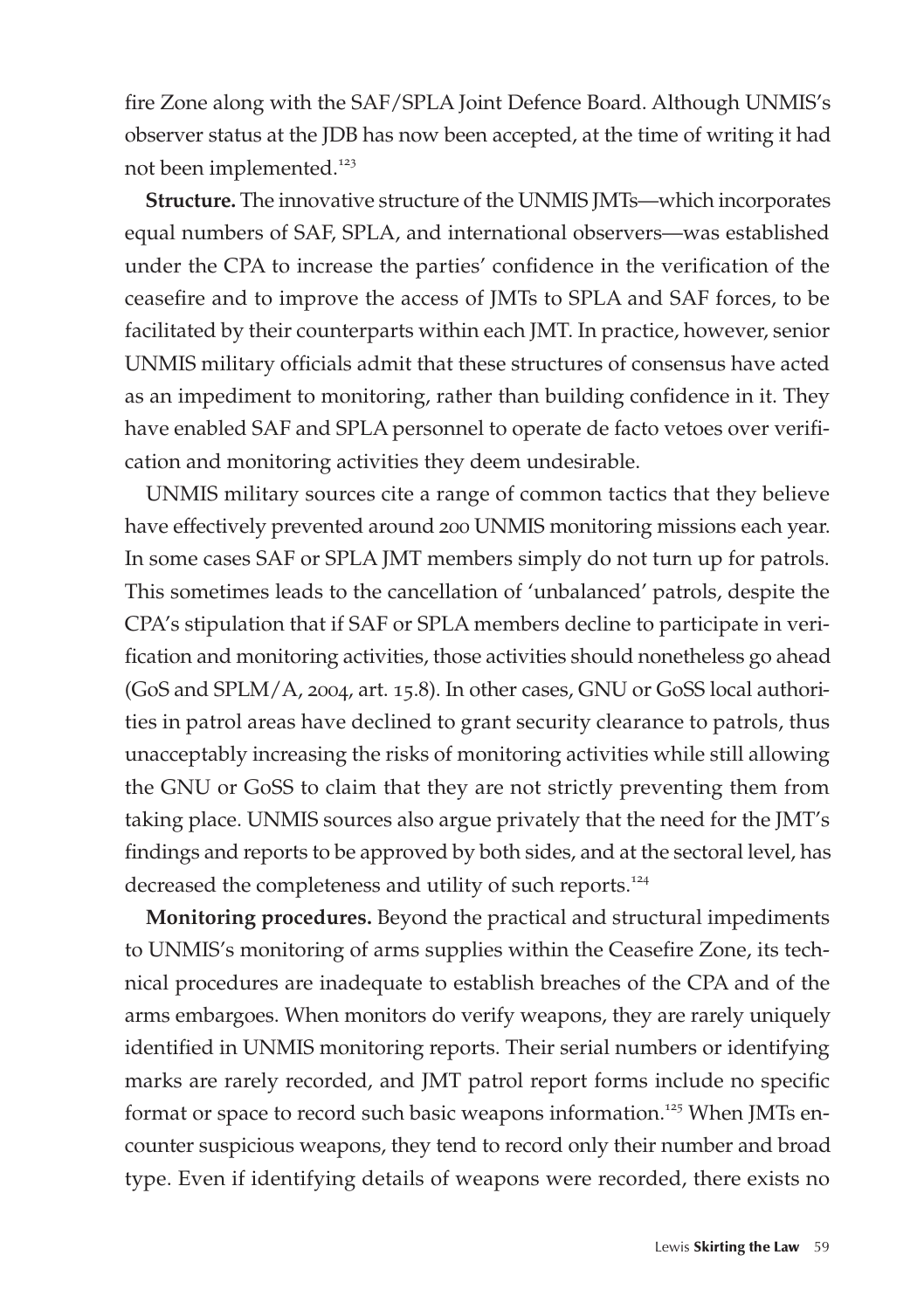fire Zone along with the SAF/SPLA Joint Defence Board. Although UNMIS's observer status at the JDB has now been accepted, at the time of writing it had not been implemented.<sup>123</sup>

**Structure.** The innovative structure of the UNMIS JMTs—which incorporates equal numbers of SAF, SPLA, and international observers—was established under the CPA to increase the parties' confidence in the verification of the ceasefire and to improve the access of JMTs to SPLA and SAF forces, to be facilitated by their counterparts within each JMT. In practice, however, senior UNMIS military officials admit that these structures of consensus have acted as an impediment to monitoring, rather than building confidence in it. They have enabled SAF and SPLA personnel to operate de facto vetoes over verification and monitoring activities they deem undesirable.

UNMIS military sources cite a range of common tactics that they believe have effectively prevented around 200 UNMIS monitoring missions each year. In some cases SAF or SPLA JMT members simply do not turn up for patrols. This sometimes leads to the cancellation of 'unbalanced' patrols, despite the CPA's stipulation that if SAF or SPLA members decline to participate in verification and monitoring activities, those activities should nonetheless go ahead (GoS and SPLM/A, 2004, art. 15.8). In other cases, GNU or GoSS local authorities in patrol areas have declined to grant security clearance to patrols, thus unacceptably increasing the risks of monitoring activities while still allowing the GNU or GoSS to claim that they are not strictly preventing them from taking place. UNMIS sources also argue privately that the need for the JMT's findings and reports to be approved by both sides, and at the sectoral level, has decreased the completeness and utility of such reports.<sup>124</sup>

**Monitoring procedures.** Beyond the practical and structural impediments to UNMIS's monitoring of arms supplies within the Ceasefire Zone, its technical procedures are inadequate to establish breaches of the CPA and of the arms embargoes. When monitors do verify weapons, they are rarely uniquely identified in UNMIS monitoring reports. Their serial numbers or identifying marks are rarely recorded, and JMT patrol report forms include no specific format or space to record such basic weapons information.<sup>125</sup> When JMTs encounter suspicious weapons, they tend to record only their number and broad type. Even if identifying details of weapons were recorded, there exists no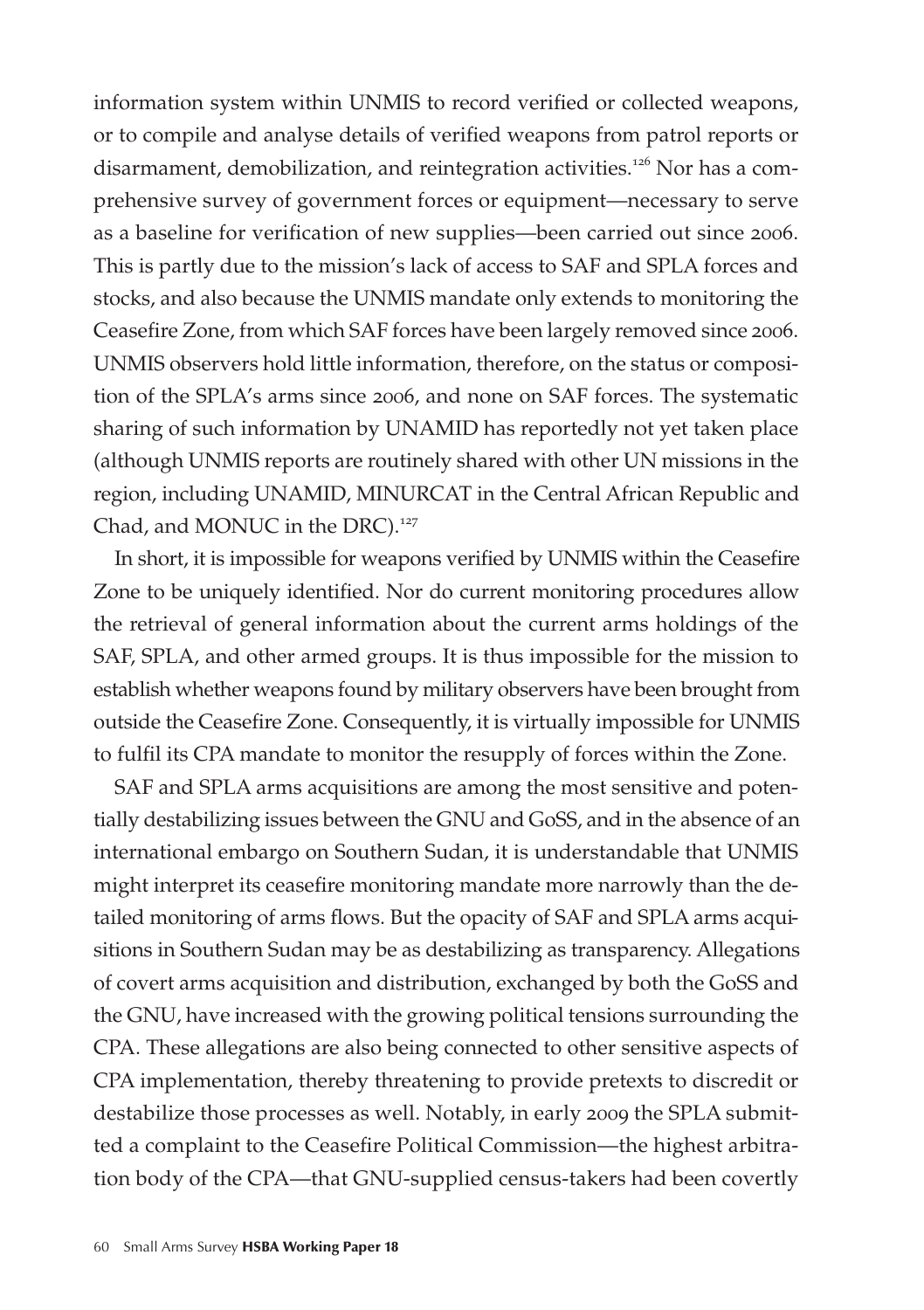information system within UNMIS to record verified or collected weapons, or to compile and analyse details of verified weapons from patrol reports or disarmament, demobilization, and reintegration activities.<sup>126</sup> Nor has a comprehensive survey of government forces or equipment—necessary to serve as a baseline for verification of new supplies—been carried out since 2006. This is partly due to the mission's lack of access to SAF and SPLA forces and stocks, and also because the UNMIS mandate only extends to monitoring the Ceasefire Zone, from which SAF forces have been largely removed since 2006. UNMIS observers hold little information, therefore, on the status or composition of the SPLA's arms since 2006, and none on SAF forces. The systematic sharing of such information by UNAMID has reportedly not yet taken place (although UNMIS reports are routinely shared with other UN missions in the region, including UNAMID, MINURCAT in the Central African Republic and Chad, and MONUC in the DRC).<sup>127</sup>

In short, it is impossible for weapons verified by UNMIS within the Ceasefire Zone to be uniquely identified. Nor do current monitoring procedures allow the retrieval of general information about the current arms holdings of the SAF, SPLA, and other armed groups. It is thus impossible for the mission to establish whether weapons found by military observers have been brought from outside the Ceasefire Zone. Consequently, it is virtually impossible for UNMIS to fulfil its CPA mandate to monitor the resupply of forces within the Zone.

SAF and SPLA arms acquisitions are among the most sensitive and potentially destabilizing issues between the GNU and GoSS, and in the absence of an international embargo on Southern Sudan, it is understandable that UNMIS might interpret its ceasefire monitoring mandate more narrowly than the detailed monitoring of arms flows. But the opacity of SAF and SPLA arms acquisitions in Southern Sudan may be as destabilizing as transparency. Allegations of covert arms acquisition and distribution, exchanged by both the GoSS and the GNU, have increased with the growing political tensions surrounding the CPA. These allegations are also being connected to other sensitive aspects of CPA implementation, thereby threatening to provide pretexts to discredit or destabilize those processes as well. Notably, in early 2009 the SPLA submitted a complaint to the Ceasefire Political Commission—the highest arbitration body of the CPA—that GNU-supplied census-takers had been covertly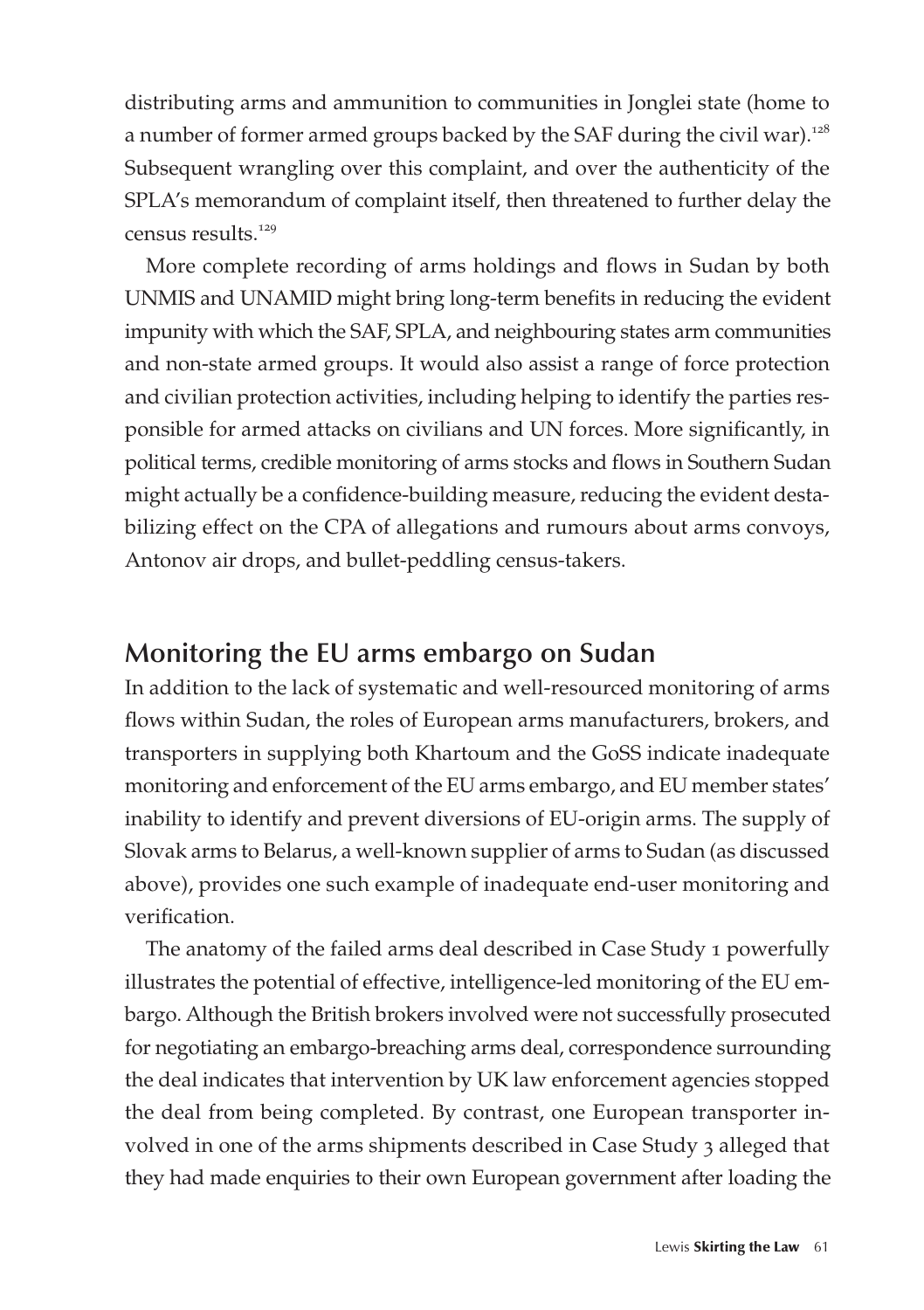distributing arms and ammunition to communities in Jonglei state (home to a number of former armed groups backed by the SAF during the civil war).<sup>128</sup> Subsequent wrangling over this complaint, and over the authenticity of the SPLA's memorandum of complaint itself, then threatened to further delay the census results.<sup>129</sup>

More complete recording of arms holdings and flows in Sudan by both UNMIS and UNAMID might bring long-term benefits in reducing the evident impunity with which the SAF, SPLA, and neighbouring states arm communities and non-state armed groups. It would also assist a range of force protection and civilian protection activities, including helping to identify the parties responsible for armed attacks on civilians and UN forces. More significantly, in political terms, credible monitoring of arms stocks and flows in Southern Sudan might actually be a confidence-building measure, reducing the evident destabilizing effect on the CPA of allegations and rumours about arms convoys, Antonov air drops, and bullet-peddling census-takers.

#### **Monitoring the EU arms embargo on Sudan**

In addition to the lack of systematic and well-resourced monitoring of arms flows within Sudan, the roles of European arms manufacturers, brokers, and transporters in supplying both Khartoum and the GoSS indicate inadequate monitoring and enforcement of the EU arms embargo, and EU member states' inability to identify and prevent diversions of EU-origin arms. The supply of Slovak arms to Belarus, a well-known supplier of arms to Sudan (as discussed above), provides one such example of inadequate end-user monitoring and verification.

The anatomy of the failed arms deal described in Case Study 1 powerfully illustrates the potential of effective, intelligence-led monitoring of the EU embargo. Although the British brokers involved were not successfully prosecuted for negotiating an embargo-breaching arms deal, correspondence surrounding the deal indicates that intervention by UK law enforcement agencies stopped the deal from being completed. By contrast, one European transporter involved in one of the arms shipments described in Case Study 3 alleged that they had made enquiries to their own European government after loading the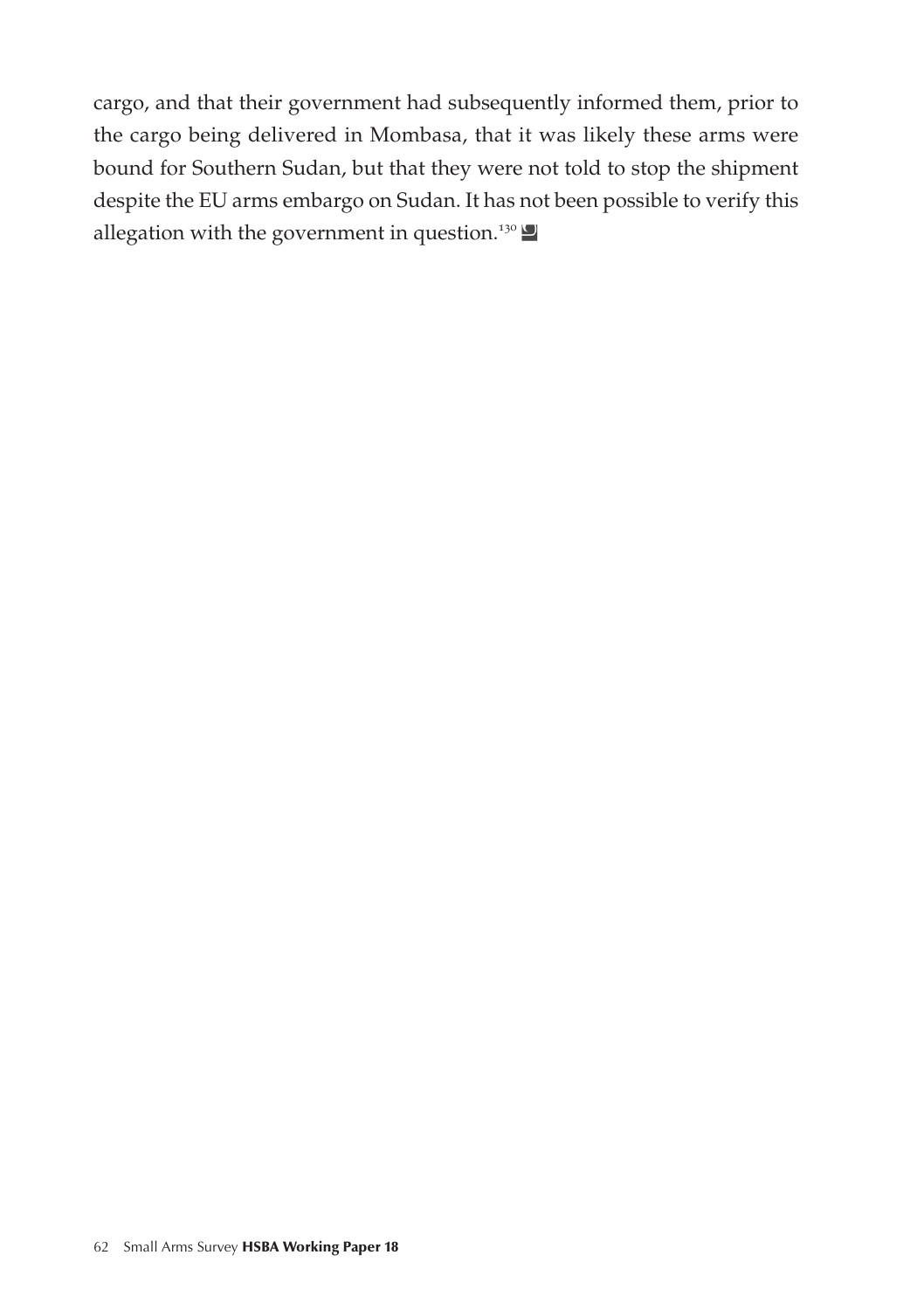cargo, and that their government had subsequently informed them, prior to the cargo being delivered in Mombasa, that it was likely these arms were bound for Southern Sudan, but that they were not told to stop the shipment despite the EU arms embargo on Sudan. It has not been possible to verify this allegation with the government in question.<sup>130</sup>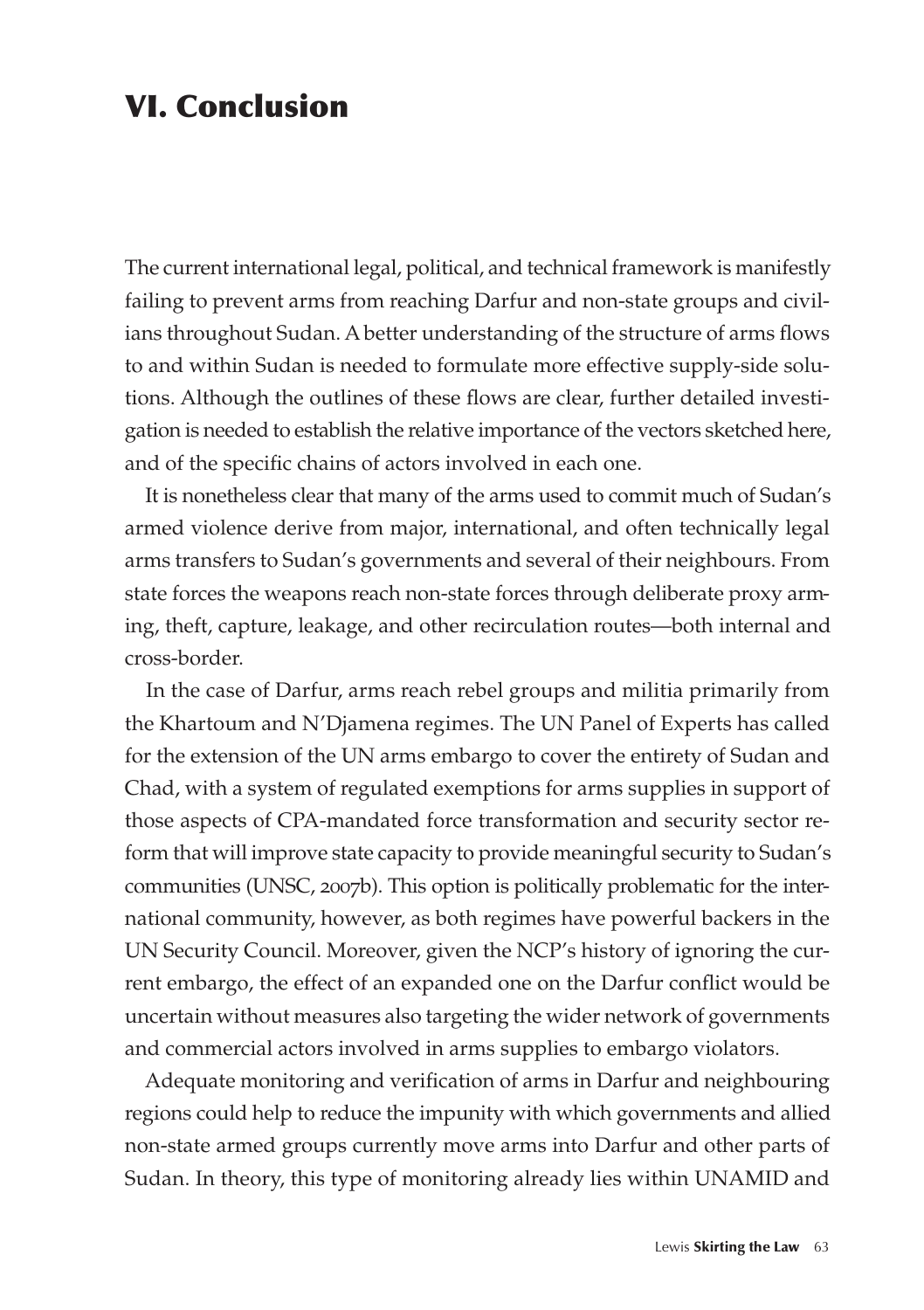## VI. Conclusion

The current international legal, political, and technical framework is manifestly failing to prevent arms from reaching Darfur and non-state groups and civilians throughout Sudan. A better understanding of the structure of arms flows to and within Sudan is needed to formulate more effective supply-side solutions. Although the outlines of these flows are clear, further detailed investigation is needed to establish the relative importance of the vectors sketched here, and of the specific chains of actors involved in each one.

It is nonetheless clear that many of the arms used to commit much of Sudan's armed violence derive from major, international, and often technically legal arms transfers to Sudan's governments and several of their neighbours. From state forces the weapons reach non-state forces through deliberate proxy arming, theft, capture, leakage, and other recirculation routes—both internal and cross-border.

In the case of Darfur, arms reach rebel groups and militia primarily from the Khartoum and N'Djamena regimes. The UN Panel of Experts has called for the extension of the UN arms embargo to cover the entirety of Sudan and Chad, with a system of regulated exemptions for arms supplies in support of those aspects of CPA-mandated force transformation and security sector reform that will improve state capacity to provide meaningful security to Sudan's communities (UNSC, 2007b). This option is politically problematic for the international community, however, as both regimes have powerful backers in the UN Security Council. Moreover, given the NCP's history of ignoring the current embargo, the effect of an expanded one on the Darfur conflict would be uncertain without measures also targeting the wider network of governments and commercial actors involved in arms supplies to embargo violators.

Adequate monitoring and verification of arms in Darfur and neighbouring regions could help to reduce the impunity with which governments and allied non-state armed groups currently move arms into Darfur and other parts of Sudan. In theory, this type of monitoring already lies within UNAMID and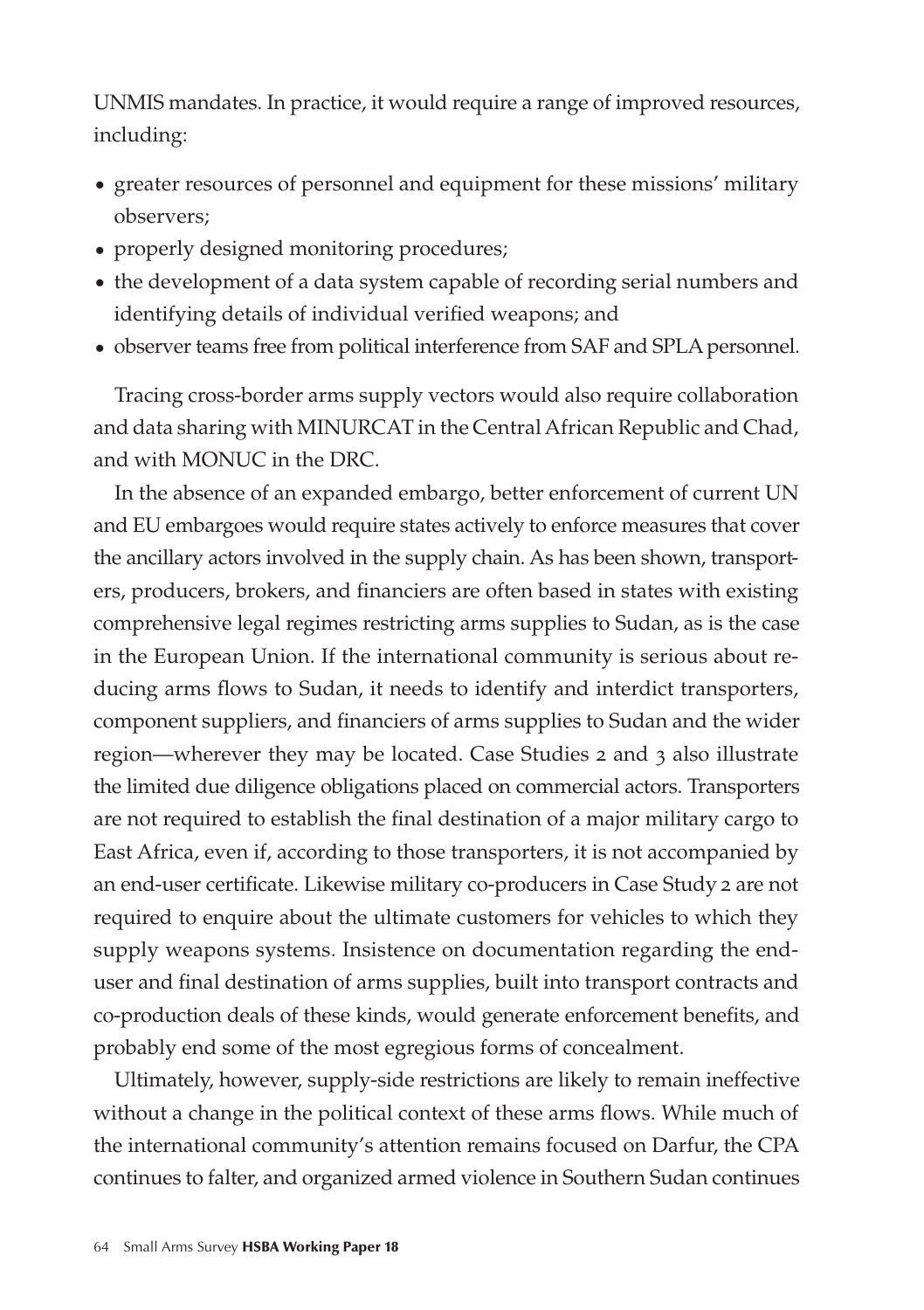UNMIS mandates. In practice, it would require a range of improved resources, including:

- $\bullet$  greater resources of personnel and equipment for these missions' military observers;
- properly designed monitoring procedures;
- the development of a data system capable of recording serial numbers and identifying details of individual verified weapons; and
- observer teams free from political interference from SAF and SPLA personnel.

Tracing cross-border arms supply vectors would also require collaboration and data sharing with MINURCAT in the Central African Republic and Chad, and with MONUC in the DRC.

In the absence of an expanded embargo, better enforcement of current UN and EU embargoes would require states actively to enforce measures that cover the ancillary actors involved in the supply chain. As has been shown, transporters, producers, brokers, and financiers are often based in states with existing comprehensive legal regimes restricting arms supplies to Sudan, as is the case in the European Union. If the international community is serious about reducing arms flows to Sudan, it needs to identify and interdict transporters, component suppliers, and financiers of arms supplies to Sudan and the wider region—wherever they may be located. Case Studies 2 and 3 also illustrate the limited due diligence obligations placed on commercial actors. Transporters are not required to establish the final destination of a major military cargo to East Africa, even if, according to those transporters, it is not accompanied by an end-user certificate. Likewise military co-producers in Case Study 2 are not required to enquire about the ultimate customers for vehicles to which they supply weapons systems. Insistence on documentation regarding the enduser and final destination of arms supplies, built into transport contracts and co-production deals of these kinds, would generate enforcement benefits, and probably end some of the most egregious forms of concealment.

Ultimately, however, supply-side restrictions are likely to remain ineffective without a change in the political context of these arms flows. While much of the international community's attention remains focused on Darfur, the CPA continues to falter, and organized armed violence in Southern Sudan continues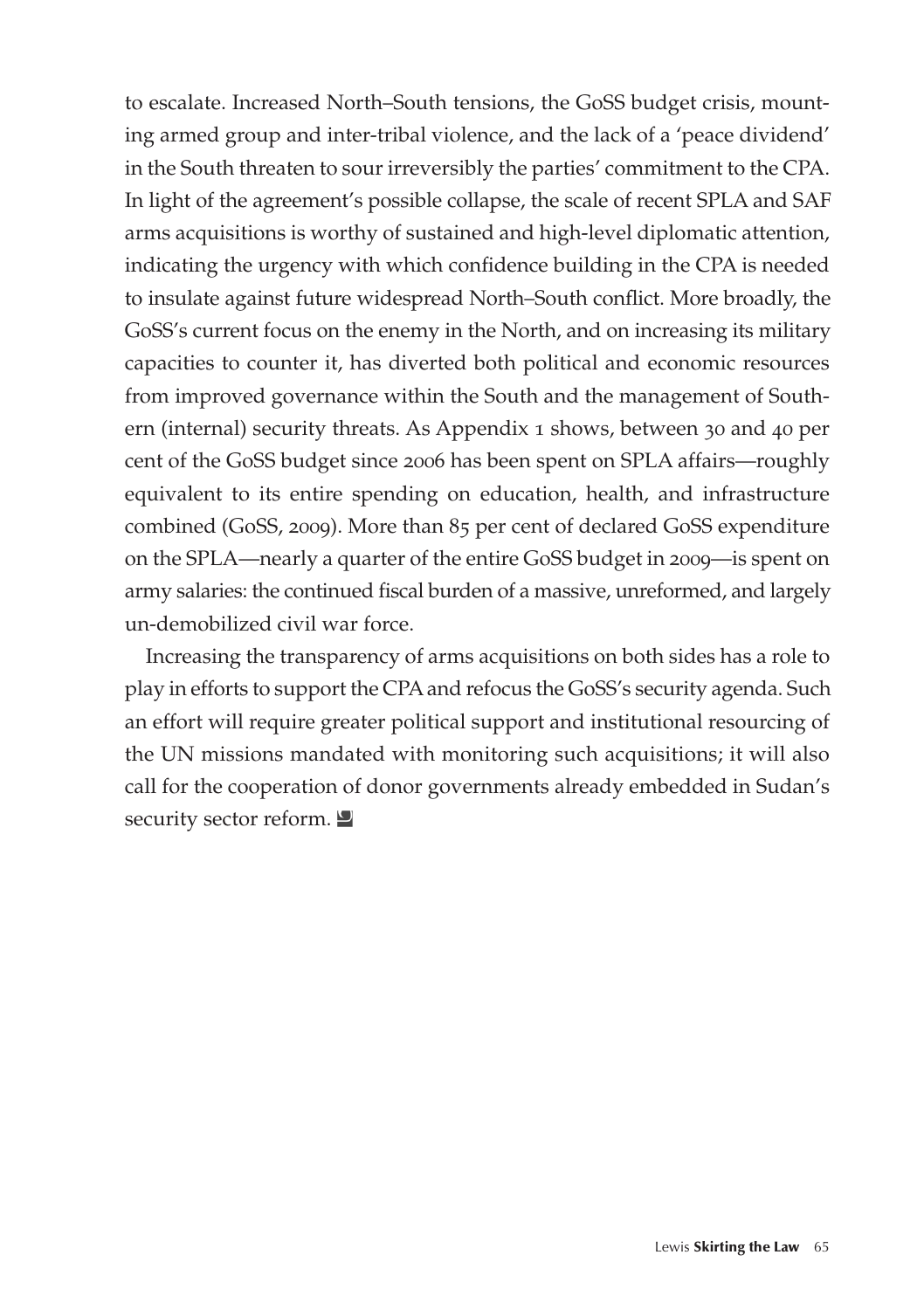to escalate. Increased North–South tensions, the GoSS budget crisis, mounting armed group and inter-tribal violence, and the lack of a 'peace dividend' in the South threaten to sour irreversibly the parties' commitment to the CPA. In light of the agreement's possible collapse, the scale of recent SPLA and SAF arms acquisitions is worthy of sustained and high-level diplomatic attention, indicating the urgency with which confidence building in the CPA is needed to insulate against future widespread North–South conflict. More broadly, the GoSS's current focus on the enemy in the North, and on increasing its military capacities to counter it, has diverted both political and economic resources from improved governance within the South and the management of Southern (internal) security threats. As Appendix 1 shows, between 30 and 40 per cent of the GoSS budget since 2006 has been spent on SPLA affairs—roughly equivalent to its entire spending on education, health, and infrastructure combined (GoSS, 2009). More than 85 per cent of declared GoSS expenditure on the SPLA—nearly a quarter of the entire GoSS budget in 2009—is spent on army salaries: the continued fiscal burden of a massive, unreformed, and largely un-demobilized civil war force.

Increasing the transparency of arms acquisitions on both sides has a role to play in efforts to support the CPA and refocus the GoSS's security agenda. Such an effort will require greater political support and institutional resourcing of the UN missions mandated with monitoring such acquisitions; it will also call for the cooperation of donor governments already embedded in Sudan's security sector reform.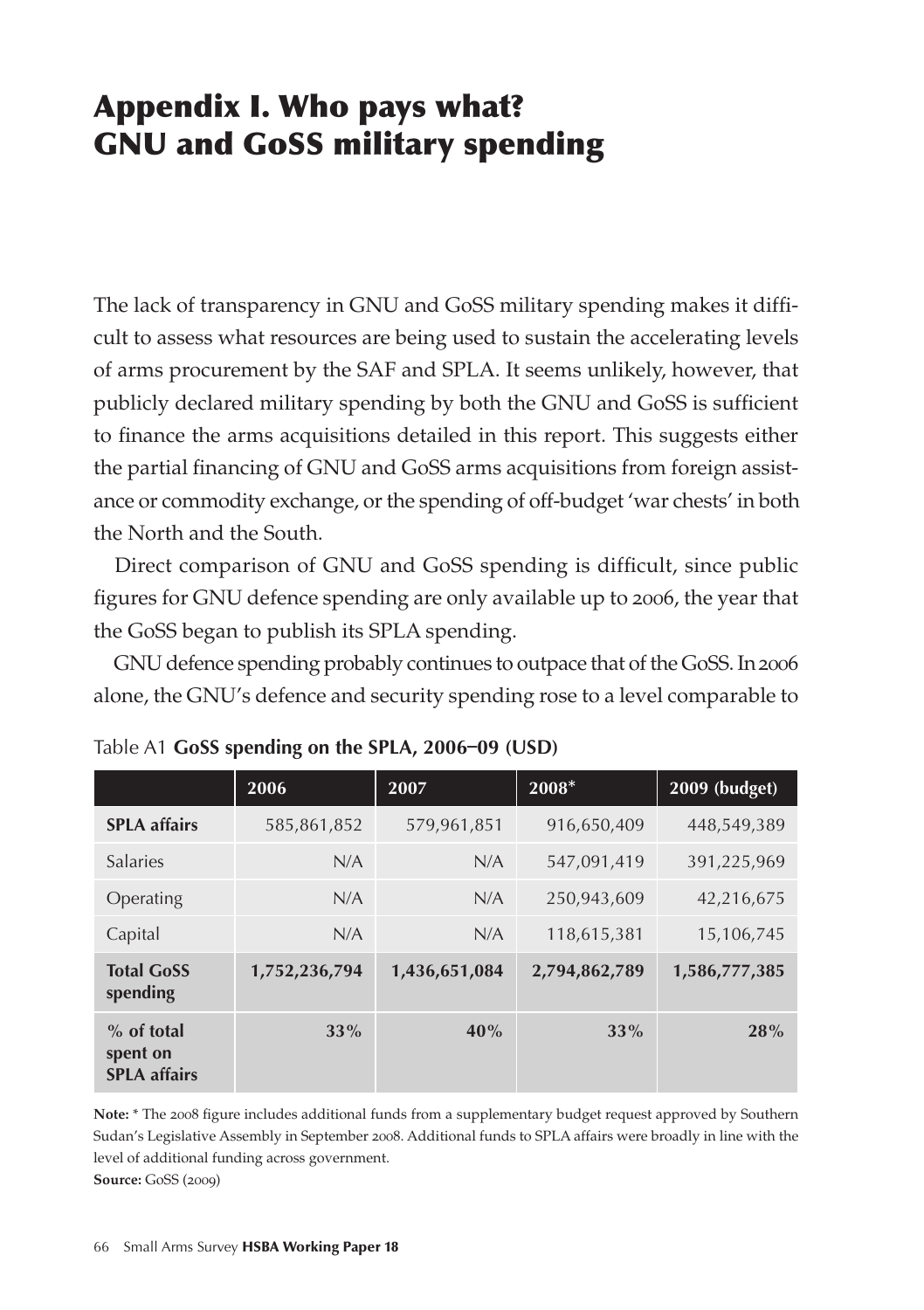# Appendix I. Who pays what? GNU and GoSS military spending

The lack of transparency in GNU and GoSS military spending makes it difficult to assess what resources are being used to sustain the accelerating levels of arms procurement by the SAF and SPLA. It seems unlikely, however, that publicly declared military spending by both the GNU and GoSS is sufficient to finance the arms acquisitions detailed in this report. This suggests either the partial financing of GNU and GoSS arms acquisitions from foreign assistance or commodity exchange, or the spending of off-budget 'war chests' in both the North and the South.

Direct comparison of GNU and GoSS spending is difficult, since public figures for GNU defence spending are only available up to 2006, the year that the GoSS began to publish its SPLA spending.

GNU defence spending probably continues to outpace that of the GoSS. In 2006 alone, the GNU's defence and security spending rose to a level comparable to

|                                                 | 2006          | 2007          | $2008*$       | 2009 (budget) |
|-------------------------------------------------|---------------|---------------|---------------|---------------|
| <b>SPLA</b> affairs                             | 585,861,852   | 579,961,851   | 916,650,409   | 448,549,389   |
| <b>Salaries</b>                                 | N/A           | N/A           | 547,091,419   | 391,225,969   |
| Operating                                       | N/A           | N/A           | 250,943,609   | 42,216,675    |
| Capital                                         | N/A           | N/A           | 118,615,381   | 15,106,745    |
| <b>Total GoSS</b><br>spending                   | 1,752,236,794 | 1,436,651,084 | 2,794,862,789 | 1,586,777,385 |
| $%$ of total<br>spent on<br><b>SPLA affairs</b> | 33%           | 40%           | 33%           | 28%           |

|  |  |  |  |  | Table A1 GoSS spending on the SPLA, 2006-09 (USD) |  |
|--|--|--|--|--|---------------------------------------------------|--|
|--|--|--|--|--|---------------------------------------------------|--|

**Note:** \* The 2008 figure includes additional funds from a supplementary budget request approved by Southern Sudan's Legislative Assembly in September 2008. Additional funds to SPLA affairs were broadly in line with the level of additional funding across government. **Source:** GoSS (2009)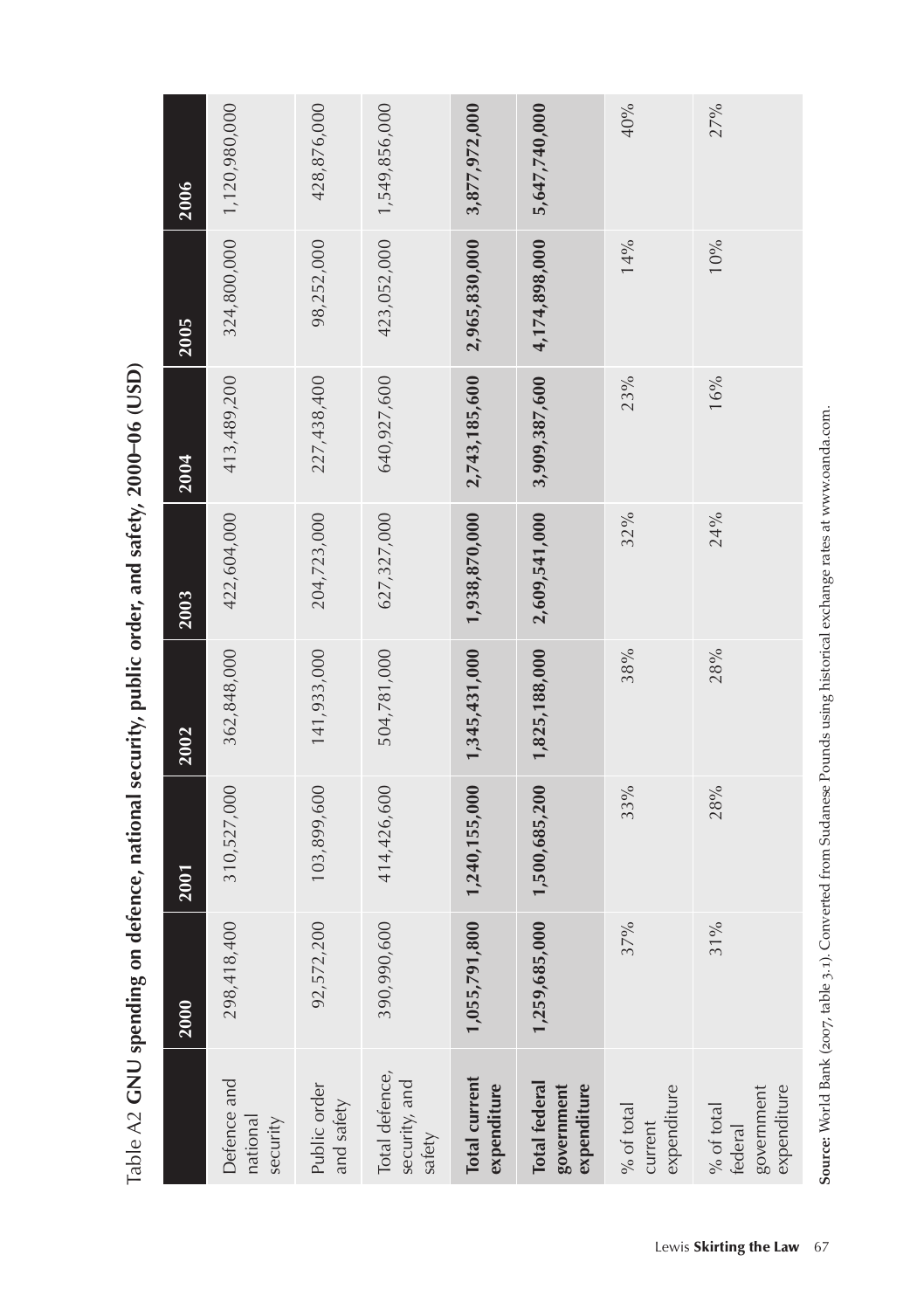| 27%                                                                                                                           | 40%                                     | 5,647,740,000                              | 3,877,972,000                       | 1,549,856,000                             | 428,876,000                | 1,120,980,000                       | 2006        |
|-------------------------------------------------------------------------------------------------------------------------------|-----------------------------------------|--------------------------------------------|-------------------------------------|-------------------------------------------|----------------------------|-------------------------------------|-------------|
| $10\%$                                                                                                                        | 14%                                     | 4,174,898,000                              | 2,965,830,000                       | 423,052,000                               | 98,252,000                 | 324,800,000                         | 2005        |
| 16%                                                                                                                           | 23%                                     | 3,909,387,600                              | 2,743,185,600                       | 640,927,600                               | 227,438,400                | 413,489,200                         | 2004        |
| 24%                                                                                                                           | 32%                                     | 2,609,541,000                              | 1,938,870,000                       | 627,327,000                               | 204,723,000                | 422,604,000                         | 2003        |
| 28%                                                                                                                           | 38%                                     | 1,825,188,000                              | 1,345,431,000                       | 504,781,000                               | 141,933,000                | 362,848,000                         | 2002        |
| $28\%$                                                                                                                        | 33%                                     | 1,500,685,200                              | 1,240,155,000                       | 414,426,600                               | 103,899,600                | 310,527,000                         | 2001        |
| Source: World Bank (2007, table 3.1). Converted from Sudanese Pounds using historical exchange rates at www.oanda.com.<br>31% | 37%                                     | 1,259,685,000                              | 1,055,791,800                       | 390,990,600                               | 92,572,200                 | 298,418,400                         | <b>2000</b> |
| government<br>expenditure<br>$\%$ of total<br>federal                                                                         | expenditure<br>$\%$ of total<br>current | Total federal<br>government<br>expenditure | <b>Total current</b><br>expenditure | Total defence,<br>security, and<br>safety | Public order<br>and safety | Defence and<br>national<br>security |             |
| Lewis Skirting the Law 67                                                                                                     |                                         |                                            |                                     |                                           |                            |                                     |             |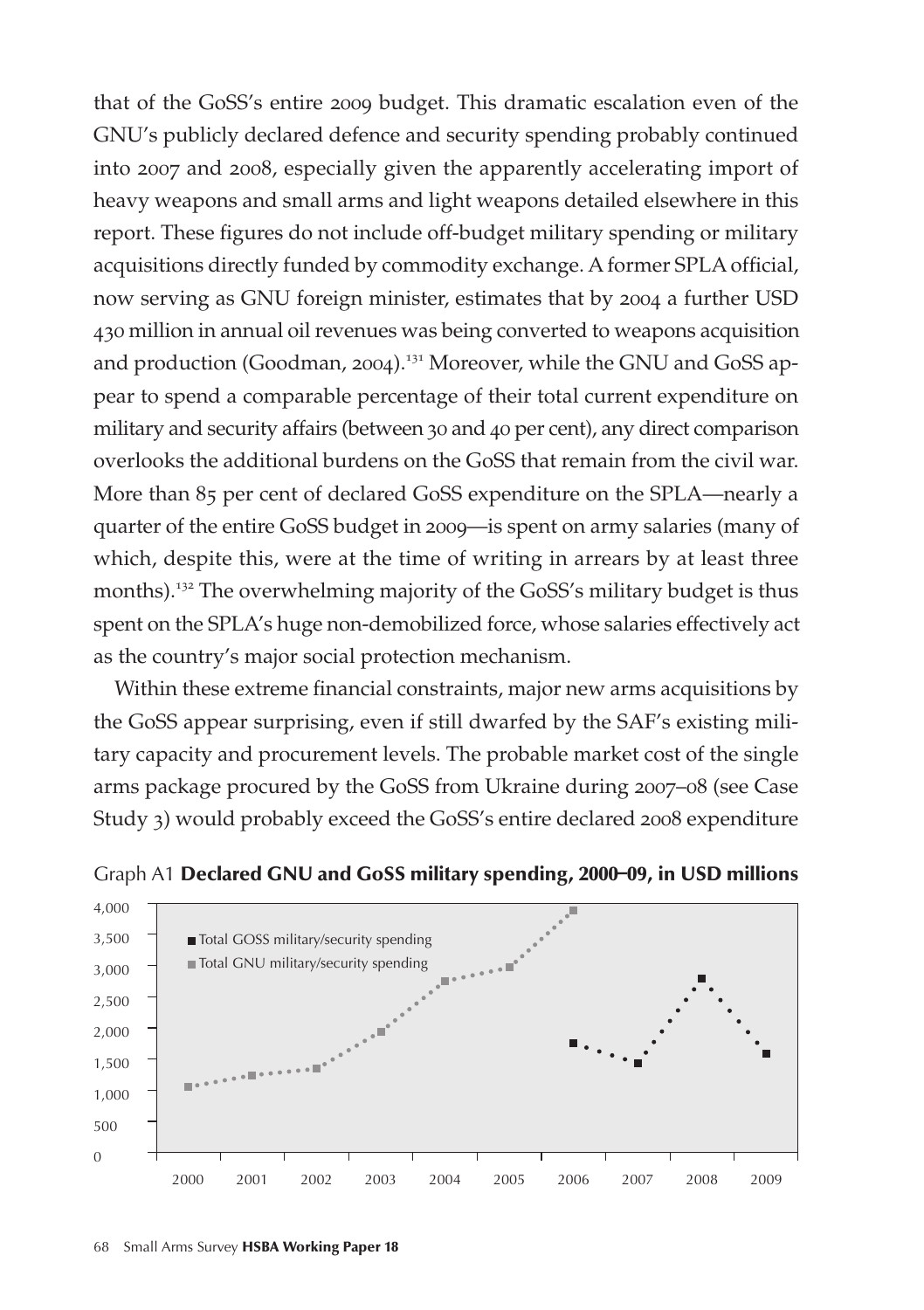that of the GoSS's entire 2009 budget. This dramatic escalation even of the GNU's publicly declared defence and security spending probably continued into 2007 and 2008, especially given the apparently accelerating import of heavy weapons and small arms and light weapons detailed elsewhere in this report. These figures do not include off-budget military spending or military acquisitions directly funded by commodity exchange. A former SPLA official, now serving as GNU foreign minister, estimates that by 2004 a further USD 430 million in annual oil revenues was being converted to weapons acquisition and production (Goodman, 2004).<sup>131</sup> Moreover, while the GNU and GoSS appear to spend a comparable percentage of their total current expenditure on military and security affairs (between 30 and 40 per cent), any direct comparison overlooks the additional burdens on the GoSS that remain from the civil war. More than 85 per cent of declared GoSS expenditure on the SPLA—nearly a quarter of the entire GoSS budget in 2009—is spent on army salaries (many of which, despite this, were at the time of writing in arrears by at least three months).<sup>132</sup> The overwhelming majority of the GoSS's military budget is thus spent on the SPLA's huge non-demobilized force, whose salaries effectively act as the country's major social protection mechanism.

Within these extreme financial constraints, major new arms acquisitions by the GoSS appear surprising, even if still dwarfed by the SAF's existing military capacity and procurement levels. The probable market cost of the single arms package procured by the GoSS from Ukraine during 2007–08 (see Case Study 3) would probably exceed the GoSS's entire declared 2008 expenditure



Graph A1 Declared GNU and GoSS military spending, 2000–09, in USD millions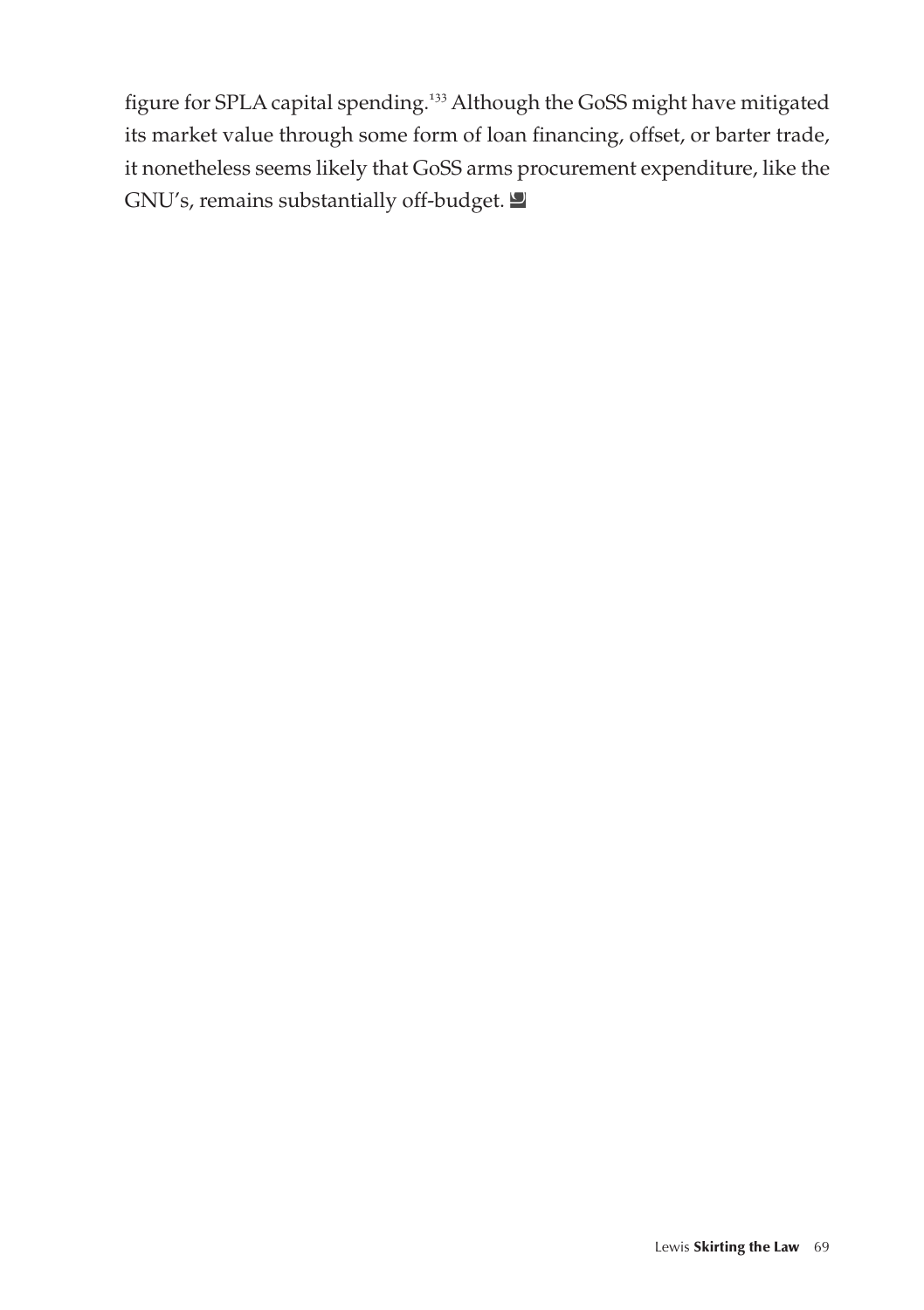figure for SPLA capital spending.<sup>133</sup> Although the GoSS might have mitigated its market value through some form of loan financing, offset, or barter trade, it nonetheless seems likely that GoSS arms procurement expenditure, like the GNU's, remains substantially off-budget.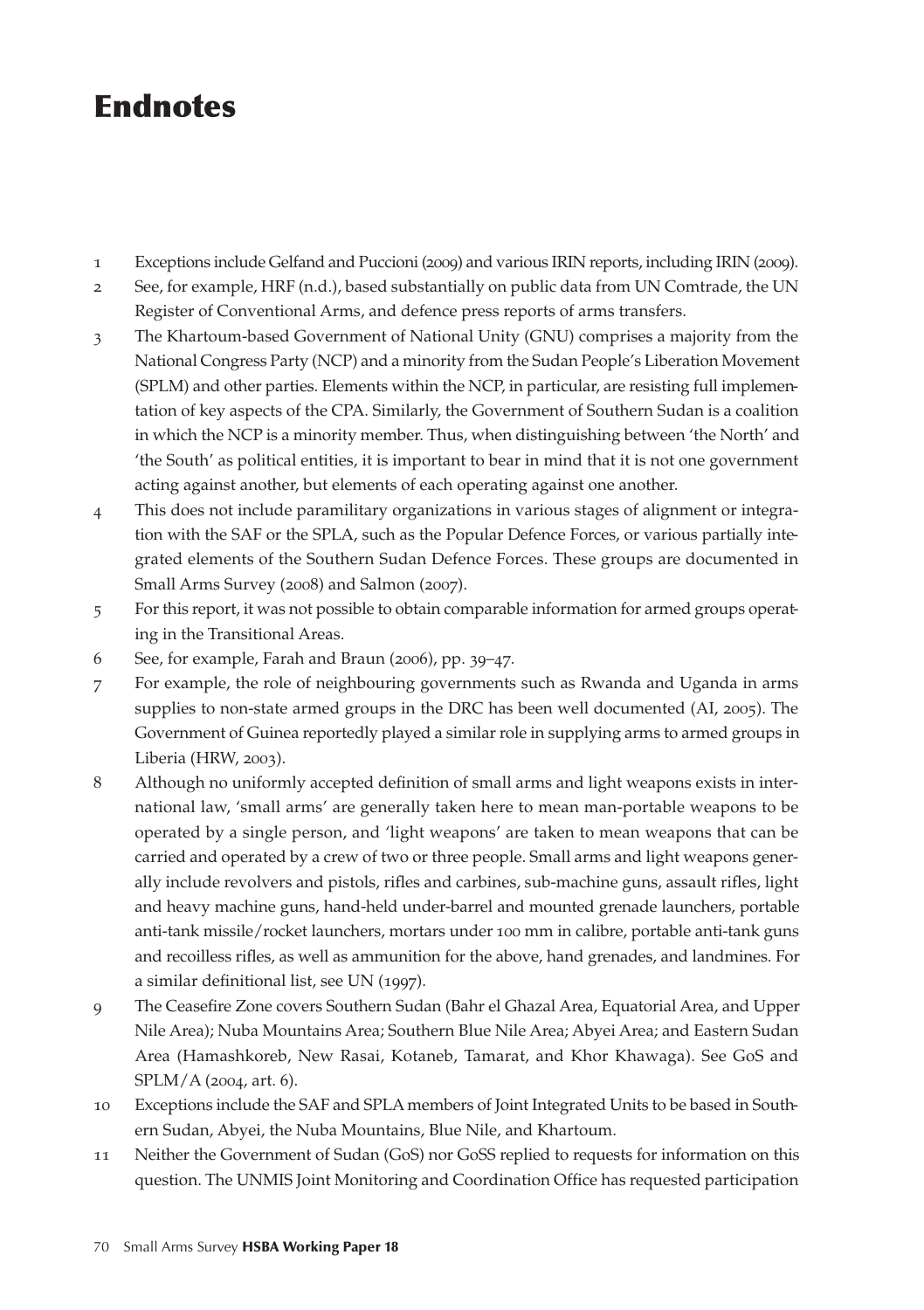## **Endnotes**

- 1 Exceptions include Gelfand and Puccioni (2009) and various IRIN reports, including IRIN (2009).
- 2 See, for example, HRF (n.d.), based substantially on public data from UN Comtrade, the UN Register of Conventional Arms, and defence press reports of arms transfers.
- 3 The Khartoum-based Government of National Unity (GNU) comprises a majority from the National Congress Party (NCP) and a minority from the Sudan People's Liberation Movement (SPLM) and other parties. Elements within the NCP, in particular, are resisting full implementation of key aspects of the CPA. Similarly, the Government of Southern Sudan is a coalition in which the NCP is a minority member. Thus, when distinguishing between 'the North' and 'the South' as political entities, it is important to bear in mind that it is not one government acting against another, but elements of each operating against one another.
- 4 This does not include paramilitary organizations in various stages of alignment or integration with the SAF or the SPLA, such as the Popular Defence Forces, or various partially integrated elements of the Southern Sudan Defence Forces. These groups are documented in Small Arms Survey (2008) and Salmon (2007).
- 5 For this report, it was not possible to obtain comparable information for armed groups operating in the Transitional Areas.
- 6 See, for example, Farah and Braun (2006), pp. 39–47.
- 7 For example, the role of neighbouring governments such as Rwanda and Uganda in arms supplies to non-state armed groups in the DRC has been well documented (AI, 2005). The Government of Guinea reportedly played a similar role in supplying arms to armed groups in Liberia (HRW, 2003).
- 8 Although no uniformly accepted definition of small arms and light weapons exists in international law, 'small arms' are generally taken here to mean man-portable weapons to be operated by a single person, and 'light weapons' are taken to mean weapons that can be carried and operated by a crew of two or three people. Small arms and light weapons generally include revolvers and pistols, rifles and carbines, sub-machine guns, assault rifles, light and heavy machine guns, hand-held under-barrel and mounted grenade launchers, portable anti-tank missile/rocket launchers, mortars under 100 mm in calibre, portable anti-tank guns and recoilless rifles, as well as ammunition for the above, hand grenades, and landmines. For a similar definitional list, see UN (1997).
- 9 The Ceasefire Zone covers Southern Sudan (Bahr el Ghazal Area, Equatorial Area, and Upper Nile Area); Nuba Mountains Area; Southern Blue Nile Area; Abyei Area; and Eastern Sudan Area (Hamashkoreb, New Rasai, Kotaneb, Tamarat, and Khor Khawaga). See GoS and SPLM/A (2004, art. 6).
- 10 Exceptions include the SAF and SPLA members of Joint Integrated Units to be based in Southern Sudan, Abyei, the Nuba Mountains, Blue Nile, and Khartoum.
- 11 Neither the Government of Sudan (GoS) nor GoSS replied to requests for information on this question. The UNMIS Joint Monitoring and Coordination Office has requested participation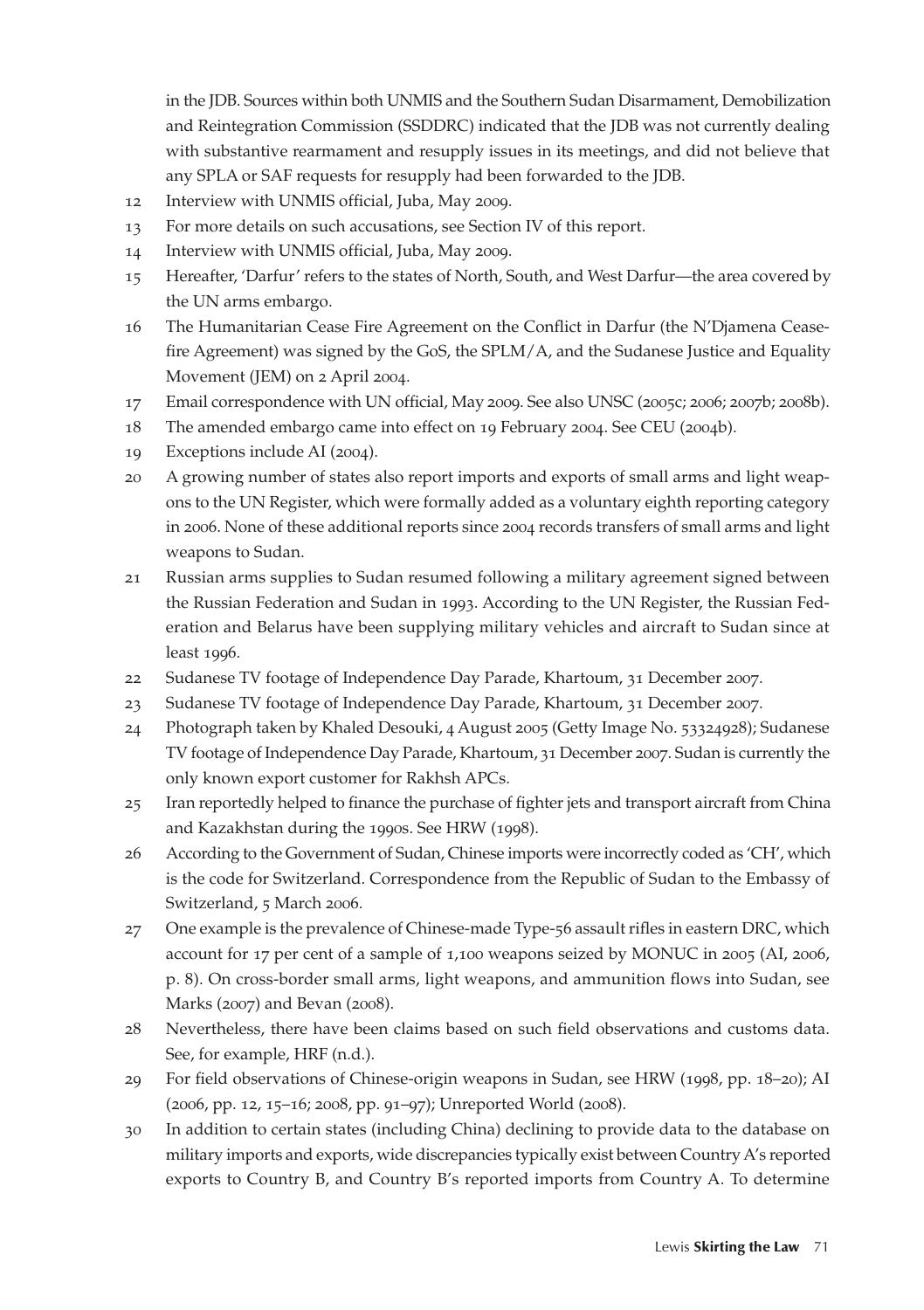in the JDB. Sources within both UNMIS and the Southern Sudan Disarmament, Demobilization and Reintegration Commission (SSDDRC) indicated that the JDB was not currently dealing with substantive rearmament and resupply issues in its meetings, and did not believe that any SPLA or SAF requests for resupply had been forwarded to the JDB.

- 12 Interview with UNMIS official, Juba, May 2009.
- 13 For more details on such accusations, see Section IV of this report.
- 14 Interview with UNMIS official, Juba, May 2009.
- 15 Hereafter, 'Darfur' refers to the states of North, South, and West Darfur—the area covered by the UN arms embargo.
- 16 The Humanitarian Cease Fire Agreement on the Conflict in Darfur (the N'Djamena Ceasefire Agreement) was signed by the GoS, the SPLM/A, and the Sudanese Justice and Equality Movement (JEM) on 2 April 2004.
- 17 Email correspondence with UN official, May 2009. See also UNSC (2005c; 2006; 2007b; 2008b).
- 18 The amended embargo came into effect on 19 February 2004. See CEU (2004b).
- 19 Exceptions include AI (2004).
- 20 A growing number of states also report imports and exports of small arms and light weapons to the UN Register, which were formally added as a voluntary eighth reporting category in 2006. None of these additional reports since 2004 records transfers of small arms and light weapons to Sudan.
- 21 Russian arms supplies to Sudan resumed following a military agreement signed between the Russian Federation and Sudan in 1993. According to the UN Register, the Russian Federation and Belarus have been supplying military vehicles and aircraft to Sudan since at least 1996.
- 22 Sudanese TV footage of Independence Day Parade, Khartoum, 31 December 2007.
- 23 Sudanese TV footage of Independence Day Parade, Khartoum, 31 December 2007.
- 24 Photograph taken by Khaled Desouki, 4 August 2005 (Getty Image No. 53324928); Sudanese TV footage of Independence Day Parade, Khartoum, 31 December 2007. Sudan is currently the only known export customer for Rakhsh APCs.
- 25 Iran reportedly helped to finance the purchase of fighter jets and transport aircraft from China and Kazakhstan during the 1990s. See HRW (1998).
- 26 According to the Government of Sudan, Chinese imports were incorrectly coded as 'CH', which is the code for Switzerland. Correspondence from the Republic of Sudan to the Embassy of Switzerland, 5 March 2006.
- 27 One example is the prevalence of Chinese-made Type-56 assault rifles in eastern DRC, which account for 17 per cent of a sample of 1,100 weapons seized by MONUC in 2005 (AI, 2006, p. 8). On cross-border small arms, light weapons, and ammunition flows into Sudan, see Marks (2007) and Bevan (2008).
- 28 Nevertheless, there have been claims based on such field observations and customs data. See, for example, HRF (n.d.).
- 29 For field observations of Chinese-origin weapons in Sudan, see HRW (1998, pp. 18–20); AI (2006, pp. 12, 15–16; 2008, pp. 91–97); Unreported World (2008).
- 30 In addition to certain states (including China) declining to provide data to the database on military imports and exports, wide discrepancies typically exist between Country A's reported exports to Country B, and Country B's reported imports from Country A. To determine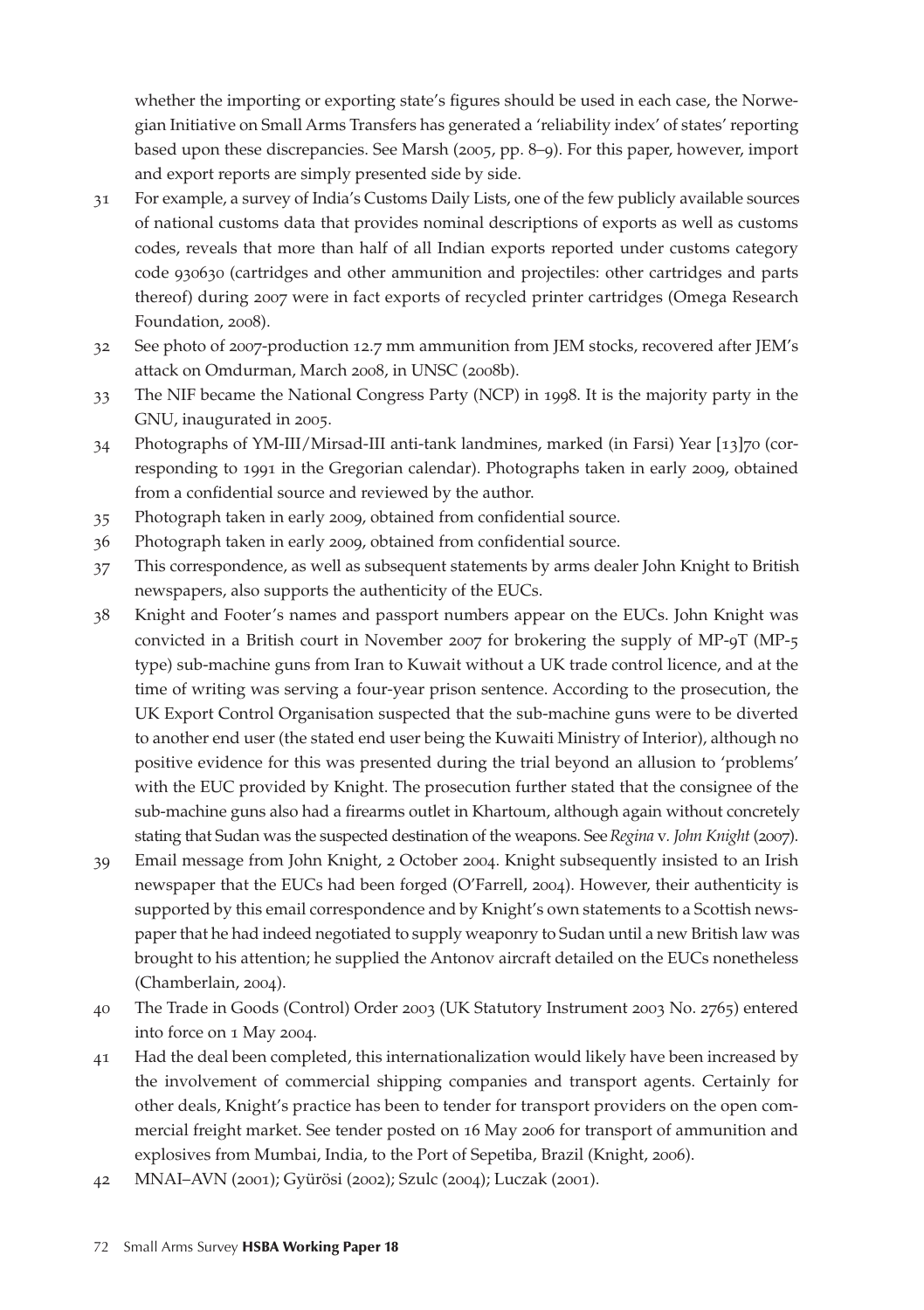whether the importing or exporting state's figures should be used in each case, the Norwegian Initiative on Small Arms Transfers has generated a 'reliability index' of states' reporting based upon these discrepancies. See Marsh (2005, pp. 8–9). For this paper, however, import and export reports are simply presented side by side.

- 31 For example, a survey of India's Customs Daily Lists, one of the few publicly available sources of national customs data that provides nominal descriptions of exports as well as customs codes, reveals that more than half of all Indian exports reported under customs category code 930630 (cartridges and other ammunition and projectiles: other cartridges and parts thereof) during 2007 were in fact exports of recycled printer cartridges (Omega Research Foundation, 2008).
- 32 See photo of 2007-production 12.7 mm ammunition from JEM stocks, recovered after JEM's attack on Omdurman, March 2008, in UNSC (2008b).
- 33 The NIF became the National Congress Party (NCP) in 1998. It is the majority party in the GNU, inaugurated in 2005.
- 34 Photographs of YM-III/Mirsad-III anti-tank landmines, marked (in Farsi) Year [13]70 (corresponding to 1991 in the Gregorian calendar). Photographs taken in early 2009, obtained from a confidential source and reviewed by the author.
- 35 Photograph taken in early 2009, obtained from confidential source.
- 36 Photograph taken in early 2009, obtained from confidential source.
- 37 This correspondence, as well as subsequent statements by arms dealer John Knight to British newspapers, also supports the authenticity of the EUCs.
- 38 Knight and Footer's names and passport numbers appear on the EUCs. John Knight was convicted in a British court in November 2007 for brokering the supply of MP-9T (MP-5 type) sub-machine guns from Iran to Kuwait without a UK trade control licence, and at the time of writing was serving a four-year prison sentence. According to the prosecution, the UK Export Control Organisation suspected that the sub-machine guns were to be diverted to another end user (the stated end user being the Kuwaiti Ministry of Interior), although no positive evidence for this was presented during the trial beyond an allusion to 'problems' with the EUC provided by Knight. The prosecution further stated that the consignee of the sub-machine guns also had a firearms outlet in Khartoum, although again without concretely stating that Sudan was the suspected destination of the weapons. See *Regina* v*. John Knight* (2007).
- 39 Email message from John Knight, 2 October 2004. Knight subsequently insisted to an Irish newspaper that the EUCs had been forged (O'Farrell, 2004). However, their authenticity is supported by this email correspondence and by Knight's own statements to a Scottish newspaper that he had indeed negotiated to supply weaponry to Sudan until a new British law was brought to his attention; he supplied the Antonov aircraft detailed on the EUCs nonetheless (Chamberlain, 2004).
- 40 The Trade in Goods (Control) Order 2003 (UK Statutory Instrument 2003 No. 2765) entered into force on 1 May 2004.
- 41 Had the deal been completed, this internationalization would likely have been increased by the involvement of commercial shipping companies and transport agents. Certainly for other deals, Knight's practice has been to tender for transport providers on the open commercial freight market. See tender posted on 16 May 2006 for transport of ammunition and explosives from Mumbai, India, to the Port of Sepetiba, Brazil (Knight, 2006).
- 42 MNAI–AVN (2001); Gyürösi (2002); Szulc (2004); Luczak (2001).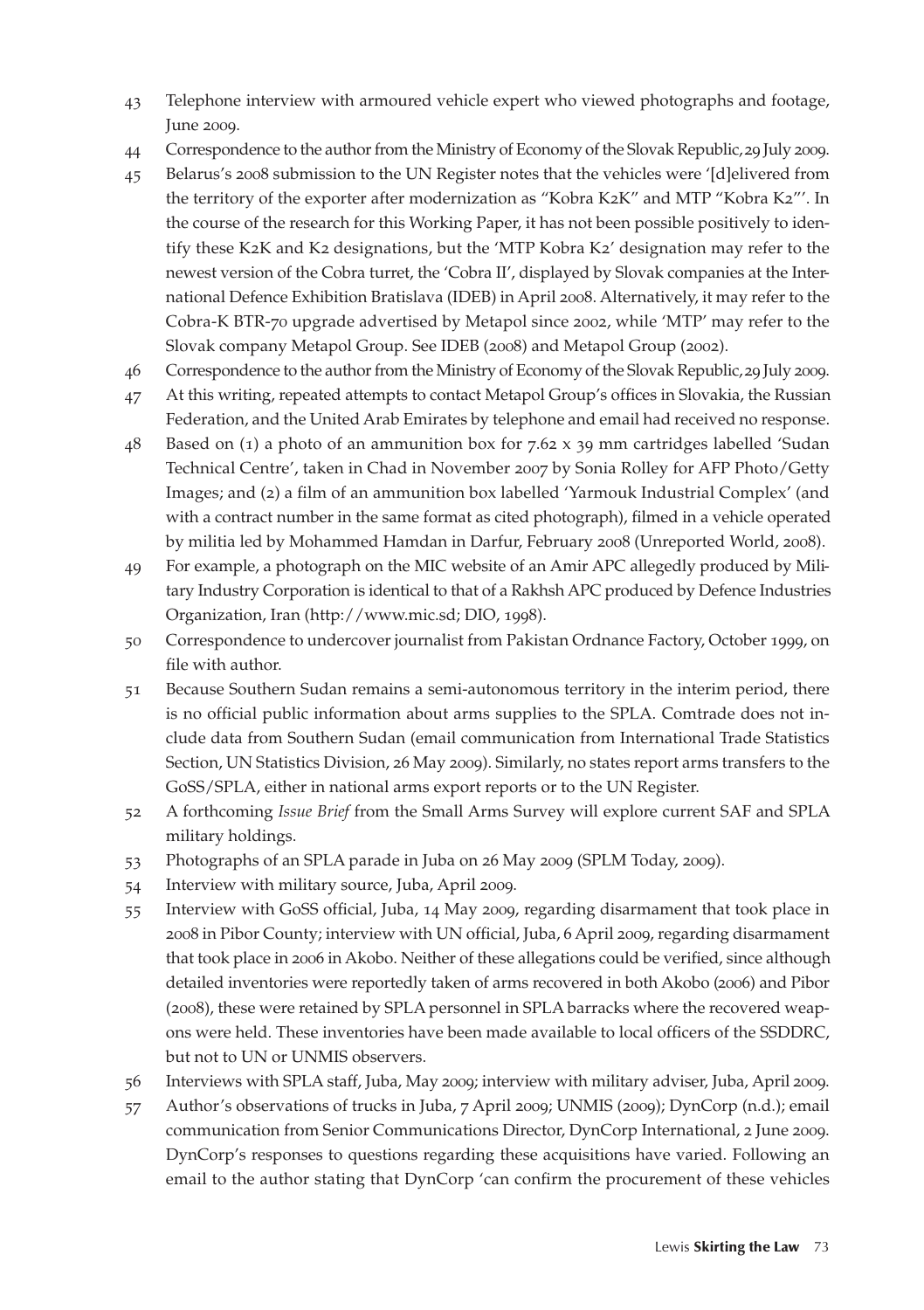- 43 Telephone interview with armoured vehicle expert who viewed photographs and footage, June 2009.
- 44 Correspondence to the author from the Ministry of Economy of the Slovak Republic, 29 July 2009.
- 45 Belarus's 2008 submission to the UN Register notes that the vehicles were '[d]elivered from the territory of the exporter after modernization as "Kobra K2K" and MTP "Kobra K2"'. In the course of the research for this Working Paper, it has not been possible positively to identify these K2K and K2 designations, but the 'MTP Kobra K2' designation may refer to the newest version of the Cobra turret, the 'Cobra II', displayed by Slovak companies at the International Defence Exhibition Bratislava (IDEB) in April 2008. Alternatively, it may refer to the Cobra-K BTR-70 upgrade advertised by Metapol since 2002, while 'MTP' may refer to the Slovak company Metapol Group. See IDEB (2008) and Metapol Group (2002).
- 46 Correspondence to the author from the Ministry of Economy of the Slovak Republic, 29 July 2009.
- 47 At this writing, repeated attempts to contact Metapol Group's offices in Slovakia, the Russian Federation, and the United Arab Emirates by telephone and email had received no response.
- 48 Based on (1) a photo of an ammunition box for 7.62 x 39 mm cartridges labelled 'Sudan Technical Centre', taken in Chad in November 2007 by Sonia Rolley for AFP Photo/Getty Images; and (2) a film of an ammunition box labelled 'Yarmouk Industrial Complex' (and with a contract number in the same format as cited photograph), filmed in a vehicle operated by militia led by Mohammed Hamdan in Darfur, February 2008 (Unreported World, 2008).
- 49 For example, a photograph on the MIC website of an Amir APC allegedly produced by Military Industry Corporation is identical to that of a Rakhsh APC produced by Defence Industries Organization, Iran (http://www.mic.sd; DIO, 1998).
- 50 Correspondence to undercover journalist from Pakistan Ordnance Factory, October 1999, on file with author.
- 51 Because Southern Sudan remains a semi-autonomous territory in the interim period, there is no official public information about arms supplies to the SPLA. Comtrade does not include data from Southern Sudan (email communication from International Trade Statistics Section, UN Statistics Division, 26 May 2009). Similarly, no states report arms transfers to the GoSS/SPLA, either in national arms export reports or to the UN Register.
- 52 A forthcoming *Issue Brief* from the Small Arms Survey will explore current SAF and SPLA military holdings.
- 53 Photographs of an SPLA parade in Juba on 26 May 2009 (SPLM Today, 2009).
- 54 Interview with military source, Juba, April 2009.
- 55 Interview with GoSS official, Juba, 14 May 2009, regarding disarmament that took place in 2008 in Pibor County; interview with UN official, Juba, 6 April 2009, regarding disarmament that took place in 2006 in Akobo. Neither of these allegations could be verified, since although detailed inventories were reportedly taken of arms recovered in both Akobo (2006) and Pibor (2008), these were retained by SPLA personnel in SPLA barracks where the recovered weapons were held. These inventories have been made available to local officers of the SSDDRC, but not to UN or UNMIS observers.
- 56 Interviews with SPLA staff, Juba, May 2009; interview with military adviser, Juba, April 2009.
- 57 Author's observations of trucks in Juba, 7 April 2009; UNMIS (2009); DynCorp (n.d.); email communication from Senior Communications Director, DynCorp International, 2 June 2009. DynCorp's responses to questions regarding these acquisitions have varied. Following an email to the author stating that DynCorp 'can confirm the procurement of these vehicles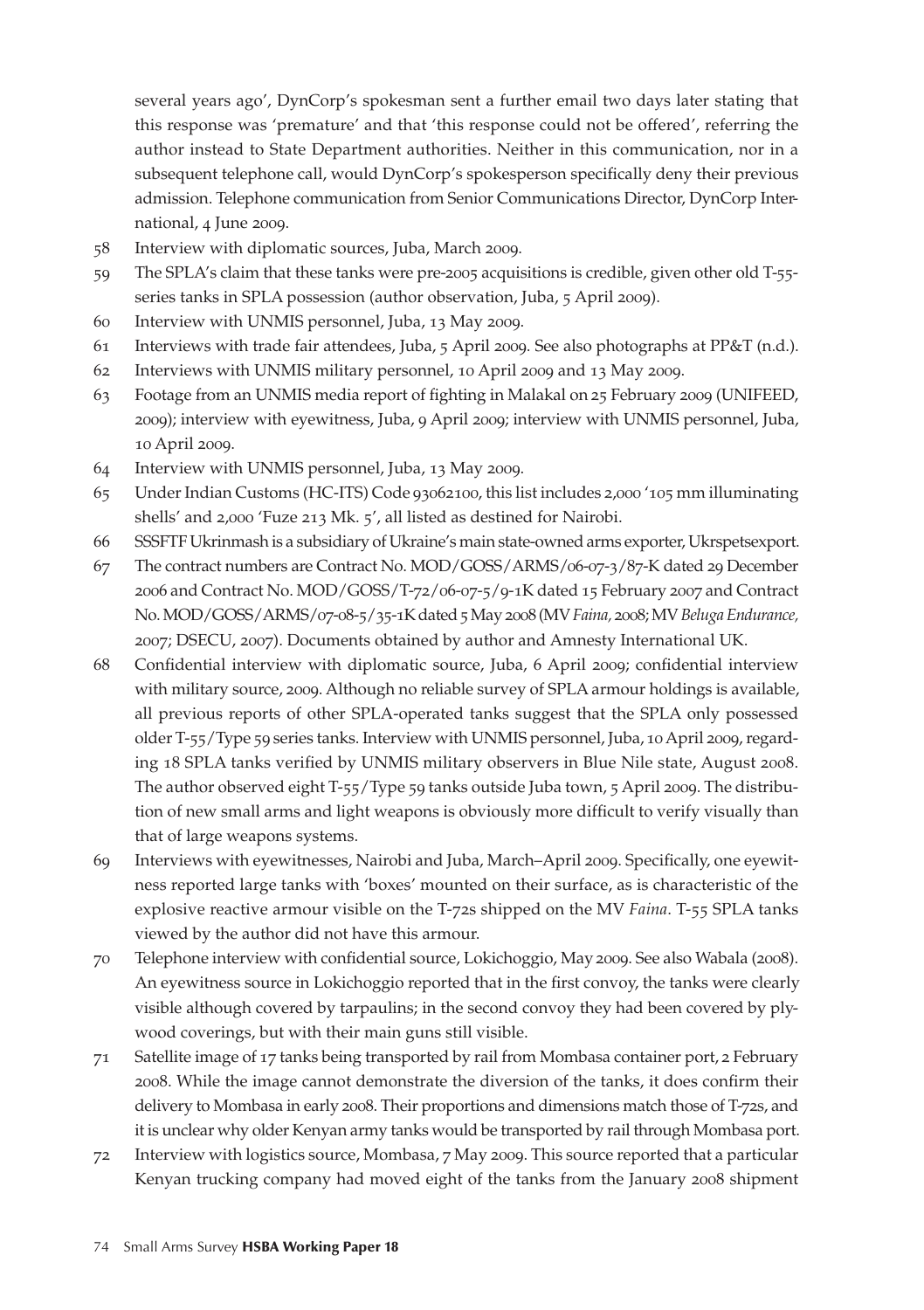several years ago', DynCorp's spokesman sent a further email two days later stating that this response was 'premature' and that 'this response could not be offered', referring the author instead to State Department authorities. Neither in this communication, nor in a subsequent telephone call, would DynCorp's spokesperson specifically deny their previous admission. Telephone communication from Senior Communications Director, DynCorp International, 4 June 2009.

- 58 Interview with diplomatic sources, Juba, March 2009.
- 59 The SPLA's claim that these tanks were pre-2005 acquisitions is credible, given other old T-55 series tanks in SPLA possession (author observation, Juba, 5 April 2009).
- 60 Interview with UNMIS personnel, Juba, 13 May 2009.
- 61 Interviews with trade fair attendees, Juba, 5 April 2009. See also photographs at PP&T (n.d.).
- 62 Interviews with UNMIS military personnel, 10 April 2009 and 13 May 2009.
- 63 Footage from an UNMIS media report of fighting in Malakal on 25 February 2009 (UNIFEED, 2009); interview with eyewitness, Juba, 9 April 2009; interview with UNMIS personnel, Juba, 10 April 2009.
- 64 Interview with UNMIS personnel, Juba, 13 May 2009.
- 65 Under Indian Customs (HC-ITS) Code 93062100, this list includes 2,000 '105 mm illuminating shells' and 2,000 'Fuze 213 Mk. 5', all listed as destined for Nairobi.
- 66 SSSFTF Ukrinmash is a subsidiary of Ukraine's main state-owned arms exporter, Ukrspetsexport.
- 67 The contract numbers are Contract No. MOD/GOSS/ARMS/06-07-3/87-K dated 29 December 2006 and Contract No. MOD/GOSS/T-72/06-07-5/9-1K dated 15 February 2007 and Contract No. MOD/GOSS/ARMS/07-08-5/35-1K dated 5 May 2008 (MV *Faina,* 2008; MV *Beluga Endurance,* 2007; DSECU, 2007). Documents obtained by author and Amnesty International UK.
- 68 Confidential interview with diplomatic source, Juba, 6 April 2009; confidential interview with military source, 2009. Although no reliable survey of SPLA armour holdings is available, all previous reports of other SPLA-operated tanks suggest that the SPLA only possessed older T-55/Type 59 series tanks. Interview with UNMIS personnel, Juba, 10 April 2009, regarding 18 SPLA tanks verified by UNMIS military observers in Blue Nile state, August 2008. The author observed eight T-55/Type 59 tanks outside Juba town, 5 April 2009. The distribution of new small arms and light weapons is obviously more difficult to verify visually than that of large weapons systems.
- 69 Interviews with eyewitnesses, Nairobi and Juba, March–April 2009. Specifically, one eyewitness reported large tanks with 'boxes' mounted on their surface, as is characteristic of the explosive reactive armour visible on the T-72s shipped on the MV *Faina*. T-55 SPLA tanks viewed by the author did not have this armour.
- 70 Telephone interview with confidential source, Lokichoggio, May 2009. See also Wabala (2008). An eyewitness source in Lokichoggio reported that in the first convoy, the tanks were clearly visible although covered by tarpaulins; in the second convoy they had been covered by plywood coverings, but with their main guns still visible.
- 71 Satellite image of 17 tanks being transported by rail from Mombasa container port, 2 February 2008. While the image cannot demonstrate the diversion of the tanks, it does confirm their delivery to Mombasa in early 2008. Their proportions and dimensions match those of T-72s, and it is unclear why older Kenyan army tanks would be transported by rail through Mombasa port.
- 72 Interview with logistics source, Mombasa, 7 May 2009. This source reported that a particular Kenyan trucking company had moved eight of the tanks from the January 2008 shipment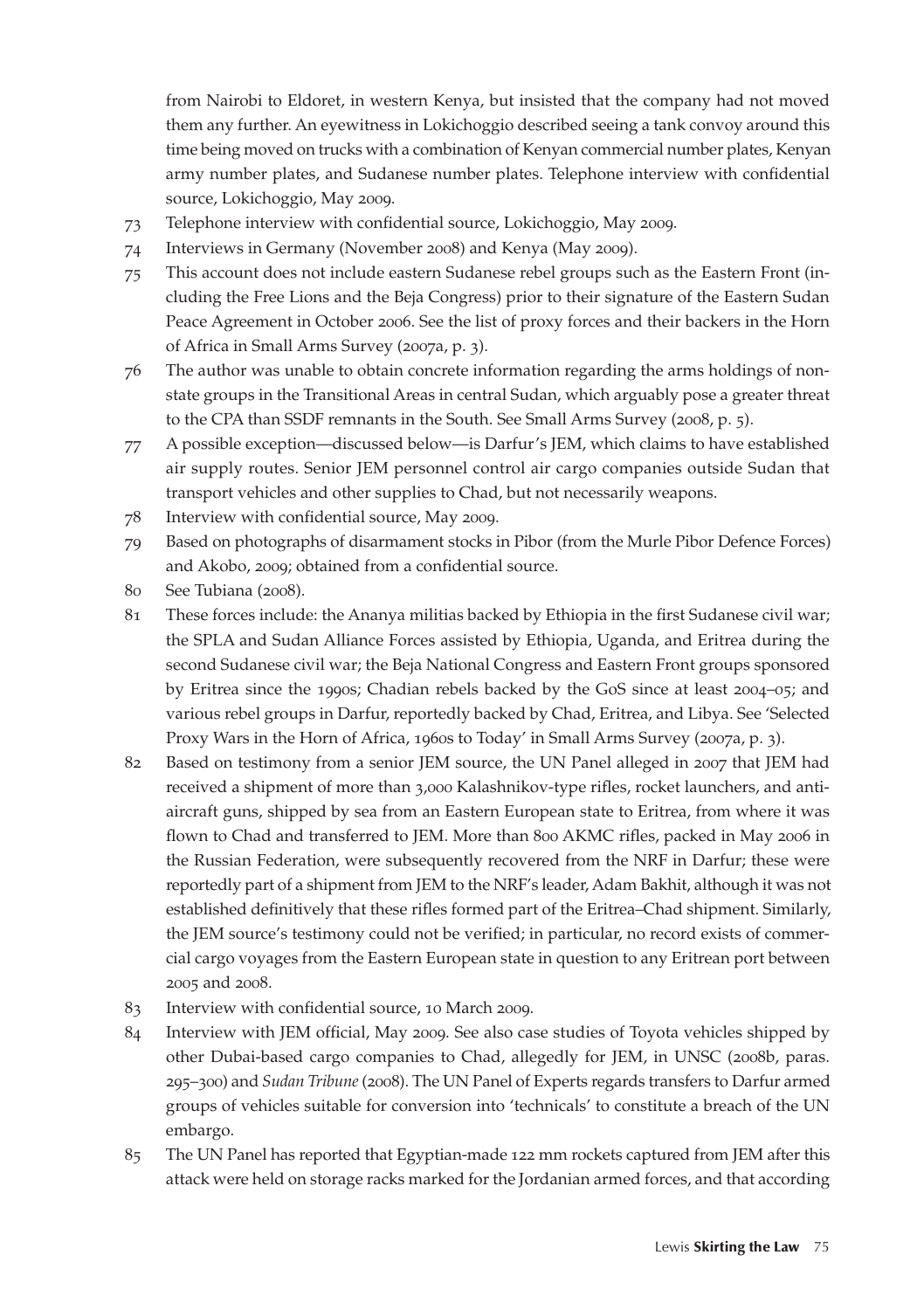from Nairobi to Eldoret, in western Kenya, but insisted that the company had not moved them any further. An eyewitness in Lokichoggio described seeing a tank convoy around this time being moved on trucks with a combination of Kenyan commercial number plates, Kenyan army number plates, and Sudanese number plates. Telephone interview with confidential source, Lokichoggio, May 2009.

- 73 Telephone interview with confidential source, Lokichoggio, May 2009.
- 74 Interviews in Germany (November 2008) and Kenya (May 2009).
- 75 This account does not include eastern Sudanese rebel groups such as the Eastern Front (including the Free Lions and the Beja Congress) prior to their signature of the Eastern Sudan Peace Agreement in October 2006. See the list of proxy forces and their backers in the Horn of Africa in Small Arms Survey (2007a, p. 3).
- 76 The author was unable to obtain concrete information regarding the arms holdings of nonstate groups in the Transitional Areas in central Sudan, which arguably pose a greater threat to the CPA than SSDF remnants in the South. See Small Arms Survey (2008, p. 5).
- 77 A possible exception—discussed below—is Darfur's JEM, which claims to have established air supply routes. Senior JEM personnel control air cargo companies outside Sudan that transport vehicles and other supplies to Chad, but not necessarily weapons.
- 78 Interview with confidential source, May 2009.
- 79 Based on photographs of disarmament stocks in Pibor (from the Murle Pibor Defence Forces) and Akobo, 2009; obtained from a confidential source.
- 80 See Tubiana (2008).
- 81 These forces include: the Ananya militias backed by Ethiopia in the first Sudanese civil war; the SPLA and Sudan Alliance Forces assisted by Ethiopia, Uganda, and Eritrea during the second Sudanese civil war; the Beja National Congress and Eastern Front groups sponsored by Eritrea since the 1990s; Chadian rebels backed by the GoS since at least 2004–05; and various rebel groups in Darfur, reportedly backed by Chad, Eritrea, and Libya. See 'Selected Proxy Wars in the Horn of Africa, 1960s to Today' in Small Arms Survey (2007a, p. 3).
- 82 Based on testimony from a senior JEM source, the UN Panel alleged in 2007 that JEM had received a shipment of more than 3,000 Kalashnikov-type rifles, rocket launchers, and antiaircraft guns, shipped by sea from an Eastern European state to Eritrea, from where it was flown to Chad and transferred to JEM. More than 800 AKMC rifles, packed in May 2006 in the Russian Federation, were subsequently recovered from the NRF in Darfur; these were reportedly part of a shipment from JEM to the NRF's leader, Adam Bakhit, although it was not established definitively that these rifles formed part of the Eritrea–Chad shipment. Similarly, the JEM source's testimony could not be verified; in particular, no record exists of commercial cargo voyages from the Eastern European state in question to any Eritrean port between 2005 and 2008.
- 83 Interview with confidential source, 10 March 2009.
- 84 Interview with JEM official, May 2009. See also case studies of Toyota vehicles shipped by other Dubai-based cargo companies to Chad, allegedly for JEM, in UNSC (2008b, paras. 295–300) and *Sudan Tribune* (2008). The UN Panel of Experts regards transfers to Darfur armed groups of vehicles suitable for conversion into 'technicals' to constitute a breach of the UN embargo.
- 85 The UN Panel has reported that Egyptian-made 122 mm rockets captured from JEM after this attack were held on storage racks marked for the Jordanian armed forces, and that according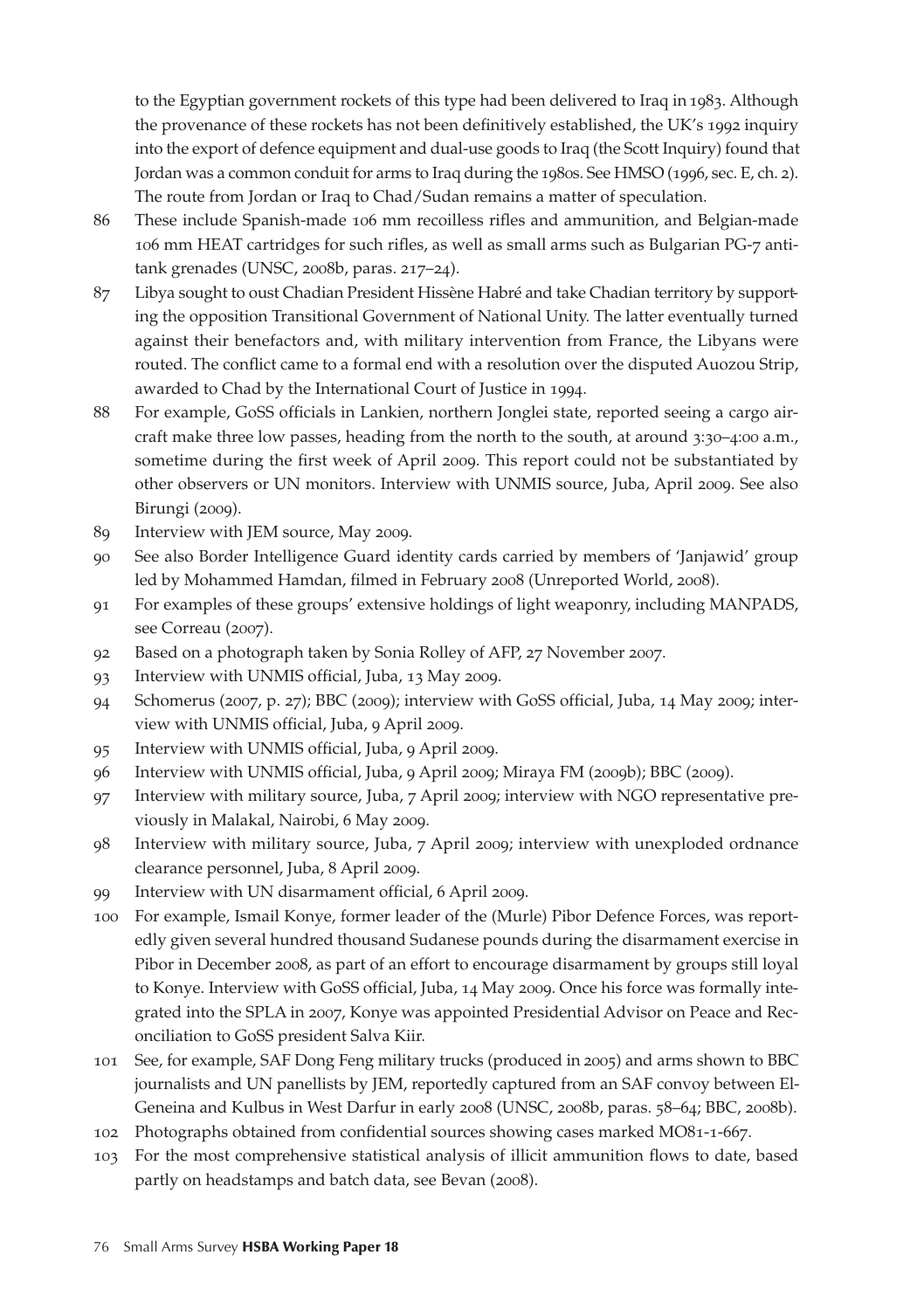to the Egyptian government rockets of this type had been delivered to Iraq in 1983. Although the provenance of these rockets has not been definitively established, the UK's 1992 inquiry into the export of defence equipment and dual-use goods to Iraq (the Scott Inquiry) found that Jordan was a common conduit for arms to Iraq during the 1980s. See HMSO (1996, sec. E, ch. 2). The route from Jordan or Iraq to Chad/Sudan remains a matter of speculation.

- 86 These include Spanish-made 106 mm recoilless rifles and ammunition, and Belgian-made 106 mm HEAT cartridges for such rifles, as well as small arms such as Bulgarian PG-7 antitank grenades (UNSC, 2008b, paras. 217–24).
- 87 Libya sought to oust Chadian President Hissène Habré and take Chadian territory by supporting the opposition Transitional Government of National Unity. The latter eventually turned against their benefactors and, with military intervention from France, the Libyans were routed. The conflict came to a formal end with a resolution over the disputed Auozou Strip, awarded to Chad by the International Court of Justice in 1994.
- 88 For example, GoSS officials in Lankien, northern Jonglei state, reported seeing a cargo aircraft make three low passes, heading from the north to the south, at around 3:30–4:00 a.m., sometime during the first week of April 2009. This report could not be substantiated by other observers or UN monitors. Interview with UNMIS source, Juba, April 2009. See also Birungi (2009).
- 89 Interview with JEM source, May 2009.
- 90 See also Border Intelligence Guard identity cards carried by members of 'Janjawid' group led by Mohammed Hamdan, filmed in February 2008 (Unreported World, 2008).
- 91 For examples of these groups' extensive holdings of light weaponry, including MANPADS, see Correau (2007).
- 92 Based on a photograph taken by Sonia Rolley of AFP, 27 November 2007.
- 93 Interview with UNMIS official, Juba, 13 May 2009.
- 94 Schomerus (2007, p. 27); BBC (2009); interview with GoSS official, Juba, 14 May 2009; interview with UNMIS official, Juba, 9 April 2009.
- 95 Interview with UNMIS official, Juba, 9 April 2009.
- 96 Interview with UNMIS official, Juba, 9 April 2009; Miraya FM (2009b); BBC (2009).
- 97 Interview with military source, Juba, 7 April 2009; interview with NGO representative previously in Malakal, Nairobi, 6 May 2009.
- 98 Interview with military source, Juba, 7 April 2009; interview with unexploded ordnance clearance personnel, Juba, 8 April 2009.
- 99 Interview with UN disarmament official, 6 April 2009.
- 100 For example, Ismail Konye, former leader of the (Murle) Pibor Defence Forces, was reportedly given several hundred thousand Sudanese pounds during the disarmament exercise in Pibor in December 2008, as part of an effort to encourage disarmament by groups still loyal to Konye. Interview with GoSS official, Juba, 14 May 2009. Once his force was formally integrated into the SPLA in 2007, Konye was appointed Presidential Advisor on Peace and Reconciliation to GoSS president Salva Kiir.
- 101 See, for example, SAF Dong Feng military trucks (produced in 2005) and arms shown to BBC journalists and UN panellists by JEM, reportedly captured from an SAF convoy between El-Geneina and Kulbus in West Darfur in early 2008 (UNSC, 2008b, paras. 58–64; BBC, 2008b).
- 102 Photographs obtained from confidential sources showing cases marked MO81-1-667.
- 103 For the most comprehensive statistical analysis of illicit ammunition flows to date, based partly on headstamps and batch data, see Bevan (2008).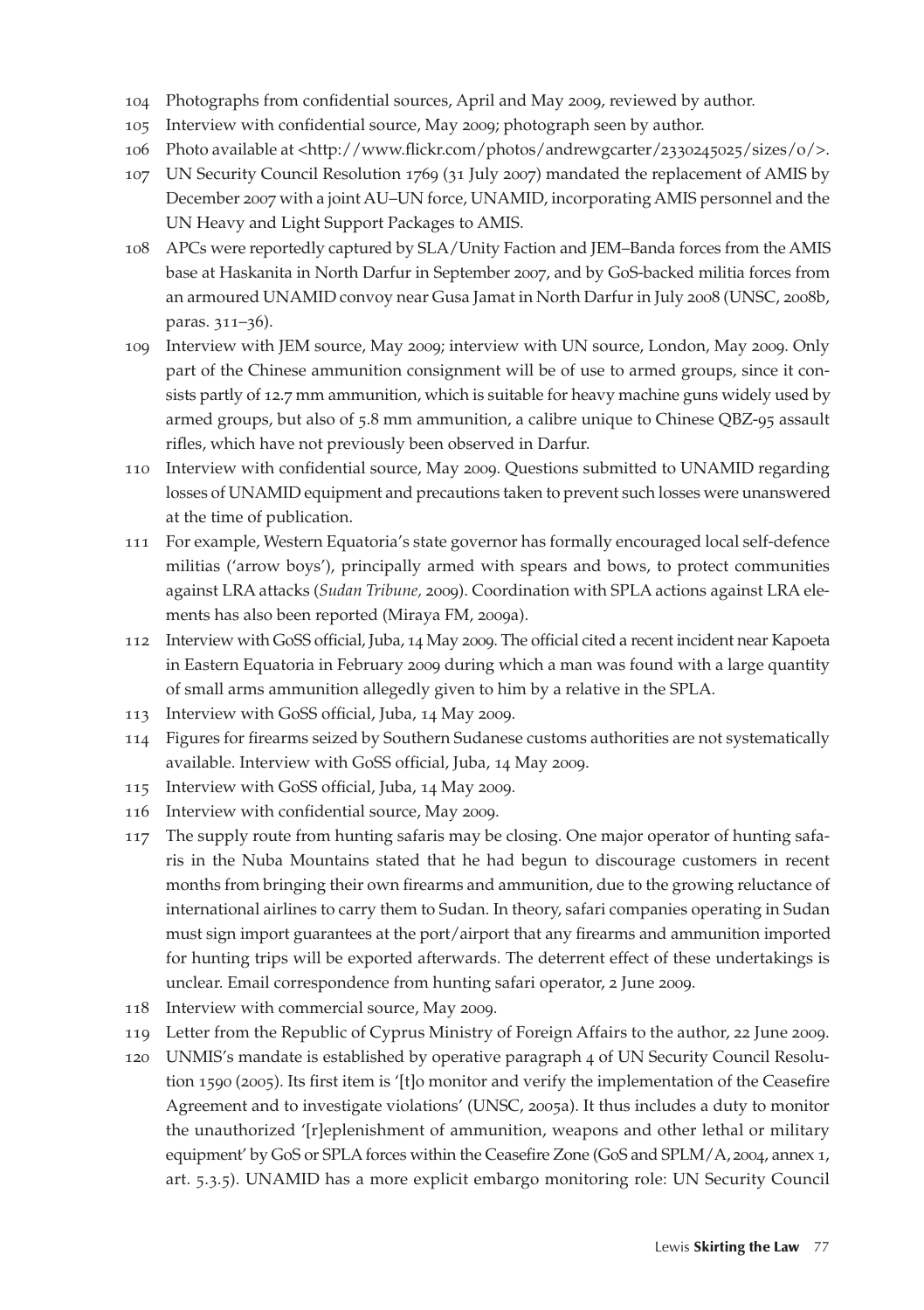- 104 Photographs from confidential sources, April and May 2009, reviewed by author.
- 105 Interview with confidential source, May 2009; photograph seen by author.
- 106 Photo available at <http://www.flickr.com/photos/andrewgcarter/2330245025/sizes/o/>.
- 107 UN Security Council Resolution 1769 (31 July 2007) mandated the replacement of AMIS by December 2007 with a joint AU–UN force, UNAMID, incorporating AMIS personnel and the UN Heavy and Light Support Packages to AMIS.
- 108 APCs were reportedly captured by SLA/Unity Faction and JEM–Banda forces from the AMIS base at Haskanita in North Darfur in September 2007, and by GoS-backed militia forces from an armoured UNAMID convoy near Gusa Jamat in North Darfur in July 2008 (UNSC, 2008b, paras. 311–36).
- 109 Interview with JEM source, May 2009; interview with UN source, London, May 2009. Only part of the Chinese ammunition consignment will be of use to armed groups, since it consists partly of 12.7 mm ammunition, which is suitable for heavy machine guns widely used by armed groups, but also of 5.8 mm ammunition, a calibre unique to Chinese QBZ-95 assault rifles, which have not previously been observed in Darfur.
- 110 Interview with confidential source, May 2009. Questions submitted to UNAMID regarding losses of UNAMID equipment and precautions taken to prevent such losses were unanswered at the time of publication.
- 111 For example, Western Equatoria's state governor has formally encouraged local self-defence militias ('arrow boys'), principally armed with spears and bows, to protect communities against LRA attacks (*Sudan Tribune,* 2009). Coordination with SPLA actions against LRA elements has also been reported (Miraya FM, 2009a).
- 112 Interview with GoSS official, Juba, 14 May 2009. The official cited a recent incident near Kapoeta in Eastern Equatoria in February 2009 during which a man was found with a large quantity of small arms ammunition allegedly given to him by a relative in the SPLA.
- 113 Interview with GoSS official, Juba, 14 May 2009.
- 114 Figures for firearms seized by Southern Sudanese customs authorities are not systematically available. Interview with GoSS official, Juba, 14 May 2009.
- 115 Interview with GoSS official, Juba, 14 May 2009.
- 116 Interview with confidential source, May 2009.
- 117 The supply route from hunting safaris may be closing. One major operator of hunting safaris in the Nuba Mountains stated that he had begun to discourage customers in recent months from bringing their own firearms and ammunition, due to the growing reluctance of international airlines to carry them to Sudan. In theory, safari companies operating in Sudan must sign import guarantees at the port/airport that any firearms and ammunition imported for hunting trips will be exported afterwards. The deterrent effect of these undertakings is unclear. Email correspondence from hunting safari operator, 2 June 2009.
- 118 Interview with commercial source, May 2009.
- 119 Letter from the Republic of Cyprus Ministry of Foreign Affairs to the author, 22 June 2009.
- 120 UNMIS's mandate is established by operative paragraph 4 of UN Security Council Resolution 1590 (2005). Its first item is '[t]o monitor and verify the implementation of the Ceasefire Agreement and to investigate violations' (UNSC, 2005a). It thus includes a duty to monitor the unauthorized '[r]eplenishment of ammunition, weapons and other lethal or military equipment' by GoS or SPLA forces within the Ceasefire Zone (GoS and SPLM/A, 2004, annex 1, art. 5.3.5). UNAMID has a more explicit embargo monitoring role: UN Security Council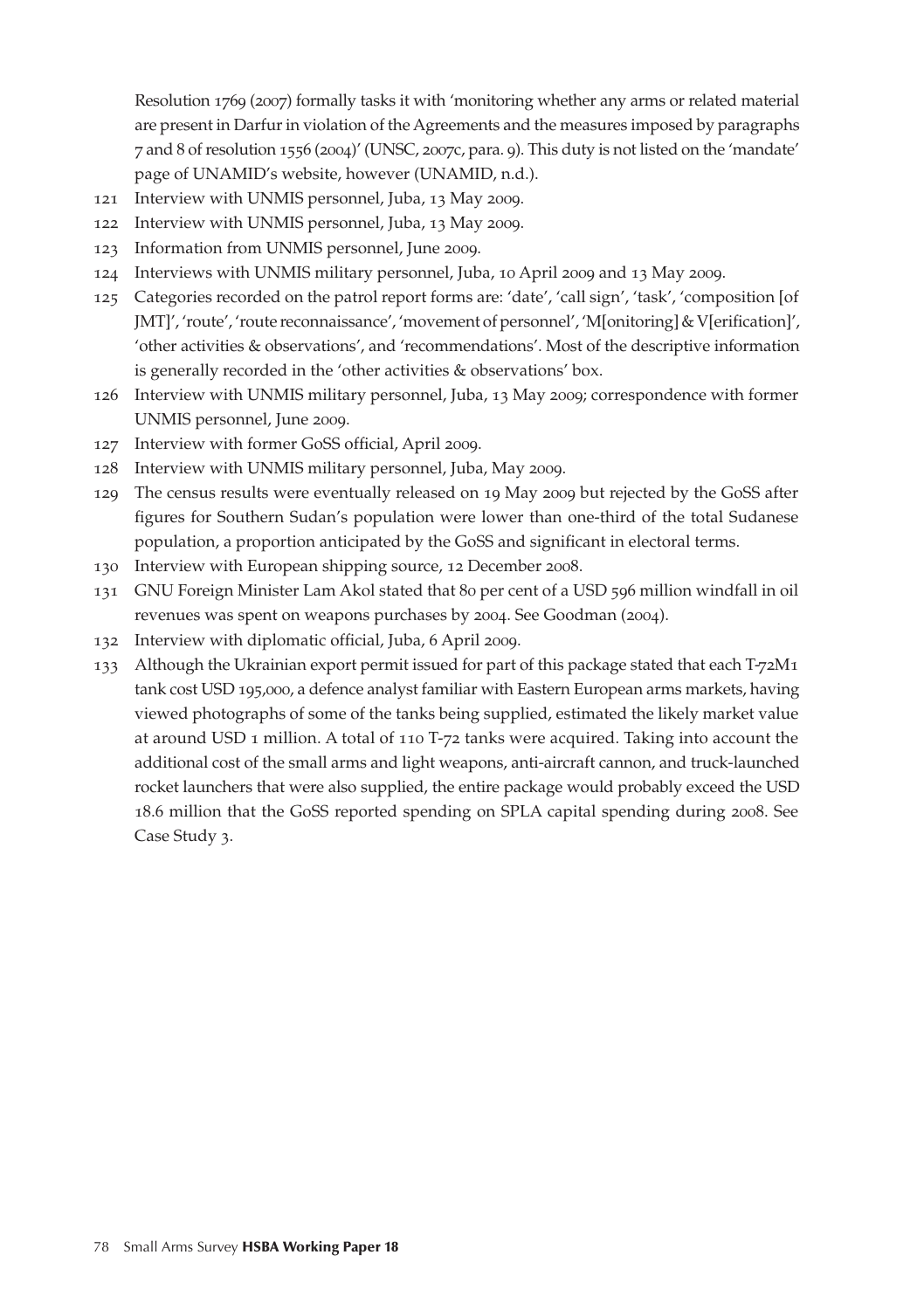Resolution 1769 (2007) formally tasks it with 'monitoring whether any arms or related material are present in Darfur in violation of the Agreements and the measures imposed by paragraphs 7 and 8 of resolution 1556 (2004)' (UNSC, 2007c, para. 9). This duty is not listed on the 'mandate' page of UNAMID's website, however (UNAMID, n.d.).

- 121 Interview with UNMIS personnel, Juba, 13 May 2009.
- 122 Interview with UNMIS personnel, Juba, 13 May 2009.
- 123 Information from UNMIS personnel, June 2009.
- 124 Interviews with UNMIS military personnel, Juba, 10 April 2009 and 13 May 2009.
- 125 Categories recorded on the patrol report forms are: 'date', 'call sign', 'task', 'composition [of JMT]', 'route', 'route reconnaissance', 'movement of personnel', 'M[onitoring] & V[erification]', 'other activities & observations', and 'recommendations'. Most of the descriptive information is generally recorded in the 'other activities & observations' box.
- 126 Interview with UNMIS military personnel, Juba, 13 May 2009; correspondence with former UNMIS personnel, June 2009.
- 127 Interview with former GoSS official, April 2009.
- 128 Interview with UNMIS military personnel, Juba, May 2009.
- 129 The census results were eventually released on 19 May 2009 but rejected by the GoSS after figures for Southern Sudan's population were lower than one-third of the total Sudanese population, a proportion anticipated by the GoSS and significant in electoral terms.
- 130 Interview with European shipping source, 12 December 2008.
- 131 GNU Foreign Minister Lam Akol stated that 80 per cent of a USD 596 million windfall in oil revenues was spent on weapons purchases by 2004. See Goodman (2004).
- 132 Interview with diplomatic official, Juba, 6 April 2009.
- 133 Although the Ukrainian export permit issued for part of this package stated that each T-72M1 tank cost USD 195,000, a defence analyst familiar with Eastern European arms markets, having viewed photographs of some of the tanks being supplied, estimated the likely market value at around USD 1 million. A total of 110 T-72 tanks were acquired. Taking into account the additional cost of the small arms and light weapons, anti-aircraft cannon, and truck-launched rocket launchers that were also supplied, the entire package would probably exceed the USD 18.6 million that the GoSS reported spending on SPLA capital spending during 2008. See Case Study 3.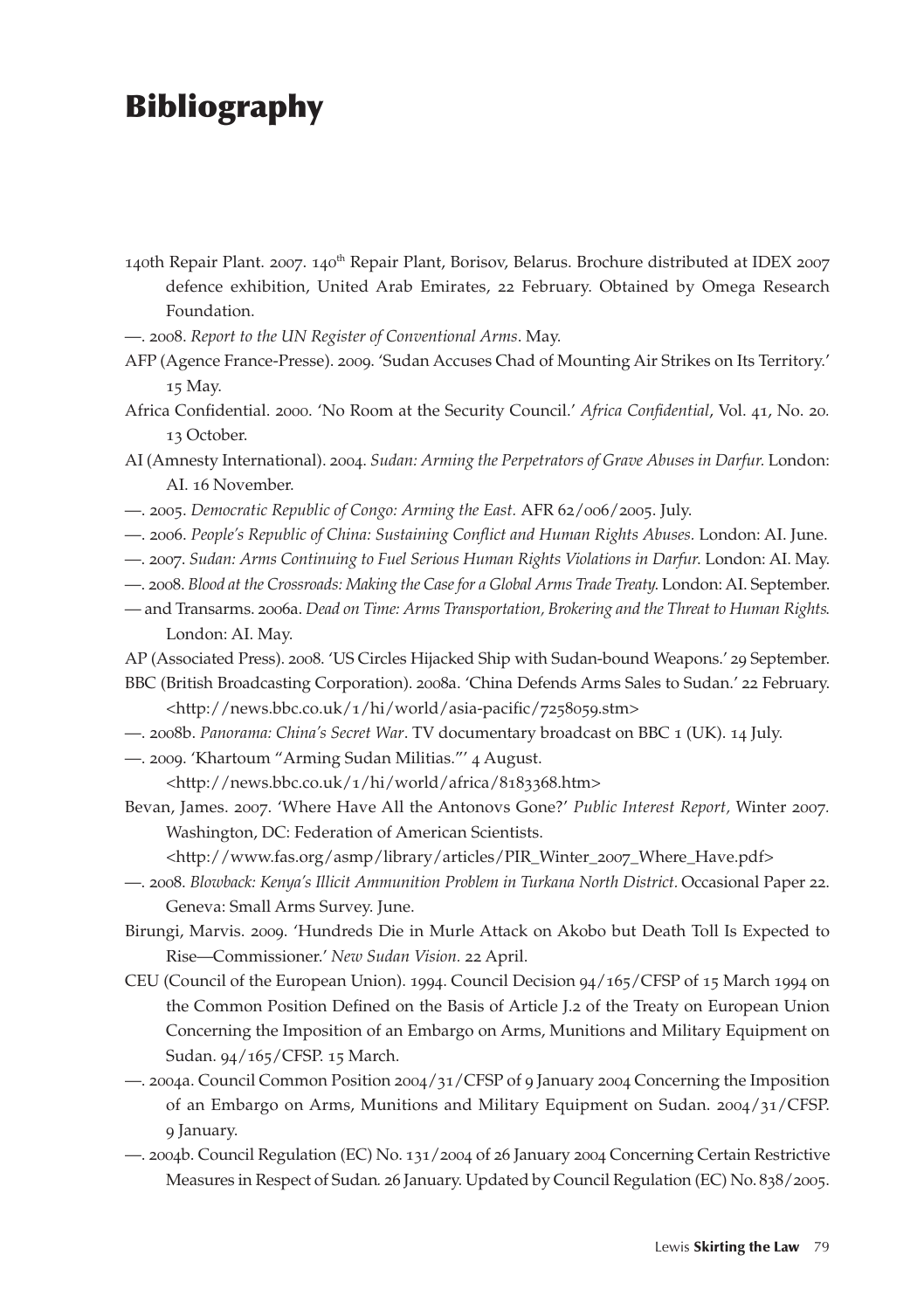## Bibliography

- 140th Repair Plant. 2007. 140<sup>th</sup> Repair Plant, Borisov, Belarus. Brochure distributed at IDEX 2007 defence exhibition, United Arab Emirates, 22 February. Obtained by Omega Research Foundation.
- —. 2008. *Report to the UN Register of Conventional Arms*. May.
- AFP (Agence France-Presse). 2009. 'Sudan Accuses Chad of Mounting Air Strikes on Its Territory.' 15 May.
- Africa Confidential. 2000. 'No Room at the Security Council.' *Africa Confidential*, Vol. 41, No. 20*.*  13 October.
- AI (Amnesty International). 2004. *Sudan: Arming the Perpetrators of Grave Abuses in Darfur.* London: AI. 16 November.
- —. 2005. *Democratic Republic of Congo: Arming the East.* AFR 62/006/2005. July.
- —. 2006. *People's Republic of China: Sustaining Conflict and Human Rights Abuses.* London: AI. June.
- —. 2007. *Sudan: Arms Continuing to Fuel Serious Human Rights Violations in Darfur*. London: AI. May.
- —. 2008. *Blood at the Crossroads: Making the Case for a Global Arms Trade Treaty*. London: AI. September.
- and Transarms. 2006a. *Dead on Time: Arms Transportation, Brokering and the Threat to Human Rights*. London: AI. May.
- AP (Associated Press). 2008. 'US Circles Hijacked Ship with Sudan-bound Weapons.' 29 September.
- BBC (British Broadcasting Corporation). 2008a. 'China Defends Arms Sales to Sudan.' 22 February. <http://news.bbc.co.uk/1/hi/world/asia-pacific/7258059.stm>
- —. 2008b. *Panorama: China's Secret War*. TV documentary broadcast on BBC 1 (UK). 14 July.
- —. 2009. 'Khartoum "Arming Sudan Militias."' 4 August. <http://news.bbc.co.uk/1/hi/world/africa/8183368.htm>
- Bevan, James. 2007. 'Where Have All the Antonovs Gone?' *Public Interest Report,* Winter 2007*.*  Washington, DC: Federation of American Scientists.
	- <http://www.fas.org/asmp/library/articles/PIR\_Winter\_2007\_Where\_Have.pdf>
- —. 2008. *Blowback: Kenya's Illicit Ammunition Problem in Turkana North District.* Occasional Paper 22. Geneva: Small Arms Survey. June.
- Birungi, Marvis. 2009. 'Hundreds Die in Murle Attack on Akobo but Death Toll Is Expected to Rise—Commissioner.' *New Sudan Vision.* 22 April.
- CEU (Council of the European Union). 1994. Council Decision 94/165/CFSP of 15 March 1994 on the Common Position Defined on the Basis of Article J.2 of the Treaty on European Union Concerning the Imposition of an Embargo on Arms, Munitions and Military Equipment on Sudan. 94/165/CFSP. 15 March.
- —. 2004a. Council Common Position 2004/31/CFSP of 9 January 2004 Concerning the Imposition of an Embargo on Arms, Munitions and Military Equipment on Sudan. 2004/31/CFSP. 9 January.
- —. 2004b. Council Regulation (EC) No. 131/2004 of 26 January 2004 Concerning Certain Restrictive Measures in Respect of Sudan*.* 26 January. Updated by Council Regulation (EC) No. 838/2005.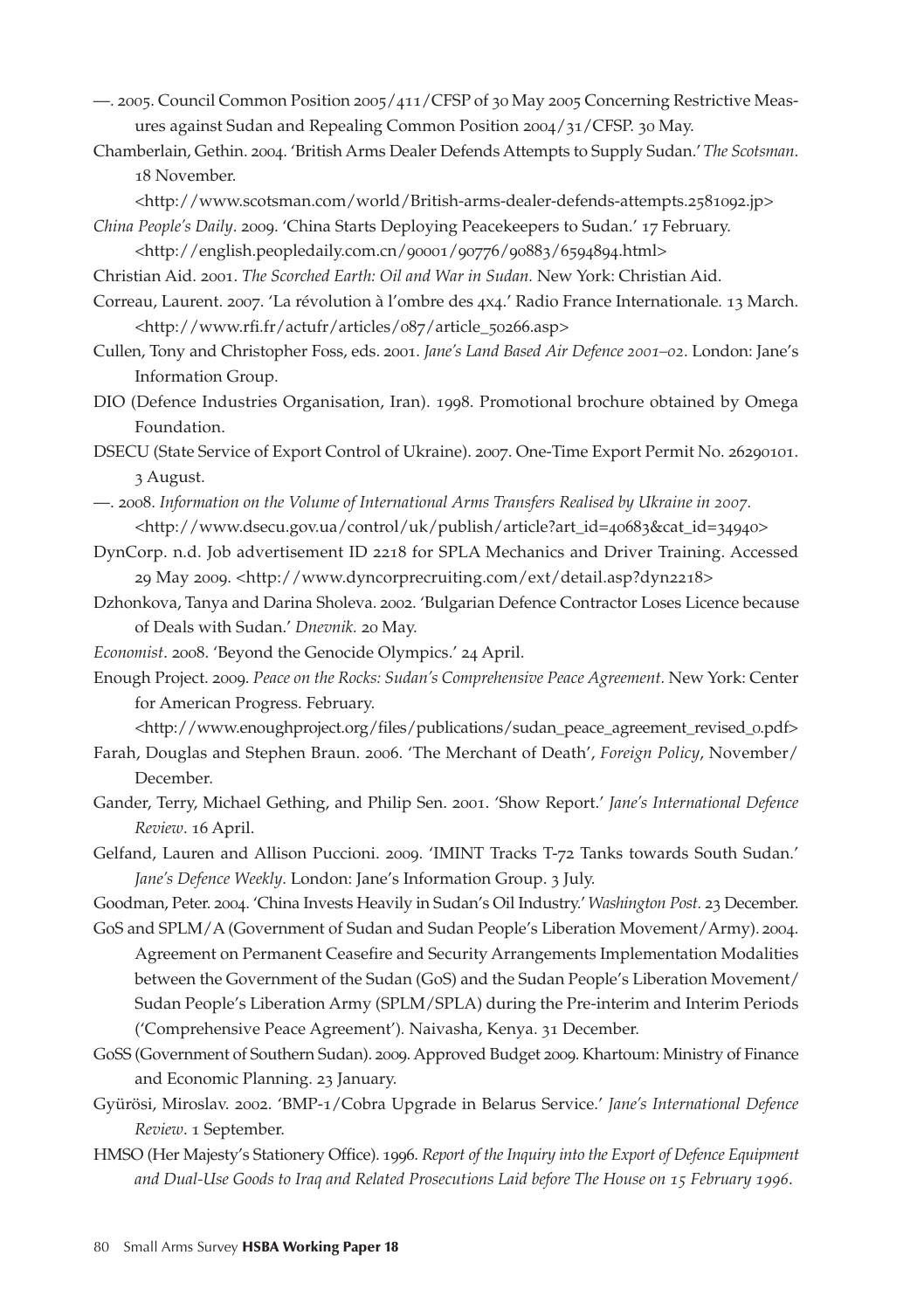- —. 2005. Council Common Position 2005/411/CFSP of 30 May 2005 Concerning Restrictive Measures against Sudan and Repealing Common Position 2004/31/CFSP. 30 May.
- Chamberlain, Gethin. 2004. 'British Arms Dealer Defends Attempts to Supply Sudan.' *The Scotsman*. 18 November.
	- <http://www.scotsman.com/world/British-arms-dealer-defends-attempts.2581092.jp>
- *China People's Daily*. 2009. 'China Starts Deploying Peacekeepers to Sudan.' 17 February. <http://english.peopledaily.com.cn/90001/90776/90883/6594894.html>
- Christian Aid. 2001. *The Scorched Earth: Oil and War in Sudan.* New York: Christian Aid.
- Correau, Laurent. 2007. 'La révolution à l'ombre des 4x4.' Radio France Internationale*.* 13 March. <http://www.rfi.fr/actufr/articles/087/article\_50266.asp>
- Cullen, Tony and Christopher Foss, eds. 2001. *Jane's Land Based Air Defence 2001–02*. London: Jane's Information Group.
- DIO (Defence Industries Organisation, Iran). 1998. Promotional brochure obtained by Omega Foundation.

DSECU (State Service of Export Control of Ukraine). 2007. One-Time Export Permit No. 26290101. 3 August.

- —. 2008. *Information on the Volume of International Arms Transfers Realised by Ukraine in 2007.* <http://www.dsecu.gov.ua/control/uk/publish/article?art\_id=40683&cat\_id=34940>
- DynCorp. n.d. Job advertisement ID 2218 for SPLA Mechanics and Driver Training. Accessed 29 May 2009. <http://www.dyncorprecruiting.com/ext/detail.asp?dyn2218>
- Dzhonkova, Tanya and Darina Sholeva. 2002. 'Bulgarian Defence Contractor Loses Licence because of Deals with Sudan.' *Dnevnik.* 20 May.
- *Economist*. 2008. 'Beyond the Genocide Olympics.' 24 April.
- Enough Project. 2009. *Peace on the Rocks: Sudan's Comprehensive Peace Agreement.* New York: Center for American Progress. February.

<http://www.enoughproject.org/files/publications/sudan\_peace\_agreement\_revised\_0.pdf>

- Farah, Douglas and Stephen Braun. 2006. 'The Merchant of Death', *Foreign Policy*, November/ December.
- Gander, Terry, Michael Gething, and Philip Sen. 2001. 'Show Report.' *Jane's International Defence Review*. 16 April.
- Gelfand, Lauren and Allison Puccioni. 2009. 'IMINT Tracks T-72 Tanks towards South Sudan.' *Jane's Defence Weekly*. London: Jane's Information Group. 3 July.

Goodman, Peter. 2004. 'China Invests Heavily in Sudan's Oil Industry.' *Washington Post.* 23 December.

GoS and SPLM/A (Government of Sudan and Sudan People's Liberation Movement/Army). 2004. Agreement on Permanent Ceasefire and Security Arrangements Implementation Modalities between the Government of the Sudan (GoS) and the Sudan People's Liberation Movement/ Sudan People's Liberation Army (SPLM/SPLA) during the Pre-interim and Interim Periods ('Comprehensive Peace Agreement')*.* Naivasha, Kenya. 31 December.

- GoSS (Government of Southern Sudan). 2009. Approved Budget 2009. Khartoum: Ministry of Finance and Economic Planning. 23 January.
- Gyürösi, Miroslav. 2002. 'BMP-1/Cobra Upgrade in Belarus Service.' *Jane's International Defence Review*. 1 September.
- HMSO (Her Majesty's Stationery Office). 1996. *Report of the Inquiry into the Export of Defence Equipment and Dual-Use Goods to Iraq and Related Prosecutions Laid before The House on 15 February 1996.*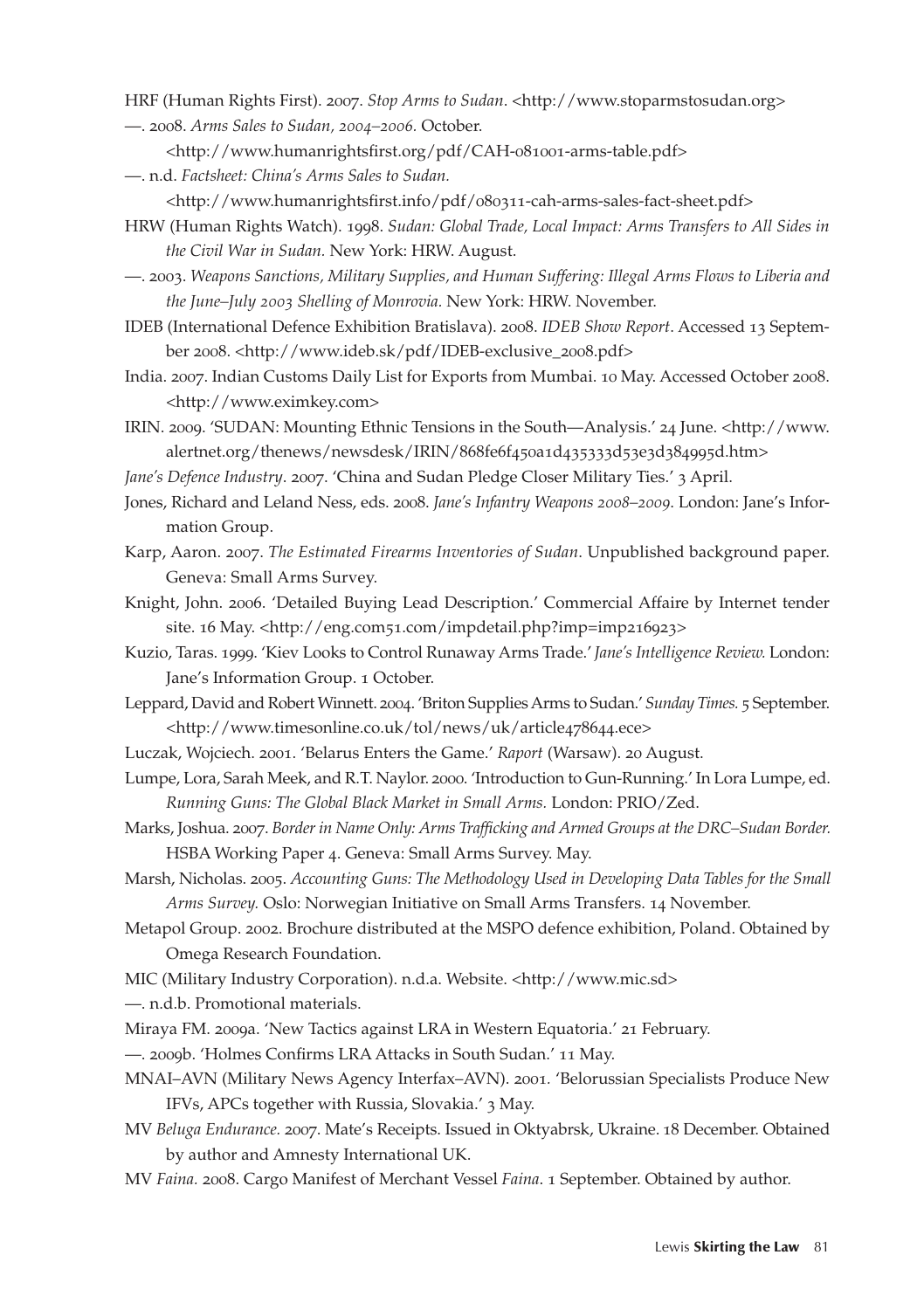- HRF (Human Rights First). 2007. *Stop Arms to Sudan.* <http://www.stoparmstosudan.org>
- —. 2008. *Arms Sales to Sudan, 2004–2006.* October.
	- <http://www.humanrightsfirst.org/pdf/CAH-081001-arms-table.pdf>
- —. n.d. *Factsheet: China's Arms Sales to Sudan.* 
	- <http://www.humanrightsfirst.info/pdf/080311-cah-arms-sales-fact-sheet.pdf>
- HRW (Human Rights Watch). 1998. *Sudan: Global Trade, Local Impact: Arms Transfers to All Sides in the Civil War in Sudan.* New York: HRW. August.
- —. 2003. *Weapons Sanctions, Military Supplies, and Human Suffering: Illegal Arms Flows to Liberia and the June–July 2003 Shelling of Monrovia.* New York: HRW. November.
- IDEB (International Defence Exhibition Bratislava). 2008. *IDEB Show Report*. Accessed 13 September 2008. <http://www.ideb.sk/pdf/IDEB-exclusive\_2008.pdf>
- India. 2007. Indian Customs Daily List for Exports from Mumbai. 10 May. Accessed October 2008. <http://www.eximkey.com>
- IRIN. 2009. 'SUDAN: Mounting Ethnic Tensions in the South—Analysis.' 24 June. <http://www. alertnet.org/thenews/newsdesk/IRIN/868fe6f450a1d435333d53e3d384995d.htm>
- *Jane's Defence Industry*. 2007. 'China and Sudan Pledge Closer Military Ties.' 3 April.
- Jones, Richard and Leland Ness, eds. 2008. *Jane's Infantry Weapons 2008–2009*. London: Jane's Information Group.
- Karp, Aaron. 2007. *The Estimated Firearms Inventories of Sudan*. Unpublished background paper. Geneva: Small Arms Survey.
- Knight, John. 2006. 'Detailed Buying Lead Description.' Commercial Affaire by Internet tender site. 16 May. <http://eng.com51.com/impdetail.php?imp=imp216923>
- Kuzio, Taras. 1999. 'Kiev Looks to Control Runaway Arms Trade.' *Jane's Intelligence Review.* London: Jane's Information Group. 1 October.
- Leppard, David and Robert Winnett. 2004. 'Briton Supplies Arms to Sudan.' *Sunday Times.* 5 September. <http://www.timesonline.co.uk/tol/news/uk/article478644.ece>
- Luczak, Wojciech. 2001. 'Belarus Enters the Game.' *Raport* (Warsaw). 20 August.
- Lumpe, Lora, Sarah Meek, and R.T. Naylor. 2000. 'Introduction to Gun-Running.' In Lora Lumpe, ed. *Running Guns: The Global Black Market in Small Arms.* London: PRIO/Zed.
- Marks, Joshua. 2007. *Border in Name Only: Arms Trafficking and Armed Groups at the DRC–Sudan Border.*  HSBA Working Paper 4. Geneva: Small Arms Survey. May.
- Marsh, Nicholas. 2005. *Accounting Guns: The Methodology Used in Developing Data Tables for the Small Arms Survey.* Oslo: Norwegian Initiative on Small Arms Transfers. 14 November.
- Metapol Group. 2002. Brochure distributed at the MSPO defence exhibition, Poland. Obtained by Omega Research Foundation.
- MIC (Military Industry Corporation). n.d.a. Website. <http://www.mic.sd>
- —. n.d.b. Promotional materials.
- Miraya FM. 2009a. 'New Tactics against LRA in Western Equatoria.' 21 February.
- —. 2009b. 'Holmes Confirms LRA Attacks in South Sudan.' 11 May.
- MNAI–AVN (Military News Agency Interfax–AVN). 2001*.* 'Belorussian Specialists Produce New IFVs, APCs together with Russia, Slovakia.' 3 May.
- MV *Beluga Endurance.* 2007. Mate's Receipts. Issued in Oktyabrsk, Ukraine. 18 December. Obtained by author and Amnesty International UK.
- MV *Faina.* 2008. Cargo Manifest of Merchant Vessel *Faina*. 1 September. Obtained by author.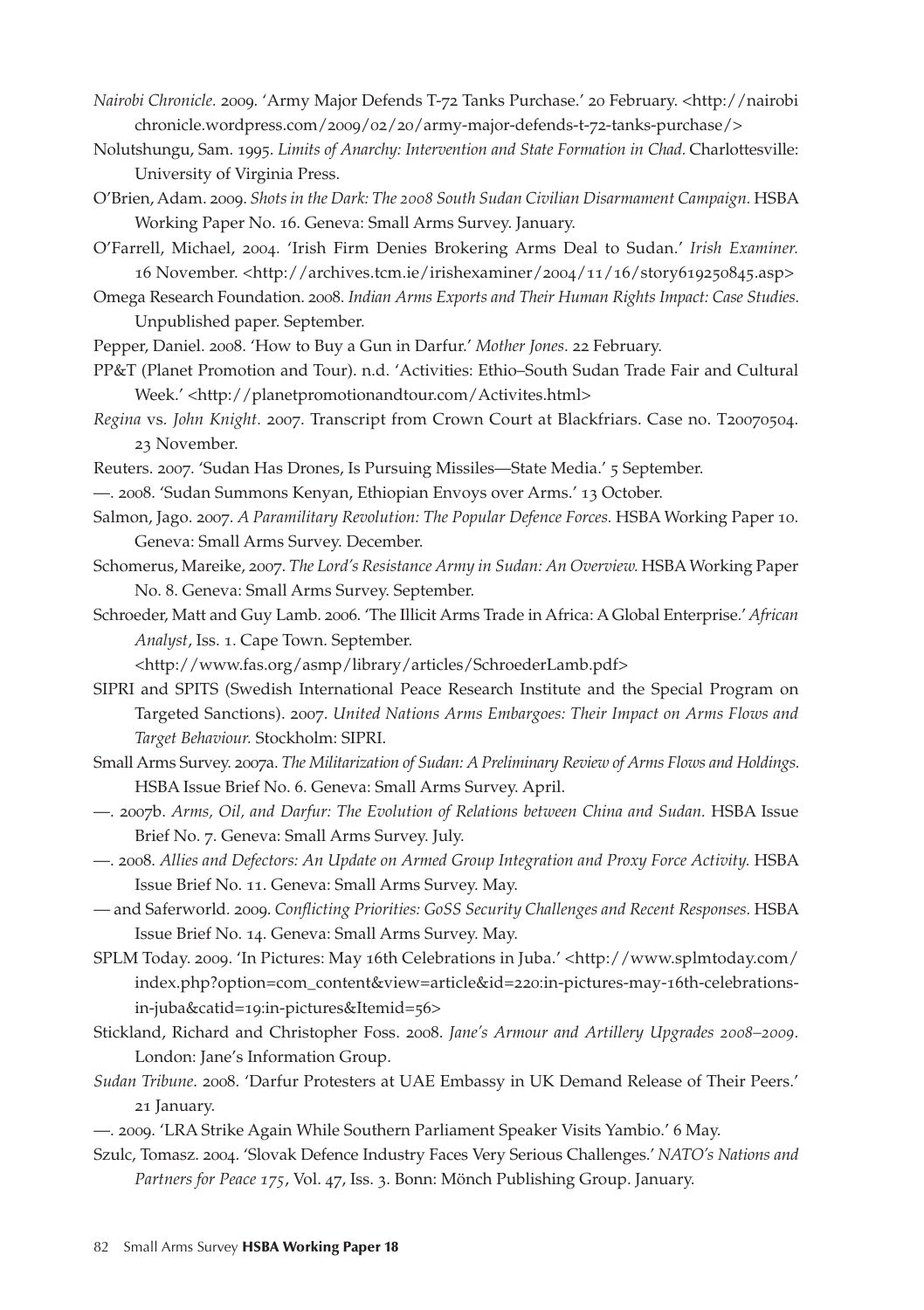- *Nairobi Chronicle.* 2009. 'Army Major Defends T-72 Tanks Purchase.' 20 February. <http://nairobi chronicle.wordpress.com/2009/02/20/army-major-defends-t-72-tanks-purchase/>
- Nolutshungu, Sam. 1995. *Limits of Anarchy: Intervention and State Formation in Chad.* Charlottesville: University of Virginia Press.
- O'Brien, Adam. 2009. *Shots in the Dark: The 2008 South Sudan Civilian Disarmament Campaign.* HSBA Working Paper No. 16. Geneva: Small Arms Survey. January.

O'Farrell, Michael, 2004. 'Irish Firm Denies Brokering Arms Deal to Sudan.' *Irish Examiner.* 16 November. <http://archives.tcm.ie/irishexaminer/2004/11/16/story619250845.asp>

Omega Research Foundation. 2008. *Indian Arms Exports and Their Human Rights Impact: Case Studies.*  Unpublished paper. September.

Pepper, Daniel. 2008. 'How to Buy a Gun in Darfur.' *Mother Jones*. 22 February.

PP&T (Planet Promotion and Tour). n.d. 'Activities: Ethio–South Sudan Trade Fair and Cultural Week.' <http://planetpromotionandtour.com/Activites.html>

- *Regina* vs*. John Knight.* 2007. Transcript from Crown Court at Blackfriars. Case no. T20070504. 23 November.
- Reuters. 2007. 'Sudan Has Drones, Is Pursuing Missiles—State Media.' 5 September.
- —. 2008. 'Sudan Summons Kenyan, Ethiopian Envoys over Arms.' 13 October.
- Salmon, Jago. 2007. *A Paramilitary Revolution: The Popular Defence Forces.* HSBA Working Paper 10. Geneva: Small Arms Survey. December.
- Schomerus, Mareike, 2007. *The Lord's Resistance Army in Sudan: An Overview.* HSBA Working Paper No. 8. Geneva: Small Arms Survey. September.
- Schroeder, Matt and Guy Lamb. 2006. 'The Illicit Arms Trade in Africa: A Global Enterprise.' *African Analyst*, Iss. 1. Cape Town. September.

<http://www.fas.org/asmp/library/articles/SchroederLamb.pdf>

- SIPRI and SPITS (Swedish International Peace Research Institute and the Special Program on Targeted Sanctions). 2007. *United Nations Arms Embargoes: Their Impact on Arms Flows and Target Behaviour.* Stockholm: SIPRI.
- Small Arms Survey. 2007a. *The Militarization of Sudan: A Preliminary Review of Arms Flows and Holdings.*  HSBA Issue Brief No. 6. Geneva: Small Arms Survey. April.
- —. 2007b. *Arms, Oil, and Darfur: The Evolution of Relations between China and Sudan.* HSBA Issue Brief No. 7. Geneva: Small Arms Survey. July.
- —. 2008. *Allies and Defectors: An Update on Armed Group Integration and Proxy Force Activity.* HSBA Issue Brief No. 11. Geneva: Small Arms Survey. May.
- and Saferworld*.* 2009. *Conflicting Priorities: GoSS Security Challenges and Recent Responses.* HSBA Issue Brief No. 14. Geneva: Small Arms Survey. May.
- SPLM Today. 2009. 'In Pictures: May 16th Celebrations in Juba.' <http://www.splmtoday.com/ index.php?option=com\_content&view=article&id=220:in-pictures-may-16th-celebrationsin-juba&catid=19:in-pictures&Itemid=56>
- Stickland, Richard and Christopher Foss. 2008. *Jane's Armour and Artillery Upgrades 2008–2009*. London: Jane's Information Group.
- *Sudan Tribune*. 2008. 'Darfur Protesters at UAE Embassy in UK Demand Release of Their Peers.' 21 January.
- —. 2009. 'LRA Strike Again While Southern Parliament Speaker Visits Yambio.' 6 May.
- Szulc, Tomasz. 2004. 'Slovak Defence Industry Faces Very Serious Challenges.' *NATO's Nations and Partners for Peace 175*, Vol. 47, Iss. 3. Bonn: Mönch Publishing Group. January.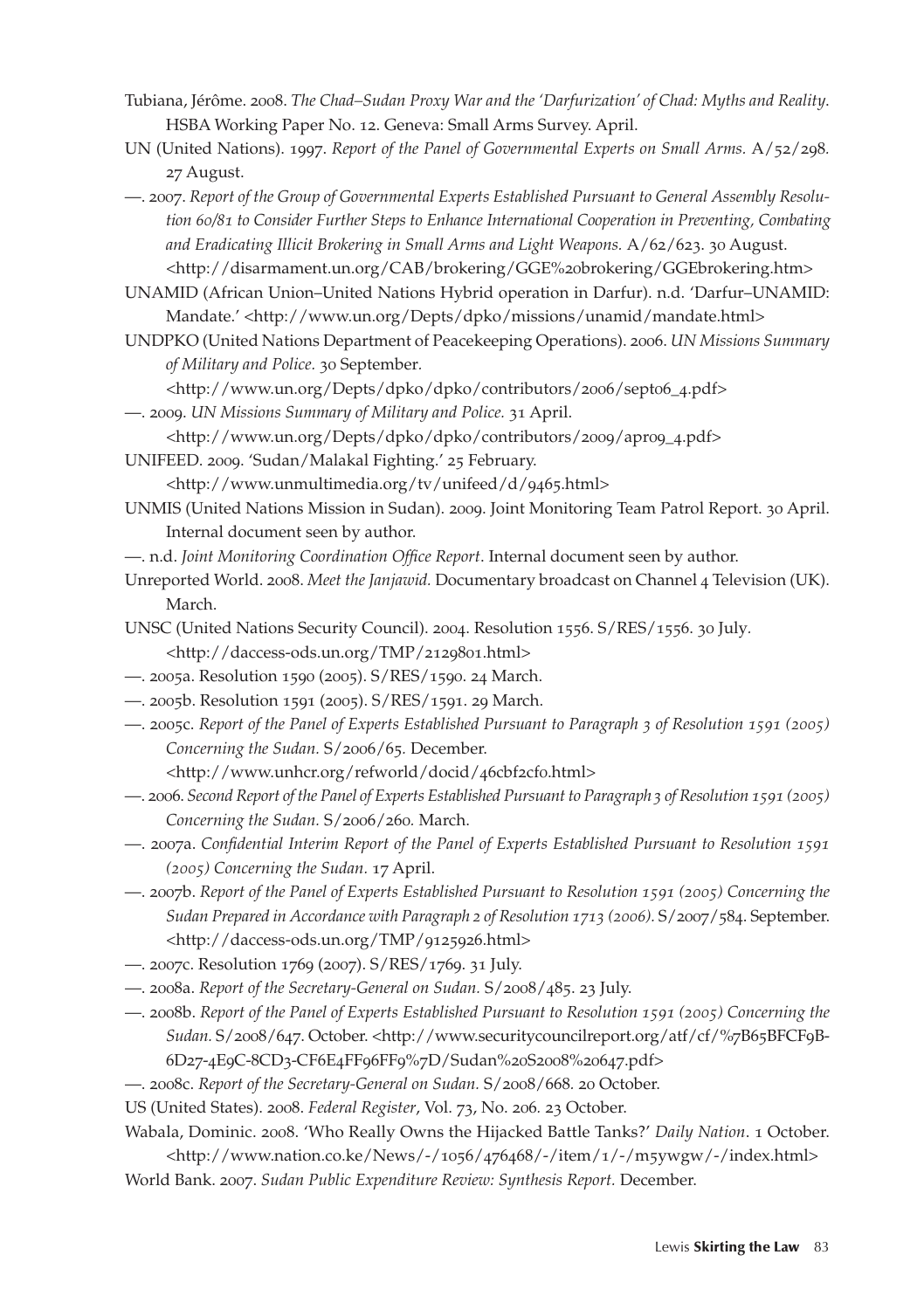- Tubiana, Jérôme. 2008. *The Chad–Sudan Proxy War and the 'Darfurization' of Chad: Myths and Reality*. HSBA Working Paper No. 12. Geneva: Small Arms Survey. April.
- UN (United Nations). 1997. *Report of the Panel of Governmental Experts on Small Arms. A/52/298.* 27 August.
- —. 2007. *Report of the Group of Governmental Experts Established Pursuant to General Assembly Resolution 60/81 to Consider Further Steps to Enhance International Cooperation in Preventing, Combating and Eradicating Illicit Brokering in Small Arms and Light Weapons.* A/62/623. 30 August. <http://disarmament.un.org/CAB/brokering/GGE%20brokering/GGEbrokering.htm>

UNAMID (African Union–United Nations Hybrid operation in Darfur). n.d. 'Darfur–UNAMID: Mandate.' <http://www.un.org/Depts/dpko/missions/unamid/mandate.html>

UNDPKO (United Nations Department of Peacekeeping Operations). 2006. *UN Missions Summary of Military and Police.* 30 September*.* 

<http://www.un.org/Depts/dpko/dpko/contributors/2006/sept06\_4.pdf>

—. 2009. *UN Missions Summary of Military and Police.* 31 April.

<http://www.un.org/Depts/dpko/dpko/contributors/2009/apr09\_4.pdf>

- UNIFEED. 2009. 'Sudan/Malakal Fighting.' 25 February.
	- <http://www.unmultimedia.org/tv/unifeed/d/9465.html>
- UNMIS (United Nations Mission in Sudan). 2009. Joint Monitoring Team Patrol Report. 30 April. Internal document seen by author.
- —. n.d. *Joint Monitoring Coordination Office Report*. Internal document seen by author.
- Unreported World. 2008. *Meet the Janjawid.* Documentary broadcast on Channel 4 Television (UK). March.
- UNSC (United Nations Security Council). 2004. Resolution 1556. S/RES/1556. 30 July*.* <http://daccess-ods.un.org/TMP/2129801.html>
- —. 2005a. Resolution 1590 (2005). S/RES/1590. 24 March.
- —. 2005b. Resolution 1591 (2005). S/RES/1591. 29 March.
- —. 2005c. *Report of the Panel of Experts Established Pursuant to Paragraph 3 of Resolution 1591 (2005) Concerning the Sudan.* S/2006/65*.* December.

<http://www.unhcr.org/refworld/docid/46cbf2cf0.html>

- —. 2006. *Second Report of the Panel of Experts Established Pursuant to Paragraph 3 of Resolution 1591 (2005) Concerning the Sudan.* S/2006/260*.* March.
- —. 2007a. *Confidential Interim Report of the Panel of Experts Established Pursuant to Resolution 1591 (2005) Concerning the Sudan.* 17 April.
- —. 2007b. *Report of the Panel of Experts Established Pursuant to Resolution 1591 (2005) Concerning the Sudan Prepared in Accordance with Paragraph 2 of Resolution 1713 (2006).* S/2007/584. September. <http://daccess-ods.un.org/TMP/9125926.html>
- —. 2007c. Resolution 1769 (2007). S/RES/1769. 31 July.
- —. 2008a. *Report of the Secretary-General on Sudan.* S/2008/485. 23 July.
- —. 2008b. *Report of the Panel of Experts Established Pursuant to Resolution 1591 (2005) Concerning the Sudan.* S/2008/647. October. <http://www.securitycouncilreport.org/atf/cf/%7B65BFCF9B-6D27-4E9C-8CD3-CF6E4FF96FF9%7D/Sudan%20S2008%20647.pdf>
- —. 2008c. *Report of the Secretary-General on Sudan.* S/2008/668*.* 20 October.

US (United States). 2008. *Federal Register*, Vol. 73, No. 206*.* 23 October.

Wabala, Dominic. 2008. 'Who Really Owns the Hijacked Battle Tanks?' *Daily Nation*. 1 October. <http://www.nation.co.ke/News/-/1056/476468/-/item/1/-/m5ywgw/-/index.html> World Bank. 2007. *Sudan Public Expenditure Review: Synthesis Report.* December.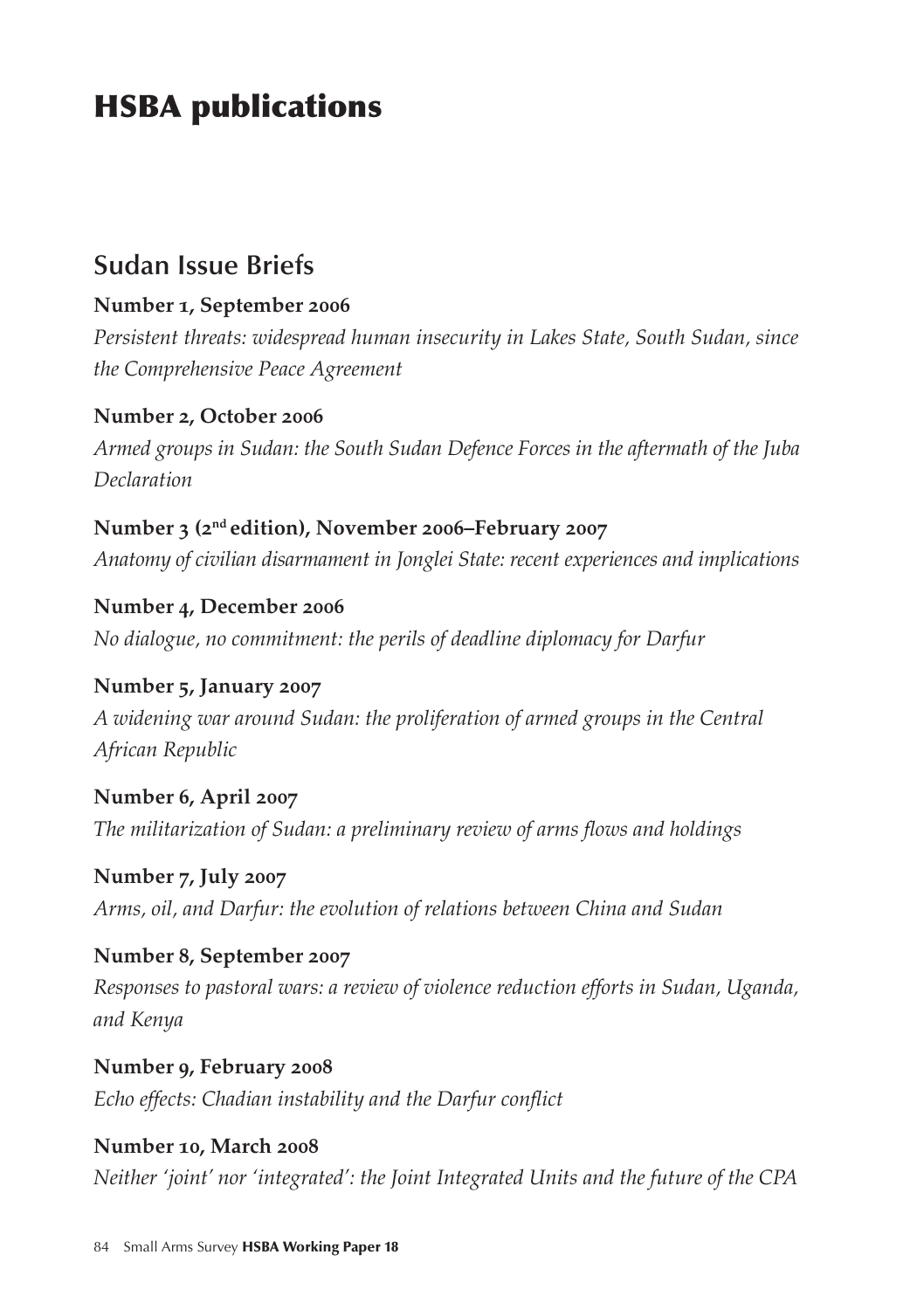# HSBA publications

### **Sudan Issue Briefs**

#### **Number 1, September 2006**

*Persistent threats: widespread human insecurity in Lakes State, South Sudan, since the Comprehensive Peace Agreement*

#### **Number 2, October 2006**

*Armed groups in Sudan: the South Sudan Defence Forces in the aftermath of the Juba Declaration*

#### **Number 3 (2nd edition), November 2006–February 2007** *Anatomy of civilian disarmament in Jonglei State: recent experiences and implications*

**Number 4, December 2006** *No dialogue, no commitment: the perils of deadline diplomacy for Darfur*

**Number 5, January 2007** *A widening war around Sudan: the proliferation of armed groups in the Central African Republic*

**Number 6, April 2007** *The militarization of Sudan: a preliminary review of arms flows and holdings*

**Number 7, July 2007** *Arms, oil, and Darfur: the evolution of relations between China and Sudan*

**Number 8, September 2007** *Responses to pastoral wars: a review of violence reduction efforts in Sudan, Uganda, and Kenya*

**Number 9, February 2008** *Echo effects: Chadian instability and the Darfur conflict*

**Number 10, March 2008** *Neither 'joint' nor 'integrated': the Joint Integrated Units and the future of the CPA*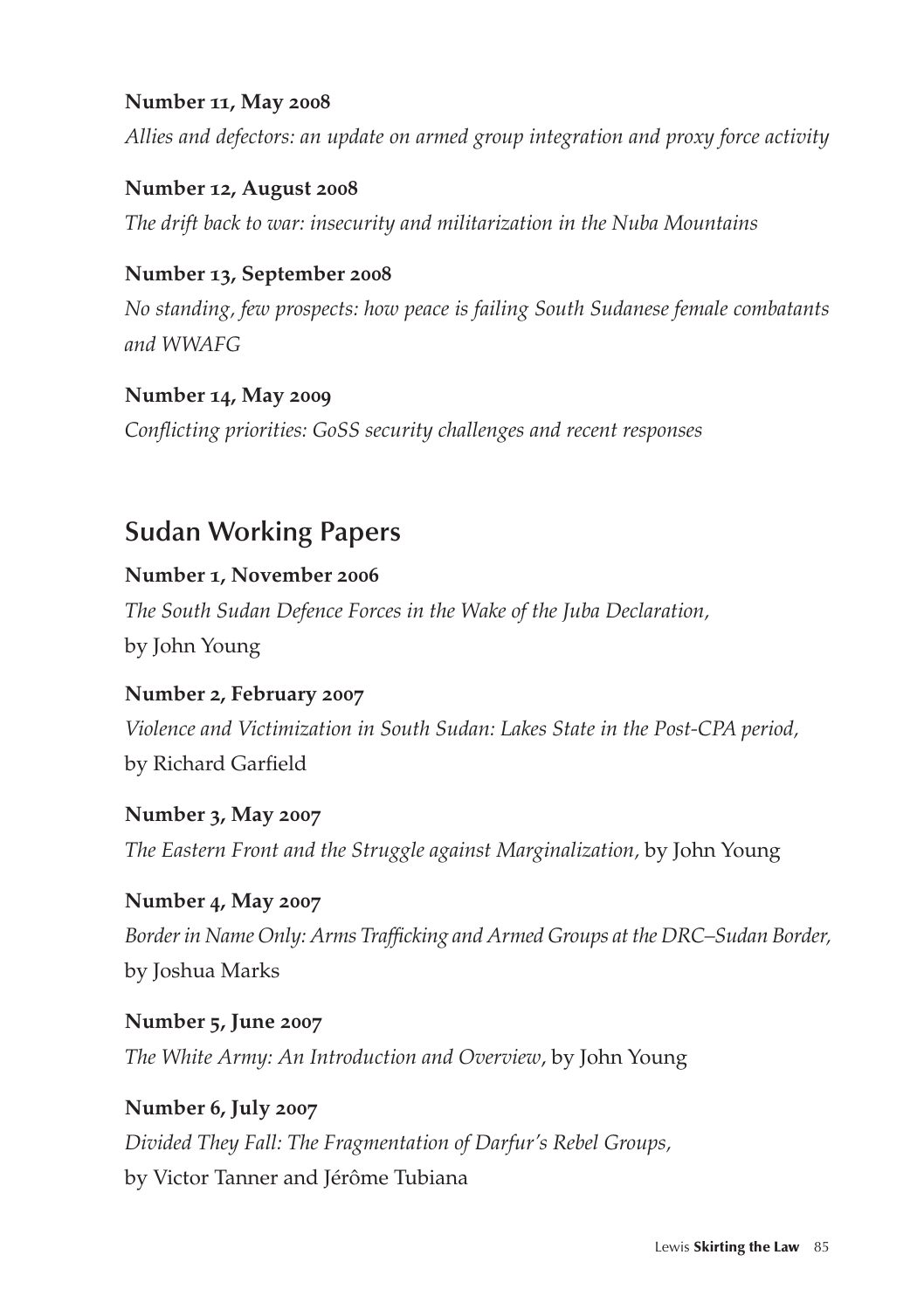#### **Number 11, May 2008**

*Allies and defectors: an update on armed group integration and proxy force activity*

**Number 12, August 2008** *The drift back to war: insecurity and militarization in the Nuba Mountains*

#### **Number 13, September 2008**

*No standing, few prospects: how peace is failing South Sudanese female combatants and WWAFG*

#### **Number 14, May 2009**

*Conflicting priorities: GoSS security challenges and recent responses*

## **Sudan Working Papers**

#### **Number 1, November 2006**

*The South Sudan Defence Forces in the Wake of the Juba Declaration,*  by John Young

**Number 2, February 2007** *Violence and Victimization in South Sudan: Lakes State in the Post-CPA period,* by Richard Garfield

**Number 3, May 2007** *The Eastern Front and the Struggle against Marginalization,* by John Young

**Number 4, May 2007** *Border in Name Only: Arms Trafficking and Armed Groups at the DRC–Sudan Border,*  by Joshua Marks

**Number 5, June 2007** *The White Army: An Introduction and Overview*, by John Young

**Number 6, July 2007** *Divided They Fall: The Fragmentation of Darfur's Rebel Groups,*  by Victor Tanner and Jérôme Tubiana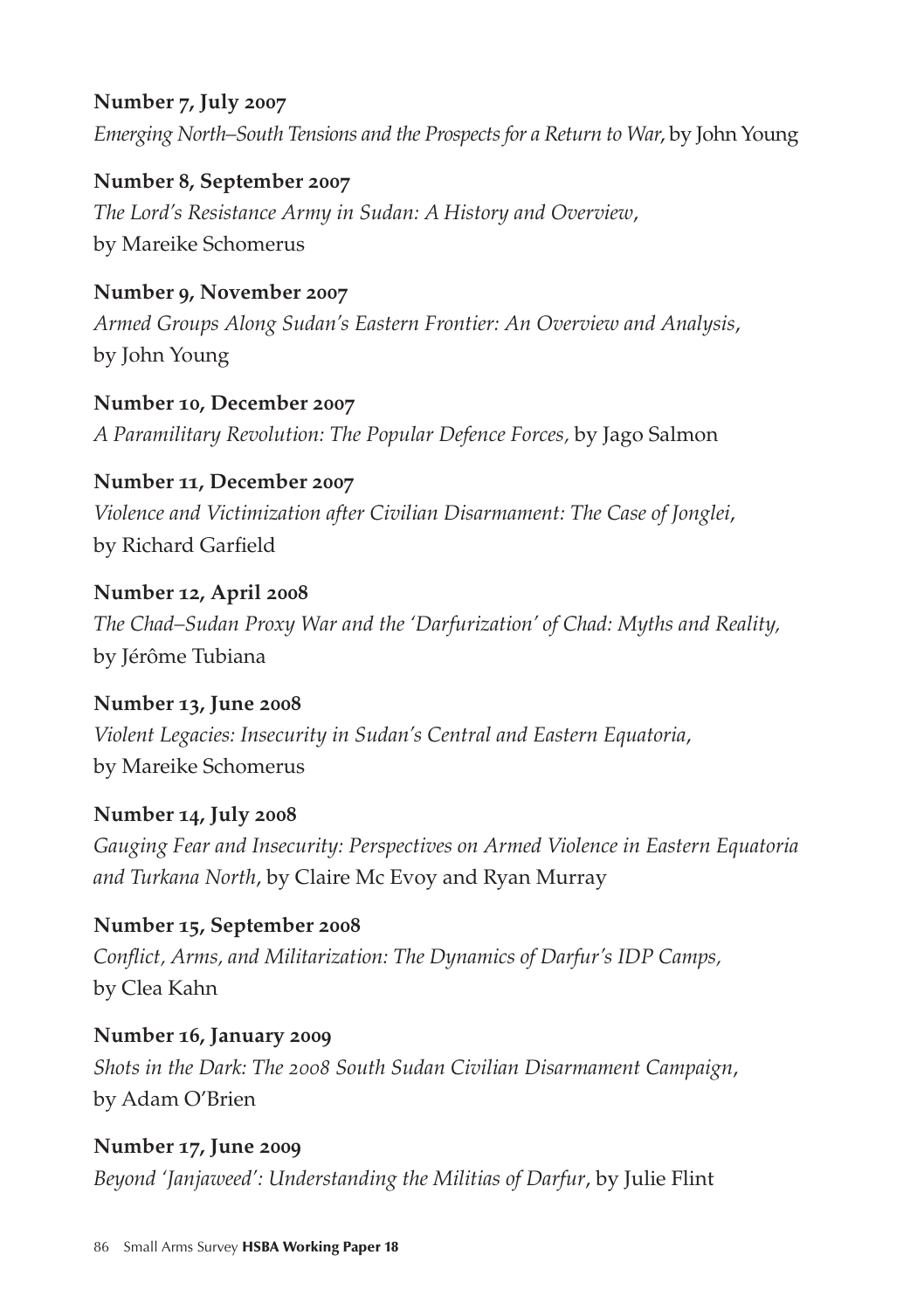#### **Number 7, July 2007**

*Emerging North–South Tensions and the Prospects for a Return to War*, by John Young

**Number 8, September 2007** *The Lord's Resistance Army in Sudan: A History and Overview*, by Mareike Schomerus

**Number 9, November 2007** *Armed Groups Along Sudan's Eastern Frontier: An Overview and Analysis*, by John Young

**Number 10, December 2007** *A Paramilitary Revolution: The Popular Defence Forces,* by Jago Salmon

**Number 11, December 2007** *Violence and Victimization after Civilian Disarmament: The Case of Jonglei*, by Richard Garfield

**Number 12, April 2008** *The Chad–Sudan Proxy War and the 'Darfurization' of Chad: Myths and Reality,*  by Jérôme Tubiana

**Number 13, June 2008** *Violent Legacies: Insecurity in Sudan's Central and Eastern Equatoria*, by Mareike Schomerus

**Number 14, July 2008** *Gauging Fear and Insecurity: Perspectives on Armed Violence in Eastern Equatoria and Turkana North*, by Claire Mc Evoy and Ryan Murray

**Number 15, September 2008** *Conflict, Arms, and Militarization: The Dynamics of Darfur's IDP Camps,*  by Clea Kahn

**Number 16, January 2009** *Shots in the Dark: The 2008 South Sudan Civilian Disarmament Campaign*, by Adam O'Brien

**Number 17, June 2009** *Beyond 'Janjaweed': Understanding the Militias of Darfur*, by Julie Flint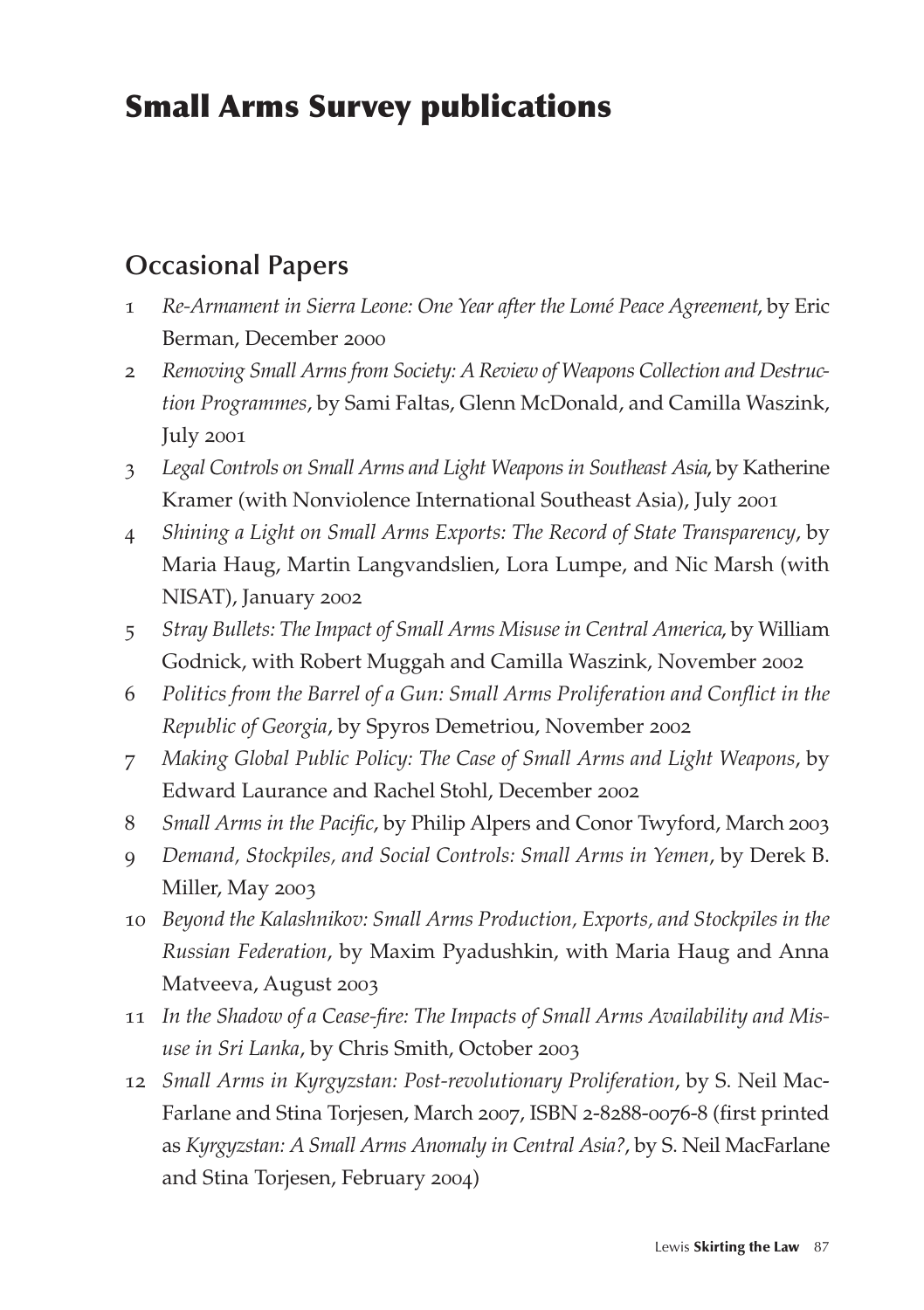# Small Arms Survey publications

## **Occasional Papers**

- 1 *Re-Armament in Sierra Leone: One Year after the Lomé Peace Agreement*, by Eric Berman, December 2000
- 2 *Removing Small Arms from Society: A Review of Weapons Collection and Destruction Programmes*, by Sami Faltas, Glenn McDonald, and Camilla Waszink, July 2001
- 3 *Legal Controls on Small Arms and Light Weapons in Southeast Asia*, by Katherine Kramer (with Nonviolence International Southeast Asia), July 2001
- 4 *Shining a Light on Small Arms Exports: The Record of State Transparency*, by Maria Haug, Martin Langvandslien, Lora Lumpe, and Nic Marsh (with NISAT), January 2002
- 5 *Stray Bullets: The Impact of Small Arms Misuse in Central America*, by William Godnick, with Robert Muggah and Camilla Waszink, November 2002
- 6 *Politics from the Barrel of a Gun: Small Arms Proliferation and Conflict in the Republic of Georgia*, by Spyros Demetriou, November 2002
- 7 *Making Global Public Policy: The Case of Small Arms and Light Weapons*, by Edward Laurance and Rachel Stohl, December 2002
- 8 *Small Arms in the Pacific*, by Philip Alpers and Conor Twyford, March 2003
- 9 *Demand, Stockpiles, and Social Controls: Small Arms in Yemen*, by Derek B. Miller, May 2003
- 10 *Beyond the Kalashnikov: Small Arms Production, Exports, and Stockpiles in the Russian Federation*, by Maxim Pyadushkin, with Maria Haug and Anna Matveeva, August 2003
- 11 *In the Shadow of a Cease-fire: The Impacts of Small Arms Availability and Misuse in Sri Lanka*, by Chris Smith, October 2003
- 12 *Small Arms in Kyrgyzstan: Post-revolutionary Proliferation*, by S. Neil Mac-Farlane and Stina Torjesen, March 2007, ISBN 2-8288-0076-8 (first printed as *Kyrgyzstan: A Small Arms Anomaly in Central Asia?*, by S. Neil MacFarlane and Stina Torjesen, February 2004)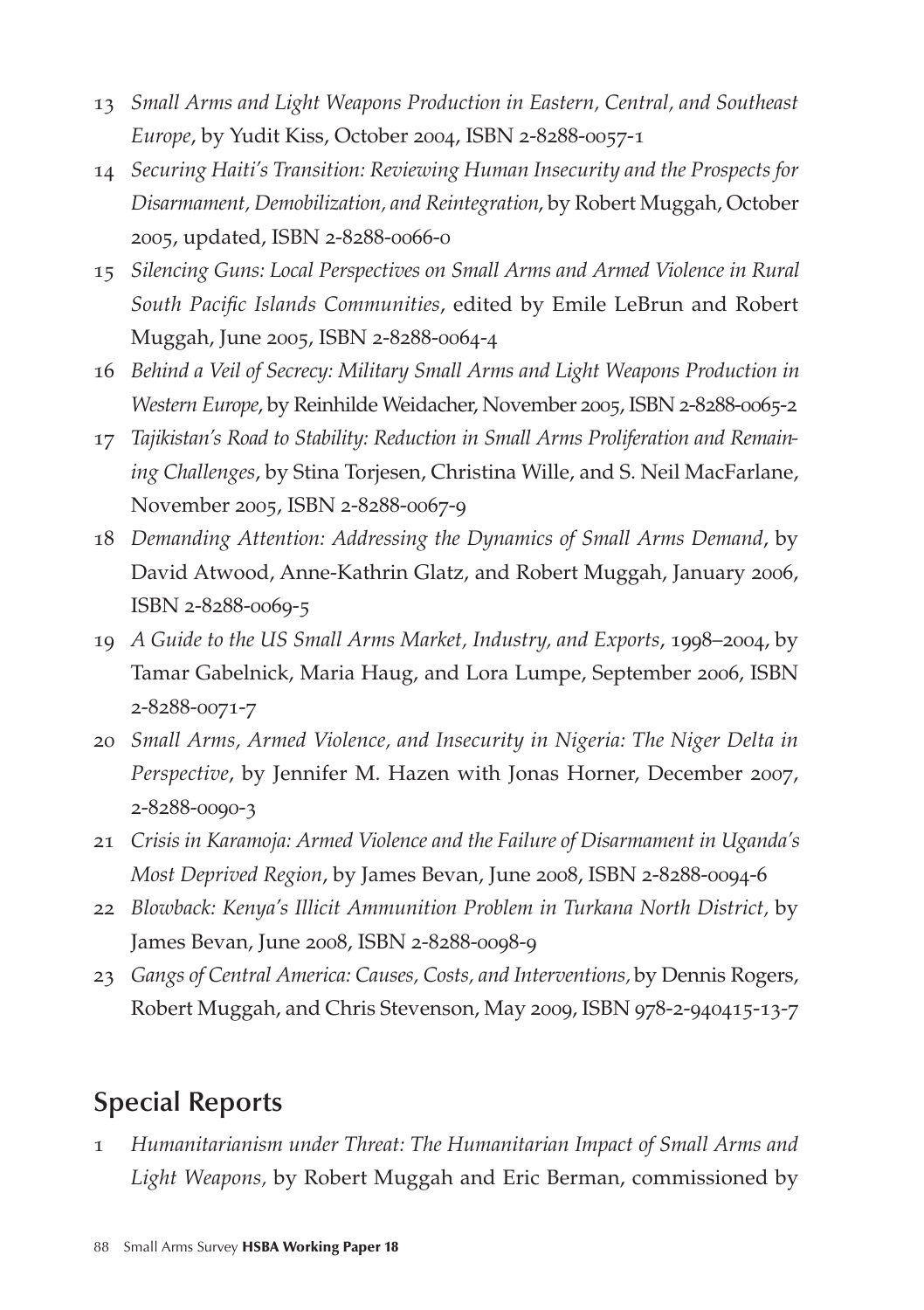- 13 *Small Arms and Light Weapons Production in Eastern, Central, and Southeast Europe*, by Yudit Kiss, October 2004, ISBN 2-8288-0057-1
- 14 *Securing Haiti's Transition: Reviewing Human Insecurity and the Prospects for Disarmament, Demobilization, and Reintegration*, by Robert Muggah, October 2005, updated, ISBN 2-8288-0066-0
- 15 *Silencing Guns: Local Perspectives on Small Arms and Armed Violence in Rural South Pacific Islands Communities*, edited by Emile LeBrun and Robert Muggah, June 2005, ISBN 2-8288-0064-4
- 16 *Behind a Veil of Secrecy: Military Small Arms and Light Weapons Production in Western Europe*, by Reinhilde Weidacher, November 2005, ISBN 2-8288-0065-2
- 17 *Tajikistan's Road to Stability: Reduction in Small Arms Proliferation and Remaining Challenges*, by Stina Torjesen, Christina Wille, and S. Neil MacFarlane, November 2005, ISBN 2-8288-0067-9
- 18 *Demanding Attention: Addressing the Dynamics of Small Arms Demand*, by David Atwood, Anne-Kathrin Glatz, and Robert Muggah, January 2006, ISBN 2-8288-0069-5
- 19 *A Guide to the US Small Arms Market, Industry, and Exports*, 1998–2004, by Tamar Gabelnick, Maria Haug, and Lora Lumpe, September 2006, ISBN 2-8288-0071-7
- 20 *Small Arms, Armed Violence, and Insecurity in Nigeria: The Niger Delta in Perspective*, by Jennifer M. Hazen with Jonas Horner, December 2007, 2-8288-0090-3
- 21 *Crisis in Karamoja: Armed Violence and the Failure of Disarmament in Uganda's Most Deprived Region*, by James Bevan, June 2008, ISBN 2-8288-0094-6
- 22 *Blowback: Kenya's Illicit Ammunition Problem in Turkana North District,* by James Bevan, June 2008, ISBN 2-8288-0098-9
- 23 *Gangs of Central America: Causes, Costs, and Interventions,* by Dennis Rogers, Robert Muggah, and Chris Stevenson, May 2009, ISBN 978-2-940415-13-7

### **Special Reports**

1 *Humanitarianism under Threat: The Humanitarian Impact of Small Arms and Light Weapons,* by Robert Muggah and Eric Berman, commissioned by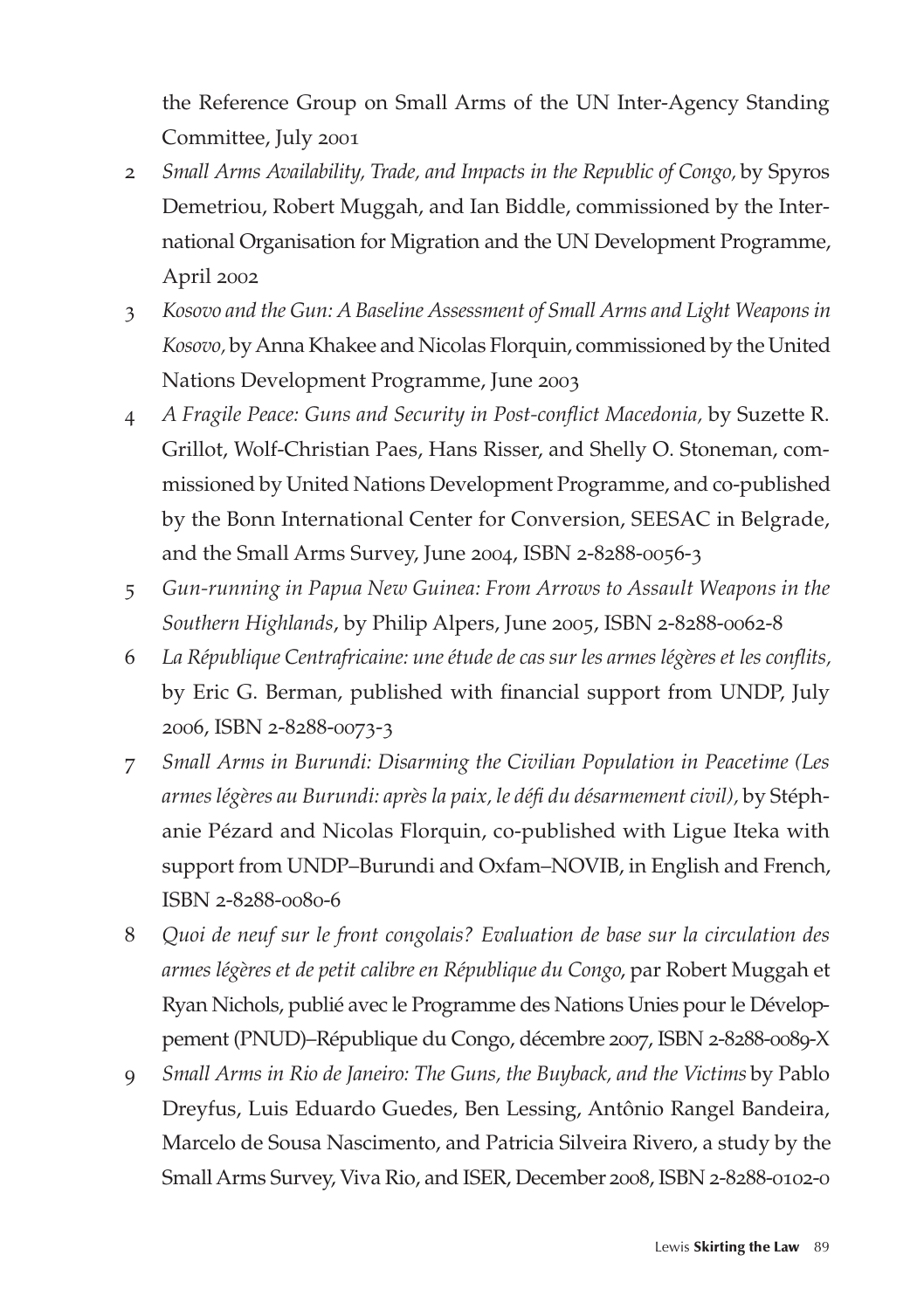the Reference Group on Small Arms of the UN Inter-Agency Standing Committee, July 2001

- 2 *Small Arms Availability, Trade, and Impacts in the Republic of Congo,* by Spyros Demetriou, Robert Muggah, and Ian Biddle, commissioned by the International Organisation for Migration and the UN Development Programme, April 2002
- 3 *Kosovo and the Gun: A Baseline Assessment of Small Arms and Light Weapons in Kosovo,* by Anna Khakee and Nicolas Florquin, commissioned by the United Nations Development Programme, June 2003
- 4 *A Fragile Peace: Guns and Security in Post-conflict Macedonia,* by Suzette R. Grillot, Wolf-Christian Paes, Hans Risser, and Shelly O. Stoneman, commissioned by United Nations Development Programme, and co-published by the Bonn International Center for Conversion, SEESAC in Belgrade, and the Small Arms Survey, June 2004, ISBN 2-8288-0056-3
- 5 *Gun-running in Papua New Guinea: From Arrows to Assault Weapons in the Southern Highlands*, by Philip Alpers, June 2005, ISBN 2-8288-0062-8
- 6 *La République Centrafricaine: une étude de cas sur les armes légères et les conflits,*  by Eric G. Berman, published with financial support from UNDP, July 2006, ISBN 2-8288-0073-3
- 7 *Small Arms in Burundi: Disarming the Civilian Population in Peacetime (Les armes légères au Burundi: après la paix, le défi du désarmement civil),* by Stéphanie Pézard and Nicolas Florquin, co-published with Ligue Iteka with support from UNDP–Burundi and Oxfam–NOVIB, in English and French, ISBN 2-8288-0080-6
- 8 *Quoi de neuf sur le front congolais? Evaluation de base sur la circulation des armes légères et de petit calibre en République du Congo*, par Robert Muggah et Ryan Nichols, publié avec le Programme des Nations Unies pour le Développement (PNUD)–République du Congo, décembre 2007, ISBN 2-8288-0089-X
- 9 *Small Arms in Rio de Janeiro: The Guns, the Buyback, and the Victims* by Pablo Dreyfus, Luis Eduardo Guedes, Ben Lessing, Antônio Rangel Bandeira, Marcelo de Sousa Nascimento, and Patricia Silveira Rivero, a study by the Small Arms Survey, Viva Rio, and ISER, December 2008, ISBN 2-8288-0102-0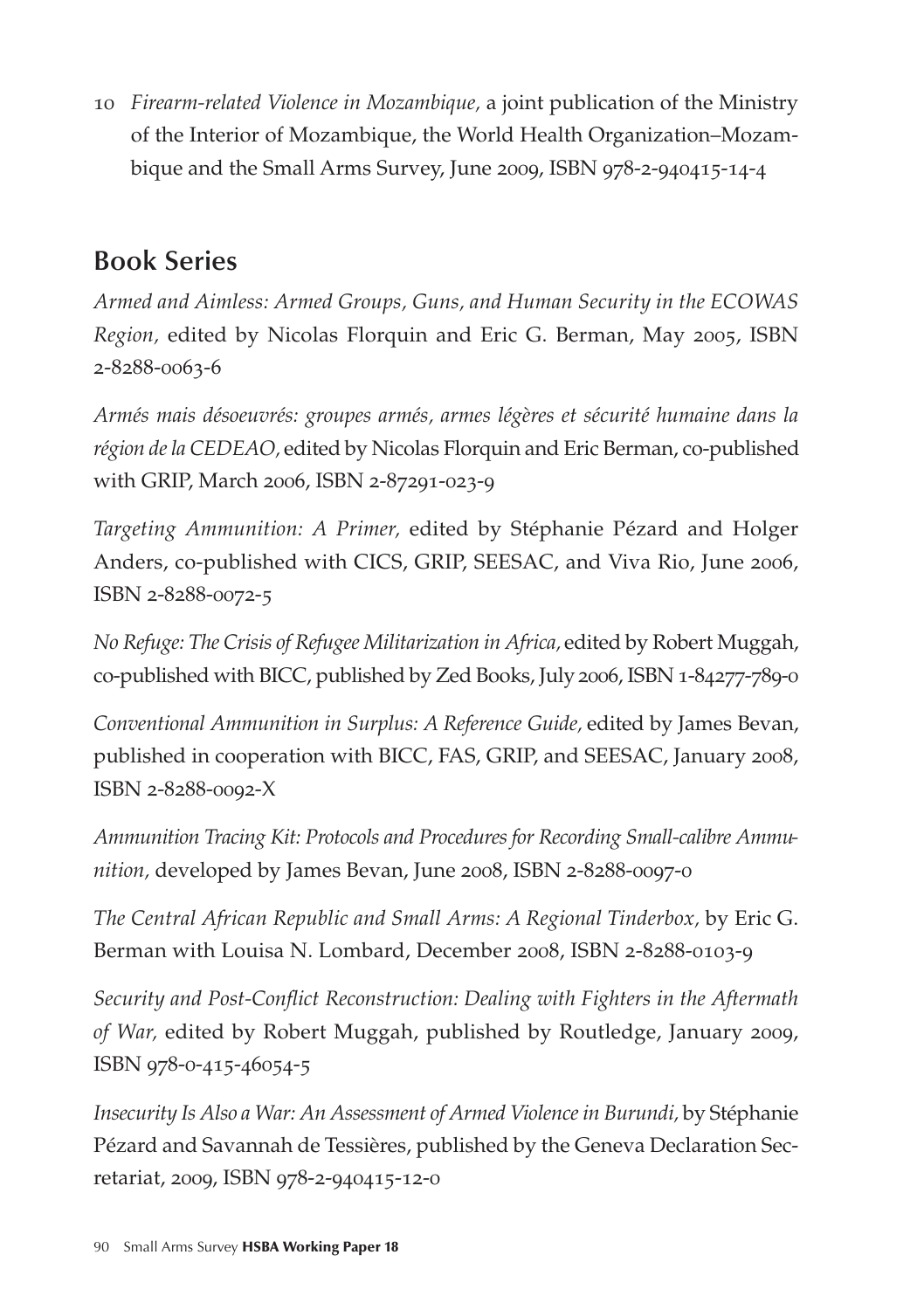10 *Firearm-related Violence in Mozambique,* a joint publication of the Ministry of the Interior of Mozambique, the World Health Organization–Mozambique and the Small Arms Survey, June 2009, ISBN 978-2-940415-14-4

## **Book Series**

*Armed and Aimless: Armed Groups, Guns, and Human Security in the ECOWAS Region,* edited by Nicolas Florquin and Eric G. Berman, May 2005, ISBN 2-8288-0063-6

*Armés mais désoeuvrés: groupes armés, armes légères et sécurité humaine dans la région de la CEDEAO,* edited by Nicolas Florquin and Eric Berman, co-published with GRIP, March 2006, ISBN 2-87291-023-9

*Targeting Ammunition: A Primer,* edited by Stéphanie Pézard and Holger Anders, co-published with CICS, GRIP, SEESAC, and Viva Rio, June 2006, ISBN 2-8288-0072-5

*No Refuge: The Crisis of Refugee Militarization in Africa,* edited by Robert Muggah, co-published with BICC, published by Zed Books, July 2006, ISBN 1-84277-789-0

*Conventional Ammunition in Surplus: A Reference Guide,* edited by James Bevan, published in cooperation with BICC, FAS, GRIP, and SEESAC, January 2008, ISBN 2-8288-0092-X

*Ammunition Tracing Kit: Protocols and Procedures for Recording Small-calibre Ammunition,* developed by James Bevan, June 2008, ISBN 2-8288-0097-0

*The Central African Republic and Small Arms: A Regional Tinderbox,* by Eric G. Berman with Louisa N. Lombard, December 2008, ISBN 2-8288-0103-9

*Security and Post-Conflict Reconstruction: Dealing with Fighters in the Aftermath of War,* edited by Robert Muggah, published by Routledge, January 2009, ISBN 978-0-415-46054-5

*Insecurity Is Also a War: An Assessment of Armed Violence in Burundi,* by Stéphanie Pézard and Savannah de Tessières, published by the Geneva Declaration Secretariat, 2009, ISBN 978-2-940415-12-0